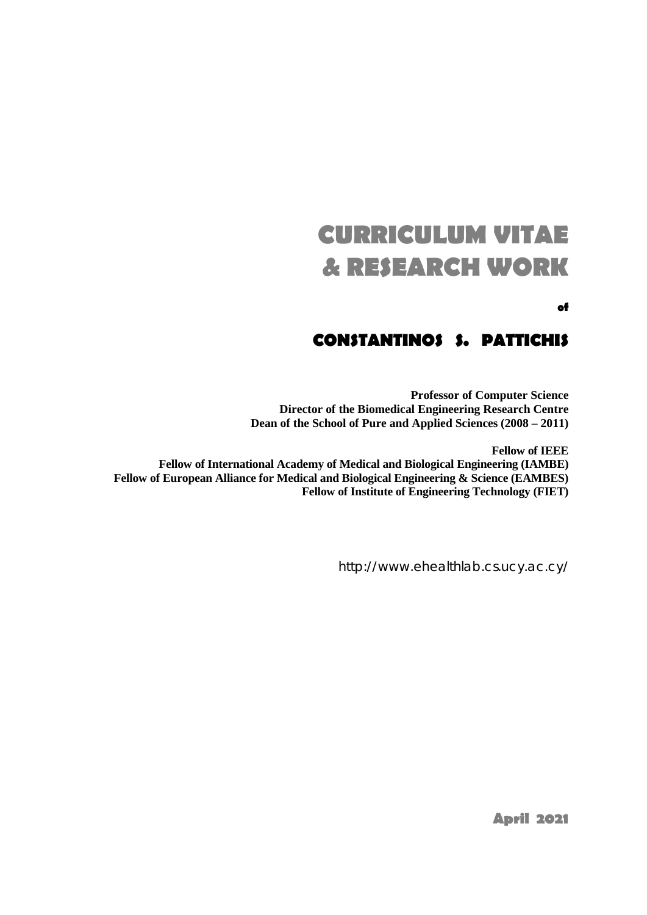# **CURRICULUM VITAE & RESEARCH WORK**

**of**

# **CONSTANTINOS S. PATTICHIS**

**Professor of Computer Science Director of the Biomedical Engineering Research Centre Dean of the School of Pure and Applied Sciences (2008 – 2011)**

**Fellow of IEEE Fellow of International Academy of Medical and Biological Engineering (IAMBE) Fellow of European Alliance for Medical and Biological Engineering & Science (EAMBES) Fellow of Institute of Engineering Technology (FIET)**

http://www.ehealthlab.cs.ucy.ac.cy/

**April 2021**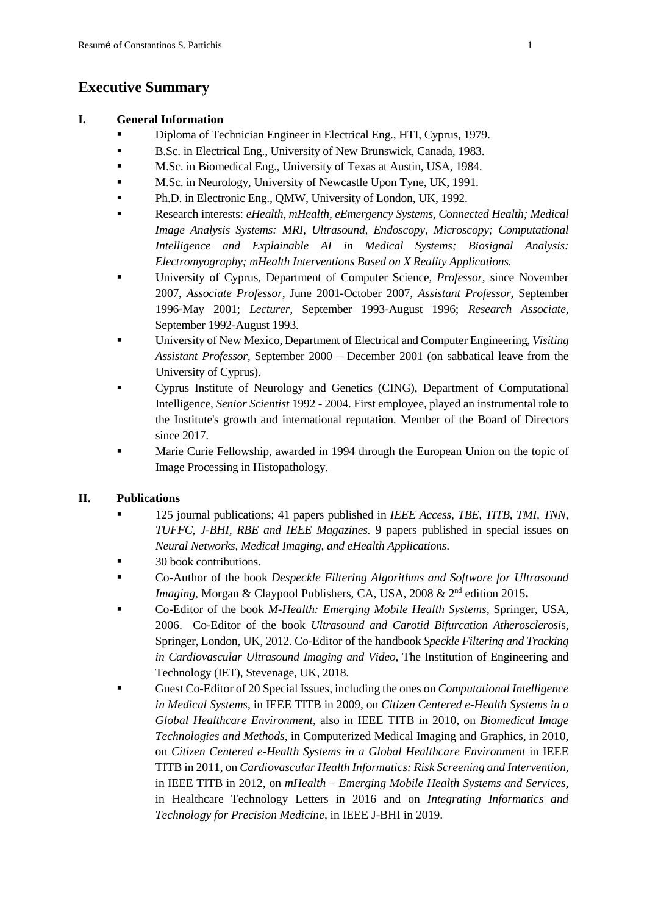# **Executive Summary**

### **I. General Information**

- Diploma of Technician Engineer in Electrical Eng., HTI, Cyprus, 1979.
- B.Sc. in Electrical Eng., University of New Brunswick, Canada, 1983.
- **M.Sc. in Biomedical Eng., University of Texas at Austin, USA, 1984.**
- **M.Sc. in Neurology, University of Newcastle Upon Tyne, UK, 1991.**
- Ph.D. in Electronic Eng., QMW, University of London, UK, 1992.
- Research interests: *eHealth, mHealth, eEmergency Systems, Connected Health; Medical Image Analysis Systems: MRI, Ultrasound, Endoscopy, Microscopy; Computational Intelligence and Explainable AI in Medical Systems; Biosignal Analysis: Electromyography; mHealth Interventions Based on X Reality Applications.*
- University of Cyprus, Department of Computer Science, *Professor*, since November 2007, *Associate Professor*, June 2001-October 2007, *Assistant Professor*, September 1996-May 2001; *Lecturer*, September 1993-August 1996; *Research Associate*, September 1992-August 1993.
- University of New Mexico, Department of Electrical and Computer Engineering, *Visiting Assistant Professor*, September 2000 – December 2001 (on sabbatical leave from the University of Cyprus).
- Cyprus Institute of Neurology and Genetics (CING), Department of Computational Intelligence, *Senior Scientist* 1992 - 2004. First employee, played an instrumental role to the Institute's growth and international reputation. Member of the Board of Directors since 2017.
- Marie Curie Fellowship, awarded in 1994 through the European Union on the topic of Image Processing in Histopathology.

### **II. Publications**

- 125 journal publications; 41 papers published in *IEEE Access, TBE, TITB, TMI, TNN, TUFFC, J-BHI, RBE and IEEE Magazines.* 9 papers published in special issues on *Neural Networks, Medical Imaging*, *and eHealth Applications*.
- 30 book contributions.
- Co-Author of the book *Despeckle Filtering Algorithms and Software for Ultrasound Imaging*, Morgan & Claypool Publishers, CA, USA, 2008 & 2nd edition 2015**.**
- Co-Editor of the book *M-Health: Emerging Mobile Health Systems*, Springer, USA, 2006. Co-Editor of the book *Ultrasound and Carotid Bifurcation Atherosclerosi*s, Springer, London, UK, 2012. Co-Editor of the handbook *Speckle Filtering and Tracking in Cardiovascular Ultrasound Imaging and Video*, The Institution of Engineering and Technology (IET), Stevenage, UK, 2018.
- Guest Co-Editor of 20 Special Issues, including the ones on *Computational Intelligence in Medical Systems*, in IEEE TITB in 2009, on *Citizen Centered e-Health Systems in a Global Healthcare Environment*, also in IEEE TITB in 2010, on *Biomedical Image Technologies and Methods*, in Computerized Medical Imaging and Graphics, in 2010, on *Citizen Centered e-Health Systems in a Global Healthcare Environment* in IEEE TITB in 2011, on *Cardiovascular Health Informatics: Risk Screening and Intervention,* in IEEE TITB in 2012, on *mHealth – Emerging Mobile Health Systems and Services,* in Healthcare Technology Letters in 2016 and on *Integrating Informatics and Technology for Precision Medicine,* in IEEE J-BHI in 2019.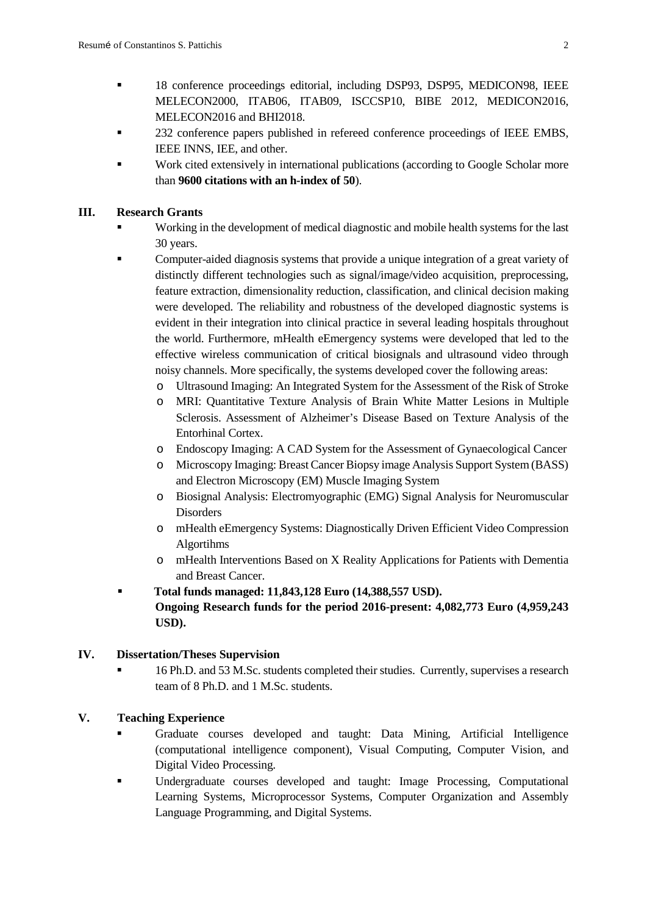- 18 conference proceedings editorial, including DSP93, DSP95, MEDICON98, IEEE MELECON2000, ITAB06, ITAB09, ISCCSP10, BIBE 2012, MEDICON2016, MELECON2016 and BHI2018.
- 232 conference papers published in refereed conference proceedings of IEEE EMBS, IEEE INNS, IEE, and other.
- Work cited extensively in international publications (according to Google Scholar more than **9600 citations with an h-index of 50**).

#### **III. Research Grants**

- Working in the development of medical diagnostic and mobile health systems for the last 30 years.
- Computer-aided diagnosis systems that provide a unique integration of a great variety of distinctly different technologies such as signal/image/video acquisition, preprocessing, feature extraction, dimensionality reduction, classification, and clinical decision making were developed. The reliability and robustness of the developed diagnostic systems is evident in their integration into clinical practice in several leading hospitals throughout the world. Furthermore, mHealth eEmergency systems were developed that led to the effective wireless communication of critical biosignals and ultrasound video through noisy channels. More specifically, the systems developed cover the following areas:
	- o Ultrasound Imaging: An Integrated System for the Assessment of the Risk of Stroke
	- o MRI: Quantitative Texture Analysis of Brain White Matter Lesions in Multiple Sclerosis. Assessment of Alzheimer's Disease Based on Texture Analysis of the Entorhinal Cortex.
	- o Endoscopy Imaging: A CAD System for the Assessment of Gynaecological Cancer
	- o Microscopy Imaging: Breast Cancer Biopsy image Analysis Support System (BASS) and Electron Microscopy (EM) Muscle Imaging System
	- o Biosignal Analysis: Electromyographic (EMG) Signal Analysis for Neuromuscular Disorders
	- o mHealth eEmergency Systems: Diagnostically Driven Efficient Video Compression Algortihms
	- o mHealth Interventions Based on X Reality Applications for Patients with Dementia and Breast Cancer.
- **Total funds managed: 11,843,128 Euro (14,388,557 USD). Ongoing Research funds for the period 2016-present: 4,082,773 Euro (4,959,243 USD).**

### **IV. Dissertation/Theses Supervision**

 16 Ph.D. and 53 M.Sc. students completed their studies. Currently, supervises a research team of 8 Ph.D. and 1 M.Sc. students.

### **V. Teaching Experience**

- Graduate courses developed and taught: Data Mining, Artificial Intelligence (computational intelligence component), Visual Computing, Computer Vision, and Digital Video Processing.
- Undergraduate courses developed and taught: Image Processing, Computational Learning Systems, Microprocessor Systems, Computer Organization and Assembly Language Programming, and Digital Systems.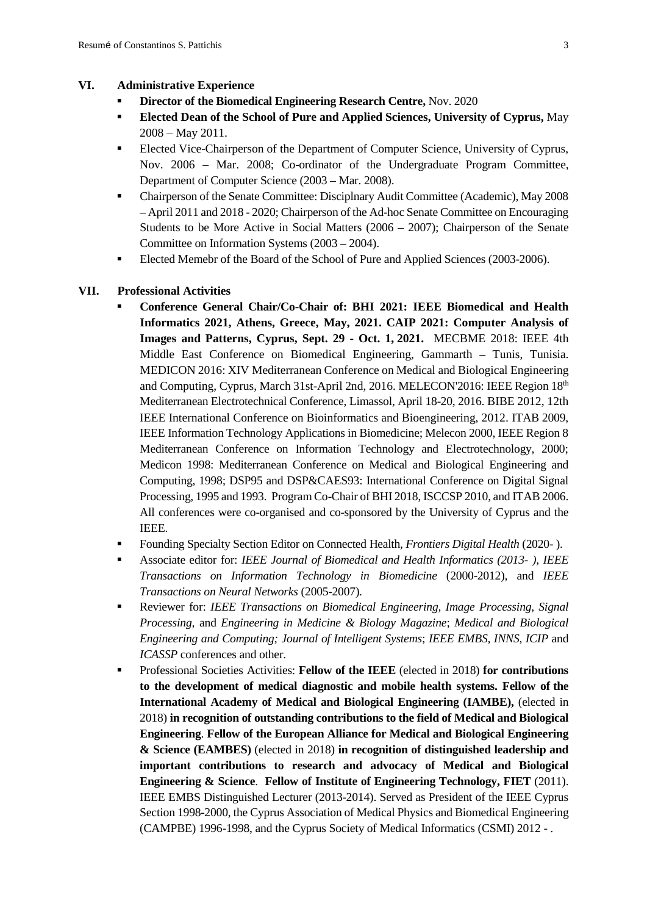#### **VI. Administrative Experience**

- **Director of the Biomedical Engineering Research Centre,** Nov. 2020
- **Elected Dean of the School of Pure and Applied Sciences, University of Cyprus,** May 2008 – May 2011.
- Elected Vice-Chairperson of the Department of Computer Science, University of Cyprus, Nov. 2006 – Mar. 2008; Co-ordinator of the Undergraduate Program Committee, Department of Computer Science (2003 – Mar. 2008).
- Chairperson of the Senate Committee: Disciplnary Audit Committee (Academic), May 2008 – April 2011 and 2018 - 2020; Chairperson of the Ad-hoc Senate Committee on Encouraging Students to be More Active in Social Matters (2006 – 2007); Chairperson of the Senate Committee on Information Systems (2003 – 2004).
- Elected Memebr of the Board of the School of Pure and Applied Sciences (2003-2006).

#### **VII. Professional Activities**

- **Conference General Chair/Co-Chair of: BHI 2021: IEEE Biomedical and Health Informatics 2021, Athens, Greece, May, 2021. CAIP 2021: Computer Analysis of Images and Patterns, Cyprus, Sept. 29 - Oct. 1, 2021.** MECBME 2018: IEEE 4th Middle East Conference on Biomedical Engineering, Gammarth – Tunis, Tunisia. MEDICON 2016: XIV Mediterranean Conference on Medical and Biological Engineering and Computing, Cyprus, March 31st-April 2nd, 2016. MELECON'2016: IEEE Region 18th Mediterranean Electrotechnical Conference, Limassol, April 18-20, 2016. BIBE 2012, 12th IEEE International Conference on Bioinformatics and Bioengineering, 2012. ITAB 2009, IEEE Information Technology Applications in Biomedicine; Melecon 2000, IEEE Region 8 Mediterranean Conference on Information Technology and Electrotechnology, 2000; Medicon 1998: Mediterranean Conference on Medical and Biological Engineering and Computing, 1998; DSP95 and DSP&CAES93: International Conference on Digital Signal Processing, 1995 and 1993. Program Co-Chair of BHI 2018, ISCCSP 2010, and ITAB 2006. All conferences were co-organised and co-sponsored by the University of Cyprus and the IEEE.
- Founding Specialty Section Editor on Connected Health, *Frontiers Digital Health* (2020- ).
- Associate editor for: *IEEE Journal of Biomedical and Health Informatics (2013- ), IEEE Transactions on Information Technology in Biomedicine* (2000-2012), and *IEEE Transactions on Neural Networks* (2005-2007)*.*
- Reviewer for: *IEEE Transactions on Biomedical Engineering, Image Processing, Signal Processing,* and *Engineering in Medicine & Biology Magazine*; *Medical and Biological Engineering and Computing; Journal of Intelligent Systems*; *IEEE EMBS, INNS, ICIP* and *ICASSP* conferences and other.
- Professional Societies Activities: **Fellow of the IEEE** (elected in 2018) **for contributions to the development of medical diagnostic and mobile health systems. Fellow of the International Academy of Medical and Biological Engineering (IAMBE),** (elected in 2018) **in recognition of outstanding contributions to the field of Medical and Biological Engineering**. **Fellow of the European Alliance for Medical and Biological Engineering & Science (EAMBES)** (elected in 2018) **in recognition of distinguished leadership and important contributions to research and advocacy of Medical and Biological Engineering & Science**. **Fellow of Institute of Engineering Technology, FIET** (2011). IEEE EMBS Distinguished Lecturer (2013-2014). Served as President of the IEEE Cyprus Section 1998-2000, the Cyprus Association of Medical Physics and Biomedical Engineering (CAMPBE) 1996-1998, and the Cyprus Society of Medical Informatics (CSMI) 2012 - .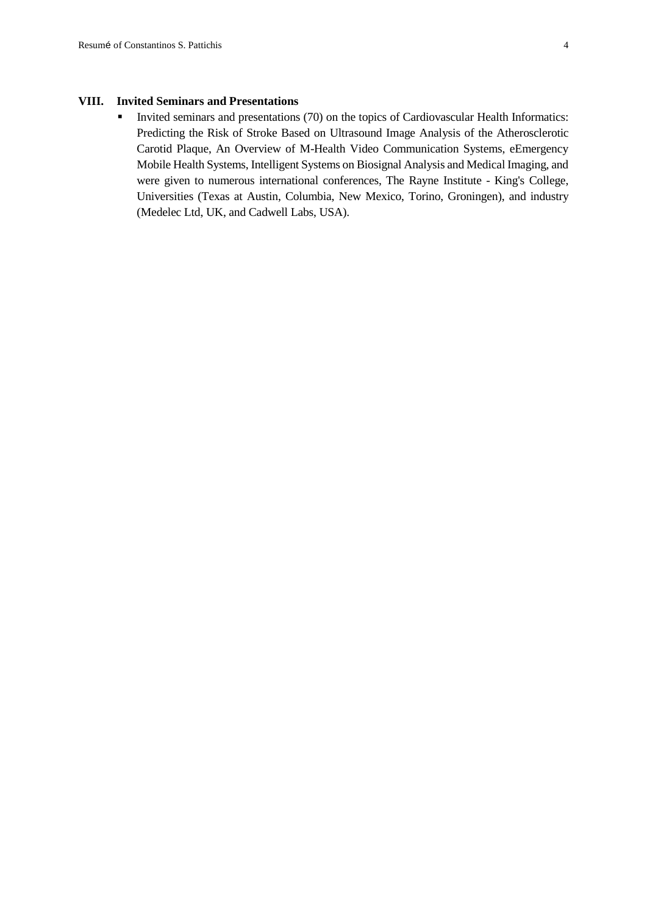#### **VIII. Invited Seminars and Presentations**

Invited seminars and presentations (70) on the topics of Cardiovascular Health Informatics: Predicting the Risk of Stroke Based on Ultrasound Image Analysis of the Atherosclerotic Carotid Plaque, An Overview of M-Health Video Communication Systems, eEmergency Mobile Health Systems, Intelligent Systems on Biosignal Analysis and Medical Imaging, and were given to numerous international conferences, The Rayne Institute - King's College, Universities (Texas at Austin, Columbia, New Mexico, Torino, Groningen), and industry (Medelec Ltd, UK, and Cadwell Labs, USA).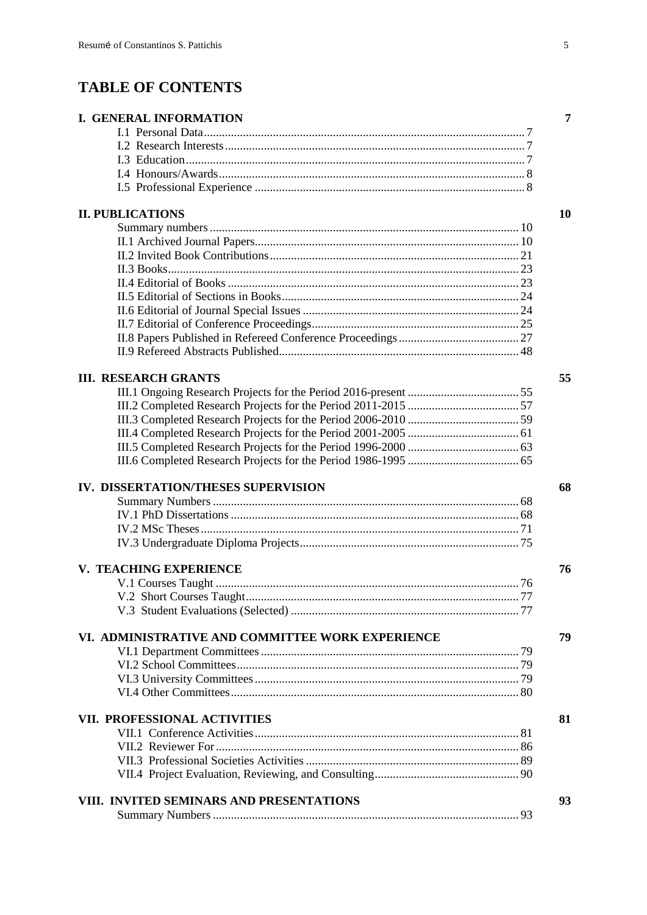# **TABLE OF CONTENTS**

| <b>I. GENERAL INFORMATION</b>                    | 7  |
|--------------------------------------------------|----|
|                                                  |    |
|                                                  |    |
|                                                  |    |
|                                                  |    |
|                                                  |    |
| <b>II. PUBLICATIONS</b>                          | 10 |
|                                                  |    |
|                                                  |    |
|                                                  |    |
|                                                  |    |
|                                                  |    |
|                                                  |    |
|                                                  |    |
|                                                  |    |
|                                                  |    |
|                                                  |    |
| <b>III. RESEARCH GRANTS</b>                      | 55 |
|                                                  |    |
|                                                  |    |
|                                                  |    |
|                                                  |    |
|                                                  |    |
|                                                  |    |
| IV. DISSERTATION/THESES SUPERVISION              | 68 |
|                                                  |    |
|                                                  |    |
|                                                  |    |
|                                                  |    |
| V. TEACHING EXPERIENCE                           | 76 |
|                                                  |    |
|                                                  |    |
|                                                  |    |
| VI. ADMINISTRATIVE AND COMMITTEE WORK EXPERIENCE | 79 |
|                                                  |    |
|                                                  |    |
|                                                  |    |
|                                                  |    |
| VII. PROFESSIONAL ACTIVITIES                     | 81 |
|                                                  |    |
|                                                  |    |
|                                                  |    |
|                                                  |    |
| VIII. INVITED SEMINARS AND PRESENTATIONS         | 93 |
|                                                  |    |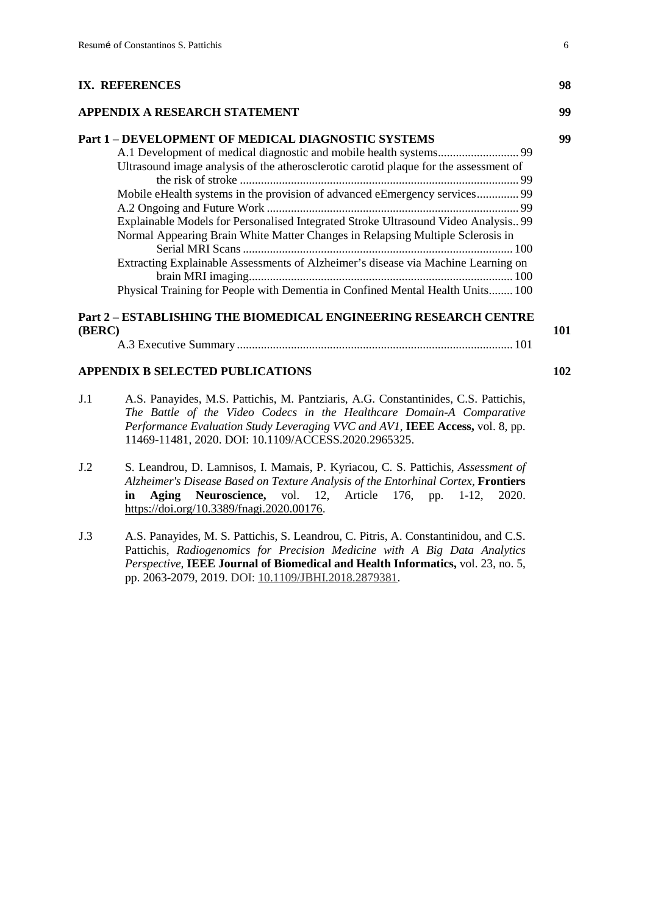#### **[IX. REFERENCES](#page-98-0) 98**

#### **[APPENDIX A RESEARCH STATEMENT](#page-99-0) 99**

| Part 1 - DEVELOPMENT OF MEDICAL DIAGNOSTIC SYSTEMS                                    |  |
|---------------------------------------------------------------------------------------|--|
|                                                                                       |  |
| Ultrasound image analysis of the atherosclerotic carotid plaque for the assessment of |  |
|                                                                                       |  |
| Mobile eHealth systems in the provision of advanced eEmergency services 99            |  |
|                                                                                       |  |
| Explainable Models for Personalised Integrated Stroke Ultrasound Video Analysis 99    |  |
| Normal Appearing Brain White Matter Changes in Relapsing Multiple Sclerosis in        |  |
| Extracting Explainable Assessments of Alzheimer's disease via Machine Learning on     |  |
| Physical Training for People with Dementia in Confined Mental Health Units 100        |  |

## **Part 2 – [ESTABLISHING THE BIOMEDICAL ENGINEERING RESEARCH CENTRE](#page-101-0)  [\(BERC\)](#page-101-0) 101**

A.3 Executive Summary [............................................................................................](#page-101-1) 101

#### **[APPENDIX B SELECTED PUBLICATIONS](#page-102-0) 102**

- J.1 A.S. Panayides, M.S. Pattichis, M. Pantziaris, A.G. Constantinides, C.S. Pattichis, *The Battle of the Video Codecs in the Healthcare Domain-A Comparative Performance Evaluation Study Leveraging VVC and AV1,* **IEEE Access,** vol. 8, pp. 11469-11481, 2020. DOI: 10.1109/ACCESS.2020.2965325.
- J.2 S. Leandrou, D. Lamnisos, I. Mamais, P. Kyriacou, C. S. Pattichis, *Assessment of Alzheimer's Disease Based on Texture Analysis of the Entorhinal Cortex,* **Frontiers in Aging Neuroscience,** vol. 12, Article 176, pp. 1-12, 2020. [https://doi.org/10.3389/fnagi.2020.00176.](https://doi.org/10.3389/fnagi.2020.00176)
- J.3 A.S. Panayides, M. S. Pattichis, S. Leandrou, C. Pitris, A. Constantinidou, and C.S. Pattichis, *Radiogenomics for Precision Medicine with A Big Data Analytics Perspective,* **IEEE Journal of Biomedical and Health Informatics,** vol. 23, no. 5, pp. 2063-2079, 2019. DOI: [10.1109/JBHI.2018.2879381.](https://doi.org/10.1109/JBHI.2018.2879381)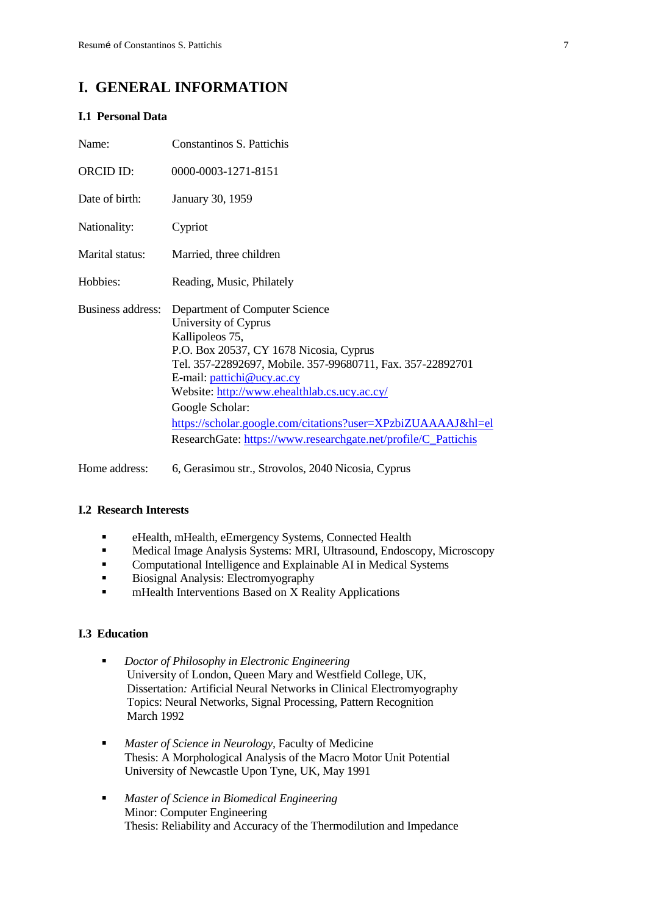### <span id="page-7-0"></span>**I. GENERAL INFORMATION**

#### <span id="page-7-1"></span>**I.1 Personal Data**

| Name:                    | Constantinos S. Pattichis                                                                                                                                                                                                                                                                                                                                                                                             |
|--------------------------|-----------------------------------------------------------------------------------------------------------------------------------------------------------------------------------------------------------------------------------------------------------------------------------------------------------------------------------------------------------------------------------------------------------------------|
| <b>ORCID ID:</b>         | 0000-0003-1271-8151                                                                                                                                                                                                                                                                                                                                                                                                   |
| Date of birth:           | January 30, 1959                                                                                                                                                                                                                                                                                                                                                                                                      |
| Nationality:             | Cypriot                                                                                                                                                                                                                                                                                                                                                                                                               |
| Marital status:          | Married, three children                                                                                                                                                                                                                                                                                                                                                                                               |
| Hobbies:                 | Reading, Music, Philately                                                                                                                                                                                                                                                                                                                                                                                             |
| <b>Business address:</b> | Department of Computer Science<br>University of Cyprus<br>Kallipoleos 75,<br>P.O. Box 20537, CY 1678 Nicosia, Cyprus<br>Tel. 357-22892697, Mobile. 357-99680711, Fax. 357-22892701<br>E-mail: pattichi@ucy.ac.cy<br>Website: http://www.ehealthlab.cs.ucy.ac.cy/<br>Google Scholar:<br>https://scholar.google.com/citations?user=XPzbiZUAAAAJ&hl=el<br>ResearchGate: https://www.researchgate.net/profile/C_Pattichis |

Home address: 6, Gerasimou str., Strovolos, 2040 Nicosia, Cyprus

#### <span id="page-7-2"></span>**I.2 Research Interests**

- eHealth, mHealth, eEmergency Systems, Connected Health
- Medical Image Analysis Systems: MRI, Ultrasound, Endoscopy, Microscopy
- **Computational Intelligence and Explainable AI in Medical Systems**
- Biosignal Analysis: Electromyography
- **EXECUTE:** mHealth Interventions Based on X Reality Applications

#### <span id="page-7-3"></span>**I.3 Education**

- *Doctor of Philosophy in Electronic Engineering* University of London, Queen Mary and Westfield College, UK, Dissertation*:* Artificial Neural Networks in Clinical Electromyography Topics: Neural Networks, Signal Processing, Pattern Recognition March 1992
- *Master of Science in Neurology,* Faculty of Medicine Thesis: A Morphological Analysis of the Macro Motor Unit Potential University of Newcastle Upon Tyne, UK, May 1991
- *Master of Science in Biomedical Engineering* Minor: Computer Engineering Thesis: Reliability and Accuracy of the Thermodilution and Impedance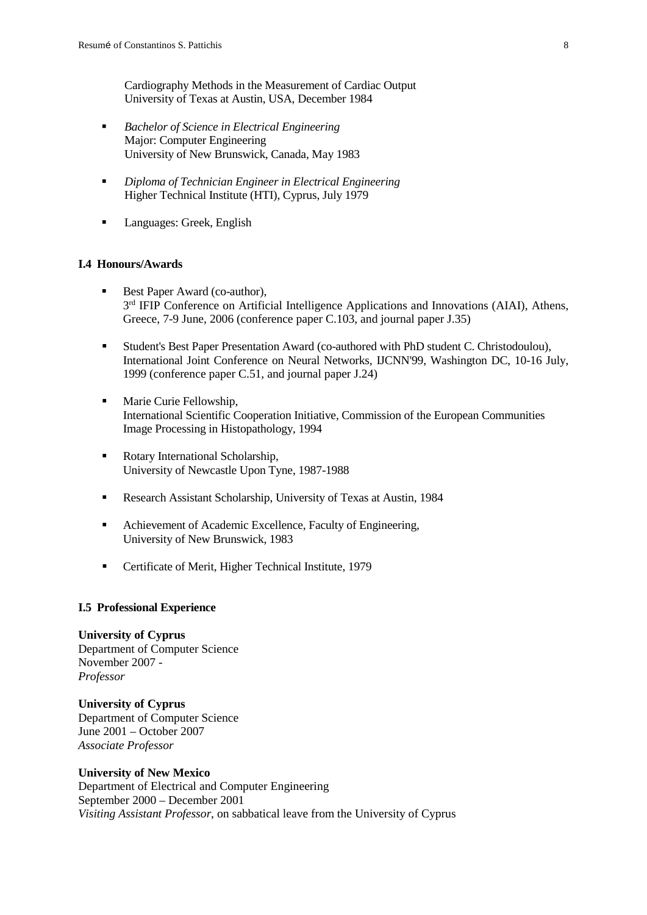Cardiography Methods in the Measurement of Cardiac Output University of Texas at Austin, USA, December 1984

- *Bachelor of Science in Electrical Engineering* Major: Computer Engineering University of New Brunswick, Canada, May 1983
- *Diploma of Technician Engineer in Electrical Engineering* Higher Technical Institute (HTI), Cyprus, July 1979
- **Languages: Greek, English**

#### <span id="page-8-0"></span>**I.4 Honours/Awards**

- Best Paper Award (co-author),  $3<sup>rd</sup>$  IFIP Conference on Artificial Intelligence Applications and Innovations (AIAI), Athens, Greece, 7-9 June, 2006 (conference paper C.103, and journal paper J.35)
- Student's Best Paper Presentation Award (co-authored with PhD student C. Christodoulou), International Joint Conference on Neural Networks, IJCNN'99, Washington DC, 10-16 July, 1999 (conference paper C.51, and journal paper J.24)
- **Marie Curie Fellowship,** International Scientific Cooperation Initiative, Commission of the European Communities Image Processing in Histopathology, 1994
- Rotary International Scholarship, University of Newcastle Upon Tyne, 1987-1988
- Research Assistant Scholarship, University of Texas at Austin, 1984
- Achievement of Academic Excellence, Faculty of Engineering, University of New Brunswick, 1983
- **•** Certificate of Merit, Higher Technical Institute, 1979

#### <span id="page-8-1"></span>**I.5 Professional Experience**

#### **University of Cyprus**

Department of Computer Science November 2007 - *Professor*

**University of Cyprus** Department of Computer Science June 2001 – October 2007 *Associate Professor*

#### **University of New Mexico**

Department of Electrical and Computer Engineering September 2000 – December 2001 *Visiting Assistant Professor*, on sabbatical leave from the University of Cyprus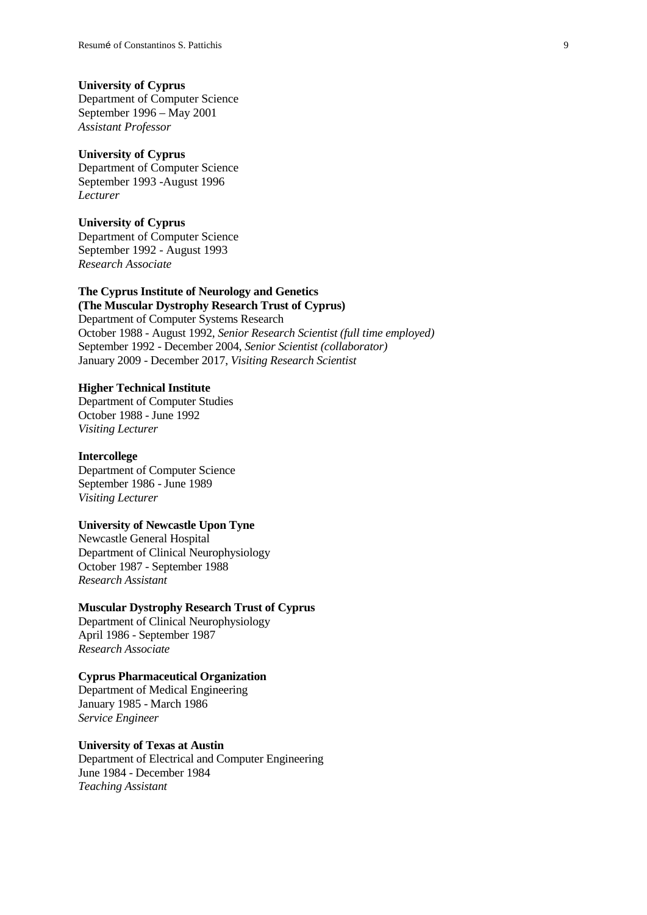#### **University of Cyprus**

Department of Computer Science September 1996 – May 2001 *Assistant Professor*

#### **University of Cyprus**

Department of Computer Science September 1993 -August 1996 *Lecturer*

#### **University of Cyprus**

Department of Computer Science September 1992 - August 1993 *Research Associate*

#### **The Cyprus Institute of Neurology and Genetics (The Muscular Dystrophy Research Trust of Cyprus)**

Department of Computer Systems Research October 1988 - August 1992, *Senior Research Scientist (full time employed)* September 1992 - December 2004, *Senior Scientist (collaborator)* January 2009 - December 2017, *Visiting Research Scientist*

#### **Higher Technical Institute**

Department of Computer Studies October 1988 - June 1992 *Visiting Lecturer*

#### **Intercollege**

Department of Computer Science September 1986 - June 1989 *Visiting Lecturer*

#### **University of Newcastle Upon Tyne**

Newcastle General Hospital Department of Clinical Neurophysiology October 1987 - September 1988 *Research Assistant*

#### **Muscular Dystrophy Research Trust of Cyprus**

Department of Clinical Neurophysiology April 1986 - September 1987 *Research Associate*

#### **Cyprus Pharmaceutical Organization**

Department of Medical Engineering January 1985 - March 1986 *Service Engineer*

# **University of Texas at Austin**

Department of Electrical and Computer Engineering June 1984 - December 1984 *Teaching Assistant*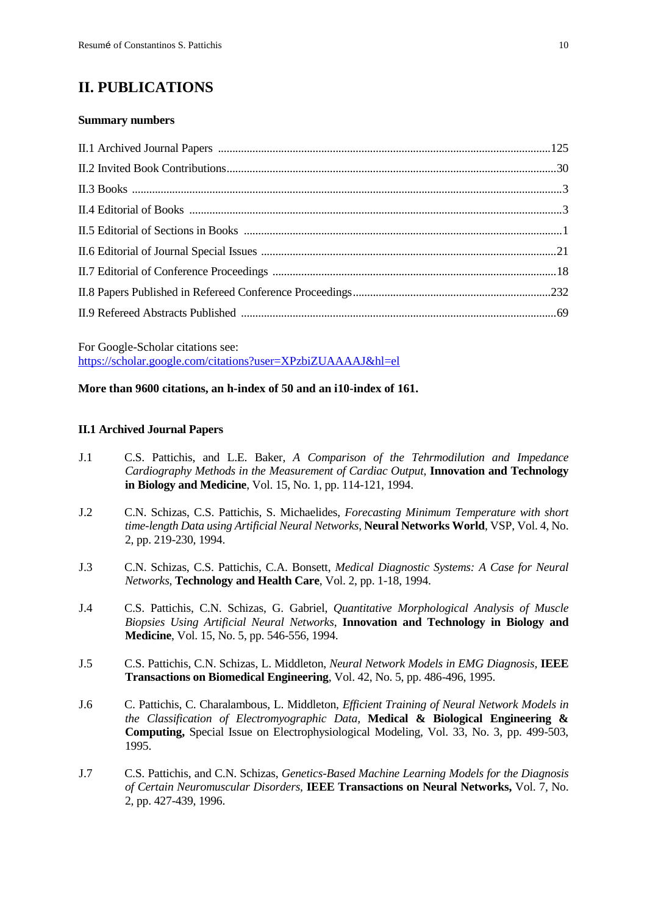# <span id="page-10-0"></span>**II. PUBLICATIONS**

#### <span id="page-10-1"></span>**Summary numbers**

For Google-Scholar citations see: <https://scholar.google.com/citations?user=XPzbiZUAAAAJ&hl=el>

#### **More than 9600 citations, an h-index of 50 and an i10-index of 161.**

#### <span id="page-10-2"></span>**II.1 Archived Journal Papers**

- J.1 C.S. Pattichis, and L.E. Baker, *A Comparison of the Tehrmodilution and Impedance Cardiography Methods in the Measurement of Cardiac Output*, **Innovation and Technology in Biology and Medicine**, Vol. 15, No. 1, pp. 114-121, 1994.
- J.2 C.N. Schizas, C.S. Pattichis, S. Michaelides, *Forecasting Minimum Temperature with short time-length Data using Artificial Neural Networks*, **Neural Networks World**, VSP, Vol. 4, No. 2, pp. 219-230, 1994.
- J.3 C.N. Schizas, C.S. Pattichis, C.A. Bonsett, *Medical Diagnostic Systems: A Case for Neural Networks*, **Technology and Health Care**, Vol. 2, pp. 1-18, 1994.
- J.4 C.S. Pattichis, C.N. Schizas, G. Gabriel, *Quantitative Morphological Analysis of Muscle Biopsies Using Artificial Neural Networks*, **Innovation and Technology in Biology and Medicine**, Vol. 15, No. 5, pp. 546-556, 1994.
- J.5 C.S. Pattichis, C.N. Schizas, L. Middleton, *Neural Network Models in EMG Diagnosis,* **IEEE Transactions on Biomedical Engineering**, Vol. 42, No. 5, pp. 486-496, 1995.
- J.6 C. Pattichis, C. Charalambous, L. Middleton, *Efficient Training of Neural Network Models in the Classification of Electromyographic Data,* **Medical & Biological Engineering & Computing,** Special Issue on Electrophysiological Modeling, Vol. 33, No. 3, pp. 499-503, 1995.
- J.7 C.S. Pattichis, and C.N. Schizas, *Genetics-Based Machine Learning Models for the Diagnosis of Certain Neuromuscular Disorders,* **IEEE Transactions on Neural Networks,** Vol. 7, No. 2, pp. 427-439, 1996.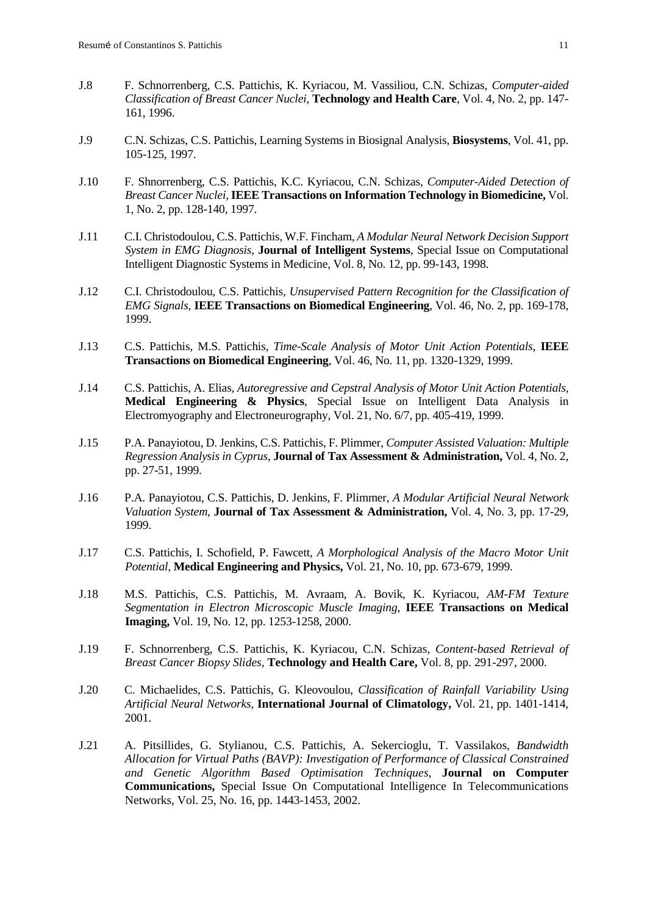- J.8 F. Schnorrenberg, C.S. Pattichis, K. Kyriacou, M. Vassiliou, C.N. Schizas, *Computer-aided Classification of Breast Cancer Nuclei,* **Technology and Health Care**, Vol. 4, No. 2, pp. 147- 161, 1996.
- J.9 C.N. Schizas, C.S. Pattichis, Learning Systems in Biosignal Analysis, **Biosystems**, Vol. 41, pp. 105-125, 1997.
- J.10 F. Shnorrenberg, C.S. Pattichis, K.C. Kyriacou, C.N. Schizas*, Computer-Aided Detection of Breast Cancer Nuclei,* **IEEE Transactions on Information Technology in Biomedicine,** Vol. 1, No. 2, pp. 128-140, 1997.
- J.11 C.I. Christodoulou, C.S. Pattichis, W.F. Fincham, *A Modular Neural Network Decision Support System in EMG Diagnosis*, **Journal of Intelligent Systems**, Special Issue on Computational Intelligent Diagnostic Systems in Medicine, Vol. 8, No. 12, pp. 99-143, 1998.
- J.12 C.I. Christodoulou, C.S. Pattichis*, Unsupervised Pattern Recognition for the Classification of EMG Signals,* **IEEE Transactions on Biomedical Engineering**, Vol. 46, No. 2, pp. 169-178, 1999.
- J.13 C.S. Pattichis, M.S. Pattichis, *Time-Scale Analysis of Motor Unit Action Potentials,* **IEEE Transactions on Biomedical Engineering**, Vol. 46, No. 11, pp. 1320-1329, 1999.
- J.14 C.S. Pattichis, A. Elias, *Autoregressive and Cepstral Analysis of Motor Unit Action Potentials,* **Medical Engineering & Physics**, Special Issue on Intelligent Data Analysis in Electromyography and Electroneurography, Vol. 21, No. 6/7, pp. 405-419, 1999.
- J.15 P.A. Panayiotou, D. Jenkins, C.S. Pattichis, F. Plimmer*, Computer Assisted Valuation: Multiple Regression Analysis in Cyprus,* **Journal of Tax Assessment & Administration,** Vol. 4, No. 2, pp. 27-51, 1999.
- J.16 P.A. Panayiotou, C.S. Pattichis, D. Jenkins, F. Plimmer, *A Modular Artificial Neural Network Valuation System,* **Journal of Tax Assessment & Administration,** Vol. 4, No. 3, pp. 17-29, 1999.
- J.17 C.S. Pattichis, I. Schofield, P. Fawcett, *A Morphological Analysis of the Macro Motor Unit Potential*, **Medical Engineering and Physics,** Vol. 21, No. 10, pp. 673-679, 1999.
- J.18 M.S. Pattichis, C.S. Pattichis, M. Avraam, A. Bovik, K. Kyriacou, *AM-FM Texture Segmentation in Electron Microscopic Muscle Imaging*, **IEEE Transactions on Medical Imaging,** Vol. 19, No. 12, pp. 1253-1258, 2000.
- J.19 F. Schnorrenberg, C.S. Pattichis, K. Kyriacou, C.N. Schizas, *Content-based Retrieval of Breast Cancer Biopsy Slides,* **Technology and Health Care,** Vol. 8, pp. 291-297, 2000.
- J.20 C. Michaelides, C.S. Pattichis, G. Kleovoulou, *Classification of Rainfall Variability Using Artificial Neural Networks,* **International Journal of Climatology,** Vol. 21, pp. 1401-1414, 2001.
- J.21 A. Pitsillides, G. Stylianou, C.S. Pattichis, A. Sekercioglu, T. Vassilakos, *Bandwidth Allocation for Virtual Paths (BAVP): Investigation of Performance of Classical Constrained and Genetic Algorithm Based Optimisation Techniques*, **Journal on Computer Communications,** Special Issue On Computational Intelligence In Telecommunications Networks, Vol. 25, No. 16, pp. 1443-1453, 2002.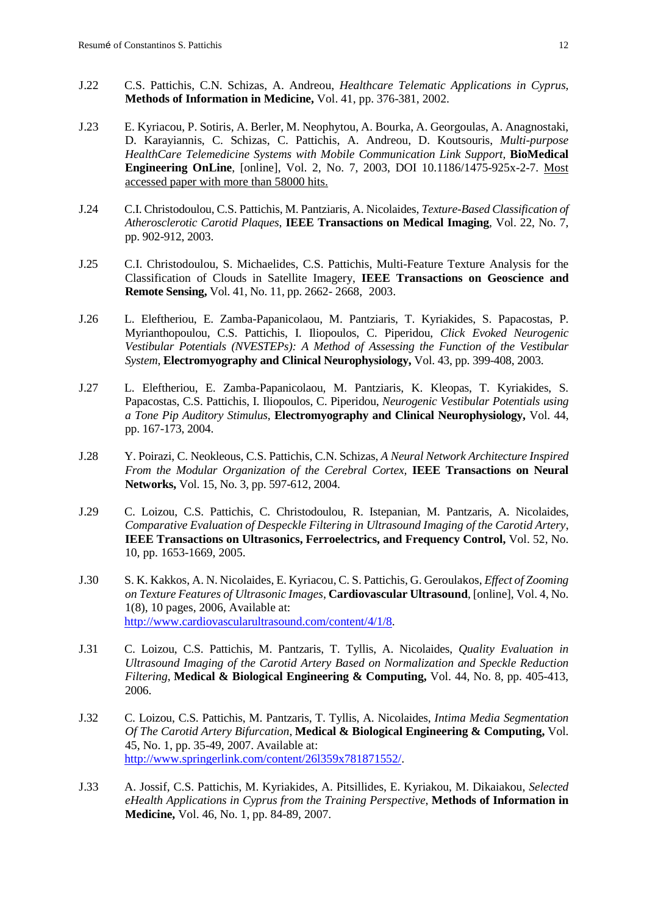- J.22 C.S. Pattichis, C.N. Schizas, A. Andreou, *Healthcare Telematic Applications in Cyprus,*  **Methods of Information in Medicine,** Vol. 41, pp. 376-381, 2002.
- J.23 E. Kyriacou, P. Sotiris, A. Berler, M. Neophytou, A. Bourka, A. Georgoulas, A. Anagnostaki, D. Karayiannis, C. Schizas, C. Pattichis, A. Andreou, D. Koutsouris, *Multi-purpose HealthCare Telemedicine Systems with Mobile Communication Link Support,* **BioMedical Engineering OnLine**, [online], Vol. 2, No. 7, 2003, DOI [10.1186/1475-925x-2-7.](http://dx.doi.org/10.1186/1475-925x-2-7) Most accessed paper with more than 58000 hits.
- J.24 C.I. Christodoulou, C.S. Pattichis, M. Pantziaris, A. Nicolaides, *Texture-Based Classification of Atherosclerotic Carotid Plaques*, **IEEE Transactions on Medical Imaging***,* Vol. 22, No. 7, pp. 902-912, 2003.
- J.25 C.I. Christodoulou, S. Michaelides, C.S. Pattichis, Multi-Feature Texture Analysis for the Classification of Clouds in Satellite Imagery, **IEEE Transactions on Geoscience and Remote Sensing,** Vol. 41, No. 11, pp. 2662- 2668, 2003.
- J.26 L. Eleftheriou, E. Zamba-Papanicolaou, M. Pantziaris, T. Kyriakides, S. Papacostas, P. Myrianthopoulou, C.S. Pattichis, I. Iliopoulos, C. Piperidou, *Click Evoked Neurogenic Vestibular Potentials (NVESTEPs): A Method of Assessing the Function of the Vestibular System*, **Electromyography and Clinical Neurophysiology,** Vol. 43, pp. 399-408, 2003.
- J.27 L. Eleftheriou, E. Zamba-Papanicolaou, M. Pantziaris, K. Kleopas, T. Kyriakides, S. Papacostas, C.S. Pattichis, I. Iliopoulos, C. Piperidou, *Neurogenic Vestibular Potentials using a Tone Pip Auditory Stimulus*, **Electromyography and Clinical Neurophysiology,** Vol. 44, pp. 167-173, 2004.
- J.28 Y. Poirazi, C. Neokleous, C.S. Pattichis, C.N. Schizas, *A Neural Network Architecture Inspired From the Modular Organization of the Cerebral Cortex,* **IEEE Transactions on Neural Networks,** Vol. 15, No. 3, pp. 597-612, 2004.
- J.29 C. Loizou, C.S. Pattichis, C. Christodoulou, R. Istepanian, M. Pantzaris, A. Nicolaides, *Comparative Evaluation of Despeckle Filtering in Ultrasound Imaging of the Carotid Artery*, **IEEE Transactions on Ultrasonics, Ferroelectrics, and Frequency Control,** Vol. 52, No. 10, pp. 1653-1669, 2005.
- J.30 S. K. Kakkos, A. N. Nicolaides, E. Kyriacou, C. S. Pattichis, G. Geroulakos, *Effect of Zooming on Texture Features of Ultrasonic Images*, **Cardiovascular Ultrasound**, [online], Vol. 4, No. 1(8), 10 pages, 2006, Available at: [http://www.cardiovascularultrasound.com/content/4/1/8.](http://www.cardiovascularultrasound.com/content/4/1/8)
- J.31 C. Loizou, C.S. Pattichis, M. Pantzaris, T. Tyllis, A. Nicolaides, *Quality Evaluation in Ultrasound Imaging of the Carotid Artery Based on Normalization and Speckle Reduction Filtering*, **Medical & Biological Engineering & Computing,** Vol. 44, No. 8, pp. 405-413, 2006.
- J.32 C. Loizou, C.S. Pattichis, M. Pantzaris, T. Tyllis, A. Nicolaides, *Intima Media Segmentation Of The Carotid Artery Bifurcation*, **Medical & Biological Engineering & Computing,** Vol. 45, No. 1, pp. 35-49, 2007. Available at: [http://www.springerlink.com/content/26l359x781871552/.](http://www.springerlink.com/content/26l359x781871552/)
- J.33 A. Jossif, C.S. Pattichis, M. Kyriakides, A. Pitsillides, E. Kyriakou, M. Dikaiakou, *Selected eHealth Applications in Cyprus from the Training Perspective*, **Methods of Information in Medicine,** Vol. 46, No. 1, pp. 84-89, 2007.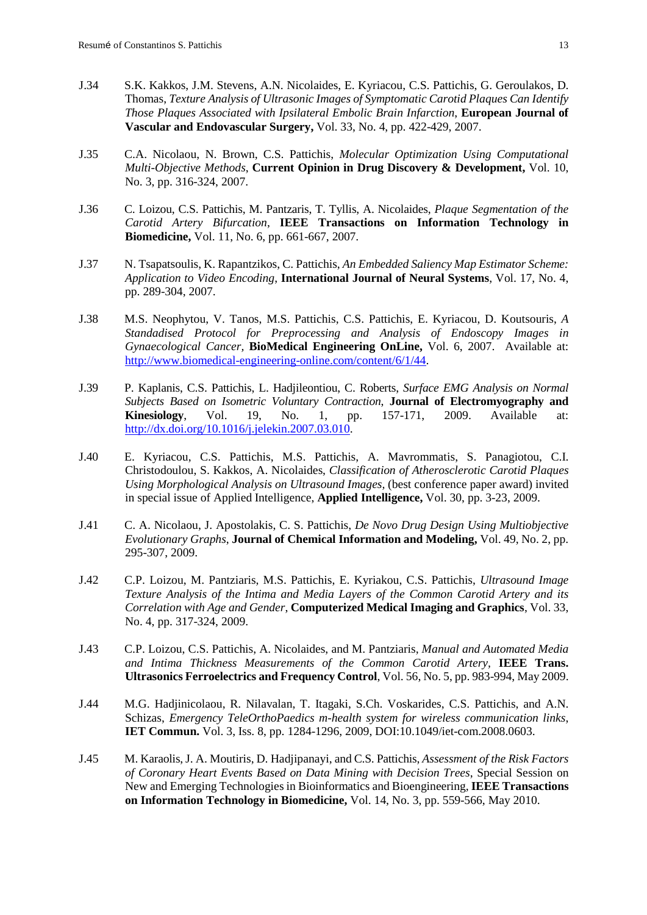- J.34 S.K. Kakkos, J.M. Stevens, A.N. Nicolaides, E. Kyriacou, C.S. Pattichis, G. Geroulakos, D. Thomas, *Texture Analysis of Ultrasonic Images of Symptomatic Carotid Plaques Can Identify Those Plaques Associated with Ipsilateral Embolic Brain Infarction*, **European Journal of Vascular and Endovascular Surgery,** Vol. 33, No. 4, pp. 422-429, 2007.
- J.35 C.A. Nicolaou, N. Brown, C.S. Pattichis, *Molecular Optimization Using Computational Multi-Objective Methods*, **Current Opinion in Drug Discovery & Development,** Vol. 10, No. 3, pp. 316-324, 2007.
- J.36 C. Loizou, C.S. Pattichis, M. Pantzaris, T. Tyllis, A. Nicolaides, *Plaque Segmentation of the Carotid Artery Bifurcation*, **IEEE Transactions on Information Technology in Biomedicine,** Vol. 11, No. 6, pp. 661-667, 2007.
- J.37 N. Tsapatsoulis, K. Rapantzikos, C. Pattichis, *An Embedded Saliency Map Estimator Scheme: Application to Video Encoding*, **International Journal of Neural Systems**, Vol. 17, No. 4, pp. 289-304, 2007.
- J.38 M.S. Neophytou, V. Tanos, M.S. Pattichis, C.S. Pattichis, E. Kyriacou, D. Koutsouris, *A Standadised Protocol for Preprocessing and Analysis of Endoscopy Images in Gynaecological Cancer,* **BioMedical Engineering OnLine,** Vol. 6, 2007. Available at: [http://www.biomedical-engineering-online.com/content/6/1/44.](http://www.biomedical-engineering-online.com/content/6/1/44)
- J.39 P. Kaplanis, C.S. Pattichis, L. Hadjileontiou, C. Roberts, *Surface EMG Analysis on Normal Subjects Based on Isometric Voluntary Contraction*, **Journal of Electromyography and Kinesiology**, Vol. 19, No. 1, pp. 157-171, 2009. Available at: [http://dx.doi.org/10.1016/j.jelekin.2007.03.010.](http://dx.doi.org/10.1016/j.jelekin.2007.03.010)
- J.40 E. Kyriacou, C.S. Pattichis, M.S. Pattichis, A. Mavrommatis, S. Panagiotou, C.I. Christodoulou, S. Kakkos, A. Nicolaides, *Classification of Atherosclerotic Carotid Plaques Using Morphological Analysis on Ultrasound Images,* (best conference paper award) invited in special issue of Applied Intelligence, **Applied Intelligence,** Vol. 30, pp. 3-23, 2009.
- J.41 C. A. Nicolaou, J. Apostolakis, C. S. Pattichis, *De Novo Drug Design Using Multiobjective Evolutionary Graphs*, **Journal of Chemical Information and Modeling,** Vol. 49, No. 2, pp. 295-307, 2009.
- J.42 C.P. Loizou, M. Pantziaris, M.S. Pattichis, E. Kyriakou, C.S. Pattichis, *Ultrasound Image Texture Analysis of the Intima and Media Layers of the Common Carotid Artery and its Correlation with Age and Gender*, **Computerized Medical Imaging and Graphics**, Vol. 33, No. 4, pp. 317-324, 2009.
- J.43 C.P. Loizou, C.S. Pattichis, A. Nicolaides, and M. Pantziaris, *Manual and Automated Media and Intima Thickness Measurements of the Common Carotid Artery,* **IEEE Trans. Ultrasonics Ferroelectrics and Frequency Control**, Vol. 56, No. 5, pp. 983-994, May 2009.
- J.44 M.G. Hadjinicolaou, R. Nilavalan, T. Itagaki, S.Ch. Voskarides, C.S. Pattichis, and A.N. Schizas, *Emergency TeleOrthoPaedics m-health system for wireless communication links*, **IET Commun.** Vol. 3, Iss. 8, pp. 1284-1296, 2009, DOI:10.1049/iet-com.2008.0603.
- J.45 M. Karaolis, J. A. Moutiris, D. Hadjipanayi, and C.S. Pattichis, *Assessment of the Risk Factors of Coronary Heart Events Based on Data Mining with Decision Trees*, Special Session on New and Emerging Technologies in Bioinformatics and Bioengineering, **IEEE Transactions on Information Technology in Biomedicine,** Vol. 14, No. 3, pp. 559-566, May 2010.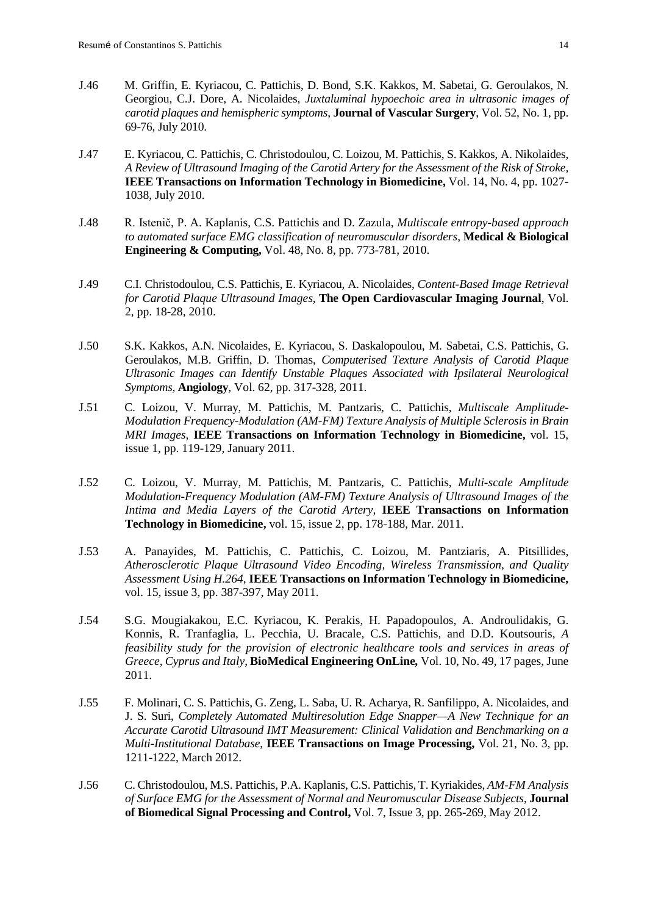- J.46 M. Griffin, E. Kyriacou, C. Pattichis, D. Bond, S.K. Kakkos, M. Sabetai, G. Geroulakos, N. Georgiou, C.J. Dore, A. Nicolaides, *Juxtaluminal hypoechoic area in ultrasonic images of carotid plaques and hemispheric symptoms*, **Journal of Vascular Surgery**, Vol. 52, No. 1, pp. 69-76, July 2010.
- J.47 E. Kyriacou, C. Pattichis, C. Christodoulou, C. Loizou, M. Pattichis, S. Kakkos, A. Nikolaides, *A Review of Ultrasound Imaging of the Carotid Artery for the Assessment of the Risk of Stroke,* **IEEE Transactions on Information Technology in Biomedicine,** Vol. 14, No. 4, pp. 1027- 1038, July 2010.
- J.48 [R. Istenič](http://www.springerlink.com/content/?Author=Rok+Isteni%c4%8d), [P. A. Kaplanis,](http://www.springerlink.com/content/?Author=Prodromos+A.+Kaplanis) [C.S. Pattichis](http://www.springerlink.com/content/?Author=Constantinos+S.+Pattichis) and [D. Zazula,](http://www.springerlink.com/content/?Author=Damjan+Zazula) *[Multiscale entropy-based approach](http://www.springerlink.com/content/18987587342nlp14/?p=679bc251f64144bba55b712303d7b1f1&pi=5)  [to automated surface EMG classification of neuromuscular disorders,](http://www.springerlink.com/content/18987587342nlp14/?p=679bc251f64144bba55b712303d7b1f1&pi=5)* **Medical & Biological Engineering & Computing,** Vol. 48, No. 8, pp. 773-781, 2010.
- J.49 C.I. Christodoulou, C.S. Pattichis, E. Kyriacou, A. Nicolaides, *Content-Based Image Retrieval for Carotid Plaque Ultrasound Images,* **The Open Cardiovascular Imaging Journal**, Vol. 2, pp. 18-28, 2010.
- J.50 S.K. Kakkos, A.N. Nicolaides, E. Kyriacou, S. Daskalopoulou, M. Sabetai, C.S. Pattichis, G. Geroulakos, M.B. Griffin, D. Thomas, *Computerised Texture Analysis of Carotid Plaque Ultrasonic Images can Identify Unstable Plaques Associated with Ipsilateral Neurological Symptoms*, **Angiology**, Vol. 62, pp. 317-328, 2011.
- J.51 C. Loizou, V. Murray, M. Pattichis, M. Pantzaris, C. Pattichis, *Multiscale Amplitude-Modulation Frequency-Modulation (AM-FM) Texture Analysis of Multiple Sclerosis in Brain MRI Images,* **IEEE Transactions on Information Technology in Biomedicine,** vol. 15, issue 1, pp. 119-129, January 2011.
- J.52 C. Loizou, V. Murray, M. Pattichis, M. Pantzaris, C. Pattichis, *[Multi-scale Amplitude](http://ieeexplore.ieee.org/search/srchabstract.jsp?tp=&arnumber=5590295&queryText%3DC.+Pattichis%26refinements%3D4294967131%2C4288442199%26openedRefinements%3D*%26ranges%3D2010_2010_Publication_Year%26searchField%3DSearch+All)  [Modulation-Frequency Modulation \(AM-FM\) Texture Analysis of Ultrasound Images of the](http://ieeexplore.ieee.org/search/srchabstract.jsp?tp=&arnumber=5590295&queryText%3DC.+Pattichis%26refinements%3D4294967131%2C4288442199%26openedRefinements%3D*%26ranges%3D2010_2010_Publication_Year%26searchField%3DSearch+All)  [Intima and Media Layers of the Carotid Artery,](http://ieeexplore.ieee.org/search/srchabstract.jsp?tp=&arnumber=5590295&queryText%3DC.+Pattichis%26refinements%3D4294967131%2C4288442199%26openedRefinements%3D*%26ranges%3D2010_2010_Publication_Year%26searchField%3DSearch+All)* **IEEE Transactions on Information Technology in Biomedicine,** vol. 15, issue 2, pp. 178-188, Mar. 2011.
- J.53 A. Panayides, M. Pattichis, C. Pattichis, C. Loizou, M. Pantziaris, A. Pitsillides, *[Atherosclerotic Plaque Ultrasound Video Encoding, Wireless Transmission, and Quality](http://ieeexplore.ieee.org/xpls/abs_all.jsp?arnumber=5686939)  [Assessment Using H.264,](http://ieeexplore.ieee.org/xpls/abs_all.jsp?arnumber=5686939)* **IEEE Transactions on Information Technology in Biomedicine,** vol. 15, issue 3, pp. 387-397, May 2011.
- J.54 [S.G. Mougiakakou,](http://www.cs.ucy.ac.cy/medinfo/index.php/publications/journal-articles/337) [E.C. Kyriacou,](http://www.cs.ucy.ac.cy/medinfo/index.php/publications/journal-articles/224) [K. Perakis,](http://www.cs.ucy.ac.cy/medinfo/index.php/publications/journal-articles/461) [H. Papadopoulos,](http://www.cs.ucy.ac.cy/medinfo/index.php/publications/journal-articles/245) [A. Androulidakis,](http://www.cs.ucy.ac.cy/medinfo/index.php/publications/journal-articles/463) [G.](http://www.cs.ucy.ac.cy/medinfo/index.php/publications/journal-articles/462)  [Konnis,](http://www.cs.ucy.ac.cy/medinfo/index.php/publications/journal-articles/462) [R. Tranfaglia,](http://www.cs.ucy.ac.cy/medinfo/index.php/publications/journal-articles/463) [L. Pecchia,](http://www.cs.ucy.ac.cy/medinfo/index.php/publications/journal-articles/464) [U. Bracale,](http://www.cs.ucy.ac.cy/medinfo/index.php/publications/journal-articles/465) [C.S. Pattichis,](http://www.cs.ucy.ac.cy/medinfo/index.php/publications/journal-articles/199) and [D.D. Koutsouris,](http://www.cs.ucy.ac.cy/medinfo/index.php/publications/journal-articles/213) *A feasibility study for the provision of electronic healthcare tools and services in areas of Greece, Cyprus and Italy*, **BioMedical Engineering OnLine***,* Vol. 10, No. 49, 17 pages, June 2011.
- J.55 F. Molinari, C. S. Pattichis, G. Zeng, L. Saba, U. R. Acharya, R. Sanfilippo, A. Nicolaides, and J. S. Suri, *Completely Automated Multiresolution Edge Snapper—A New Technique for an Accurate Carotid Ultrasound IMT Measurement: Clinical Validation and Benchmarking on a Multi-Institutional Database*, **IEEE Transactions on Image Processing,** Vol. 21, No. 3, pp. 1211-1222, March 2012.
- J.56 C. Christodoulou, M.S. Pattichis, P.A. Kaplanis, C.S. Pattichis, T. Kyriakides, *AM-FM Analysis of Surface EMG for the Assessment of Normal and Neuromuscular Disease Subjects*, **Journal of Biomedical Signal Processing and Control,** Vol. 7, Issue 3, pp. 265-269, May 2012.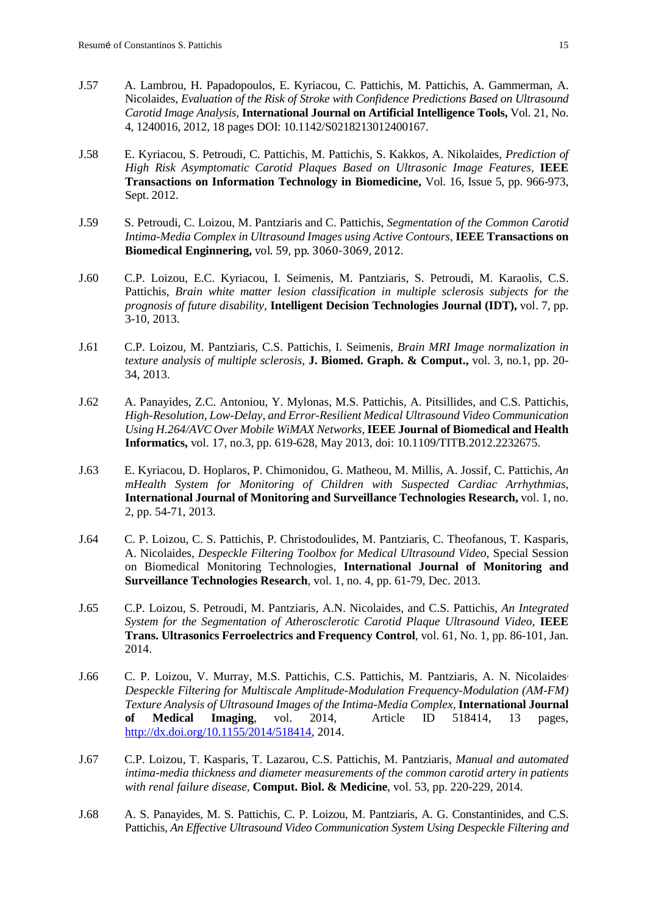- J.57 A. Lambrou, H. Papadopoulos, E. Kyriacou, C. Pattichis, M. Pattichis, A. Gammerman, A. Nicolaides, *Evaluation of the Risk of Stroke with Confidence Predictions Based on Ultrasound Carotid Image Analysis,* **International Journal on Artificial Intelligence Tools,** Vol. 21, No. 4, 1240016, 2012, 18 pages DOI: 10.1142/S0218213012400167.
- J.58 E. Kyriacou, S. Petroudi, C. Pattichis, M. Pattichis, S. Kakkos, A. Nikolaides, *Prediction of High Risk Asymptomatic Carotid Plaques Based on Ultrasonic Image Features,* **IEEE Transactions on Information Technology in Biomedicine,** Vol. 16, Issue 5, pp. 966-973, Sept. 2012.
- J.59 S. Petroudi, C. Loizou, M. Pantziaris and C. Pattichis, *Segmentation of the Common Carotid Intima-Media Complex in Ultrasound Images using Active Contours*, **IEEE Transactions on Biomedical Enginnering,** vol. 59, pp. 3060-3069, 2012.
- J.60 C.P. Loizou, E.C. Kyriacou, I. Seimenis, M. Pantziaris, S. Petroudi, M. Karaolis, C.S. Pattichis, *Brain white matter lesion classification in multiple sclerosis subjects for the prognosis of future disability,* **Intelligent Decision Technologies Journal (IDT),** vol. 7, pp. 3-10, 2013.
- J.61 C.P. Loizou, M. Pantziaris, C.S. Pattichis, I. Seimenis, *Brain MRI Image normalization in texture analysis of multiple sclerosis,* **J. Biomed. Graph. & Comput.,** vol. 3, no.1, pp. 20- 34, 2013.
- J.62 A. Panayides, Z.C. Antoniou, Y. Mylonas, M.S. Pattichis, A. Pitsillides, and C.S. Pattichis, *High-Resolution, Low-Delay, and Error-Resilient Medical Ultrasound Video Communication Using H.264/AVC Over Mobile WiMAX Networks,* **IEEE Journal of Biomedical and Health Informatics,** vol. 17, no.3, pp. 619-628, May 2013, doi: 10.1109/TITB.2012.2232675.
- J.63 E. Kyriacou, D. Hoplaros, P. Chimonidou, G. Matheou, M. Millis, A. Jossif, C. Pattichis, *An mHealth System for Monitoring of Children with Suspected Cardiac Arrhythmias*, **International Journal of Monitoring and Surveillance Technologies Research,** vol. 1, no. 2, pp. 54-71, 2013.
- J.64 C. P. Loizou, C. S. Pattichis, P. Christodoulides, M. Pantziaris, C. Theofanous, T. Kasparis, A. Nicolaides, *Despeckle Filtering Toolbox for Medical Ultrasound Video,* Special Session on Biomedical Monitoring Technologies, **International Journal of Monitoring and Surveillance Technologies Research**, vol. 1, no. 4, pp. 61-79, Dec. 2013.
- J.65 C.P. Loizou, S. Petroudi, M. Pantziaris, A.N. Nicolaides, and C.S. Pattichis, *An Integrated System for the Segmentation of Atherosclerotic Carotid Plaque Ultrasound Video*, **IEEE Trans. Ultrasonics Ferroelectrics and Frequency Control**, vol. 61, No. 1, pp. 86-101, Jan. 2014.
- J.66 C. P. Loizou, V. Murray, M.S. Pattichis, C.S. Pattichis, M. Pantziaris, A. N. Nicolaides, *Despeckle Filtering for Multiscale Amplitude-Modulation Frequency-Modulation (AM-FM) Texture Analysis of Ultrasound Images of the Intima-Media Complex*, **International Journal of Medical Imaging**, vol. 2014, Article ID 518414, 13 pages, [http://dx.doi.org/10.1155/2014/518414,](http://dx.doi.org/10.1155/2014/518414) 2014.
- J.67 C.P. Loizou, T. Kasparis, T. Lazarou, C.S. Pattichis, M. Pantziaris, *Manual and automated intima-media thickness and diameter measurements of the common carotid artery in patients with renal failure disease,* **Comput. Biol. & Medicine**, vol. 53, pp. 220-229, 2014.
- J.68 A. S. Panayides, M. S. Pattichis, C. P. Loizou, M. Pantziaris, A. G. Constantinides, and C.S. Pattichis, *An Effective Ultrasound Video Communication System Using Despeckle Filtering and*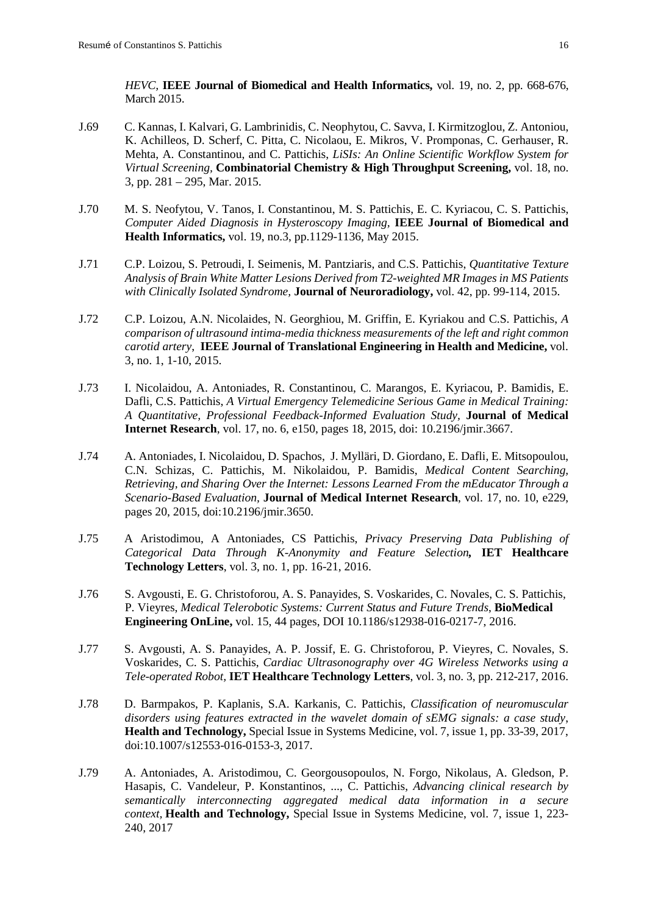*HEVC,* **IEEE Journal of Biomedical and Health Informatics,** vol. 19, no. 2, pp. 668-676, March 2015.

- J.69 C. Kannas, I. Kalvari, G. Lambrinidis, C. Neophytou, C. Savva, I. Kirmitzoglou, Z. Antoniou, K. Achilleos, D. Scherf, C. Pitta, C. Nicolaou, E. Mikros, V. Promponas, C. Gerhauser, R. Mehta, A. Constantinou, and C. Pattichis, *LiSIs: An Online Scientific Workflow System for Virtual Screening,* **Combinatorial Chemistry & High Throughput Screening,** vol. 18, no. 3, pp. 281 – 295, Mar. 2015.
- J.70 M. S. Neofytou, V. Tanos, I. Constantinou, M. S. Pattichis, E. C. Kyriacou, C. S. Pattichis, *Computer Aided Diagnosis in Hysteroscopy Imaging,* **IEEE Journal of Biomedical and Health Informatics,** vol. 19, no.3, pp.1129-1136, May 2015.
- J.71 C.P. Loizou, S. Petroudi, I. Seimenis, M. Pantziaris, and C.S. Pattichis, *Quantitative Texture Analysis of Brain White Matter Lesions Derived from T2-weighted MR Images in MS Patients with Clinically Isolated Syndrome,* **Journal of Neuroradiology,** vol. 42, pp. 99-114, 2015.
- J.72 C.P. Loizou, A.N. Nicolaides, N. Georghiou, M. Griffin, E. Kyriakou and C.S. Pattichis, *A comparison of ultrasound intima-media thickness measurements of the left and right common carotid artery*, **IEEE Journal of Translational Engineering in Health and Medicine,** vol. 3, no. 1, 1-10, 2015.
- J.73 I. Nicolaidou, A. Antoniades, R. Constantinou, C. Marangos, E. Kyriacou, P. Bamidis, E. Dafli, C.S. Pattichis, *A Virtual Emergency Telemedicine Serious Game in Medical Training: A Quantitative, Professional Feedback-Informed Evaluation Study,* **Journal of Medical Internet Research**, vol. 17, no. 6, e150, pages 18, 2015, doi: 10.2196/jmir.3667.
- J.74 A. Antoniades, I. Nicolaidou, D. Spachos, J. Mylläri, D. Giordano, E. Dafli, E. Mitsopoulou, C.N. Schizas, C. Pattichis, M. Nikolaidou, P. Bamidis, *Medical Content Searching, Retrieving, and Sharing Over the Internet: Lessons Learned From the mEducator Through a Scenario-Based Evaluation,* **Journal of Medical Internet Research**, vol. 17, no. 10, e229, pages 20, 2015, doi:10.2196/jmir.3650.
- J.75 A Aristodimou, A Antoniades, CS Pattichis, *Privacy Preserving Data Publishing of Categorical Data Through K-Anonymity and Feature Selection,* **IET Healthcare Technology Letters**, vol. 3, no. 1, pp. 16-21, 2016.
- J.76 S. Avgousti, E. G. Christoforou, A. S. Panayides, S. Voskarides, C. Novales, C. S. Pattichis, P. Vieyres, *Medical Telerobotic Systems: Current Status and Future Trends*, **BioMedical Engineering OnLine,** vol. 15, 44 pages, DOI 10.1186/s12938-016-0217-7, 2016.
- J.77 S. Avgousti, A. S. Panayides, A. P. Jossif, E. G. Christoforou, P. Vieyres, C. Novales, S. Voskarides, C. S. Pattichis, *Cardiac Ultrasonography over 4G Wireless Networks using a Tele-operated Robot,* **IET Healthcare Technology Letters**, vol. 3, no. 3, pp. 212-217, 2016.
- J.78 [D. Barmpakos,](http://link.springer.com/search?facet-creator=%22Dimitrios+Barmpakos%22) P. [Kaplanis,](http://link.springer.com/search?facet-creator=%22Prodormos+Kaplanis%22) [S.A. Karkanis,](http://link.springer.com/search?facet-creator=%22Stavros+A.+Karkanis%22) C. Pattichis, *[Classification of neuromuscular](http://link.springer.com/article/10.1007/s12553-016-0153-3)  [disorders using features extracted in the wavelet domain of sEMG signals: a case study](http://link.springer.com/article/10.1007/s12553-016-0153-3)*, **[Health and Technology,](http://link.springer.com/journal/12553)** Special Issue in Systems Medicine, vol. 7, issue 1, pp. 33-39, 2017, doi:10.1007/s12553-016-0153-3, 2017.
- J.79 A. Antoniades, A. Aristodimou, C. Georgousopoulos, N. Forgo, Nikolaus, A. Gledson, P. Hasapis, C. Vandeleur, P. Konstantinos, ..., C. Pattichis, *Advancing clinical research by semantically interconnecting aggregated medical data information in a secure context,* **Health and Technology,** Special Issue in Systems Medicine, vol. 7, issue 1, 223- 240, 2017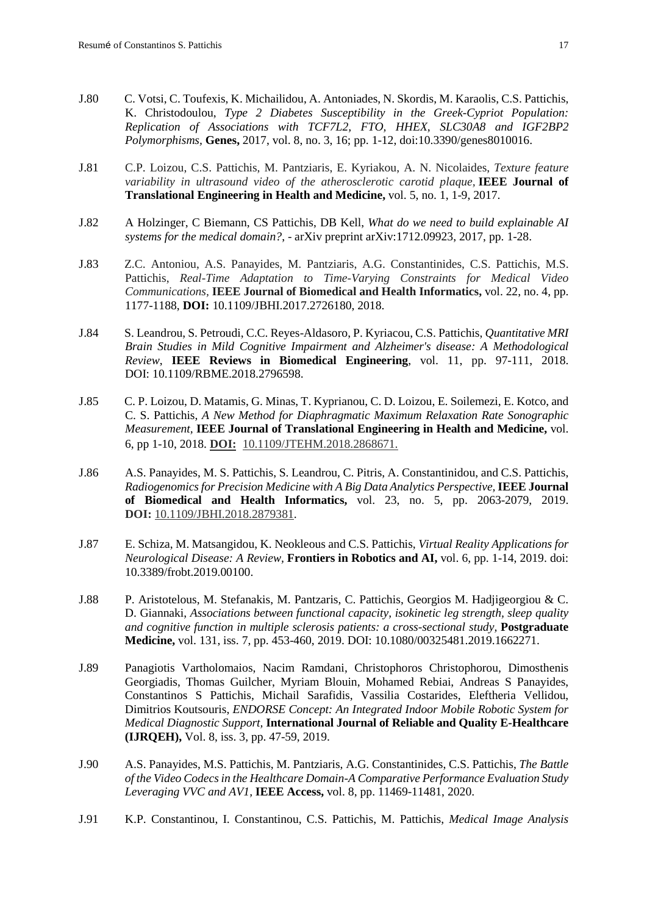- J.80 C. Votsi, C. Toufexis, K. Michailidou, A. Antoniades, N. Skordis, M. Karaolis, C.S. Pattichis, K. Christodoulou, *Type 2 Diabetes Susceptibility in the Greek-Cypriot Population: Replication of Associations with TCF7L2, FTO, HHEX, SLC30A8 and IGF2BP2 Polymorphisms,* **Genes,** 2017, vol. 8, no. 3, 16; pp. 1-12, doi[:10.3390/genes8010016.](http://dx.doi.org/10.3390/genes8010016)
- J.81 C.P. Loizou, C.S. Pattichis, M. Pantziaris, E. Kyriakou, A. N. Nicolaides, *Texture feature variability in ultrasound video of the atherosclerotic carotid plaque,* **IEEE Journal of Translational Engineering in Health and Medicine,** vol. 5, no. 1, 1-9, 2017.
- J.82 A Holzinger, C Biemann, CS Pattichis, DB Kell, *What do we need to build explainable AI systems for the medical domain?*, - arXiv preprint arXiv:1712.09923, 2017, pp. 1-28.
- J.83 Z.C. Antoniou, A.S. Panayides, M. Pantziaris, A.G. Constantinides, C.S. Pattichis, M.S. Pattichis, *Real-Time Adaptation to Time-Varying Constraints for Medical Video Communications,* **IEEE Journal of Biomedical and Health Informatics,** vol. 22, no. 4, pp. 1177-1188, **DOI:** [10.1109/JBHI.2017.2726180,](https://doi.org/10.1109/JBHI.2017.2726180) 2018.
- J.84 S. Leandrou, S. Petroudi, C.C. Reyes-Aldasoro, P. Kyriacou, C.S. Pattichis, *Quantitative MRI Brain Studies in Mild Cognitive Impairment and Alzheimer's disease: A Methodological Review*, **IEEE Reviews in Biomedical Engineering**, vol. 11, pp. 97-111, 2018. DOI: [10.1109/RBME.2018.2796598.](https://doi.org/10.1109/RBME.2018.2796598)
- J.85 C. P. Loizou, D. Matamis, G. Minas, T. Kyprianou, C. D. Loizou, E. Soilemezi, E. Kotco, and C. S. Pattichis, *A New Method for Diaphragmatic Maximum Relaxation Rate Sonographic Measurement,* **IEEE Journal of Translational Engineering in Health and Medicine,** vol. 6, pp 1-10, 2018. **DOI:** [10.1109/JTEHM.2018.2868671.](https://doi.org/10.1109/JTEHM.2018.2868671)
- J.86 A.S. Panayides, M. S. Pattichis, S. Leandrou, C. Pitris, A. Constantinidou, and C.S. Pattichis, *Radiogenomics for Precision Medicine with A Big Data Analytics Perspective,***IEEE Journal of Biomedical and Health Informatics,** vol. 23, no. 5, pp. 2063-2079, 2019. **DOI:** [10.1109/JBHI.2018.2879381.](https://doi.org/10.1109/JBHI.2018.2879381)
- J.87 E. Schiza, M. Matsangidou, K. Neokleous and C.S. Pattichis, *Virtual Reality Applications for Neurological Disease: A Review,* **Frontiers in Robotics and AI,** vol. 6, pp. 1-14, 2019. [doi:](https://doi.org/10.3389/frobt.2019.00100)  [10.3389/frobt.2019.00100.](https://doi.org/10.3389/frobt.2019.00100)
- J.88 P. Aristotelous, M. Stefanakis, M. Pantzaris, C. Pattichis, Georgios M. Hadjigeorgiou & C. D. Giannaki, *Associations between functional capacity, isokinetic leg strength, sleep quality and cognitive function in multiple sclerosis patients: a cross-sectional study,* **Postgraduate Medicine,** vol. 131, iss. 7, pp. 453-460, 2019. DOI: 10.1080/00325481.2019.1662271.
- J.89 Panagiotis Vartholomaios, Nacim Ramdani, Christophoros Christophorou, Dimosthenis Georgiadis, Thomas Guilcher, Myriam Blouin, Mohamed Rebiai, Andreas S Panayides, Constantinos S Pattichis, Michail Sarafidis, Vassilia Costarides, Eleftheria Vellidou, Dimitrios Koutsouris, *ENDORSE Concept: An Integrated Indoor Mobile Robotic System for Medical Diagnostic Support,* **International Journal of Reliable and Quality E-Healthcare (IJRQEH),** Vol. 8, iss. 3, pp. 47-59, 2019.
- J.90 A.S. Panayides, M.S. Pattichis, M. Pantziaris, A.G. Constantinides, C.S. Pattichis, *The Battle of the Video Codecs in the Healthcare Domain-A Comparative Performance Evaluation Study Leveraging VVC and AV1,* **IEEE Access,** vol. 8, pp. 11469-11481, 2020.
- J.91 K.P. Constantinou, I. Constantinou, C.S. Pattichis, M. Pattichis, *Medical Image Analysis*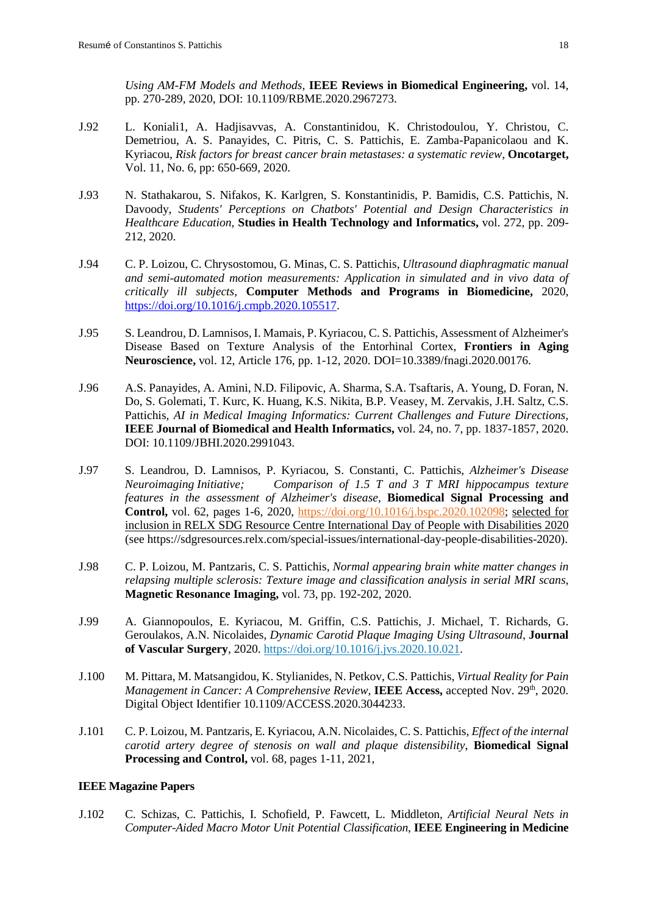*Using AM-FM Models and Methods,* **IEEE Reviews in Biomedical Engineering,** vol. 14, pp. 270-289, 2020, DOI: [10.1109/RBME.2020.2967273.](https://doi.org/10.1109/RBME.2020.2967273)

- J.92 L. Koniali1, A. Hadjisavvas, A. Constantinidou, K. Christodoulou, Y. Christou, C. Demetriou, A. S. Panayides, C. Pitris, C. S. Pattichis, E. Zamba-Papanicolaou and K. Kyriacou, *Risk factors for breast cancer brain metastases: a systematic review,* **Oncotarget,**  Vol. 11, No. 6, pp: 650-669, 2020.
- J.93 N. Stathakarou, S. Nifakos, K. Karlgren, S. Konstantinidis, P. Bamidis, C.S. Pattichis, N. Davoody, *Students' Perceptions on Chatbots' Potential and Design Characteristics in Healthcare Education,* **Studies in Health Technology and Informatics,** vol. 272, pp. 209- 212, 2020.
- J.94 C. P. Loizou, C. Chrysostomou, G. Minas, C. S. Pattichis, *Ultrasound diaphragmatic manual and semi-automated motion measurements: Application in simulated and in vivo data of critically ill subjects,* **Computer Methods and Programs in Biomedicine,** 2020, [https://doi.org/10.1016/j.cmpb.2020.105517.](https://doi.org/10.1016/j.cmpb.2020.105517)
- J.95 S. Leandrou, D. Lamnisos, I. Mamais, P. Kyriacou, C. S. Pattichis, Assessment of Alzheimer's Disease Based on Texture Analysis of the Entorhinal Cortex, **Frontiers in Aging Neuroscience,** vol. 12, Article 176, pp. 1-12, 2020. DOI=10.3389/fnagi.2020.00176.
- J.96 A.S. Panayides, A. Amini, N.D. Filipovic, A. Sharma, S.A. Tsaftaris, A. Young, D. Foran, N. Do, S. Golemati, T. Kurc, K. Huang, K.S. Nikita, B.P. Veasey, M. Zervakis, J.H. Saltz, C.S. Pattichis, *AI in Medical Imaging Informatics: Current Challenges and Future Directions,* **IEEE Journal of Biomedical and Health Informatics,** vol. 24, no. 7, pp. 1837-1857, 2020. DOI: 10.1109/JBHI.2020.2991043.
- J.97 S. Leandrou, D. Lamnisos, P. Kyriacou, S. Constanti, C. Pattichis, *Alzheimer's Disease Neuroimaging Initiative; Comparison of 1.5 T and 3 T MRI hippocampus texture features in the assessment of Alzheimer's disease*, **Biomedical Signal Processing and Control,** vol. 62, pages 1-6, 2020, [https://doi.org/10.1016/j.bspc.2020.102098;](https://doi.org/10.1016/j.bspc.2020.102098) selected for inclusion in RELX SDG Resource Centre International Day of People with Disabilities 2020 (see [https://sdgresources.relx.com/special-issues/international-day-people-disabilities-2020\)](https://sdgresources.relx.com/special-issues/international-day-people-disabilities-2020).
- J.98 C. P. Loizou, M. Pantzaris, C. S. Pattichis, *Normal appearing brain white matter changes in relapsing multiple sclerosis: Texture image and classification analysis in serial MRI scans*, **Magnetic Resonance Imaging,** vol. 73, pp. 192-202, 2020.
- J.99 A. Giannopoulos, E. Kyriacou, M. Griffin, C.S. Pattichis, J. Michael, T. Richards, G. Geroulakos, A.N. Nicolaides, *Dynamic Carotid Plaque Imaging Using Ultrasound*, **Journal of Vascular Surgery**, 2020. [https://doi.org/10.1016/j.jvs.2020.10.021.](https://doi.org/10.1016/j.jvs.2020.10.021)
- J.100 M. Pittara, M. Matsangidou, K. Stylianides, N. Petkov, C.S. Pattichis, *Virtual Reality for Pain Management in Cancer: A Comprehensive Review, IEEE Access, accepted Nov. 29<sup>th</sup>, 2020.* Digital Object Identifier 10.1109/ACCESS.2020.3044233.
- J.101 C. P. Loizou, M. Pantzaris, E. Kyriacou, A.N. Nicolaides, C. S. Pattichis, *Effect of the internal carotid artery degree of stenosis on wall and plaque distensibility*, **Biomedical Signal Processing and Control,** vol. 68, pages 1-11, 2021,

#### **IEEE Magazine Papers**

J.102 C. Schizas, C. Pattichis, I. Schofield, P. Fawcett, L. Middleton, *Artificial Neural Nets in Computer-Aided Macro Motor Unit Potential Classification*, **IEEE Engineering in Medicine**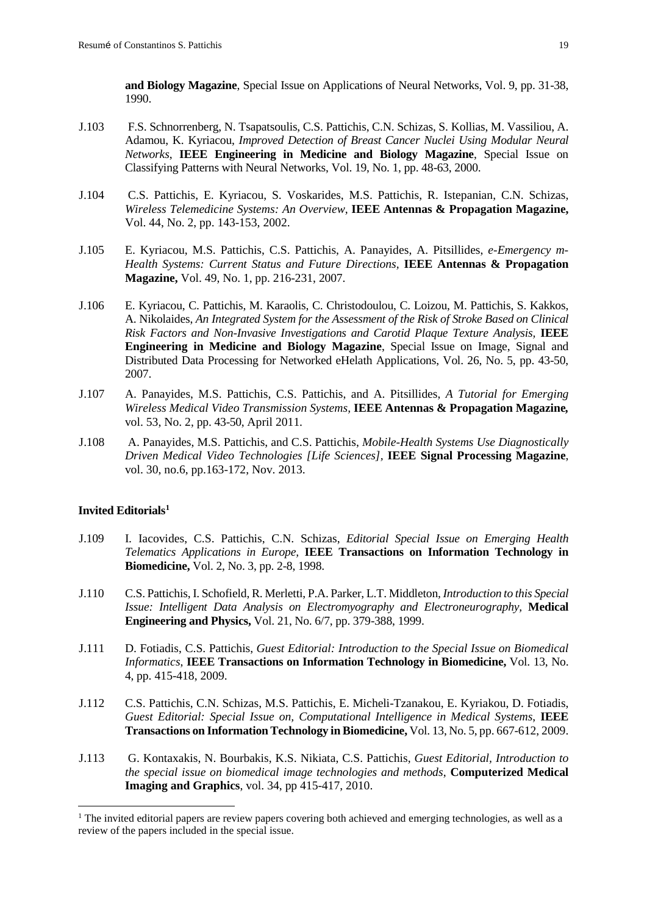**and Biology Magazine**, Special Issue on Applications of Neural Networks, Vol. 9, pp. 31-38, 1990.

- J.103 F.S. Schnorrenberg, N. Tsapatsoulis, C.S. Pattichis, C.N. Schizas, S. Kollias, M. Vassiliou, A. Adamou, K. Kyriacou, *Improved Detection of Breast Cancer Nuclei Using Modular Neural Networks*, **IEEE Engineering in Medicine and Biology Magazine**, Special Issue on Classifying Patterns with Neural Networks, Vol. 19, No. 1, pp. 48-63, 2000.
- J.104 C.S. Pattichis, E. Kyriacou, S. Voskarides, M.S. Pattichis, R. Istepanian, C.N. Schizas, *Wireless Telemedicine Systems: An Overview*, **IEEE Antennas & Propagation Magazine,** Vol. 44, No. 2, pp. 143-153, 2002.
- J.105 E. Kyriacou, M.S. Pattichis, C.S. Pattichis, A. Panayides, A. Pitsillides, *e-Emergency m-Health Systems: Current Status and Future Directions,* **IEEE Antennas & Propagation Magazine,** Vol. 49, No. 1, pp. 216-231, 2007.
- J.106 E. Kyriacou, C. Pattichis, M. Karaolis, C. Christodoulou, C. Loizou, M. Pattichis, S. Kakkos, A. Nikolaides, *An Integrated System for the Assessment of the Risk of Stroke Based on Clinical Risk Factors and Non-Invasive Investigations and Carotid Plaque Texture Analysis,* **IEEE Engineering in Medicine and Biology Magazine**, Special Issue on Image, Signal and Distributed Data Processing for Networked eHelath Applications, Vol. 26, No. 5, pp. 43-50, 2007.
- J.107 [A. Panayides,](http://www.cs.ucy.ac.cy/medinfo/index.php/publications/journal-articles/159) [M.S. Pattichis,](http://www.cs.ucy.ac.cy/medinfo/index.php/publications/journal-articles/298) [C.S. Pattichis,](http://www.cs.ucy.ac.cy/medinfo/index.php/publications/journal-articles/199) and [A. Pitsillides,](http://www.cs.ucy.ac.cy/medinfo/index.php/publications/journal-articles/160) *A Tutorial for Emerging Wireless Medical Video Transmission Systems,* **IEEE Antennas & Propagation Magazine***,* vol. 53, No. 2, pp. 43-50, April 2011.
- J.108 A. Panayides, M.S. Pattichis, and C.S. Pattichis, *Mobile-Health Systems Use Diagnostically Driven Medical Video Technologies [Life Sciences],* **IEEE Signal Processing Magazine**, vol. 30, no.6, pp.163-172, Nov. 2013.

#### **Invited Editorials[1](#page-19-0)**

- J.109 I. Iacovides, C.S. Pattichis, C.N. Schizas, *Editorial Special Issue on Emerging Health Telematics Applications in Europe,* **IEEE Transactions on Information Technology in Biomedicine,** Vol. 2, No. 3, pp. 2-8, 1998.
- J.110 C.S. Pattichis, I. Schofield, R. Merletti, P.A. Parker, L.T. Middleton*, Introduction to this Special Issue: Intelligent Data Analysis on Electromyography and Electroneurography,* **Medical Engineering and Physics,** Vol. 21, No. 6/7, pp. 379-388, 1999.
- J.111 D. Fotiadis, C.S. Pattichis, *Guest Editorial: Introduction to the Special Issue on Biomedical Informatics*, **IEEE Transactions on Information Technology in Biomedicine,** Vol. 13, No. 4, pp. 415-418, 2009.
- J.112 C.S. Pattichis, C.N. Schizas, M.S. Pattichis, E. Micheli-Tzanakou, E. Kyriakou, D. Fotiadis, *Guest Editorial: Special Issue on, Computational Intelligence in Medical Systems*, **IEEE Transactions on Information Technology in Biomedicine,** Vol. 13, No. 5, pp. 667-612, 2009.
- J.113 G. Kontaxakis, N. Bourbakis, K.S. Nikiata, C.S. Pattichis, *Guest Editorial, Introduction to the special issue on biomedical image technologies and methods*, **Computerized Medical Imaging and Graphics**, vol. 34, pp 415-417, 2010.

<span id="page-19-0"></span><sup>&</sup>lt;sup>1</sup> The invited editorial papers are review papers covering both achieved and emerging technologies, as well as a review of the papers included in the special issue.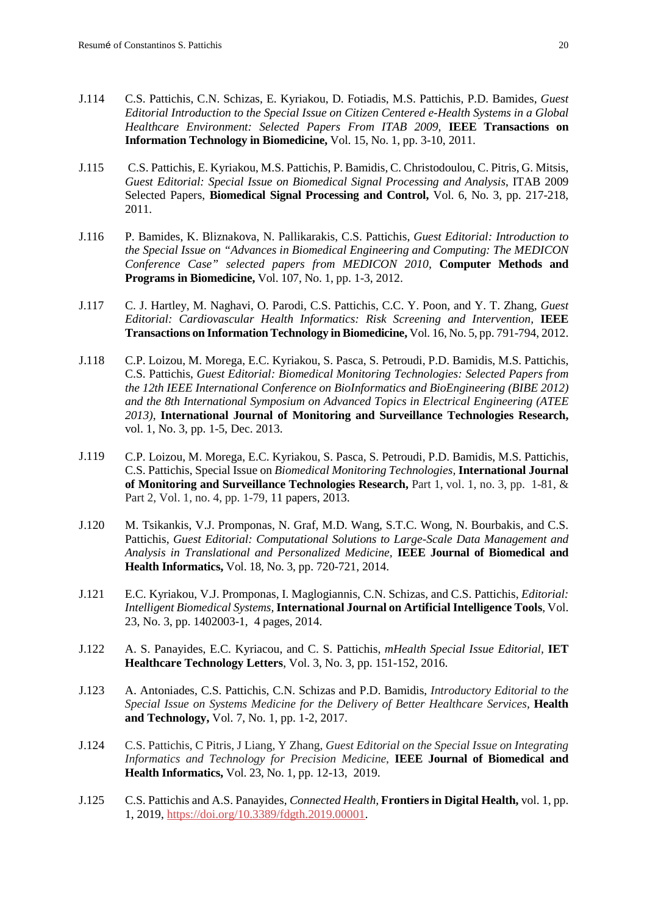- J.114 C.S. Pattichis, C.N. Schizas, E. Kyriakou, D. Fotiadis, M.S. Pattichis, P.D. Bamides, *[Guest](http://ieeexplore.ieee.org/xpls/abs_all.jsp?arnumber=5669346)  [Editorial Introduction to the Special Issue on Citizen Centered e-Health Systems in a Global](http://ieeexplore.ieee.org/xpls/abs_all.jsp?arnumber=5669346)  [Healthcare Environment: Selected Papers From ITAB 2009,](http://ieeexplore.ieee.org/xpls/abs_all.jsp?arnumber=5669346)* **IEEE Transactions on Information Technology in Biomedicine,** Vol. 15, No. 1, pp. 3-10, 2011.
- J.115 C.S. Pattichis, E. Kyriakou, M.S. Pattichis, P. Bamidis, C. Christodoulou, C. Pitris, G. Mitsis, *Guest Editorial: Special Issue on Biomedical Signal Processing and Analysis*, ITAB 2009 Selected Papers, **Biomedical Signal Processing and Control,** Vol. 6, No. 3, pp. 217-218, 2011.
- J.116 P. Bamides, K. Bliznakova, N. Pallikarakis, C.S. Pattichis, *Guest Editorial: Introduction to the Special Issue on "Advances in Biomedical Engineering and Computing: The MEDICON Conference Case" selected papers from MEDICON 2010,* **Computer Methods and Programs in Biomedicine,** Vol. 107, No. 1, pp. 1-3, 2012.
- J.117 C. J. Hartley, M. Naghavi, O. Parodi, C.S. Pattichis, C.C. Y. Poon, and Y. T. Zhang, *Guest Editorial: Cardiovascular Health Informatics: Risk Screening and Intervention,* **IEEE Transactions on Information Technology in Biomedicine,** Vol. 16, No. 5, pp. 791-794, 2012.
- J.118 C.P. Loizou, M. Morega, E.C. Kyriakou, S. Pasca, S. Petroudi, P.D. Bamidis, M.S. Pattichis, C.S. Pattichis, *Guest Editorial: Biomedical Monitoring Technologies: Selected Papers from the 12th IEEE International Conference on BioInformatics and BioEngineering (BIBE 2012) and the 8th International Symposium on Advanced Topics in Electrical Engineering (ATEE 2013)*, **International Journal of Monitoring and Surveillance Technologies Research,**  vol. 1, No. 3, pp. 1-5, Dec. 2013.
- J.119 C.P. Loizou, M. Morega, E.C. Kyriakou, S. Pasca, S. Petroudi, P.D. Bamidis, M.S. Pattichis, C.S. Pattichis, Special Issue on *Biomedical Monitoring Technologies,* **International Journal of Monitoring and Surveillance Technologies Research,** Part 1, vol. 1, no. 3, pp. 1-81, & Part 2, Vol. 1, no. 4, pp. 1-79, 11 papers, 2013.
- J.120 M. Tsikankis, V.J. Promponas, N. Graf, M.D. Wang, S.T.C. Wong, N. Bourbakis, and C.S. Pattichis, *Guest Editorial: Computational Solutions to Large-Scale Data Management and Analysis in Translational and Personalized Medicine,* **IEEE Journal of Biomedical and Health Informatics,** Vol. 18, No. 3, pp. 720-721, 2014.
- J.121 E.C. Kyriakou, V.J. Promponas, I. Maglogiannis, C.N. Schizas, and C.S. Pattichis, *Editorial: Intelligent Biomedical Systems,***International Journal on Artificial Intelligence Tools**, Vol. 23, No. 3, pp. 1402003-1, 4 pages, 2014.
- J.122 A. S. Panayides, E.C. Kyriacou, and C. S. Pattichis, *mHealth Special Issue Editorial,* **IET Healthcare Technology Letters**, Vol. 3, No. 3, pp. 151-152, 2016.
- J.123 A. Antoniades, C.S. Pattichis, C.N. Schizas and P.D. Bamidis, *Introductory Editorial to the Special Issue on Systems Medicine for the Delivery of Better Healthcare Services,* **Health and Technology,** Vol. 7, No. 1, pp. 1-2, 2017.
- J.124 C.S. Pattichis, C Pitris, J Liang, Y Zhang, *[Guest Editorial on the Special Issue on Integrating](https://scholar.google.com/scholar?oi=bibs&cluster=10942024420520258137&btnI=1&hl=en)  [Informatics and Technology for Precision Medicine](https://scholar.google.com/scholar?oi=bibs&cluster=10942024420520258137&btnI=1&hl=en)*, **IEEE Journal of Biomedical and Health Informatics,** Vol. 23, No. 1, pp. 12-13, 2019.
- J.125 C.S. Pattichis and A.S. Panayides, *Connected Health,* **Frontiers in Digital Health,** vol. 1, pp. 1, 2019, [https://doi.org/10.3389/fdgth.2019.00001.](https://doi.org/10.3389/fdgth.2019.00001)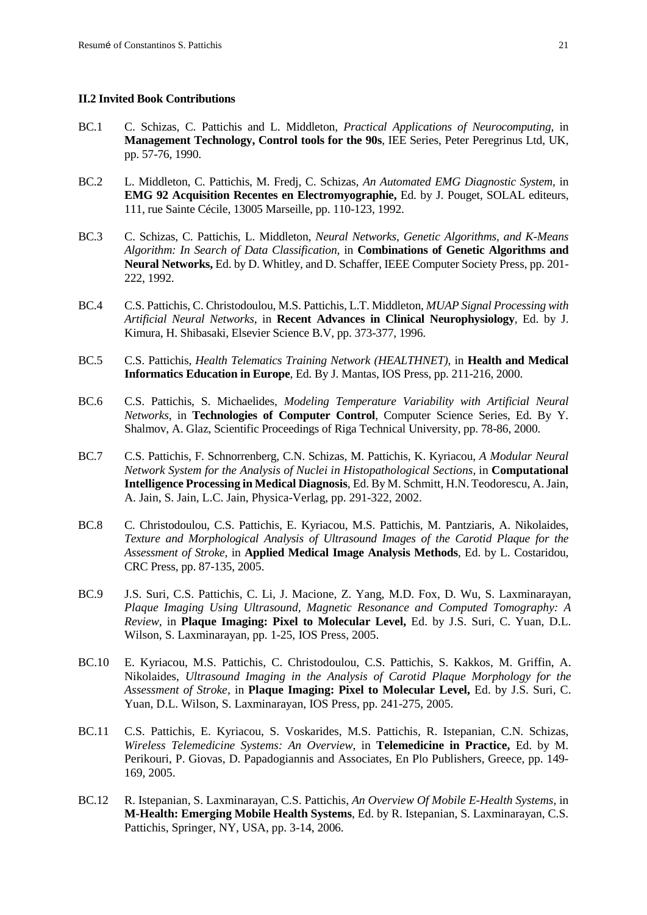#### <span id="page-21-0"></span>**II.2 Invited Book Contributions**

- BC.1 C. Schizas, C. Pattichis and L. Middleton, *Practical Applications of Neurocomputing,* in **Management Technology, Control tools for the 90s**, IEE Series, Peter Peregrinus Ltd, UK, pp. 57-76, 1990.
- BC.2 L. Middleton, C. Pattichis, M. Fredj, C. Schizas, *An Automated EMG Diagnostic System,* in **EMG 92 Acquisition Recentes en Electromyographie,** Ed. by J. Pouget, SOLAL editeurs, 111, rue Sainte Cécile, 13005 Marseille, pp. 110-123, 1992.
- BC.3 C. Schizas, C. Pattichis, L. Middleton, *Neural Networks, Genetic Algorithms, and K-Means Algorithm: In Search of Data Classification,* in **Combinations of Genetic Algorithms and Neural Networks,** Ed. by D. Whitley, and D. Schaffer, IEEE Computer Society Press, pp. 201- 222, 1992.
- BC.4 C.S. Pattichis, C. Christodoulou, M.S. Pattichis, L.T. Middleton, *MUAP Signal Processing with Artificial Neural Networks*, in **Recent Advances in Clinical Neurophysiology***,* Ed. by J. Kimura, H. Shibasaki, Elsevier Science B.V, pp. 373-377, 1996.
- BC.5 C.S. Pattichis, *Health Telematics Training Network (HEALTHNET)*, in **Health and Medical Informatics Education in Europe**, Ed. By J. Mantas, IOS Press, pp. 211-216, 2000.
- BC.6 C.S. Pattichis, S. Michaelides, *Modeling Temperature Variability with Artificial Neural Networks,* in **Technologies of Computer Control**, Computer Science Series, Ed. By Y. Shalmov, A. Glaz, Scientific Proceedings of Riga Technical University, pp. 78-86, 2000.
- BC.7 C.S. Pattichis, F. Schnorrenberg, C.N. Schizas, M. Pattichis, K. Kyriacou, *A Modular Neural Network System for the Analysis of Nuclei in Histopathological Sections,* in **Computational Intelligence Processing in Medical Diagnosis**, Ed. By M. Schmitt, H.N. Teodorescu, A. Jain, A. Jain, S. Jain, L.C. Jain, Physica-Verlag, pp. 291-322, 2002.
- BC.8 C. Christodoulou, C.S. Pattichis, E. Kyriacou, M.S. Pattichis, M. Pantziaris, A. Nikolaides, *Texture and Morphological Analysis of Ultrasound Images of the Carotid Plaque for the Assessment of Stroke,* in **Applied Medical Image Analysis Methods**, Ed. by L. Costaridou, CRC Press, pp. 87-135, 2005.
- BC.9 J.S. Suri, C.S. Pattichis, C. Li, J. Macione, Z. Yang, M.D. Fox, D. Wu, S. Laxminarayan, *Plaque Imaging Using Ultrasound, Magnetic Resonance and Computed Tomography: A Review,* in **Plaque Imaging: Pixel to Molecular Level,** Ed. by J.S. Suri, C. Yuan, D.L. Wilson, S. Laxminarayan, pp. 1-25, IOS Press, 2005.
- BC.10 E. Kyriacou, M.S. Pattichis, C. Christodoulou, C.S. Pattichis, S. Kakkos, M. Griffin, A. Nikolaides, *Ultrasound Imaging in the Analysis of Carotid Plaque Morphology for the Assessment of Stroke,* in **Plaque Imaging: Pixel to Molecular Level,** Ed. by J.S. Suri, C. Yuan, D.L. Wilson, S. Laxminarayan, IOS Press, pp. 241-275, 2005.
- BC.11 C.S. Pattichis, E. Kyriacou, S. Voskarides, M.S. Pattichis, R. Istepanian, C.N. Schizas, *Wireless Telemedicine Systems: An Overview*, in **Telemedicine in Practice,** Ed. by M. Perikouri, P. Giovas, D. Papadogiannis and Associates, En Plo Publishers, Greece, pp. 149- 169, 2005.
- BC.12 R. Istepanian, S. Laxminarayan, C.S. Pattichis, *An Overview Of Mobile E-Health Systems*, in **M-Health: Emerging Mobile Health Systems**, Ed. by R. Istepanian, S. Laxminarayan, C.S. Pattichis, Springer, NY, USA, pp. 3-14, 2006.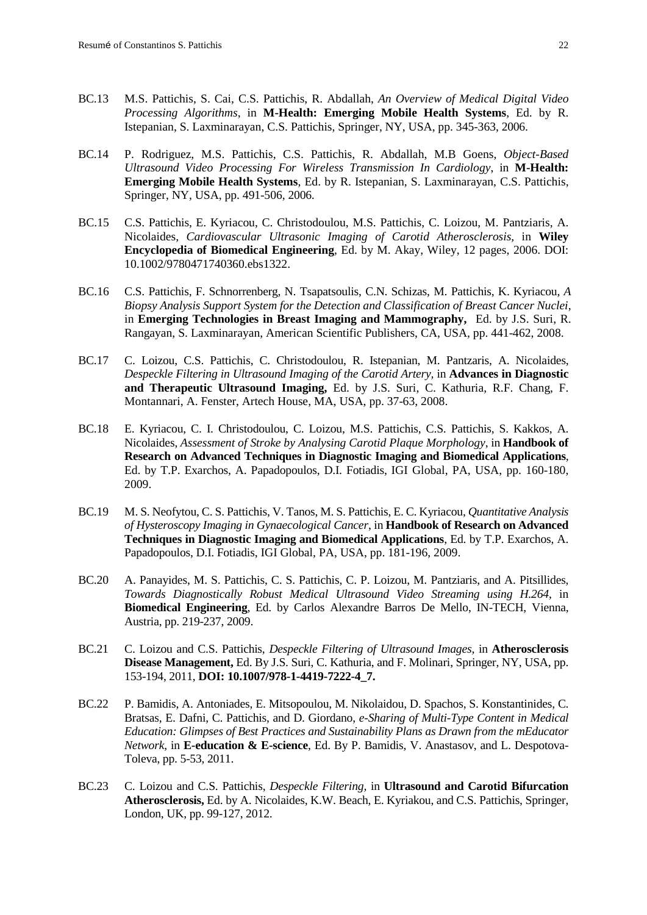- BC.13 M.S. Pattichis, S. Cai, C.S. Pattichis, R. Abdallah, *An Overview of Medical Digital Video Processing Algorithms*, in **M-Health: Emerging Mobile Health Systems**, Ed. by R. Istepanian, S. Laxminarayan, C.S. Pattichis, Springer, NY, USA, pp. 345-363, 2006.
- BC.14 P. Rodriguez, M.S. Pattichis, C.S. Pattichis, R. Abdallah, M.B Goens, *Object-Based Ultrasound Video Processing For Wireless Transmission In Cardiology*, in **M-Health: Emerging Mobile Health Systems**, Ed. by R. Istepanian, S. Laxminarayan, C.S. Pattichis, Springer, NY, USA, pp. 491-506, 2006.
- BC.15 C.S. Pattichis, E. Kyriacou, C. Christodoulou, M.S. Pattichis, C. Loizou, M. Pantziaris, A. Nicolaides, *Cardiovascular Ultrasonic Imaging of Carotid Atherosclerosis,* in **Wiley Encyclopedia of Biomedical Engineering**, Ed. by M. Akay, Wiley, 12 pages, 2006. [DOI:](http://www3.interscience.wiley.com/doiinfo.html) 10.1002/9780471740360.ebs1322.
- BC.16 C.S. Pattichis, F. Schnorrenberg, N. Tsapatsoulis, C.N. Schizas, M. Pattichis, K. Kyriacou, *A Biopsy Analysis Support System for the Detection and Classification of Breast Cancer Nuclei,* in **Emerging Technologies in Breast Imaging and Mammography,** Ed. by J.S. Suri, R. Rangayan, S. Laxminarayan, American Scientific Publishers, CA, USA, pp. 441-462, 2008.
- BC.17 C. Loizou, C.S. Pattichis, C. Christodoulou, R. Istepanian, M. Pantzaris, A. Nicolaides, *Despeckle Filtering in Ultrasound Imaging of the Carotid Artery,* in **Advances in Diagnostic and Therapeutic Ultrasound Imaging,** Ed. by J.S. Suri, C. Kathuria, R.F. Chang, F. Montannari, A. Fenster, Artech House, MA, USA, pp. 37-63, 2008.
- BC.18 E. Kyriacou, C. I. Christodoulou, C. Loizou, M.S. Pattichis, C.S. Pattichis, S. Kakkos, A. Nicolaides, *Assessment of Stroke by Analysing Carotid Plaque Morphology*, in **Handbook of Research on Advanced Techniques in Diagnostic Imaging and Biomedical Applications**, Ed. by T.P. Exarchos, A. Papadopoulos, D.I. Fotiadis, IGI Global, PA, USA, pp. 160-180, 2009.
- BC.19 M. S. Neofytou, C. S. Pattichis, V. Tanos, M. S. Pattichis, E. C. Kyriacou, *Quantitative Analysis of Hysteroscopy Imaging in Gynaecological Cancer*, in **Handbook of Research on Advanced Techniques in Diagnostic Imaging and Biomedical Applications**, Ed. by T.P. Exarchos, A. Papadopoulos, D.I. Fotiadis, IGI Global, PA, USA, pp. 181-196, 2009.
- BC.20 A. Panayides, M. S. Pattichis, C. S. Pattichis, C. P. Loizou, M. Pantziaris, and A. Pitsillides, *Towards Diagnostically Robust Medical Ultrasound Video Streaming using H.264*, in **Biomedical Engineering**, Ed. by Carlos Alexandre Barros De Mello, IN-TECH, Vienna, Austria, pp. 219-237, 2009.
- BC.21 C. Loizou and C.S. Pattichis, *Despeckle Filtering of Ultrasound Images,* in **Atherosclerosis Disease Management,** Ed. By [J.S. Suri,](http://www.springerlink.com/content/?Editor=Jasjit+S.+Suri) [C. Kathuria,](http://www.springerlink.com/content/?Editor=Chirinjeev+Kathuria) and [F. Molinari,](http://www.springerlink.com/content/?Editor=Filippo+Molinari) Springer, NY, USA, pp. 153-194, 2011, **DOI: 10.1007/978-1-4419-7222-4\_7.**
- BC.22 P. Bamidis, A. Antoniades, E. Mitsopoulou, M. Nikolaidou, D. Spachos, S. Konstantinides, C. Bratsas, E. Dafni, C. Pattichis, and D. Giordano, *e-Sharing of Multi-Type Content in Medical Education: Glimpses of Best Practices and Sustainability Plans as Drawn from the mEducator Network*, in **E-education & E-science**, Ed. By P. Bamidis, V. Anastasov, and L. Despotova-Toleva, pp. 5-53, 2011.
- BC.23 C. Loizou and C.S. Pattichis, *Despeckle Filtering,* in **Ultrasound and Carotid Bifurcation Atherosclerosis,** Ed. by A. Nicolaides, K.W. Beach, E. Kyriakou, and C.S. Pattichis, Springer, London, UK, pp. 99-127, 2012.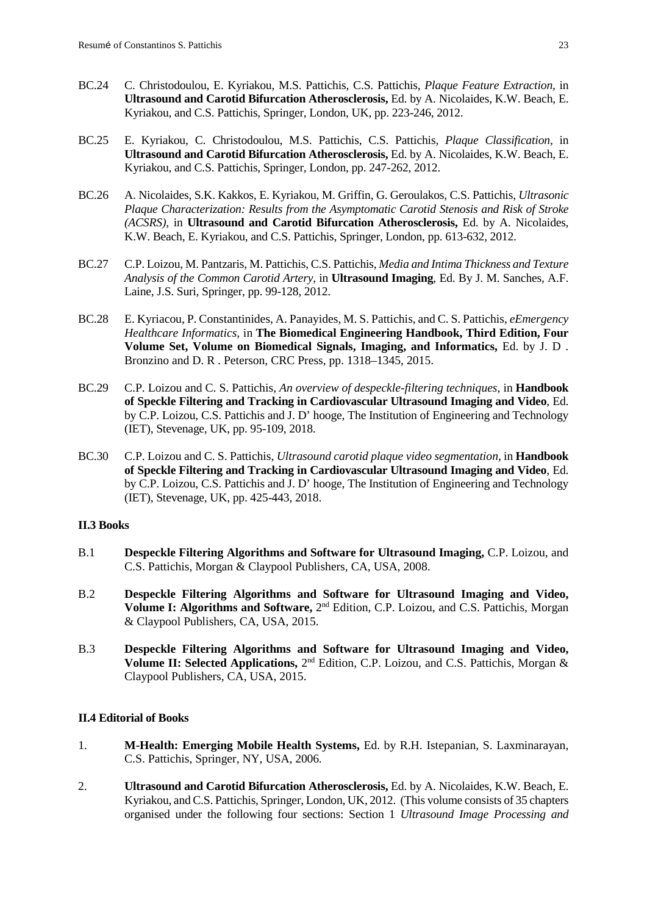- BC.24 C. Christodoulou, E. Kyriakou, M.S. Pattichis, C.S. Pattichis, *Plaque Feature Extraction,* in **Ultrasound and Carotid Bifurcation Atherosclerosis,** Ed. by A. Nicolaides, K.W. Beach, E. Kyriakou, and C.S. Pattichis, Springer, London, UK, pp. 223-246, 2012.
- BC.25 E. Kyriakou, C. Christodoulou, M.S. Pattichis, C.S. Pattichis, *Plaque Classification,* in **Ultrasound and Carotid Bifurcation Atherosclerosis,** Ed. by A. Nicolaides, K.W. Beach, E. Kyriakou, and C.S. Pattichis, Springer, London, pp. 247-262, 2012.
- BC.26 A. Nicolaides, S.K. Kakkos, E. Kyriakou, M. Griffin, G. Geroulakos, C.S. Pattichis, *Ultrasonic Plaque Characterization: Results from the Asymptomatic Carotid Stenosis and Risk of Stroke (ACSRS),* in **Ultrasound and Carotid Bifurcation Atherosclerosis,** Ed. by A. Nicolaides, K.W. Beach, E. Kyriakou, and C.S. Pattichis, Springer, London, pp. 613-632, 2012.
- BC.27 C.P. Loizou, M. Pantzaris, M. Pattichis, C.S. Pattichis, *Media and Intima Thickness and Texture Analysis of the Common Carotid Artery*, in **Ultrasound Imaging**, Ed. By J. M. Sanches, A.F. Laine, J.S. Suri, Springer, pp. 99-128, 2012.
- BC.28 E. Kyriacou, P. Constantinides, A. Panayides, M. S. Pattichis, and C. S. Pattichis, *eEmergency Healthcare Informatics,* in **The Biomedical Engineering Handbook, Third Edition, Four Volume Set, Volume on Biomedical Signals, Imaging, and Informatics,** Ed. by J. D . Bronzino and D. R . Peterson, CRC Press, pp. 1318–1345, 2015.
- BC.29 C.P. Loizou and C. S. Pattichis, *An overview of despeckle-filtering techniques,* in **Handbook of Speckle Filtering and Tracking in Cardiovascular Ultrasound Imaging and Video**, Ed. by C.P. Loizou, C.S. Pattichis and J. D' hooge, The Institution of Engineering and Technology (IET), Stevenage, UK, pp. 95-109, 2018.
- BC.30 C.P. Loizou and C. S. Pattichis, *Ultrasound carotid plaque video segmentation,* in **Handbook of Speckle Filtering and Tracking in Cardiovascular Ultrasound Imaging and Video**, Ed. by C.P. Loizou, C.S. Pattichis and J. D' hooge, The Institution of Engineering and Technology (IET), Stevenage, UK, pp. 425-443, 2018.

#### <span id="page-23-0"></span>**II.3 Books**

- B.1 **Despeckle Filtering Algorithms and Software for Ultrasound Imaging,** C.P. Loizou, and C.S. Pattichis, Morgan & Claypool Publishers, CA, USA, 2008.
- B.2 **Despeckle Filtering Algorithms and Software for Ultrasound Imaging and Video, Volume I: Algorithms and Software,** 2<sup>nd</sup> Edition, C.P. Loizou, and C.S. Pattichis, Morgan & Claypool Publishers, CA, USA, 2015.
- B.3 **Despeckle Filtering Algorithms and Software for Ultrasound Imaging and Video, Volume II: Selected Applications,** 2nd Edition, C.P. Loizou, and C.S. Pattichis, Morgan & Claypool Publishers, CA, USA, 2015.

#### <span id="page-23-1"></span>**II.4 Editorial of Books**

- 1. **M-Health: Emerging Mobile Health Systems,** Ed. by R.H. Istepanian, S. Laxminarayan, C.S. Pattichis, Springer, NY, USA, 2006.
- 2. **Ultrasound and Carotid Bifurcation Atherosclerosis,** Ed. by A. Nicolaides, K.W. Beach, E. Kyriakou, and C.S. Pattichis, Springer, London, UK, 2012. (This volume consists of 35 chapters organised under the following four sections: Section 1 *Ultrasound Image Processing and*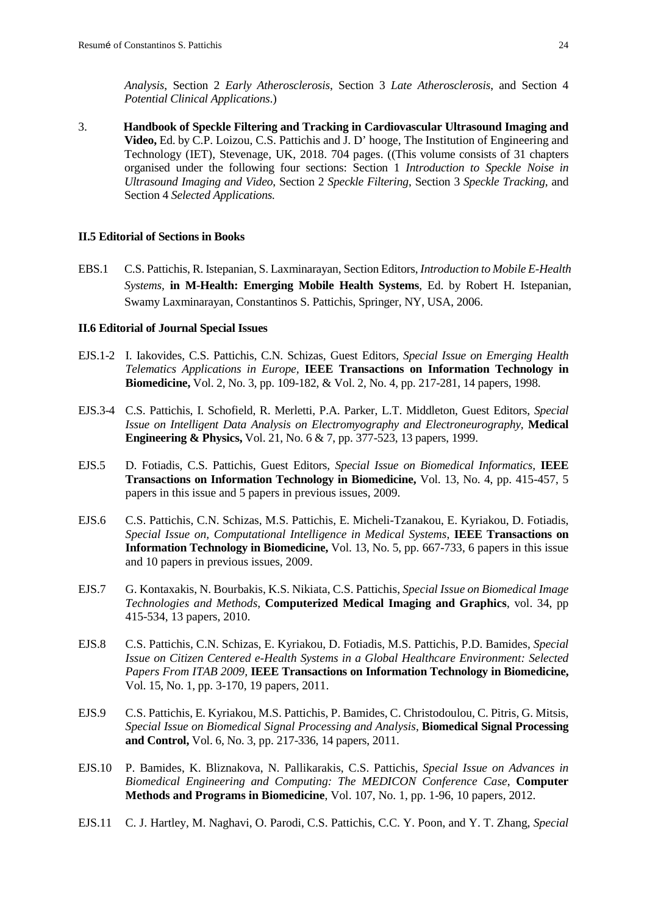*Analysis*, Section 2 *Early Atherosclerosis*, Section 3 *Late Atherosclerosis*, and Section 4 *Potential Clinical Applications*.)

3. **Handbook of Speckle Filtering and Tracking in Cardiovascular Ultrasound Imaging and Video,** Ed. by C.P. Loizou, C.S. Pattichis and J. D' hooge, The Institution of Engineering and Technology (IET), Stevenage, UK, 2018. 704 pages. ((This volume consists of 31 chapters organised under the following four sections: Section 1 *Introduction to Speckle Noise in Ultrasound Imaging and Video*, Section 2 *Speckle Filtering*, Section 3 *Speckle Tracking*, and Section 4 *Selected Applications.*

#### <span id="page-24-0"></span>**II.5 Editorial of Sections in Books**

EBS.1 C.S. Pattichis, R. Istepanian, S. Laxminarayan, Section Editors, *Introduction to Mobile E-Health Systems,* **in M-Health: Emerging Mobile Health Systems**, Ed. by Robert H. Istepanian, Swamy Laxminarayan, Constantinos S. Pattichis, Springer, NY, USA, 2006.

#### <span id="page-24-1"></span>**II.6 Editorial of Journal Special Issues**

- EJS.1-2 I. Iakovides, C.S. Pattichis, C.N. Schizas, Guest Editors*, Special Issue on Emerging Health Telematics Applications in Europe,* **IEEE Transactions on Information Technology in Biomedicine,** Vol. 2, No. 3, pp. 109-182, & Vol. 2, No. 4, pp. 217-281, 14 papers, 1998.
- EJS.3-4 C.S. Pattichis, I. Schofield, R. Merletti, P.A. Parker, L.T. Middleton, Guest Editors, *Special Issue on Intelligent Data Analysis on Electromyography and Electroneurography,* **Medical Engineering & Physics,** Vol. 21, No. 6 & 7, pp. 377-523, 13 papers, 1999.
- EJS.5 D. Fotiadis, C.S. Pattichis, Guest Editors*, Special Issue on Biomedical Informatics,* **IEEE Transactions on Information Technology in Biomedicine,** Vol. 13, No. 4, pp. 415-457, 5 papers in this issue and 5 papers in previous issues, 2009.
- EJS.6 C.S. Pattichis, C.N. Schizas, M.S. Pattichis, E. Micheli-Tzanakou, E. Kyriakou, D. Fotiadis, *Special Issue on, Computational Intelligence in Medical Systems*, **IEEE Transactions on Information Technology in Biomedicine,** Vol. 13, No. 5, pp. 667-733, 6 papers in this issue and 10 papers in previous issues, 2009.
- EJS.7 G. Kontaxakis, N. Bourbakis, K.S. Nikiata, C.S. Pattichis, *Special Issue on Biomedical Image Technologies and Methods*, **Computerized Medical Imaging and Graphics**, vol. 34, pp 415-534, 13 papers, 2010.
- EJS.8 C.S. Pattichis, C.N. Schizas, E. Kyriakou, D. Fotiadis, M.S. Pattichis, P.D. Bamides, *[Special](http://ieeexplore.ieee.org/xpls/abs_all.jsp?arnumber=5669346)  [Issue on Citizen Centered e-Health Systems in a Global Healthcare Environment:](http://ieeexplore.ieee.org/xpls/abs_all.jsp?arnumber=5669346) Selected [Papers From ITAB 2009,](http://ieeexplore.ieee.org/xpls/abs_all.jsp?arnumber=5669346)* **IEEE Transactions on Information Technology in Biomedicine,** Vol. 15, No. 1, pp. 3-170, 19 papers, 2011.
- EJS.9 C.S. Pattichis, E. Kyriakou, M.S. Pattichis, P. Bamides, C. Christodoulou, C. Pitris, G. Mitsis, *Special Issue on Biomedical Signal Processing and Analysis*, **Biomedical Signal Processing and Control,** Vol. 6, No. 3, pp. 217-336, 14 papers, 2011.
- EJS.10 P. Bamides, K. Bliznakova, N. Pallikarakis, C.S. Pattichis, *Special Issue on Advances in Biomedical Engineering and Computing: The MEDICON Conference Case*, **Computer Methods and Programs in Biomedicine**, Vol. 107, No. 1, pp. 1-96, 10 papers, 2012.
- EJS.11 C. J. Hartley, M. Naghavi, O. Parodi, C.S. Pattichis, C.C. Y. Poon, and Y. T. Zhang, *Special*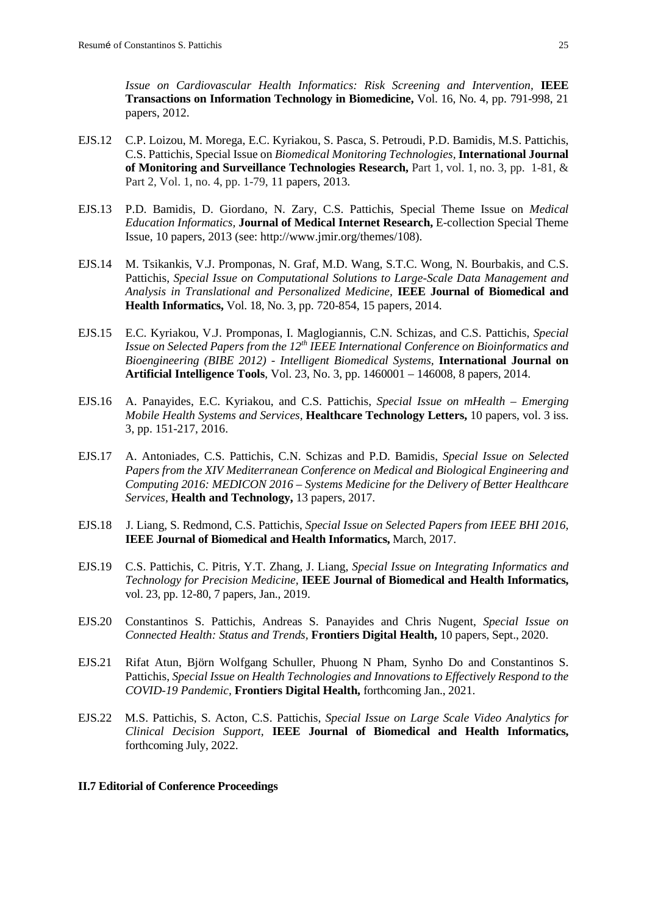*Issue on Cardiovascular Health Informatics: Risk Screening and Intervention,* **IEEE Transactions on Information Technology in Biomedicine,** Vol. 16, No. 4, pp. 791-998, 21 papers, 2012.

- EJS.12 C.P. Loizou, M. Morega, E.C. Kyriakou, S. Pasca, S. Petroudi, P.D. Bamidis, M.S. Pattichis, C.S. Pattichis, Special Issue on *Biomedical Monitoring Technologies,* **International Journal of Monitoring and Surveillance Technologies Research,** Part 1, vol. 1, no. 3, pp. 1-81, & Part 2, Vol. 1, no. 4, pp. 1-79, 11 papers, 2013.
- EJS.13 P.D. Bamidis, D. Giordano, N. Zary, C.S. Pattichis, Special Theme Issue on *Medical Education Informatics,* **Journal of Medical Internet Research,** E-collection Special Theme Issue, 10 papers, 2013 (see: http://www.jmir.org/themes/108).
- EJS.14 M. Tsikankis, V.J. Promponas, N. Graf, M.D. Wang, S.T.C. Wong, N. Bourbakis, and C.S. Pattichis, *Special Issue on Computational Solutions to Large-Scale Data Management and Analysis in Translational and Personalized Medicine,* **IEEE Journal of Biomedical and Health Informatics,** Vol. 18, No. 3, pp. 720-854, 15 papers, 2014.
- EJS.15 E.C. Kyriakou, V.J. Promponas, I. Maglogiannis, C.N. Schizas, and C.S. Pattichis, *Special Issue on Selected Papers from the 12th IEEE International Conference on Bioinformatics and Bioengineering (BIBE 2012) - Intelligent Biomedical Systems,* **International Journal on Artificial Intelligence Tools**, Vol. 23, No. 3, pp. 1460001 – 146008, 8 papers, 2014.
- EJS.16 A. Panayides, E.C. Kyriakou, and C.S. Pattichis, *Special Issue on mHealth – Emerging Mobile Health Systems and Services,* **Healthcare Technology Letters,** 10 papers, vol. 3 iss. 3, pp. 151-217, 2016.
- EJS.17 A. Antoniades, C.S. Pattichis, C.N. Schizas and P.D. Bamidis, *Special Issue on Selected Papers from the XIV Mediterranean Conference on Medical and Biological Engineering and Computing 2016: MEDICON 2016 – Systems Medicine for the Delivery of Better Healthcare Services,* **Health and Technology,** 13 papers, 2017.
- EJS.18 J. Liang, S. Redmond, C.S. Pattichis, *Special Issue on Selected Papers from IEEE BHI 2016,*  **IEEE Journal of Biomedical and Health Informatics,** March, 2017.
- EJS.19 C.S. Pattichis, C. Pitris, Y.T. Zhang, J. Liang, *Special Issue on Integrating Informatics and Technology for Precision Medicine,* **IEEE Journal of Biomedical and Health Informatics,**  vol. 23, pp. 12-80, 7 papers, Jan., 2019.
- EJS.20 Constantinos S. Pattichis, Andreas S. Panayides and Chris Nugent, *Special Issue on Connected Health: Status and Trends,* **Frontiers Digital Health,** 10 papers, Sept., 2020.
- EJS.21 Rifat Atun, Björn Wolfgang Schuller, Phuong N Pham, Synho Do and Constantinos S. Pattichis, *Special Issue on Health Technologies and Innovations to Effectively Respond to the COVID-19 Pandemic,* **Frontiers Digital Health,** forthcoming Jan., 2021.
- EJS.22 M.S. Pattichis, S. Acton, C.S. Pattichis, *Special Issue on Large Scale Video Analytics for Clinical Decision Support,* **IEEE Journal of Biomedical and Health Informatics,**  forthcoming July, 2022.

#### <span id="page-25-0"></span>**II.7 Editorial of Conference Proceedings**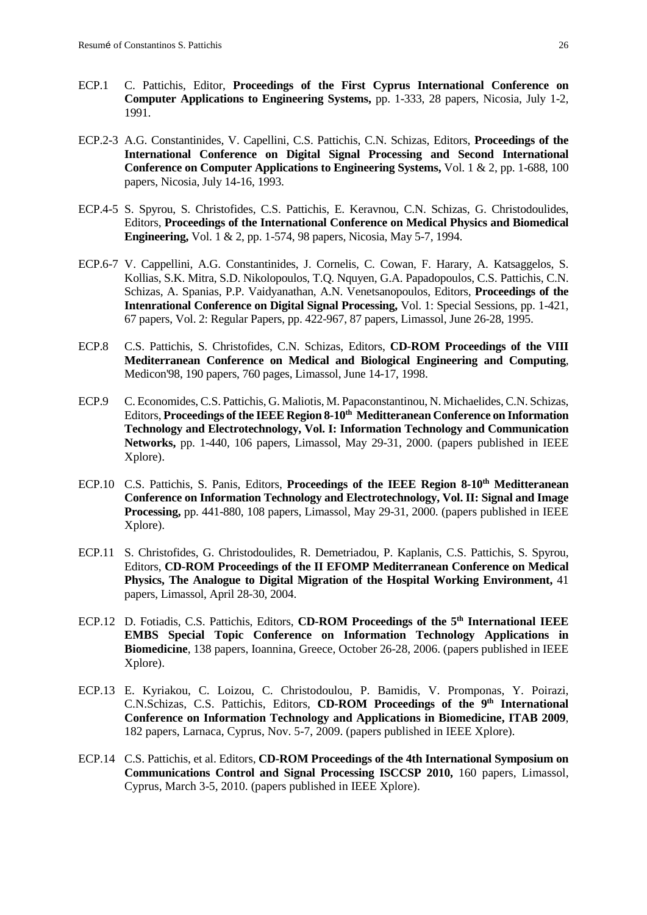- ECP.1 C. Pattichis, Editor, **Proceedings of the First Cyprus International Conference on Computer Applications to Engineering Systems,** pp. 1-333, 28 papers, Nicosia, July 1-2, 1991.
- ECP.2-3 A.G. Constantinides, V. Capellini, C.S. Pattichis, C.N. Schizas, Editors, **Proceedings of the International Conference on Digital Signal Processing and Second International Conference on Computer Applications to Engineering Systems,** Vol. 1 & 2, pp. 1-688, 100 papers, Nicosia, July 14-16, 1993.
- ECP.4-5 S. Spyrou, S. Christofides, C.S. Pattichis, E. Keravnou, C.N. Schizas, G. Christodoulides, Editors, **Proceedings of the International Conference on Medical Physics and Biomedical Engineering,** Vol. 1 & 2, pp. 1-574, 98 papers, Nicosia, May 5-7, 1994.
- ECP.6-7 V. Cappellini, A.G. Constantinides, J. Cornelis, C. Cowan, F. Harary, A. Katsaggelos, S. Kollias, S.K. Mitra, S.D. Nikolopoulos, T.Q. Nquyen, G.A. Papadopoulos, C.S. Pattichis, C.N. Schizas, A. Spanias, P.P. Vaidyanathan, A.N. Venetsanopoulos, Editors, **Proceedings of the Intenrational Conference on Digital Signal Processing,** Vol. 1: Special Sessions, pp. 1-421, 67 papers, Vol. 2: Regular Papers, pp. 422-967, 87 papers, Limassol, June 26-28, 1995.
- ECP.8 C.S. Pattichis, S. Christofides, C.N. Schizas, Editors, **CD-ROM Proceedings of the VIII Mediterranean Conference on Medical and Biological Engineering and Computing**, Medicon'98, 190 papers, 760 pages, Limassol, June 14-17, 1998.
- ECP.9 C. Economides, C.S. Pattichis, G. Maliotis, M. Papaconstantinou, N. Michaelides, C.N. Schizas, Editors, Proceedings of the IEEE Region 8-10<sup>th</sup> Meditteranean Conference on Information **Technology and Electrotechnology, Vol. I: Information Technology and Communication Networks,** pp. 1-440, 106 papers, Limassol, May 29-31, 2000. (papers published in IEEE Xplore).
- ECP.10 C.S. Pattichis, S. Panis, Editors, **Proceedings of the IEEE Region 8-10<sup>th</sup> Meditteranean Conference on Information Technology and Electrotechnology, Vol. II: Signal and Image Processing,** pp. 441-880, 108 papers, Limassol, May 29-31, 2000. (papers published in IEEE Xplore).
- ECP.11 S. Christofides, G. Christodoulides, R. Demetriadou, P. Kaplanis, C.S. Pattichis, S. Spyrou, Editors, **CD-ROM Proceedings of the II EFOMP Mediterranean Conference on Medical Physics, The Analogue to Digital Migration of the Hospital Working Environment,** 41 papers, Limassol, April 28-30, 2004.
- ECP.12 D. Fotiadis, C.S. Pattichis, Editors, **CD-ROM Proceedings of the 5th International IEEE EMBS Special Topic Conference on Information Technology Applications in Biomedicine**, 138 papers, Ioannina, Greece, October 26-28, 2006. (papers published in IEEE Xplore).
- ECP.13 E. Kyriakou, C. Loizou, C. Christodoulou, P. Bamidis, V. Promponas, Y. Poirazi, C.N.Schizas, C.S. Pattichis, Editors, **CD-ROM Proceedings of the 9th International Conference on Information Technology and Applications in Biomedicine, ITAB 2009**, 182 papers, Larnaca, Cyprus, Nov. 5-7, 2009. (papers published in IEEE Xplore).
- ECP.14 C.S. Pattichis, et al. Editors, **CD-ROM Proceedings of the 4th International Symposium on Communications Control and Signal Processing ISCCSP 2010,** 160 papers, Limassol, Cyprus, March 3-5, 2010. (papers published in IEEE Xplore).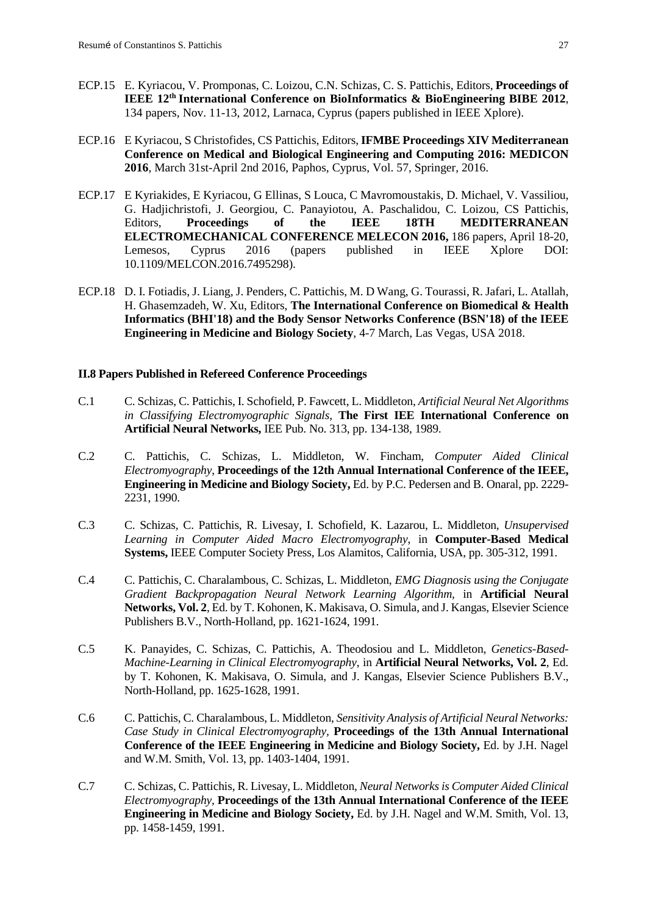- ECP.15 E. Kyriacou, V. Promponas, C. Loizou, C.N. Schizas, C. S. Pattichis, Editors, **Proceedings of IEEE 12th International Conference on BioInformatics & BioEngineering BIBE 2012**, 134 papers, Nov. 11-13, 2012, Larnaca, Cyprus (papers published in IEEE Xplore).
- ECP.16 E Kyriacou, S Christofides, CS Pattichis, Editors, **IFMBE Proceedings XIV Mediterranean Conference on Medical and Biological Engineering and Computing 2016: MEDICON 2016**, March 31st-April 2nd 2016, Paphos, Cyprus, Vol. 57, Springer, 2016.
- ECP.17 E Kyriakides, E Kyriacou, G Ellinas, S Louca, C Mavromoustakis, D. Michael, V. Vassiliou, G. Hadjichristofi, J. Georgiou, C. Panayiotou, A. Paschalidou, C. Loizou, CS Pattichis, Editors, **Proceedings of the IEEE 18TH MEDITERRANEAN ELECTROMECHANICAL CONFERENCE MELECON 2016,** 186 papers, April 18-20, Lemesos, Cyprus 2016 (papers published in IEEE Xplore DOI: 10.1109/MELCON.2016.7495298).
- ECP.18 D. I. Fotiadis, J. Liang, J. Penders, C. Pattichis, M. D Wang, G. Tourassi, R. Jafari, L. Atallah, H. Ghasemzadeh, W. Xu, Editors, **The International Conference on Biomedical & Health Informatics (BHI'18) and the Body Sensor Networks Conference (BSN'18) of the IEEE Engineering in Medicine and Biology Society**, 4-7 March, Las Vegas, USA 2018.

#### <span id="page-27-0"></span>**II.8 Papers Published in Refereed Conference Proceedings**

- C.1 C. Schizas, C. Pattichis, I. Schofield, P. Fawcett, L. Middleton, *Artificial Neural Net Algorithms in Classifying Electromyographic Signals*, **The First IEE International Conference on Artificial Neural Networks,** IEE Pub. No. 313, pp. 134-138, 1989.
- C.2 C. Pattichis, C. Schizas, L. Middleton, W. Fincham, *Computer Aided Clinical Electromyography*, **Proceedings of the 12th Annual International Conference of the IEEE, Engineering in Medicine and Biology Society,** Ed. by P.C. Pedersen and B. Onaral, pp. 2229- 2231, 1990.
- C.3 C. Schizas, C. Pattichis, R. Livesay, I. Schofield, K. Lazarou, L. Middleton, *Unsupervised Learning in Computer Aided Macro Electromyography*, in **Computer-Based Medical Systems,** IEEE Computer Society Press, Los Alamitos, California, USA, pp. 305-312, 1991.
- C.4 C. Pattichis, C. Charalambous, C. Schizas, L. Middleton, *EMG Diagnosis using the Conjugate Gradient Backpropagation Neural Network Learning Algorithm*, in **Artificial Neural Networks, Vol. 2**, Ed. by T. Kohonen, K. Makisava, O. Simula, and J. Kangas, Elsevier Science Publishers B.V., North-Holland, pp. 1621-1624, 1991.
- C.5 K. Panayides, C. Schizas, C. Pattichis, A. Theodosiou and L. Middleton, *Genetics-Based-Machine-Learning in Clinical Electromyography*, in **Artificial Neural Networks, Vol. 2**, Ed. by T. Kohonen, K. Makisava, O. Simula, and J. Kangas, Elsevier Science Publishers B.V., North-Holland, pp. 1625-1628, 1991.
- C.6 C. Pattichis, C. Charalambous, L. Middleton, *Sensitivity Analysis of Artificial Neural Networks: Case Study in Clinical Electromyography,* **Proceedings of the 13th Annual International Conference of the IEEE Engineering in Medicine and Biology Society,** Ed. by J.H. Nagel and W.M. Smith, Vol. 13, pp. 1403-1404, 1991.
- C.7 C. Schizas, C. Pattichis, R. Livesay, L. Middleton, *Neural Networks is Computer Aided Clinical Electromyography,* **Proceedings of the 13th Annual International Conference of the IEEE Engineering in Medicine and Biology Society,** Ed. by J.H. Nagel and W.M. Smith, Vol. 13, pp. 1458-1459, 1991.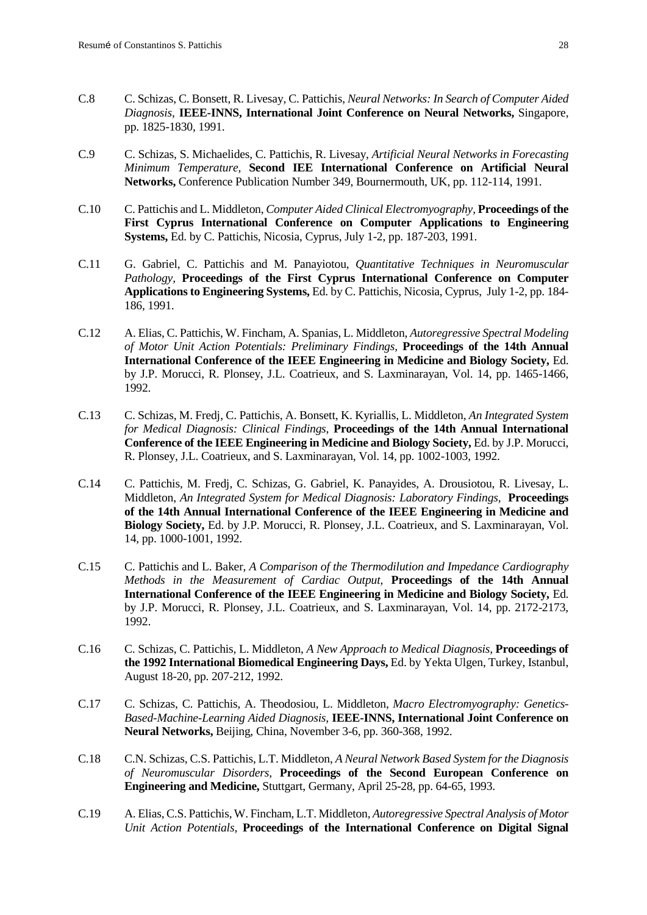- C.8 C. Schizas, C. Bonsett, R. Livesay, C. Pattichis, *Neural Networks: In Search of Computer Aided Diagnosis*, **IEEE-INNS, International Joint Conference on Neural Networks,** Singapore, pp. 1825-1830, 1991.
- C.9 C. Schizas, S. Michaelides, C. Pattichis, R. Livesay, *Artificial Neural Networks in Forecasting Minimum Temperature,* **Second IEE International Conference on Artificial Neural Networks,** Conference Publication Number 349, Bournermouth, UK, pp. 112-114, 1991.
- C.10 C. Pattichis and L. Middleton, *Computer Aided Clinical Electromyography,* **Proceedings of the First Cyprus International Conference on Computer Applications to Engineering Systems,** Ed. by C. Pattichis, Nicosia, Cyprus, July 1-2, pp. 187-203, 1991.
- C.11 G. Gabriel, C. Pattichis and M. Panayiotou, *Quantitative Techniques in Neuromuscular Pathology,* **Proceedings of the First Cyprus International Conference on Computer Applications to Engineering Systems,** Ed. by C. Pattichis, Nicosia, Cyprus, July 1-2, pp. 184- 186, 1991.
- C.12 A. Elias, C. Pattichis, W. Fincham, A. Spanias, L. Middleton, *Autoregressive Spectral Modeling of Motor Unit Action Potentials: Preliminary Findings,* **Proceedings of the 14th Annual International Conference of the IEEE Engineering in Medicine and Biology Society,** Ed. by J.P. Morucci, R. Plonsey, J.L. Coatrieux, and S. Laxminarayan, Vol. 14, pp. 1465-1466, 1992.
- C.13 C. Schizas, M. Fredj, C. Pattichis, A. Bonsett, K. Kyriallis, L. Middleton, *An Integrated System for Medical Diagnosis: Clinical Findings,* **Proceedings of the 14th Annual International Conference of the IEEE Engineering in Medicine and Biology Society,** Ed. by J.P. Morucci, R. Plonsey, J.L. Coatrieux, and S. Laxminarayan, Vol. 14, pp. 1002-1003, 1992.
- C.14 C. Pattichis, M. Fredj, C. Schizas, G. Gabriel, K. Panayides, A. Drousiotou, R. Livesay, L. Middleton, *An Integrated System for Medical Diagnosis: Laboratory Findings,* **Proceedings of the 14th Annual International Conference of the IEEE Engineering in Medicine and Biology Society,** Ed. by J.P. Morucci, R. Plonsey, J.L. Coatrieux, and S. Laxminarayan, Vol. 14, pp. 1000-1001, 1992.
- C.15 C. Pattichis and L. Baker, *A Comparison of the Thermodilution and Impedance Cardiography Methods in the Measurement of Cardiac Output,* **Proceedings of the 14th Annual International Conference of the IEEE Engineering in Medicine and Biology Society,** Ed. by J.P. Morucci, R. Plonsey, J.L. Coatrieux, and S. Laxminarayan, Vol. 14, pp. 2172-2173, 1992.
- C.16 C. Schizas, C. Pattichis, L. Middleton, *A New Approach to Medical Diagnosis,* **Proceedings of the 1992 International Biomedical Engineering Days,** Ed. by Yekta Ulgen, Turkey, Istanbul, August 18-20, pp. 207-212, 1992.
- C.17 C. Schizas, C. Pattichis, A. Theodosiou, L. Middleton, *Macro Electromyography: Genetics-Based-Machine-Learning Aided Diagnosis,* **IEEE-INNS, International Joint Conference on Neural Networks,** Beijing, China, November 3-6, pp. 360-368, 1992.
- C.18 C.N. Schizas, C.S. Pattichis, L.T. Middleton, *A Neural Network Based System for the Diagnosis of Neuromuscular Disorders,* **Proceedings of the Second European Conference on Engineering and Medicine,** Stuttgart, Germany, April 25-28, pp. 64-65, 1993.
- C.19 A. Elias, C.S. Pattichis, W. Fincham, L.T. Middleton, *Autoregressive Spectral Analysis of Motor Unit Action Potentials,* **Proceedings of the International Conference on Digital Signal**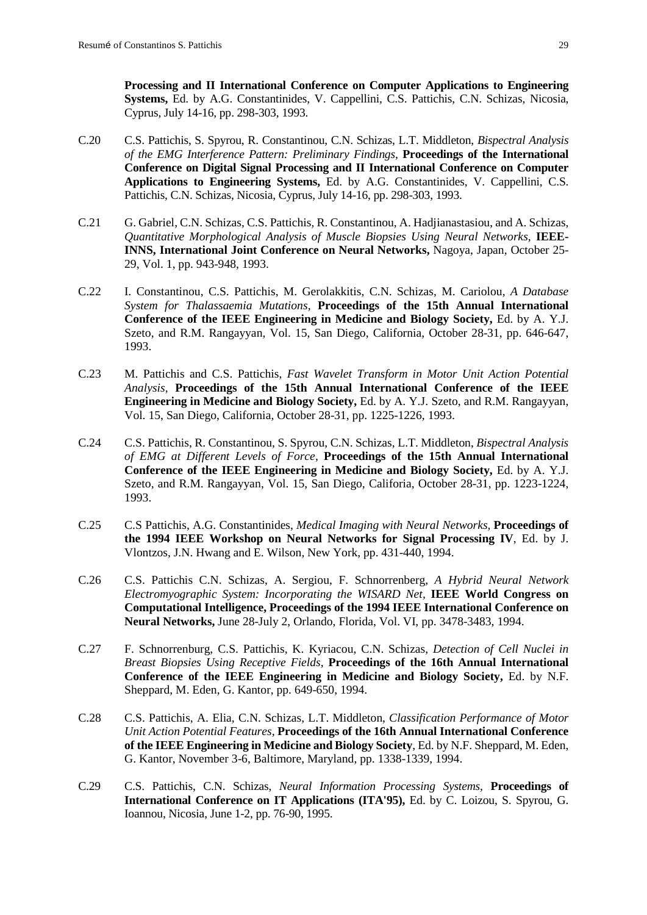**Processing and II International Conference on Computer Applications to Engineering Systems,** Ed. by A.G. Constantinides, V. Cappellini, C.S. Pattichis, C.N. Schizas, Nicosia, Cyprus, July 14-16, pp. 298-303, 1993.

- C.20 C.S. Pattichis, S. Spyrou, R. Constantinou, C.N. Schizas, L.T. Middleton, *Bispectral Analysis of the EMG Interference Pattern: Preliminary Findings,* **Proceedings of the International Conference on Digital Signal Processing and II International Conference on Computer Applications to Engineering Systems,** Ed. by A.G. Constantinides, V. Cappellini, C.S. Pattichis, C.N. Schizas, Nicosia, Cyprus, July 14-16, pp. 298-303, 1993.
- C.21 G. Gabriel, C.N. Schizas, C.S. Pattichis, R. Constantinou, A. Hadjianastasiou, and A. Schizas, *Quantitative Morphological Analysis of Muscle Biopsies Using Neural Networks,* **IEEE-INNS, International Joint Conference on Neural Networks,** Nagoya, Japan, October 25- 29, Vol. 1, pp. 943-948, 1993.
- C.22 I. Constantinou, C.S. Pattichis, M. Gerolakkitis, C.N. Schizas, M. Cariolou, *A Database System for Thalassaemia Mutations,* **Proceedings of the 15th Annual International Conference of the IEEE Engineering in Medicine and Biology Society,** Ed. by A. Y.J. Szeto, and R.M. Rangayyan, Vol. 15, San Diego, California, October 28-31, pp. 646-647, 1993.
- C.23 M. Pattichis and C.S. Pattichis, *Fast Wavelet Transform in Motor Unit Action Potential Analysis,* **Proceedings of the 15th Annual International Conference of the IEEE Engineering in Medicine and Biology Society,** Ed. by A. Y.J. Szeto, and R.M. Rangayyan, Vol. 15, San Diego, California, October 28-31, pp. 1225-1226, 1993.
- C.24 C.S. Pattichis, R. Constantinou, S. Spyrou, C.N. Schizas, L.T. Middleton, *Bispectral Analysis of EMG at Different Levels of Force,* **Proceedings of the 15th Annual International Conference of the IEEE Engineering in Medicine and Biology Society,** Ed. by A. Y.J. Szeto, and R.M. Rangayyan, Vol. 15, San Diego, Califoria, October 28-31, pp. 1223-1224, 1993.
- C.25 C.S Pattichis, A.G. Constantinides, *Medical Imaging with Neural Networks,* **Proceedings of the 1994 IEEE Workshop on Neural Networks for Signal Processing IV**, Ed. by J. Vlontzos, J.N. Hwang and E. Wilson, New York, pp. 431-440, 1994.
- C.26 C.S. Pattichis C.N. Schizas, A. Sergiou, F. Schnorrenberg, *A Hybrid Neural Network Electromyographic System: Incorporating the WISARD Net,* **IEEE World Congress on Computational Intelligence, Proceedings of the 1994 IEEE International Conference on Neural Networks,** June 28-July 2, Orlando, Florida, Vol. VI, pp. 3478-3483, 1994.
- C.27 F. Schnorrenburg, C.S. Pattichis, K. Kyriacou, C.N. Schizas, *Detection of Cell Nuclei in Breast Biopsies Using Receptive Fields,* **Proceedings of the 16th Annual International Conference of the IEEE Engineering in Medicine and Biology Society,** Ed. by N.F. Sheppard, M. Eden, G. Kantor, pp. 649-650, 1994.
- C.28 C.S. Pattichis, A. Elia, C.N. Schizas, L.T. Middleton, *Classification Performance of Motor Unit Action Potential Features,* **Proceedings of the 16th Annual International Conference of the IEEE Engineering in Medicine and Biology Society**, Ed. by N.F. Sheppard, M. Eden, G. Kantor, November 3-6, Baltimore, Maryland, pp. 1338-1339, 1994.
- C.29 C.S. Pattichis, C.N. Schizas, *Neural Information Processing Systems,* **Proceedings of International Conference on IT Applications (ITA'95),** Ed. by C. Loizou, S. Spyrou, G. Ioannou, Nicosia, June 1-2, pp. 76-90, 1995.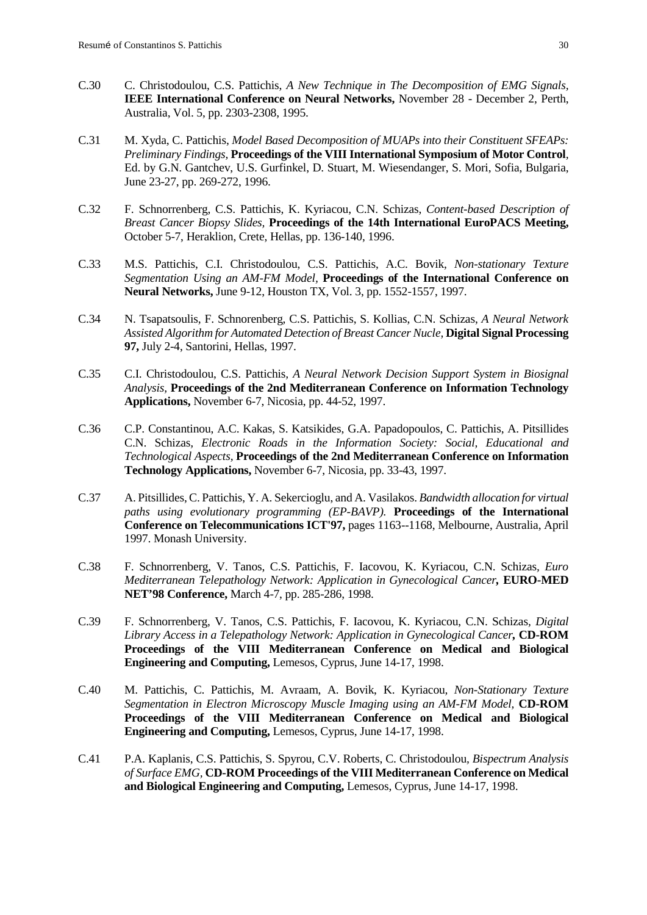- C.30 C. Christodoulou, C.S. Pattichis, *A New Technique in The Decomposition of EMG Signals,* **IEEE International Conference on Neural Networks,** November 28 - December 2, Perth, Australia, Vol. 5, pp. 2303-2308, 1995.
- C.31 M. Xyda, C. Pattichis, *Model Based Decomposition of MUAPs into their Constituent SFEAPs: Preliminary Findings,* **Proceedings of the VIII International Symposium of Motor Control***,* Ed. by G.N. Gantchev, U.S. Gurfinkel, D. Stuart, M. Wiesendanger, S. Mori, Sofia, Bulgaria, June 23-27, pp. 269-272, 1996.
- C.32 F. Schnorrenberg, C.S. Pattichis, K. Kyriacou, C.N. Schizas, *Content-based Description of Breast Cancer Biopsy Slides,* **Proceedings of the 14th International EuroPACS Meeting,** October 5-7, Heraklion, Crete, Hellas, pp. 136-140, 1996.
- C.33 M.S. Pattichis, C.I. Christodoulou, C.S. Pattichis, A.C. Bovik*, Non-stationary Texture Segmentation Using an AM-FM Model,* **Proceedings of the International Conference on Neural Networks,** June 9-12, Houston TX, Vol. 3, pp. 1552-1557, 1997.
- C.34 N. Tsapatsoulis, F. Schnorenberg, C.S. Pattichis, S. Kollias, C.N. Schizas, *A Neural Network Assisted Algorithm for Automated Detection of Breast Cancer Nucle,* **Digital Signal Processing 97,** July 2-4, Santorini, Hellas, 1997.
- C.35 C.I. Christodoulou, C.S. Pattichis*, A Neural Network Decision Support System in Biosignal Analysis,* **Proceedings of the 2nd Mediterranean Conference on Information Technology Applications,** November 6-7, Nicosia, pp. 44-52, 1997.
- C.36 C.P. Constantinou, A.C. Kakas, S. Katsikides, G.A. Papadopoulos, C. Pattichis, A. Pitsillides C.N. Schizas*, Electronic Roads in the Information Society: Social, Educational and Technological Aspects,* **Proceedings of the 2nd Mediterranean Conference on Information Technology Applications,** November 6-7, Nicosia, pp. 33-43, 1997.
- C.37 A. Pitsillides, C. Pattichis, Y. A. Sekercioglu, and A. Vasilakos. *Bandwidth allocation for virtual paths using evolutionary programming (EP-BAVP).* **Proceedings of the International Conference on Telecommunications ICT'97,** pages 1163--1168, Melbourne, Australia, April 1997. Monash University.
- C.38 F. Schnorrenberg, V. Tanos, C.S. Pattichis, F. Iacovou, K. Kyriacou, C.N. Schizas*, Euro Mediterranean Telepathology Network: Application in Gynecological Cancer,* **EURO-MED NET'98 Conference,** March 4-7, pp. 285-286, 1998.
- C.39 F. Schnorrenberg, V. Tanos, C.S. Pattichis, F. Iacovou, K. Kyriacou, C.N. Schizas*, Digital Library Access in a Telepathology Network: Application in Gynecological Cancer,* **CD-ROM Proceedings of the VIII Mediterranean Conference on Medical and Biological Engineering and Computing,** Lemesos, Cyprus, June 14-17, 1998.
- C.40 M. Pattichis, C. Pattichis, M. Avraam, A. Bovik, K. Kyriacou*, Non-Stationary Texture Segmentation in Electron Microscopy Muscle Imaging using an AM-FM Model,* **CD-ROM Proceedings of the VIII Mediterranean Conference on Medical and Biological Engineering and Computing,** Lemesos, Cyprus, June 14-17, 1998.
- C.41 P.A. Kaplanis, C.S. Pattichis, S. Spyrou, C.V. Roberts, C. Christodoulou*, Bispectrum Analysis of Surface EMG,* **CD-ROM Proceedings of the VIII Mediterranean Conference on Medical and Biological Engineering and Computing,** Lemesos, Cyprus, June 14-17, 1998.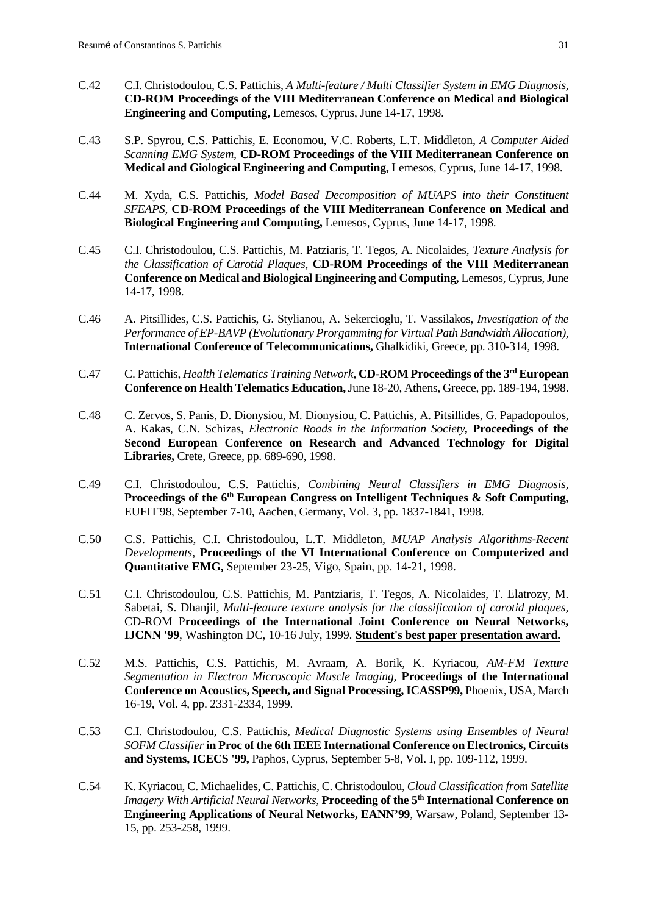- C.42 C.I. Christodoulou, C.S. Pattichis, *A Multi-feature / Multi Classifier System in EMG Diagnosis,* **CD-ROM Proceedings of the VIII Mediterranean Conference on Medical and Biological Engineering and Computing,** Lemesos, Cyprus, June 14-17, 1998.
- C.43 S.P. Spyrou, C.S. Pattichis, E. Economou, V.C. Roberts, L.T. Middleton, *A Computer Aided Scanning EMG System,* **CD-ROM Proceedings of the VIII Mediterranean Conference on Medical and Giological Engineering and Computing,** Lemesos, Cyprus, June 14-17, 1998.
- C.44 M. Xyda, C.S. Pattichis, *Model Based Decomposition of MUAPS into their Constituent SFEAPS,* **CD-ROM Proceedings of the VIII Mediterranean Conference on Medical and Biological Engineering and Computing,** Lemesos, Cyprus, June 14-17, 1998.
- C.45 C.I. Christodoulou, C.S. Pattichis, M. Patziaris, T. Tegos, A. Nicolaides, *Texture Analysis for the Classification of Carotid Plaques,* **CD-ROM Proceedings of the VIII Mediterranean Conference on Medical and Biological Engineering and Computing,** Lemesos, Cyprus, June 14-17, 1998.
- C.46 A. Pitsillides, C.S. Pattichis, G. Stylianou, A. Sekercioglu, T. Vassilakos, *Investigation of the Performance of EP-BAVP (Evolutionary Prorgamming for Virtual Path Bandwidth Allocation),*  **International Conference of Telecommunications,** Ghalkidiki, Greece, pp. 310-314, 1998.
- C.47 C. Pattichis, *Health Telematics Training Network,* **CD-ROM Proceedings of the 3rd European Conference on Health Telematics Education,**June 18-20, Athens, Greece, pp. 189-194, 1998.
- C.48 C. Zervos, S. Panis, D. Dionysiou, M. Dionysiou, C. Pattichis, A. Pitsillides, G. Papadopoulos, A. Kakas, C.N. Schizas, *Electronic Roads in the Information Society,* **Proceedings of the Second European Conference on Research and Advanced Technology for Digital Libraries,** Crete, Greece, pp. 689-690, 1998.
- C.49 C.I. Christodoulou, C.S. Pattichis, *Combining Neural Classifiers in EMG Diagnosis,* **Proceedings of the 6th European Congress on Intelligent Techniques & Soft Computing,**  EUFIT'98, September 7-10, Aachen, Germany, Vol. 3, pp. 1837-1841, 1998.
- C.50 C.S. Pattichis, C.I. Christodoulou, L.T. Middleton, *MUAP Analysis Algorithms-Recent Developments,* **Proceedings of the VI International Conference on Computerized and Quantitative EMG,** September 23-25, Vigo, Spain, pp. 14-21, 1998.
- C.51 C.I. Christodoulou, C.S. Pattichis, M. Pantziaris, T. Tegos, A. Nicolaides, T. Elatrozy, M. Sabetai, S. Dhanjil, *Multi-feature texture analysis for the classification of carotid plaques,* CD-ROM P**roceedings of the International Joint Conference on Neural Networks, IJCNN '99**, Washington DC, 10-16 July, 1999*.* **Student's best paper presentation award.**
- C.52 M.S. Pattichis, C.S. Pattichis, M. Avraam, A. Borik, K. Kyriacou, *AM-FM Texture Segmentation in Electron Microscopic Muscle Imaging,* **Proceedings of the International Conference on Acoustics, Speech, and Signal Processing, ICASSP99,** Phoenix, USA, March 16-19, Vol. 4, pp. 2331-2334, 1999.
- C.53 C.I. Christodoulou, C.S. Pattichis, *Medical Diagnostic Systems using Ensembles of Neural SOFM Classifier***in Proc of the 6th IEEE International Conference on Electronics, Circuits and Systems, ICECS '99,** Paphos, Cyprus, September 5-8, Vol. I, pp. 109-112, 1999.
- C.54 K. Kyriacou, C. Michaelides, C. Pattichis, C. Christodoulou, *Cloud Classification from Satellite Imagery With Artificial Neural Networks,* **Proceeding of the 5th International Conference on Engineering Applications of Neural Networks, EANN'99**, Warsaw, Poland, September 13- 15, pp. 253-258, 1999.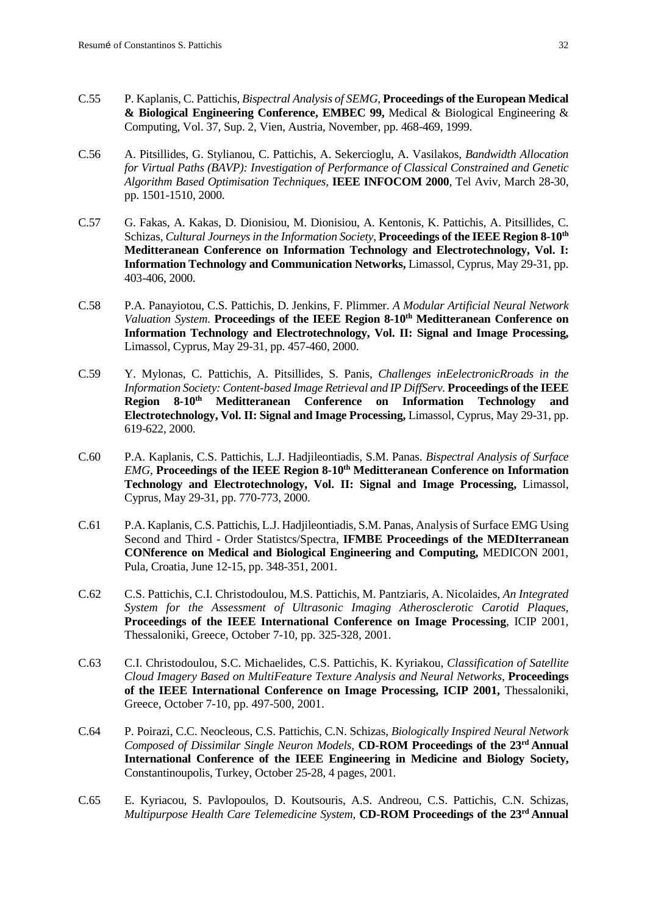- C.55 P. Kaplanis, C. Pattichis, *Bispectral Analysis of SEMG,* **Proceedings of the European Medical & Biological Engineering Conference, EMBEC 99,** Medical & Biological Engineering & Computing, Vol. 37, Sup. 2, Vien, Austria, November, pp. 468-469, 1999.
- C.56 A. Pitsillides, G. Stylianou, C. Pattichis, A. Sekercioglu, A. Vasilakos, *Bandwidth Allocation for Virtual Paths (BAVP): Investigation of Performance of Classical Constrained and Genetic Algorithm Based Optimisation Techniques,* **IEEE INFOCOM 2000**, Tel Aviv, March 28-30, pp. 1501-1510, 2000.
- C.57 G. Fakas, A. Kakas, D. Dionisiou, M. Dionisiou, A. Kentonis, K. Pattichis, A. Pitsillides, C. Schizas, *Cultural Journeys in the Information Society*, **Proceedings of the IEEE Region 8-10th Meditteranean Conference on Information Technology and Electrotechnology, Vol. I: Information Technology and Communication Networks,** Limassol, Cyprus, May 29-31, pp. 403-406, 2000.
- C.58 P.A. Panayiotou, C.S. Pattichis, D. Jenkins, F. Plimmer. *A Modular Artificial Neural Network Valuation System.* **Proceedings of the IEEE Region 8-10<sup>th</sup> Meditteranean Conference on Information Technology and Electrotechnology, Vol. II: Signal and Image Processing,** Limassol, Cyprus, May 29-31, pp. 457-460, 2000.
- C.59 Y. Mylonas, C. Pattichis, A. Pitsillides, S. Panis, *Challenges inEelectronicRroads in the Information Society: Content-based Image Retrieval and IP DiffServ.* **Proceedings of the IEEE Region 8-10th Meditteranean Conference on Information Technology and Electrotechnology, Vol. II: Signal and Image Processing,** Limassol, Cyprus, May 29-31, pp. 619-622, 2000.
- C.60 P.A. Kaplanis, C.S. Pattichis, L.J. Hadjileontiadis, S.M. Panas. *Bispectral Analysis of Surface EMG,* **Proceedings of the IEEE Region 8-10th Meditteranean Conference on Information Technology and Electrotechnology, Vol. II: Signal and Image Processing,** Limassol, Cyprus, May 29-31, pp. 770-773, 2000.
- C.61 P.A. Kaplanis, C.S. Pattichis, L.J. Hadjileontiadis, S.M. Panas, Analysis of Surface EMG Using Second and Third - Order Statistcs/Spectra, **IFMBE Proceedings of the MEDIterranean CONference on Medical and Biological Engineering and Computing,** MEDICON 2001, Pula, Croatia, June 12-15, pp. 348-351, 2001.
- C.62 C.S. Pattichis, C.I. Christodoulou, M.S. Pattichis, M. Pantziaris, A. Nicolaides, *An Integrated System for the Assessment of Ultrasonic Imaging Atherosclerotic Carotid Plaques,* **Proceedings of the IEEE International Conference on Image Processing**, ICIP 2001, Thessaloniki, Greece, October 7-10, pp. 325-328, 2001.
- C.63 C.I. Christodoulou, S.C. Michaelides, C.S. Pattichis, K. Kyriakou, *Classification of Satellite Cloud Imagery Based on MultiFeature Texture Analysis and Neural Networks*, **Proceedings of the IEEE International Conference on Image Processing, ICIP 2001,** Thessaloniki, Greece, October 7-10, pp. 497-500, 2001.
- C.64 P. Poirazi, C.C. Neocleous, C.S. Pattichis, C.N. Schizas, *Biologically Inspired Neural Network Composed of Dissimilar Single Neuron Models,* **CD-ROM Proceedings of the 23rd Annual International Conference of the IEEE Engineering in Medicine and Biology Society,**  Constantinoupolis, Turkey, October 25-28, 4 pages, 2001*.*
- C.65 E. Kyriacou, S. Pavlopoulos, D. Koutsouris, A.S. Andreou, C.S. Pattichis, C.N. Schizas, *Multipurpose Health Care Telemedicine System,* **CD-ROM Proceedings of the 23rd Annual**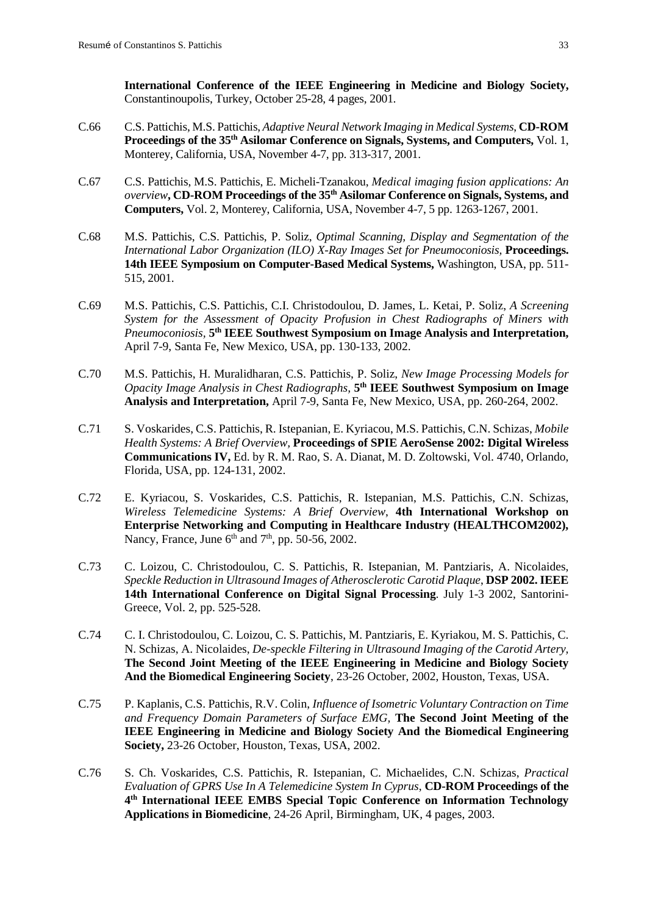**International Conference of the IEEE Engineering in Medicine and Biology Society,**  Constantinoupolis, Turkey, October 25-28, 4 pages, 2001*.*

- C.66 C.S. Pattichis, M.S. Pattichis, *Adaptive Neural Network Imaging in Medical Systems*, **CD-ROM Proceedings of the 35th Asilomar Conference on Signals, Systems, and Computers,** Vol. 1, Monterey, California, USA, November 4-7, pp. 313-317, 2001.
- C.67 C.S. Pattichis, M.S. Pattichis, E. Micheli-Tzanakou, *Medical imaging fusion applications: An overview***, CD-ROM Proceedings of the 35th Asilomar Conference on Signals, Systems, and Computers,** Vol. 2, Monterey, California, USA, November 4-7, 5 pp. 1263-1267, 2001.
- C.68 M.S. Pattichis, C.S. Pattichis, P. Soliz, *Optimal Scanning, Display and Segmentation of the International Labor Organization (ILO) X-Ray Images Set for Pneumoconiosis,* **Proceedings. 14th IEEE Symposium on Computer-Based Medical Systems,** Washington, USA, pp. 511- 515, 2001.
- C.69 M.S. Pattichis, C.S. Pattichis, C.I. Christodoulou, D. James, L. Ketai, P. Soliz, *A Screening System for the Assessment of Opacity Profusion in Chest Radiographs of Miners with Pneumoconiosis,* **5th IEEE Southwest Symposium on Image Analysis and Interpretation,** April 7-9, Santa Fe, New Mexico, USA, pp. 130-133, 2002.
- C.70 M.S. Pattichis, H. Muralidharan, C.S. Pattichis, P. Soliz, *New Image Processing Models for Opacity Image Analysis in Chest Radiographs,* **5th IEEE Southwest Symposium on Image Analysis and Interpretation,** April 7-9, Santa Fe, New Mexico, USA, pp. 260-264, 2002.
- C.71 S. Voskarides, C.S. Pattichis, R. Istepanian, E. Kyriacou, M.S. Pattichis, C.N. Schizas, *Mobile Health Systems: A Brief Overview,* **Proceedings of SPIE AeroSense 2002: Digital Wireless Communications IV,** Ed. by R. M. Rao, S. A. Dianat, M. D. Zoltowski, Vol. 4740, Orlando, Florida, USA, pp. 124-131, 2002.
- C.72 E. Kyriacou, S. Voskarides, C.S. Pattichis, R. Istepanian, M.S. Pattichis, C.N. Schizas, *Wireless Telemedicine Systems: A Brief Overview*, **4th International Workshop on Enterprise Networking and Computing in Healthcare Industry (HEALTHCOM2002),** Nancy, France, June  $6<sup>th</sup>$  and  $7<sup>th</sup>$ , pp. 50-56, 2002.
- C.73 C. Loizou, C. Christodoulou, C. S. Pattichis, R. Istepanian, M. Pantziaris, A. Nicolaides, *Speckle Reduction in Ultrasound Images of Atherosclerotic Carotid Plaque*, **DSP 2002. IEEE 14th International Conference on Digital Signal Processing**. July 1-3 2002, Santorini-Greece, Vol. 2, pp. 525-528.
- C.74 C. I. Christodoulou, C. Loizou, C. S. Pattichis, M. Pantziaris, E. Kyriakou, M. S. Pattichis, C. N. Schizas, A. Nicolaides, *De-speckle Filtering in Ultrasound Imaging of the Carotid Artery,* **The Second Joint Meeting of the IEEE Engineering in Medicine and Biology Society And the Biomedical Engineering Society**, 23-26 October, 2002, Houston, Texas, USA.
- C.75 P. Kaplanis, C.S. Pattichis, R.V. Colin, *Influence of Isometric Voluntary Contraction on Time and Frequency Domain Parameters of Surface EMG,* **The Second Joint Meeting of the IEEE Engineering in Medicine and Biology Society And the Biomedical Engineering Society,** 23-26 October, Houston, Texas, USA, 2002.
- C.76 S. Ch. Voskarides, C.S. Pattichis, R. Istepanian, C. Michaelides, C.N. Schizas, *Practical Evaluation of GPRS Use In A Telemedicine System In Cyprus*, **CD-ROM Proceedings of the 4th International IEEE EMBS Special Topic Conference on Information Technology Applications in Biomedicine**, 24-26 April, Birmingham, UK, 4 pages, 2003.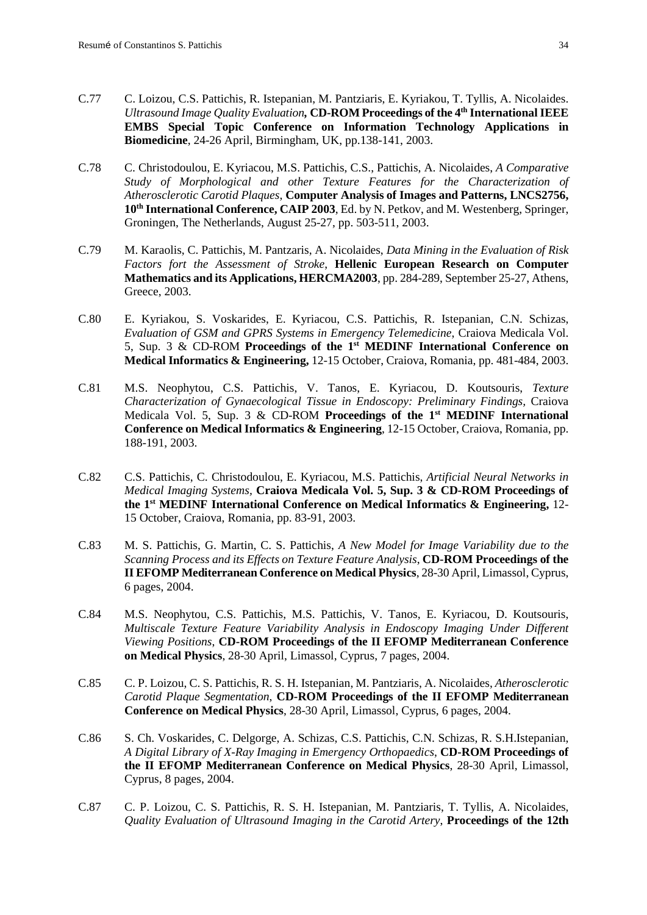- C.77 C. Loizou, C.S. Pattichis, R. Istepanian, M. Pantziaris, E. Kyriakou, T. Tyllis, A. Nicolaides. *Ultrasound Image Quality Evaluation,* **CD-ROM Proceedings of the 4th International IEEE EMBS Special Topic Conference on Information Technology Applications in Biomedicine**, 24-26 April, Birmingham, UK, pp.138-141, 2003.
- C.78 C. Christodoulou, E. Kyriacou, M.S. Pattichis, C.S., Pattichis, A. Nicolaides, *A Comparative Study of Morphological and other Texture Features for the Characterization of Atherosclerotic Carotid Plaques*, **Computer Analysis of Images and Patterns, LNCS2756, 10th International Conference, CAIP 2003**, Ed. by N. Petkov, and M. Westenberg, Springer, Groningen, The Netherlands, August 25-27, pp. 503-511, 2003.
- C.79 M. Karaolis, C. Pattichis, M. Pantzaris, A. Nicolaides, *Data Mining in the Evaluation of Risk Factors fort the Assessment of Stroke*, **Hellenic European Research on Computer Mathematics and its Applications, HERCMA2003**, pp. 284-289, September 25-27, Athens, Greece, 2003.
- C.80 E. Kyriakou, S. Voskarides, E. Kyriacou, C.S. Pattichis, R. Istepanian, C.N. Schizas, *Evaluation of GSM and GPRS Systems in Emergency Telemedicine*, Craiova Medicala Vol. 5, Sup. 3 & CD-ROM **Proceedings of the 1st MEDINF International Conference on Medical Informatics & Engineering,** 12-15 October, Craiova, Romania, pp. 481-484, 2003.
- C.81 M.S. Neophytou, C.S. Pattichis, V. Tanos, E. Kyriacou, D. Koutsouris, *Texture Characterization of Gynaecological Tissue in Endoscopy: Preliminary Findings,* Craiova Medicala Vol. 5, Sup. 3 & CD-ROM **Proceedings of the 1st MEDINF International Conference on Medical Informatics & Engineering**, 12-15 October, Craiova, Romania, pp. 188-191, 2003.
- C.82 C.S. Pattichis, C. Christodoulou, E. Kyriacou, M.S. Pattichis, *Artificial Neural Networks in Medical Imaging Systems,* **Craiova Medicala Vol. 5, Sup. 3 & CD-ROM Proceedings of the 1st MEDINF International Conference on Medical Informatics & Engineering,** 12- 15 October, Craiova, Romania, pp. 83-91, 2003.
- C.83 M. S. Pattichis, G. Martin, C. S. Pattichis, *A New Model for Image Variability due to the Scanning Process and its Effects on Texture Feature Analysis*, **CD-ROM Proceedings of the II EFOMP Mediterranean Conference on Medical Physics**, 28-30 April, Limassol, Cyprus, 6 pages, 2004.
- C.84 M.S. Neophytou, C.S. Pattichis, M.S. Pattichis, V. Tanos, E. Kyriacou, D. Koutsouris, *Multiscale Texture Feature Variability Analysis in Endoscopy Imaging Under Different Viewing Positions*, **CD-ROM Proceedings of the II EFOMP Mediterranean Conference on Medical Physics**, 28-30 April, Limassol, Cyprus, 7 pages, 2004.
- C.85 C. P. Loizou, C. S. Pattichis, R. S. H. Istepanian, M. Pantziaris, A. Nicolaides, *Atherosclerotic Carotid Plaque Segmentation*, **CD-ROM Proceedings of the II EFOMP Mediterranean Conference on Medical Physics**, 28-30 April, Limassol, Cyprus, 6 pages, 2004.
- C.86 S. Ch. Voskarides, C. Delgorge, A. Schizas, C.S. Pattichis, C.N. Schizas, R. S.H.Istepanian, *A Digital Library of X-Ray Imaging in Emergency Orthopaedics*, **CD-ROM Proceedings of the II EFOMP Mediterranean Conference on Medical Physics**, 28-30 April, Limassol, Cyprus, 8 pages, 2004.
- C.87 C. P. Loizou, C. S. Pattichis, R. S. H. Istepanian, M. Pantziaris, T. Tyllis, A. Nicolaides, *Quality Evaluation of Ultrasound Imaging in the Carotid Artery*, **Proceedings of the 12th**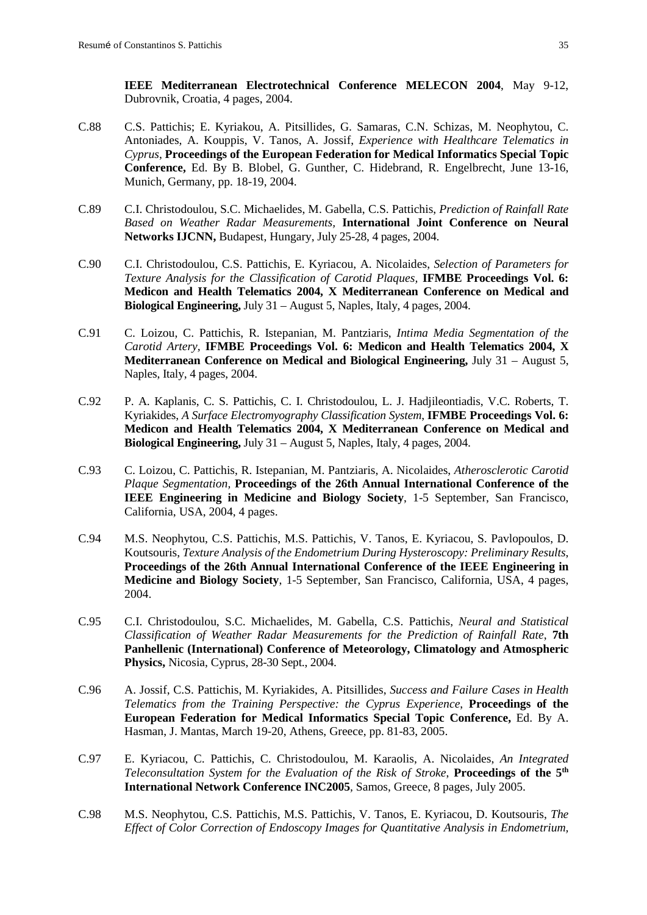**IEEE Mediterranean Electrotechnical Conference MELECON 2004**, May 9-12, Dubrovnik, Croatia, 4 pages, 2004.

- C.88 C.S. Pattichis; E. Kyriakou, A. Pitsillides, G. Samaras, C.N. Schizas, M. Neophytou, C. Antoniades, A. Kouppis, V. Tanos, A. Jossif, *Experience with Healthcare Telematics in Cyprus*, **Proceedings of the European Federation for Medical Informatics Special Topic Conference,** Ed. By B. Blobel, G. Gunther, C. Hidebrand, R. Engelbrecht, June 13-16, Munich, Germany, pp. 18-19, 2004.
- C.89 C.I. Christodoulou, S.C. Michaelides, M. Gabella, C.S. Pattichis, *Prediction of Rainfall Rate Based on Weather Radar Measurements,* **International Joint Conference on Neural Networks IJCNN,** Budapest, Hungary, July 25-28, 4 pages, 2004.
- C.90 C.I. Christodoulou, C.S. Pattichis, E. Kyriacou, A. Nicolaides, *Selection of Parameters for Texture Analysis for the Classification of Carotid Plaques,* **IFMBE Proceedings Vol. 6: Medicon and Health Telematics 2004, X Mediterranean Conference on Medical and Biological Engineering,** July 31 – August 5, Naples, Italy, 4 pages, 2004.
- C.91 C. Loizou, C. Pattichis, R. Istepanian, M. Pantziaris, *Intima Media Segmentation of the Carotid Artery,* **IFMBE Proceedings Vol. 6: Medicon and Health Telematics 2004, X Mediterranean Conference on Medical and Biological Engineering,** July 31 – August 5, Naples, Italy, 4 pages, 2004.
- C.92 P. A. Kaplanis, C. S. Pattichis, C. I. Christodoulou, L. J. Hadjileontiadis, V.C. Roberts, T. Kyriakides, *A Surface Electromyography Classification System*, **IFMBE Proceedings Vol. 6: Medicon and Health Telematics 2004, X Mediterranean Conference on Medical and Biological Engineering,** July 31 – August 5, Naples, Italy, 4 pages, 2004.
- C.93 C. Loizou, C. Pattichis, R. Istepanian, M. Pantziaris, A. Nicolaides, *Atherosclerotic Carotid Plaque Segmentation,* **Proceedings of the 26th Annual International Conference of the IEEE Engineering in Medicine and Biology Society**, 1-5 September, San Francisco, California, USA, 2004, 4 pages.
- C.94 M.S. Neophytou, C.S. Pattichis, M.S. Pattichis, V. Tanos, E. Kyriacou, S. Pavlopoulos, D. Koutsouris, *Texture Analysis of the Endometrium During Hysteroscopy: Preliminary Results*, **Proceedings of the 26th Annual International Conference of the IEEE Engineering in Medicine and Biology Society**, 1-5 September, San Francisco, California, USA, 4 pages, 2004.
- C.95 C.I. Christodoulou, S.C. Michaelides, M. Gabella, C.S. Pattichis, *Neural and Statistical Classification of Weather Radar Measurements for the Prediction of Rainfall Rate*, **7th Panhellenic (International) Conference of Meteorology, Climatology and Atmospheric Physics,** Nicosia, Cyprus, 28-30 Sept., 2004.
- C.96 A. Jossif, C.S. Pattichis, M. Kyriakides, A. Pitsillides, *Success and Failure Cases in Health Telematics from the Training Perspective: the Cyprus Experience*, **Proceedings of the European Federation for Medical Informatics Special Topic Conference,** Ed. By A. Hasman, J. Mantas, March 19-20, Athens, Greece, pp. 81-83, 2005.
- C.97 E. Kyriacou, C. Pattichis, C. Christodoulou, M. Karaolis, A. Nicolaides, *An Integrated Teleconsultation System for the Evaluation of the Risk of Stroke*, **Proceedings of the 5th International Network Conference INC2005***,* Samos, Greece, 8 pages, July 2005.
- C.98 M.S. Neophytou, C.S. Pattichis, M.S. Pattichis, V. Tanos, E. Kyriacou, D. Koutsouris, *The Effect of Color Correction of Endoscopy Images for Quantitative Analysis in Endometrium,*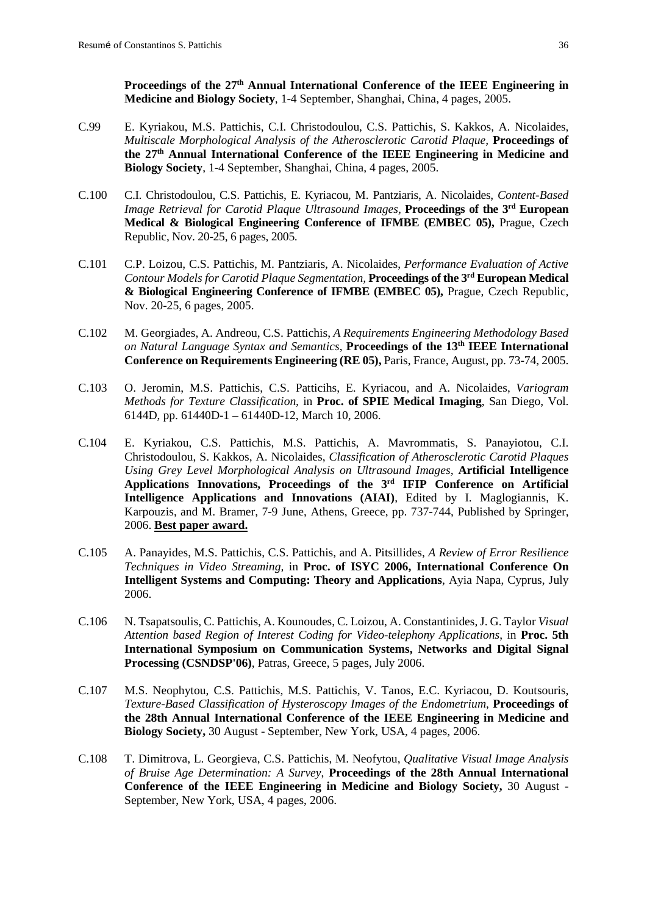Proceedings of the 27<sup>th</sup> Annual International Conference of the IEEE Engineering in **Medicine and Biology Society**, 1-4 September, Shanghai, China, 4 pages, 2005.

- C.99 E. Kyriakou, M.S. Pattichis, C.I. Christodoulou, C.S. Pattichis, S. Kakkos, A. Nicolaides, *Multiscale Morphological Analysis of the Atherosclerotic Carotid Plaque,* **Proceedings of the 27th Annual International Conference of the IEEE Engineering in Medicine and Biology Society**, 1-4 September, Shanghai, China, 4 pages, 2005.
- C.100 C.I. Christodoulou, C.S. Pattichis, E. Kyriacou, M. Pantziaris, A. Nicolaides, *Content-Based Image Retrieval for Carotid Plaque Ultrasound Images,* **Proceedings of the 3rd European Medical & Biological Engineering Conference of IFMBE (EMBEC 05),** Prague, Czech Republic, Nov. 20-25, 6 pages, 2005.
- C.101 C.P. Loizou, C.S. Pattichis, M. Pantziaris, A. Nicolaides, *Performance Evaluation of Active Contour Models for Carotid Plaque Segmentation,* **Proceedings of the 3rd European Medical & Biological Engineering Conference of IFMBE (EMBEC 05),** Prague, Czech Republic, Nov. 20-25, 6 pages, 2005.
- C.102 M. Georgiades, A. Andreou, C.S. Pattichis, *A Requirements Engineering Methodology Based on Natural Language Syntax and Semantics*, **Proceedings of the 13th IEEE International Conference on Requirements Engineering (RE 05),** Paris, France, August, pp. 73-74, 2005.
- C.103 O. Jeromin, M.S. Pattichis, C.S. Patticihs, E. Kyriacou, and A. Nicolaides, *Variogram Methods for Texture Classification,* in **Proc. of SPIE Medical Imaging**, San Diego, Vol. 6144D, pp. 61440D-1 – 61440D-12, March 10, 2006.
- C.104 E. Kyriakou, C.S. Pattichis, M.S. Pattichis, A. Mavrommatis, S. Panayiotou, C.I. Christodoulou, S. Kakkos, A. Nicolaides, *Classification of Atherosclerotic Carotid Plaques Using Grey Level Morphological Analysis on Ultrasound Images,* **Artificial Intelligence Applications Innovations, Proceedings of the 3rd IFIP Conference on Artificial Intelligence Applications and Innovations (AIAI)**, Edited by I. Maglogiannis, K. Karpouzis, and M. Bramer, 7-9 June, Athens, Greece, pp. 737-744, Published by Springer, 2006. **Best paper award.**
- C.105 A. Panayides, M.S. Pattichis, C.S. Pattichis, and A. Pitsillides, *A Review of Error Resilience Techniques in Video Streaming,* in **Proc. of ISYC 2006, International Conference On Intelligent Systems and Computing: Theory and Applications**, Ayia Napa, Cyprus, July 2006.
- C.106 N. Tsapatsoulis, C. Pattichis, A. Kounoudes, C. Loizou, A. Constantinides, J. G. Taylor *Visual Attention based Region of Interest Coding for Video-telephony Applications*, in **Proc. 5th International Symposium on Communication Systems, Networks and Digital Signal Processing (CSNDSP'06)**, Patras, Greece, 5 pages, July 2006.
- C.107 M.S. Neophytou, C.S. Pattichis, M.S. Pattichis, V. Tanos, E.C. Kyriacou, D. Koutsouris, *Texture-Based Classification of Hysteroscopy Images of the Endometrium*, **Proceedings of the 28th Annual International Conference of the IEEE Engineering in Medicine and Biology Society,** 30 August - September, New York, USA, 4 pages, 2006.
- C.108 T. Dimitrova, L. Georgieva, C.S. Pattichis, M. Neofytou, *Qualitative Visual Image Analysis of Bruise Age Determination: A Survey*, **Proceedings of the 28th Annual International Conference of the IEEE Engineering in Medicine and Biology Society,** 30 August - September, New York, USA, 4 pages, 2006.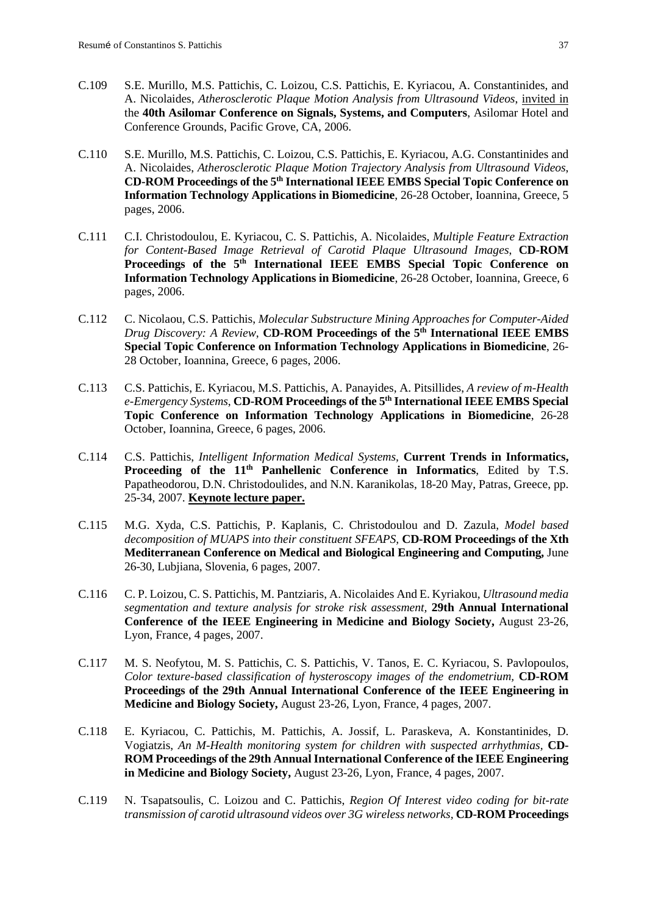- C.109 S.E. Murillo, M.S. Pattichis, C. Loizou, C.S. Pattichis, E. Kyriacou, A. Constantinides, and A. Nicolaides, *Atherosclerotic Plaque Motion Analysis from Ultrasound Videos*, invited in the **40th Asilomar Conference on Signals, Systems, and Computers**, Asilomar Hotel and Conference Grounds, Pacific Grove, CA, 2006.
- C.110 S.E. Murillo, M.S. Pattichis, C. Loizou, C.S. Pattichis, E. Kyriacou, A.G. Constantinides and A. Nicolaides, *Atherosclerotic Plaque Motion Trajectory Analysis from Ultrasound Videos*, **CD-ROM Proceedings of the 5th International IEEE EMBS Special Topic Conference on Information Technology Applications in Biomedicine**, 26-28 October, Ioannina, Greece, 5 pages, 2006.
- C.111 C.I. Christodoulou, E. Kyriacou, C. S. Pattichis, A. Nicolaides, *Multiple Feature Extraction for Content-Based Image Retrieval of Carotid Plaque Ultrasound Images*, **CD-ROM Proceedings of the 5th International IEEE EMBS Special Topic Conference on Information Technology Applications in Biomedicine**, 26-28 October, Ioannina, Greece, 6 pages, 2006.
- C.112 C. Nicolaou, C.S. Pattichis, *Molecular Substructure Mining Approaches for Computer-Aided Drug Discovery: A Review*, **CD-ROM Proceedings of the 5th International IEEE EMBS Special Topic Conference on Information Technology Applications in Biomedicine**, 26- 28 October, Ioannina, Greece, 6 pages, 2006.
- C.113 C.S. Pattichis, E. Kyriacou, M.S. Pattichis, A. Panayides, A. Pitsillides, *A review of m-Health e-Emergency Systems*, **CD-ROM Proceedings of the 5th International IEEE EMBS Special Topic Conference on Information Technology Applications in Biomedicine**, 26-28 October, Ioannina, Greece, 6 pages, 2006.
- C.114 C.S. Pattichis, *Intelligent Information Medical Systems,* **Current Trends in Informatics, Proceeding of the 11<sup>th</sup> Panhellenic Conference in Informatics**, Edited by T.S. Papatheodorou, D.N. Christodoulides, and N.N. Karanikolas, 18-20 May, Patras, Greece, pp. 25-34, 2007. **Keynote lecture paper.**
- C.115 M.G. Xyda, C.S. Pattichis, P. Kaplanis, C. Christodoulou and D. Zazula, *Model based decomposition of MUAPS into their constituent SFEAPS,* **CD-ROM Proceedings of the Xth Mediterranean Conference on Medical and Biological Engineering and Computing,** June 26-30, Lubjiana, Slovenia, 6 pages, 2007.
- C.116 C. P. Loizou, C. S. Pattichis, M. Pantziaris, A. Nicolaides And E. Kyriakou, *Ultrasound media segmentation and texture analysis for stroke risk assessment,* **29th Annual International Conference of the IEEE Engineering in Medicine and Biology Society,** August 23-26, Lyon, France, 4 pages, 2007.
- C.117 M. S. Neofytou, M. S. Pattichis, C. S. Pattichis, V. Tanos, E. C. Kyriacou, S. Pavlopoulos, *Color texture-based classification of hysteroscopy images of the endometrium,* **CD-ROM Proceedings of the 29th Annual International Conference of the IEEE Engineering in Medicine and Biology Society,** August 23-26, Lyon, France, 4 pages, 2007.
- C.118 E. Kyriacou, C. Pattichis, M. Pattichis, A. Jossif, L. Paraskeva, A. Konstantinides, D. Vogiatzis, *An M-Health monitoring system for children with suspected arrhythmias,* **CD-ROM Proceedings of the 29th Annual International Conference of the IEEE Engineering in Medicine and Biology Society,** August 23-26, Lyon, France, 4 pages, 2007.
- C.119 N. Tsapatsoulis, C. Loizou and C. Pattichis, *Region Of Interest video coding for bit-rate transmission of carotid ultrasound videos over 3G wireless networks,* **CD-ROM Proceedings**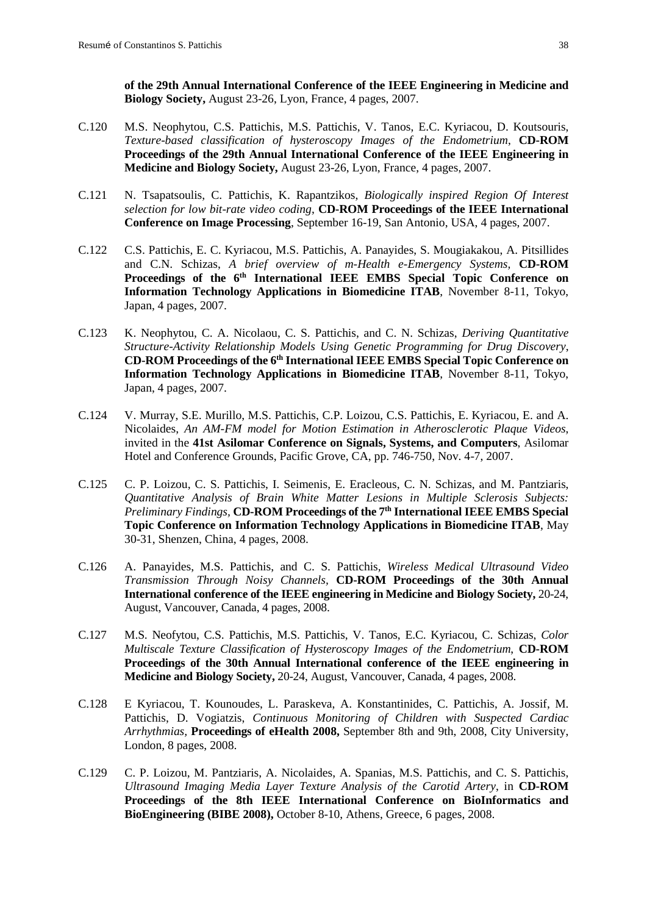**of the 29th Annual International Conference of the IEEE Engineering in Medicine and Biology Society,** August 23-26, Lyon, France, 4 pages, 2007.

- C.120 M.S. Neophytou, C.S. Pattichis, M.S. Pattichis, V. Tanos, E.C. Kyriacou, D. Koutsouris, *Texture-based classification of hysteroscopy Images of the Endometrium*, **CD-ROM Proceedings of the 29th Annual International Conference of the IEEE Engineering in Medicine and Biology Society,** August 23-26, Lyon, France, 4 pages, 2007.
- C.121 N. Tsapatsoulis, C. Pattichis, K. Rapantzikos, *Biologically inspired Region Of Interest selection for low bit-rate video coding*, **CD-ROM Proceedings of the IEEE International Conference on Image Processing**, September 16-19, San Antonio, USA, 4 pages, 2007.
- C.122 C.S. Pattichis, E. C. Kyriacou, M.S. Pattichis, A. Panayides, S. Mougiakakou, A. Pitsillides and C.N. Schizas, *A brief overview of m-Health e-Emergency Systems,* **CD-ROM Proceedings of the 6th International IEEE EMBS Special Topic Conference on Information Technology Applications in Biomedicine ITAB**, November 8-11, Tokyo, Japan, 4 pages, 2007.
- C.123 K. Neophytou, C. A. Nicolaou, C. S. Pattichis, and C. N. Schizas, *Deriving Quantitative Structure-Activity Relationship Models Using Genetic Programming for Drug Discovery*, **CD-ROM Proceedings of the 6th International IEEE EMBS Special Topic Conference on Information Technology Applications in Biomedicine ITAB**, November 8-11, Tokyo, Japan, 4 pages, 2007.
- C.124 V. Murray, S.E. Murillo, M.S. Pattichis, C.P. Loizou, C.S. Pattichis, E. Kyriacou, E. and A. Nicolaides, *An AM-FM model for Motion Estimation in Atherosclerotic Plaque Videos*, invited in the **41st Asilomar Conference on Signals, Systems, and Computers**, Asilomar Hotel and Conference Grounds, Pacific Grove, CA, pp. 746-750, Nov. 4-7, 2007.
- C.125 C. P. Loizou, C. S. Pattichis, I. Seimenis, E. Eracleous, C. N. Schizas, and M. Pantziaris, *Quantitative Analysis of Brain White Matter Lesions in Multiple Sclerosis Subjects: Preliminary Findings,* **CD-ROM Proceedings of the 7th International IEEE EMBS Special Topic Conference on Information Technology Applications in Biomedicine ITAB**, May 30-31, Shenzen, China, 4 pages, 2008.
- C.126 A. Panayides, M.S. Pattichis, and C. S. Pattichis*, Wireless Medical Ultrasound Video Transmission Through Noisy Channels,* **CD-ROM Proceedings of the 30th Annual International conference of the IEEE engineering in Medicine and Biology Society,** 20-24, August, Vancouver, Canada, 4 pages, 2008.
- C.127 M.S. Neofytou, C.S. Pattichis, M.S. Pattichis, V. Tanos, E.C. Kyriacou, C. Schizas, *Color Multiscale Texture Classification of Hysteroscopy Images of the Endometrium*, **CD-ROM Proceedings of the 30th Annual International conference of the IEEE engineering in Medicine and Biology Society,** 20-24, August, Vancouver, Canada, 4 pages, 2008.
- C.128 E Kyriacou, T. Kounoudes, L. Paraskeva, A. Konstantinides, C. Pattichis, A. Jossif, M. Pattichis, D. Vogiatzis, *Continuous Monitoring of Children with Suspected Cardiac Arrhythmias,* **Proceedings of eHealth 2008,** September 8th and 9th, 2008, City University, London, 8 pages, 2008.
- C.129 C. P. Loizou, M. Pantziaris, A. Nicolaides, A. Spanias, M.S. Pattichis, and C. S. Pattichis, *Ultrasound Imaging Media Layer Texture Analysis of the Carotid Artery*, in **CD-ROM Proceedings of the 8th IEEE International Conference on BioInformatics and BioEngineering (BIBE 2008),** October 8-10, Athens, Greece, 6 pages, 2008.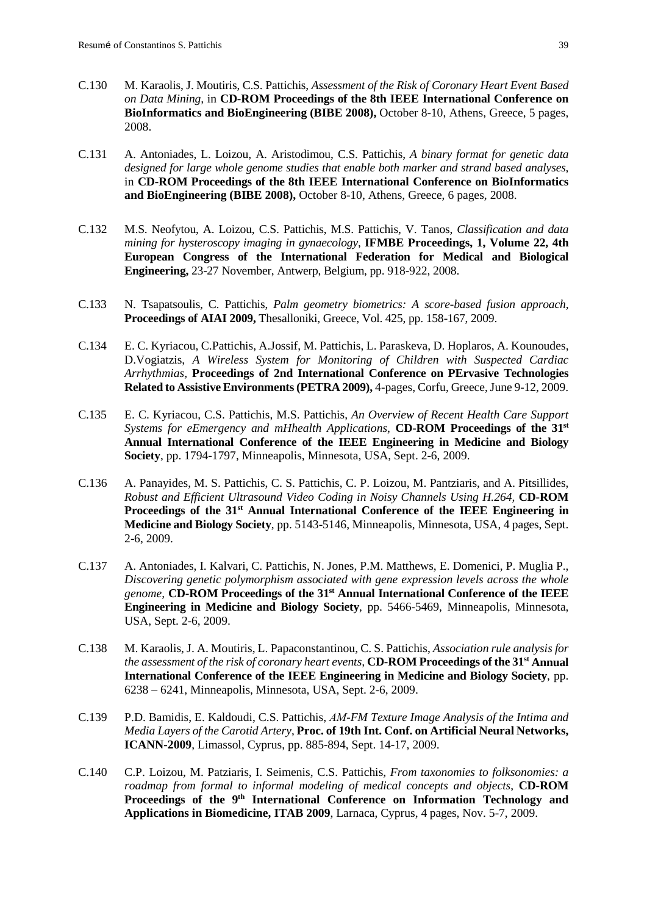- C.130 M. Karaolis, J. Moutiris, C.S. Pattichis, *Assessment of the Risk of Coronary Heart Event Based on Data Mining,* in **CD-ROM Proceedings of the 8th IEEE International Conference on BioInformatics and BioEngineering (BIBE 2008),** October 8-10, Athens, Greece, 5 pages, 2008.
- C.131 A. Antoniades, L. Loizou, A. Aristodimou, C.S. Pattichis, *A binary format for genetic data designed for large whole genome studies that enable both marker and strand based analyses*, in **CD-ROM Proceedings of the 8th IEEE International Conference on BioInformatics and BioEngineering (BIBE 2008),** October 8-10, Athens, Greece, 6 pages, 2008.
- C.132 M.S. Neofytou, A. Loizou, C.S. Pattichis, M.S. Pattichis, V. Tanos, *Classification and data mining for hysteroscopy imaging in gynaecology*, **[IFMBE Proceedings,](http://www.springerlink.com/content/1680-0737/) 1, Volume 22, 4th European Congress of the International Federation for Medical and Biological Engineering,** 23-27 November, Antwerp, Belgium, pp. 918-922, 2008.
- C.133 N. Tsapatsoulis, C. Pattichis, *[Palm geometry biometrics: A score-based fusion approach,](http://ceur-ws.org/Vol-475/ArtIBio/17-pp-158-167-315.pdf)* **Proceedings of AIAI 2009,** Thesalloniki, Greece, Vol. 425, pp. 158-167, 2009.
- C.134 E. C. Kyriacou, C.Pattichis, A.Jossif, M. Pattichis, L. Paraskeva, D. Hoplaros, A. Kounoudes, D.Vogiatzis, *A Wireless System for Monitoring of Children with Suspected Cardiac Arrhythmias,* **Proceedings of 2nd International Conference on PErvasive Technologies Related to Assistive Environments (PETRA 2009),** 4-pages, Corfu, Greece, June 9-12, 2009.
- C.135 E. C. Kyriacou, C.S. Pattichis, M.S. Pattichis, *An Overview of Recent Health Care Support Systems for eEmergency and mHhealth Applications*, **CD-ROM Proceedings of the 31st Annual International Conference of the IEEE Engineering in Medicine and Biology Society**, pp. 1794-1797, Minneapolis, Minnesota, USA, Sept. 2-6, 2009.
- C.136 A. Panayides, M. S. Pattichis, C. S. Pattichis, C. P. Loizou, M. Pantziaris, and A. Pitsillides, *Robust and Efficient Ultrasound Video Coding in Noisy Channels Using H.264,* **CD-ROM**  Proceedings of the 31<sup>st</sup> Annual International Conference of the IEEE Engineering in **Medicine and Biology Society**, pp. 5143-5146, Minneapolis, Minnesota, USA, 4 pages, Sept. 2-6, 2009.
- C.137 A. Antoniades, I. Kalvari, C. Pattichis, N. Jones, P.M. Matthews, E. Domenici, P. Muglia P., *Discovering genetic polymorphism associated with gene expression levels across the whole genome,* **CD-ROM Proceedings of the 31st Annual International Conference of the IEEE Engineering in Medicine and Biology Society**, pp. 5466-5469, Minneapolis, Minnesota, USA, Sept. 2-6, 2009.
- C.138 M. Karaolis, J. A. Moutiris, L. Papaconstantinou, C. S. Pattichis, *Association rule analysis for the assessment of the risk of coronary heart events,* **CD-ROM Proceedings of the 31st Annual International Conference of the IEEE Engineering in Medicine and Biology Society**, pp. 6238 – 6241, Minneapolis, Minnesota, USA, Sept. 2-6, 2009.
- C.139 P.D. Bamidis, E. Kaldoudi, C.S. Pattichis, *ΑM-FM Texture Image Analysis of the Intima and Media Layers of the Carotid Artery*, **Proc. of 19th Int. Conf. on Artificial Neural Networks, ICANN-2009**, Limassol, Cyprus, pp. 885-894, Sept. 14-17, 2009.
- C.140 C.P. Loizou, M. Patziaris, I. Seimenis, C.S. Pattichis, *[From taxonomies to folksonomies: a](http://ieeexplore.ieee.org/search/srchabstract.jsp?tp=&arnumber=5394365&queryText%3DC.+Pattichis%26refinements%3D4294967131%2C4294967270%26openedRefinements%3D*%26ranges%3D2009_2010_Publication_Year%26searchField%3DSearch+All)  [roadmap from formal to informal modeling of medical concepts and objects](http://ieeexplore.ieee.org/search/srchabstract.jsp?tp=&arnumber=5394365&queryText%3DC.+Pattichis%26refinements%3D4294967131%2C4294967270%26openedRefinements%3D*%26ranges%3D2009_2010_Publication_Year%26searchField%3DSearch+All)*, **CD-ROM Proceedings of the 9th International Conference on Information Technology and Applications in Biomedicine, ITAB 2009**, Larnaca, Cyprus, 4 pages, Nov. 5-7, 2009.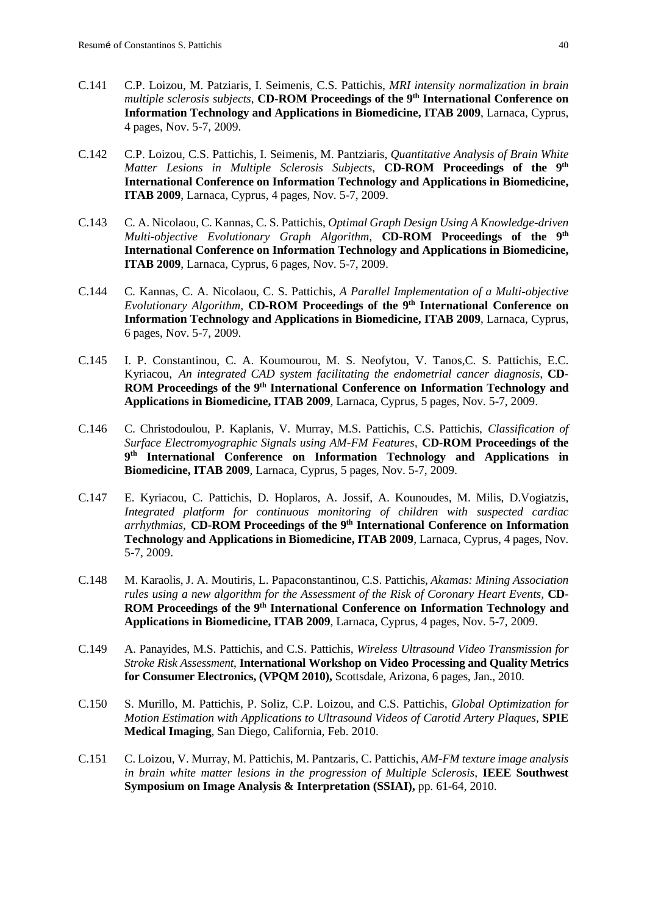- C.141 C.P. Loizou, M. Patziaris, I. Seimenis, C.S. Pattichis, *MRI intensity normalization in brain multiple sclerosis subjects*, **CD-ROM Proceedings of the 9<sup>th</sup> International Conference on Information Technology and Applications in Biomedicine, ITAB 2009**, Larnaca, Cyprus, 4 pages, Nov. 5-7, 2009.
- C.142 C.P. Loizou, C.S. Pattichis, I. Seimenis, M. Pantziaris, *Quantitative Analysis of Brain White Matter Lesions in Multiple Sclerosis Subjects,* **CD-ROM Proceedings of the 9th International Conference on Information Technology and Applications in Biomedicine, ITAB 2009**, Larnaca, Cyprus, 4 pages, Nov. 5-7, 2009.
- C.143 C. A. Nicolaou, C. Kannas, C. S. Pattichis, *Optimal Graph Design Using A Knowledge-driven Multi-objective Evolutionary Graph Algorithm,* **CD-ROM Proceedings of the 9th International Conference on Information Technology and Applications in Biomedicine, ITAB 2009**, Larnaca, Cyprus, 6 pages, Nov. 5-7, 2009.
- C.144 C. Kannas, C. A. Nicolaou, C. S. Pattichis, *A Parallel Implementation of a Multi-objective Evolutionary Algorithm,* **CD-ROM Proceedings of the 9th International Conference on Information Technology and Applications in Biomedicine, ITAB 2009**, Larnaca, Cyprus, 6 pages, Nov. 5-7, 2009.
- C.145 I. P. Constantinou, C. A. Koumourou, M. S. Neofytou, V. Tanos,C. S. Pattichis, E.C. Kyriacou, *An integrated CAD system facilitating the endometrial cancer diagnosis*, **CD-ROM Proceedings of the 9th International Conference on Information Technology and Applications in Biomedicine, ITAB 2009**, Larnaca, Cyprus, 5 pages, Nov. 5-7, 2009.
- C.146 C. Christodoulou, P. Kaplanis, V. Murray, M.S. Pattichis, C.S. Pattichis, *Classification of Surface Electromyographic Signals using AM-FM Features*, **CD-ROM Proceedings of the 9th International Conference on Information Technology and Applications in Biomedicine, ITAB 2009**, Larnaca, Cyprus, 5 pages, Nov. 5-7, 2009.
- C.147 E. Kyriacou, C. Pattichis, D. Hoplaros, A. Jossif, A. Kounoudes, M. Milis, D.Vogiatzis, *Integrated platform for continuous monitoring of children with suspected cardiac arrhythmias,* **CD-ROM Proceedings of the 9th International Conference on Information Technology and Applications in Biomedicine, ITAB 2009**, Larnaca, Cyprus, 4 pages, Nov. 5-7, 2009.
- C.148 M. Karaolis, J. A. Moutiris, L. Papaconstantinou, C.S. Pattichis, *Akamas: Mining Association rules using a new algorithm for the Assessment of the Risk of Coronary Heart Events,* **CD-**ROM Proceedings of the 9<sup>th</sup> International Conference on Information Technology and **Applications in Biomedicine, ITAB 2009**, Larnaca, Cyprus, 4 pages, Nov. 5-7, 2009.
- C.149 A. Panayides, M.S. Pattichis, and C.S. Pattichis, *Wireless Ultrasound Video Transmission for Stroke Risk Assessment*, **International Workshop on Video Processing and Quality Metrics for Consumer Electronics, (VPQM 2010),** Scottsdale, Arizona, 6 pages, Jan., 2010.
- C.150 S. Murillo, M. Pattichis, P. Soliz, C.P. Loizou, and C.S. Pattichis, *Global Optimization for Motion Estimation with Applications to Ultrasound Videos of Carotid Artery Plaques,* **SPIE Medical Imaging**, San Diego, California, Feb. 2010.
- C.151 C. Loizou, V. Murray, M. Pattichis, M. Pantzaris, C. Pattichis, *[AM-FM texture image analysis](http://ieeexplore.ieee.org/search/srchabstract.jsp?tp=&arnumber=5483919&queryText%3DC.+Pattichis%26refinements%3D4294967131%2C4294967270%26openedRefinements%3D*%26ranges%3D2009_2010_Publication_Year%26searchField%3DSearch+All)  [in brain white matter lesions in the progression of Multiple Sclerosis](http://ieeexplore.ieee.org/search/srchabstract.jsp?tp=&arnumber=5483919&queryText%3DC.+Pattichis%26refinements%3D4294967131%2C4294967270%26openedRefinements%3D*%26ranges%3D2009_2010_Publication_Year%26searchField%3DSearch+All)*, **IEEE [Southwest](http://ieeexplore.ieee.org/xpl/mostRecentIssue.jsp?punumber=5481763)  Symposium on [Image Analysis & Interpretation \(SSIAI\),](http://ieeexplore.ieee.org/xpl/mostRecentIssue.jsp?punumber=5481763)** pp. 61-64, 2010.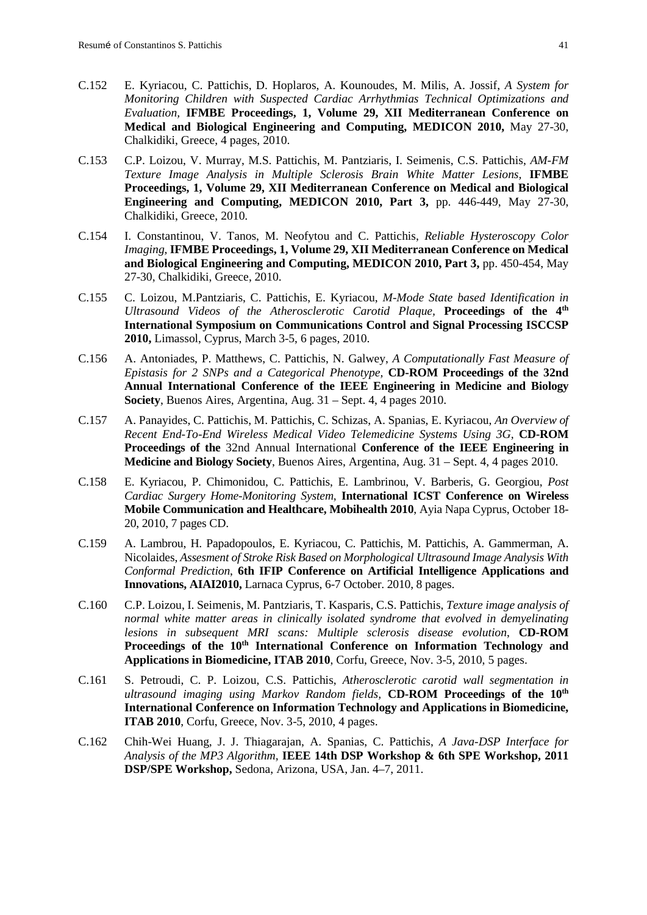- C.152 E. Kyriacou, C. Pattichis, D. Hoplaros, A. Kounoudes, M. Milis, A. Jossif, *A System for Monitoring Children with Suspected Cardiac Arrhythmias Technical Optimizations and Evaluation,* **[IFMBE Proceedings,](http://www.springerlink.com/content/1680-0737/) 1, Volume 29, XII Mediterranean Conference on Medical and Biological Engineering and Computing, MEDICON 2010,** May 27-30, Chalkidiki, Greece, 4 pages, 2010.
- C.153 [C.P. Loizou,](http://www.springerlink.com/content/?Author=C.+P.+Loizou) [V. Murray,](http://www.springerlink.com/content/?Author=V.+Murray) M.S. [Pattichis,](http://www.springerlink.com/content/?Author=M.+S.+Pattichis) [M. Pantziaris,](http://www.springerlink.com/content/?Author=M.+Pantziaris) [I. Seimenis,](http://www.springerlink.com/content/?Author=I.+Seimenis) C.S. Pattichis, *[AM-FM](http://www.springerlink.com/content/w41t84jx60w1u50x/)  [Texture Image Analysis in Multiple Sclerosis Brain White Matter Lesions,](http://www.springerlink.com/content/w41t84jx60w1u50x/)* **[IFMBE](http://www.springerlink.com/content/1680-0737/)  [Proceedings,](http://www.springerlink.com/content/1680-0737/) 1, Volume 29, [XII Mediterranean Conference on Medical and Biological](http://www.springerlink.com/content/978-3-642-13038-0/)  [Engineering and Computing, MEDICON](http://www.springerlink.com/content/978-3-642-13038-0/) 2010, Part 3,** pp. 446-449, May 27-30, Chalkidiki, Greece, 2010.
- C.154 [I. Constantinou,](http://www.springerlink.com/content/?Author=I.+Constantinou) [V. Tanos,](http://www.springerlink.com/content/?Author=V.+Tanos) [M. Neofytou](http://www.springerlink.com/content/?Author=M.+Neofytou) and C. [Pattichis,](http://www.springerlink.com/content/?Author=C.+Pattichis) *[Reliable Hysteroscopy Color](http://www.springerlink.com/content/t2t6636k5v7v3840/)  [Imaging,](http://www.springerlink.com/content/t2t6636k5v7v3840/)* **[IFMBE Proceedings,](http://www.springerlink.com/content/1680-0737/) 1, Volume 29, [XII Mediterranean Conference on Medical](http://www.springerlink.com/content/978-3-642-13038-0/)  [and Biological Engineering and Computing, MEDICON](http://www.springerlink.com/content/978-3-642-13038-0/) 2010, Part 3,** pp. 450-454, May 27-30, Chalkidiki, Greece, 2010.
- C.155 C. Loizou, M.Pantziaris, C. Pattichis, E. Kyriacou, *M-Mode State based Identification in Ultrasound Videos of the Atherosclerotic Carotid Plaque,* **Proceedings of the 4th International Symposium on Communications Control and Signal Processing ISCCSP 2010,** Limassol, Cyprus, March 3-5, 6 pages, 2010.
- C.156 A. Antoniades, P. Matthews, C. Pattichis, N. Galwey, *A Computationally Fast Measure of Epistasis for 2 SNPs and a Categorical Phenotype,* **CD-ROM Proceedings of the 32nd Annual International Conference of the IEEE Engineering in Medicine and Biology Society**, Buenos Aires, Argentina, Aug. 31 – Sept. 4, 4 pages 2010.
- C.157 A. Panayides, C. Pattichis, M. Pattichis, C. Schizas, A. Spanias, E. Kyriacou, *An Overview of Recent End-To-End Wireless Medical Video Telemedicine Systems Using 3G,* **CD-ROM Proceedings of the** 32nd Annual International **Conference of the IEEE Engineering in Medicine and Biology Society**, Buenos Aires, Argentina, Aug. 31 – Sept. 4, 4 pages 2010.
- C.158 E. Kyriacou, P. Chimonidou, C. Pattichis, E. Lambrinou, V. Barberis, G. Georgiou, *Post Cardiac Surgery Home-Monitoring System*, **International ICST Conference on Wireless Mobile Communication and Healthcare, Mobihealth 2010**, Ayia Napa Cyprus, October 18- 20, 2010, 7 pages CD.
- C.159 A. Lambrou, H. Papadopoulos, E. Kyriacou, C. Pattichis, M. Pattichis, A. Gammerman, A. Nicolaides, *Assesment of Stroke Risk Based on Morphological Ultrasound Image Analysis With Conformal Prediction*, **6th IFIP Conference on Artificial Intelligence Applications and Innovations, AIAI2010,** Larnaca Cyprus, 6-7 October. 2010, 8 pages.
- C.160 C.P. Loizou, I. Seimenis, M. Pantziaris, T. Kasparis, C.S. Pattichis, *Texture image analysis of normal white matter areas in clinically isolated syndrome that evolved in demyelinating lesions in subsequent MRI scans: Multiple sclerosis disease evolution*, **CD-ROM**  Proceedings of the 10<sup>th</sup> International Conference on Information Technology and **Applications in Biomedicine, ITAB 2010**, Corfu, Greece, Nov. 3-5, 2010, 5 pages.
- C.161 S. Petroudi, C. P. Loizou, C.S. Pattichis, *Atherosclerotic carotid wall segmentation in ultrasound imaging using Markov Random fields,* **CD-ROM Proceedings of the 10th International Conference on Information Technology and Applications in Biomedicine, ITAB 2010**, Corfu, Greece, Nov. 3-5, 2010, 4 pages.
- C.162 Chih-Wei Huang, J. J. Thiagarajan, A. Spanias, C. Pattichis, *A Java-DSP Interface for Analysis of the MP3 Algorithm,* **IEEE 14th DSP Workshop & 6th SPE Workshop, 2011 DSP/SPE Workshop,** Sedona, Arizona, USA, Jan. 4–7, 2011.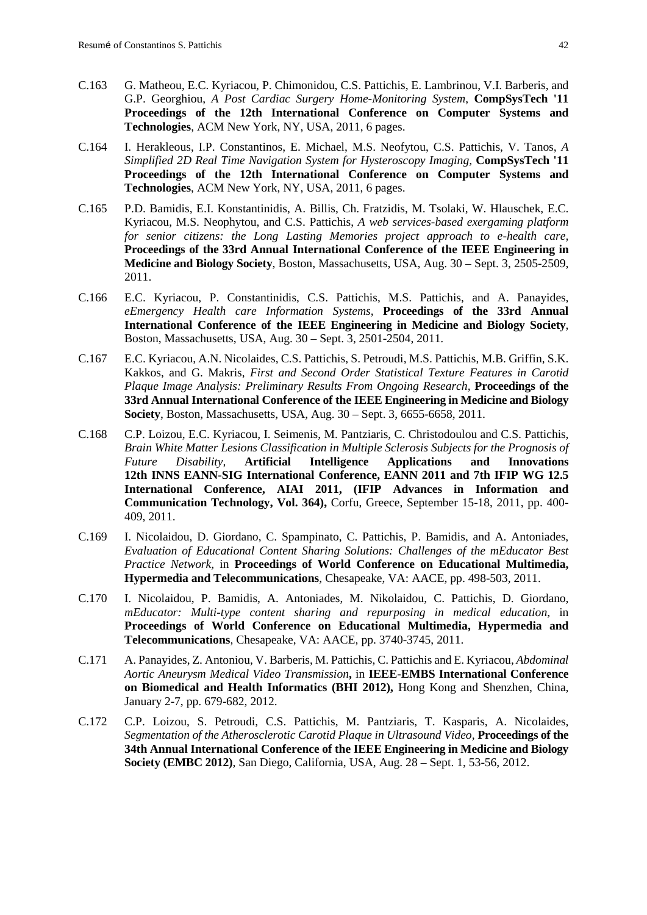- C.163 [G. Matheou,](http://www.cs.ucy.ac.cy/medinfo/index.php/publications/conference-papers/390) [E.C. Kyriacou,](http://www.cs.ucy.ac.cy/medinfo/index.php/publications/conference-papers/224) [P. Chimonidou,](http://www.cs.ucy.ac.cy/medinfo/index.php/publications/conference-papers/305) [C.S. Pattichis,](http://www.cs.ucy.ac.cy/medinfo/index.php/publications/conference-papers/199) [E. Lambrinou,](http://www.cs.ucy.ac.cy/medinfo/index.php/publications/conference-papers/221) [V.I. Barberis,](http://www.cs.ucy.ac.cy/medinfo/index.php/publications/conference-papers/364) and [G.P. Georghiou,](http://www.cs.ucy.ac.cy/medinfo/index.php/publications/conference-papers/242) *A Post Cardiac Surgery Home-Monitoring System*, **[CompSysTech '11](http://www.compsystech.org/) Proceedings of the 12th International Conference on Computer Systems and Technologies**, [ACM](http://www.acm.org/publications) New York, NY, USA, 2011, 6 pages.
- C.164 [I. Herakleous,](http://dl.acm.org/results.cfm?query=Name%3A%22Ioanna%20Herakleous%22&querydisp=Name%3A%22Ioanna%20Herakleous%22&termshow=matchboolean&coll=DL&dl=ACM&CFID=43948614&CFTOKEN=79635600) [I.P. Constantinos,](http://dl.acm.org/results.cfm?query=Name%3A%22Ioannis%20P%2E%20Constantinos%22&querydisp=Name%3A%22Ioannis%20P%2E%20Constantinos%22&termshow=matchboolean&coll=DL&dl=ACM&CFID=43948614&CFTOKEN=79635600) [E. Michael,](http://dl.acm.org/results.cfm?query=Name%3A%22Elena%20Michael%22&querydisp=Name%3A%22Elena%20Michael%22&termshow=matchboolean&coll=DL&dl=ACM&CFID=43948614&CFTOKEN=79635600) [M.S. Neofytou,](http://dl.acm.org/results.cfm?query=Name%3A%22Marios%20S%2E%20Neofytou%22&querydisp=Name%3A%22Marios%20S%2E%20Neofytou%22&termshow=matchboolean&coll=DL&dl=ACM&CFID=43948614&CFTOKEN=79635600) [C.S. Pattichis,](http://dl.acm.org/results.cfm?query=Name%3A%22Constantinos%20S%2E%20Pattichis%22&querydisp=Name%3A%22Constantinos%20S%2E%20Pattichis%22&termshow=matchboolean&coll=DL&dl=ACM&CFID=43948614&CFTOKEN=79635600) [V. Tanos,](http://dl.acm.org/results.cfm?query=Name%3A%22Vasillis%20Tanos%22&querydisp=Name%3A%22Vasillis%20Tanos%22&termshow=matchboolean&coll=DL&dl=ACM&CFID=43948614&CFTOKEN=79635600) *A Simplified 2D Real Time Navigation System for Hysteroscopy Imaging,* **[CompSysTech '11](http://www.compsystech.org/) Proceedings of the 12th International Conference on Computer Systems and Technologies**, [ACM](http://www.acm.org/publications) New York, NY, USA, 2011, 6 pages.
- C.165 [P.D. Bamidis,](http://www.cs.ucy.ac.cy/medinfo/index.php/publications/conference-papers/316) [E.I. Konstantinidis,](http://www.cs.ucy.ac.cy/medinfo/index.php/publications/conference-papers/466) [A. Billis,](http://www.cs.ucy.ac.cy/medinfo/index.php/publications/conference-papers/467) [Ch. Fratzidis,](http://www.cs.ucy.ac.cy/medinfo/index.php/publications/conference-papers/468) [M. Tsolaki,](http://www.cs.ucy.ac.cy/medinfo/index.php/publications/conference-papers/469) [W. Hlauschek,](http://www.cs.ucy.ac.cy/medinfo/index.php/publications/conference-papers/470) [E.C.](http://www.cs.ucy.ac.cy/medinfo/index.php/publications/conference-papers/224)  [Kyriacou,](http://www.cs.ucy.ac.cy/medinfo/index.php/publications/conference-papers/224) [M.S. Neophytou,](http://www.cs.ucy.ac.cy/medinfo/index.php/publications/conference-papers/297) and [C.S. Pattichis,](http://www.cs.ucy.ac.cy/medinfo/index.php/publications/conference-papers/199) *A web services-based exergaming platform for senior citizens: the Long Lasting Memories project approach to e-health care,* **Proceedings of the 33rd Annual International Conference of the IEEE Engineering in Medicine and Biology Society**, Boston, Massachusetts, USA, Aug. 30 – Sept. 3, 2505-2509, 2011.
- C.166 [E.C. Kyriacou,](http://www.cs.ucy.ac.cy/medinfo/index.php/publications/conference-papers/224) [P. Constantinidis,](http://www.cs.ucy.ac.cy/medinfo/index.php/publications/conference-papers/473) [C.S. Pattichis,](http://www.cs.ucy.ac.cy/medinfo/index.php/publications/conference-papers/199) [M.S. Pattichis,](http://www.cs.ucy.ac.cy/medinfo/index.php/publications/conference-papers/298) and [A. Panayides,](http://www.cs.ucy.ac.cy/medinfo/index.php/publications/conference-papers/159) *eEmergency Health care Information Systems,* **Proceedings of the 33rd Annual International Conference of the IEEE Engineering in Medicine and Biology Society**, Boston, Massachusetts, USA, Aug. 30 – Sept. 3, 2501-2504, 2011.
- C.167 [E.C. Kyriacou,](http://www.cs.ucy.ac.cy/medinfo/index.php/publications/conference-papers/224) [A.N. Nicolaides,](http://www.cs.ucy.ac.cy/medinfo/index.php/publications/conference-papers/174) [C.S. Pattichis,](http://www.cs.ucy.ac.cy/medinfo/index.php/publications/conference-papers/199) [S. Petroudi,](http://www.cs.ucy.ac.cy/medinfo/index.php/publications/conference-papers/471) [M.S. Pattichis,](http://www.cs.ucy.ac.cy/medinfo/index.php/publications/conference-papers/298) [M.B. Griffin,](http://www.cs.ucy.ac.cy/medinfo/index.php/publications/conference-papers/293) [S.K.](http://www.cs.ucy.ac.cy/medinfo/index.php/publications/conference-papers/347)  [Kakkos,](http://www.cs.ucy.ac.cy/medinfo/index.php/publications/conference-papers/347) and [G. Makris,](http://www.cs.ucy.ac.cy/medinfo/index.php/publications/conference-papers/474) *First and Second Order Statistical Texture Features in Carotid Plaque Image Analysis: Preliminary Results From Ongoing Research,* **Proceedings of the 33rd Annual International Conference of the IEEE Engineering in Medicine and Biology Society**, Boston, Massachusetts, USA, Aug. 30 – Sept. 3, 6655-6658, 2011.
- C.168 [C.P. Loizou,](http://www.springerlink.com/content/?Author=Christos+P.+Loizou) [E.C. Kyriacou,](http://www.springerlink.com/content/?Author=Efthyvoulos+C.+Kyriacou) I. [Seimenis,](http://www.springerlink.com/content/?Author=Ioannis+Seimenis) M. [Pantziaris,](http://www.springerlink.com/content/?Author=Marios+Pantziaris) C. [Christodoulou](http://www.springerlink.com/content/?Author=Christodoulos+Christodoulou) and [C.S. Pattichis,](http://www.springerlink.com/content/?Author=Constantinos+S.+Pattichis) *Brain White Matter Lesions Classification in Multiple Sclerosis Subjects for the Prognosis of Future Disability,* **Artificial Intelligence Applications and Innovations 12th INNS EANN-SIG International Conference, EANN 2011 and 7th IFIP WG 12.5 International Conference, AIAI 2011, [\(IFIP Advances in Information and](http://www.springerlink.com/content/1868-4238/)  [Communication Technology,](http://www.springerlink.com/content/1868-4238/) Vol. 364),** Corfu, Greece, September 15-18, 2011, pp. 400- 409, 2011.
- C.169 I. Nicolaidou, D. Giordano, C. Spampinato, C. Pattichis, P. Bamidis, and A. Antoniades, *Evaluation of Educational Content Sharing Solutions: Challenges of the mEducator Best Practice Network,* in **Proceedings of World Conference on Educational Multimedia, Hypermedia and Telecommunications**, Chesapeake, VA: AACE, pp. 498-503, 2011.
- C.170 I. Nicolaidou, P. Bamidis, A. Antoniades, M. Nikolaidou, C. Pattichis, D. Giordano, *mEducator: Multi-type content sharing and repurposing in medical education*, in **Proceedings of World Conference on Educational Multimedia, Hypermedia and Telecommunications**, Chesapeake, VA: AACE, pp. 3740-3745, 2011.
- C.171 A. Panayides, Z. Antoniou, V. Barberis, M. Pattichis, C. Pattichis and E. Kyriacou, *Abdominal Aortic Aneurysm Medical Video Transmission***,** in **IEEE-EMBS International Conference on Biomedical and Health Informatics (BHI 2012),** Hong Kong and Shenzhen, China, January 2-7, pp. 679-682, 2012.
- C.172 [C.P. Loizou,](http://www.springerlink.com/content/?Author=Christos+P.+Loizou) S. Petroudi, C.S. Pattichis, M. Pantziaris, T. Kasparis, A. Nicolaides, *Segmentation of the Atherosclerotic Carotid Plaque in Ultrasound Video,* **Proceedings of the 34th Annual International Conference of the IEEE Engineering in Medicine and Biology Society (EMBC 2012)**, San Diego, California, USA, Aug. 28 – Sept. 1, 53-56, 2012.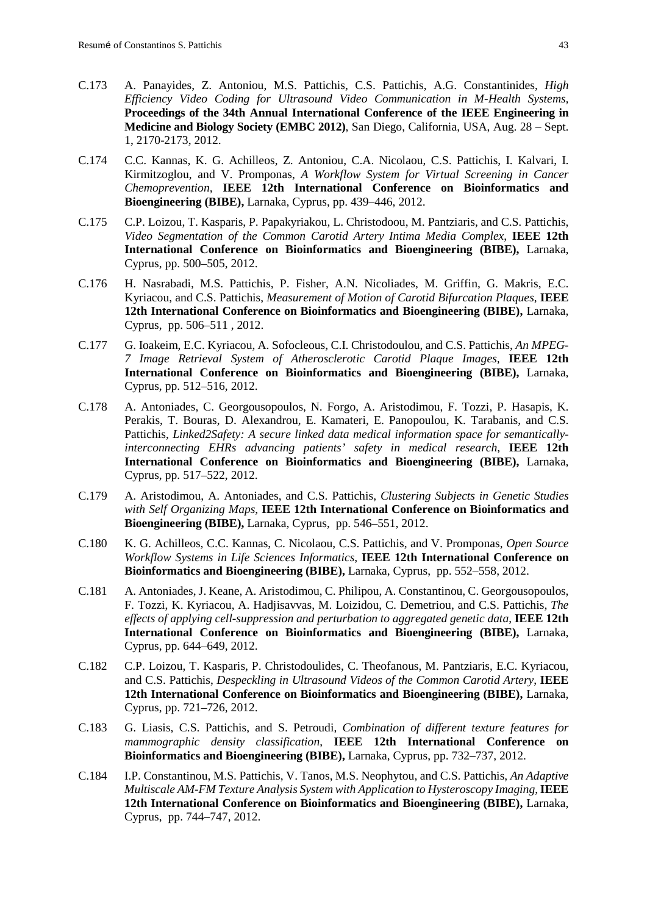- C.173 A. Panayides, Z. Antoniou, M.S. Pattichis, C.S. Pattichis, A.G. Constantinides, *High Efficiency Video Coding for Ultrasound Video Communication in M-Health Systems,* **Proceedings of the 34th Annual International Conference of the IEEE Engineering in Medicine and Biology Society (EMBC 2012)**, San Diego, California, USA, Aug. 28 – Sept. 1, 2170-2173, 2012.
- C.174 C.C. Kannas, K. G. Achilleos, Z. Antoniou, C.A. Nicolaou, C.S. Pattichis, I. Kalvari, I. Kirmitzoglou, and V. Promponas, *A Workflow System for Virtual Screening in Cancer Chemoprevention,* **IEEE 12th International Conference on Bioinformatics and Bioengineering (BIBE),** Larnaka, Cyprus, pp. 439–446, 2012.
- C.175 C.P. Loizou, T. Kasparis, P. Papakyriakou, L. Christodoou, M. Pantziaris, and C.S. Pattichis, *Video Segmentation of the Common Carotid Artery Intima Media Complex*, **IEEE 12th International Conference on Bioinformatics and Bioengineering (BIBE),** Larnaka, Cyprus, pp. 500–505, 2012.
- C.176 H. Nasrabadi, M.S. Pattichis, P. Fisher, A.N. Nicoliades, M. Griffin, G. Makris, E.C. Kyriacou, and C.S. Pattichis, *Measurement of Motion of Carotid Bifurcation Plaques*, **IEEE 12th International Conference on Bioinformatics and Bioengineering (BIBE),** Larnaka, Cyprus, pp. 506–511 , 2012.
- C.177 G. Ioakeim, E.C. Kyriacou, A. Sofocleous, C.I. Christodoulou, and C.S. Pattichis, *An MPEG-7 Image Retrieval System of Atherosclerotic Carotid Plaque Images,* **IEEE 12th International Conference on Bioinformatics and Bioengineering (BIBE),** Larnaka, Cyprus, pp. 512–516, 2012.
- C.178 A. Antoniades, C. Georgousopoulos, N. Forgo, A. Aristodimou, F. Tozzi, P. Hasapis, K. Perakis, T. Bouras, D. Alexandrou, E. Kamateri, E. Panopoulou, K. Tarabanis, and C.S. Pattichis, *Linked2Safety: A secure linked data medical information space for semanticallyinterconnecting EHRs advancing patients' safety in medical research*, **IEEE 12th International Conference on Bioinformatics and Bioengineering (BIBE),** Larnaka, Cyprus, pp. 517–522, 2012.
- C.179 A. Aristodimou, A. Antoniades, and C.S. Pattichis, *Clustering Subjects in Genetic Studies with Self Organizing Maps*, **IEEE 12th International Conference on Bioinformatics and Bioengineering (BIBE),** Larnaka, Cyprus, pp. 546–551, 2012.
- C.180 K. G. Achilleos, C.C. Kannas, C. Nicolaou, C.S. Pattichis, and V. Promponas, *Open Source Workflow Systems in Life Sciences Informatics*, **IEEE 12th International Conference on Bioinformatics and Bioengineering (BIBE),** Larnaka, Cyprus, pp. 552–558, 2012.
- C.181 A. Antoniades, J. Keane, A. Aristodimou, C. Philipou, A. Constantinou, C. Georgousopoulos, F. Tozzi, K. Kyriacou, A. Hadjisavvas, M. Loizidou, C. Demetriou, and C.S. Pattichis, *The effects of applying cell-suppression and perturbation to aggregated genetic data*, **IEEE 12th International Conference on Bioinformatics and Bioengineering (BIBE),** Larnaka, Cyprus, pp. 644–649, 2012.
- C.182 C.P. Loizou, T. Kasparis, P. Christodoulides, C. Theofanous, M. Pantziaris, E.C. Kyriacou, and C.S. Pattichis, *Despeckling in Ultrasound Videos of the Common Carotid Artery*, **IEEE 12th International Conference on Bioinformatics and Bioengineering (BIBE),** Larnaka, Cyprus, pp. 721–726, 2012.
- C.183 G. Liasis, C.S. Pattichis, and S. Petroudi, *Combination of different texture features for mammographic density classification*, **IEEE 12th International Conference on Bioinformatics and Bioengineering (BIBE),** Larnaka, Cyprus, pp. 732–737, 2012.
- C.184 I.P. Constantinou, M.S. Pattichis, V. Tanos, M.S. Neophytou, and C.S. Pattichis, *An Adaptive Multiscale AM-FM Texture Analysis System with Application to Hysteroscopy Imaging*, **IEEE 12th International Conference on Bioinformatics and Bioengineering (BIBE),** Larnaka, Cyprus, pp. 744–747, 2012.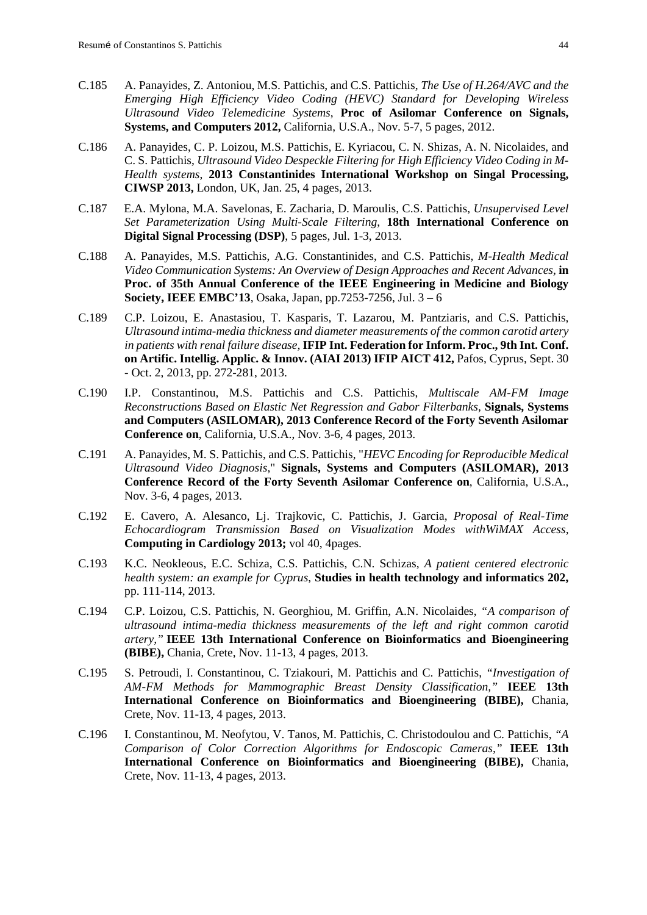- C.185 A. Panayides, Z. Antoniou, M.S. Pattichis, and C.S. Pattichis, *The Use of H.264/AVC and the Emerging High Efficiency Video Coding (HEVC) Standard for Developing Wireless Ultrasound Video Telemedicine Systems*, **Proc of Asilomar Conference on Signals, Systems, and Computers 2012,** California, U.S.A., Nov. 5-7, 5 pages, 2012.
- C.186 A. Panayides, C. P. Loizou, M.S. Pattichis, E. Kyriacou, C. N. Shizas, A. N. Nicolaides, and C. S. Pattichis, *Ultrasound Video Despeckle Filtering for High Efficiency Video Coding in M-Health systems*, **2013 Constantinides International Workshop on Singal Processing, CIWSP 2013,** London, UK, Jan. 25, 4 pages, 2013.
- C.187 E.A. Mylona, M.A. Savelonas, E. Zacharia, D. Maroulis, C.S. Pattichis, *Unsupervised Level Set Parameterization Using Multi-Scale Filtering*, **18th International Conference on Digital Signal Processing (DSP)**, 5 pages, Jul. 1-3, 2013.
- C.188 A. Panayides, M.S. Pattichis, A.G. Constantinides, and C.S. Pattichis, *M-Health Medical Video Communication Systems: An Overview of Design Approaches and Recent Advances,* **in Proc. of 35th Annual Conference of the IEEE Engineering in Medicine and Biology Society, IEEE EMBC'13**, Osaka, Japan, pp.7253-7256, Jul. 3 – 6
- C.189 C.P. Loizou, E. Anastasiou, T. Kasparis, T. Lazarou, M. Pantziaris, and C.S. Pattichis, *Ultrasound intima-media thickness and diameter measurements of the common carotid artery in patients with renal failure disease,* **IFIP Int. Federation for Inform. Proc., 9th Int. Conf. on Artific. Intellig. Applic. & Innov. (AIAI 2013) IFIP AICT 412,** Pafos, Cyprus, Sept. 30 - Oct. 2, 2013, pp. 272-281, 2013.
- C.190 I.P. Constantinou, M.S. Pattichis and C.S. Pattichis, *Multiscale AM-FM Image Reconstructions Based on Elastic Net Regression and Gabor Filterbanks,* **Signals, Systems and Computers (ASILOMAR), 2013 Conference Record of the Forty Seventh Asilomar Conference on**, California, U.S.A., Nov. 3-6, 4 pages, 2013.
- C.191 A. Panayides, M. S. Pattichis, and C.S. Pattichis, "*HEVC Encoding for Reproducible Medical Ultrasound Video Diagnosis*," **Signals, Systems and Computers (ASILOMAR), 2013 Conference Record of the Forty Seventh Asilomar Conference on**, California, U.S.A., Nov. 3-6, 4 pages, 2013.
- C.192 E. Cavero, A. Alesanco, Lj. Trajkovic, C. Pattichis, J. Garcia, *Proposal of Real-Time Echocardiogram Transmission Based on Visualization Modes withWiMAX Access,* **Computing in Cardiology 2013;** vol 40, 4pages.
- C.193 K.C. Neokleous, E.C. Schiza, C.S. Pattichis, C.N. Schizas, *A patient centered electronic health system: an example for Cyprus*, **Studies in health technology and informatics 202,** pp. 111-114, 2013.
- C.194 C.P. Loizou, C.S. Pattichis, N. Georghiou, M. Griffin, A.N. Nicolaides, *"A comparison of ultrasound intima-media thickness measurements of the left and right common carotid artery,"* **IEEE 13th International Conference on Bioinformatics and Bioengineering (BIBE),** Chania, Crete, Nov. 11-13, 4 pages, 2013.
- C.195 S. Petroudi, I. Constantinou, C. Tziakouri, M. Pattichis and C. Pattichis, *"Investigation of AM-FM Methods for Mammographic Breast Density Classification,"* **IEEE 13th International Conference on Bioinformatics and Bioengineering (BIBE),** Chania, Crete, Nov. 11-13, 4 pages, 2013.
- C.196 I. Constantinou, M. Neofytou, V. Tanos, M. Pattichis, C. Christodoulou and C. Pattichis, *"A Comparison of Color Correction Algorithms for Endoscopic Cameras,"* **IEEE 13th International Conference on Bioinformatics and Bioengineering (BIBE),** Chania, Crete, Nov. 11-13, 4 pages, 2013.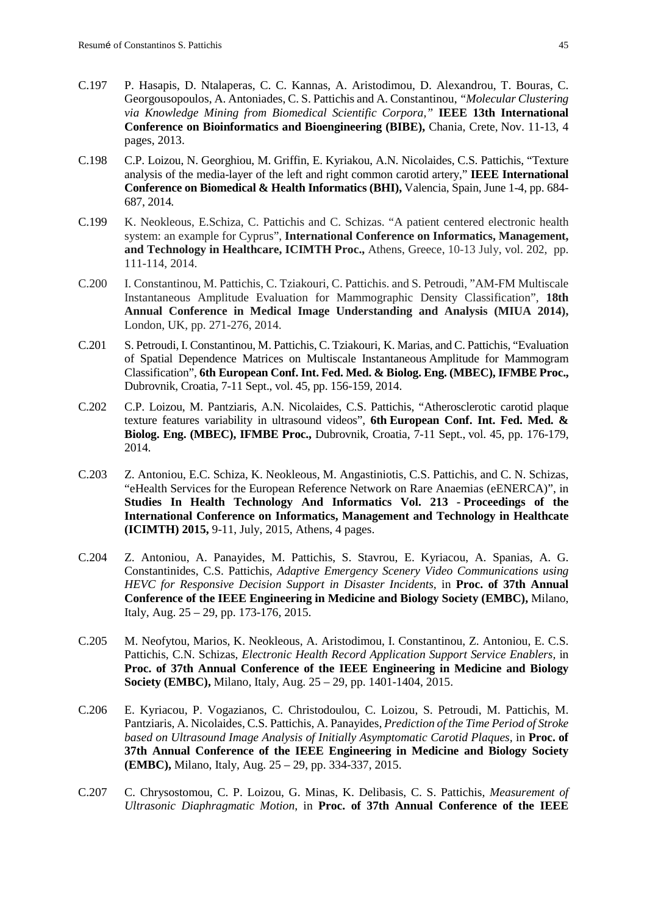- C.197 P. Hasapis, D. Ntalaperas, C. C. Kannas, A. Aristodimou, D. Alexandrou, T. Bouras, C. Georgousopoulos, A. Antoniades, C. S. Pattichis and A. Constantinou, *"Molecular Clustering via Knowledge Mining from Biomedical Scientific Corpora,"* **IEEE 13th International Conference on Bioinformatics and Bioengineering (BIBE),** Chania, Crete, Nov. 11-13, 4 pages, 2013.
- C.198 C.P. Loizou, N. Georghiou, M. Griffin, E. Kyriakou, A.N. Nicolaides, C.S. Pattichis, "Texture analysis of the media-layer of the left and right common carotid artery," **IEEE International Conference on Biomedical & Health Informatics (BHI),** Valencia, Spain, June 1-4, pp. 684- 687, 2014*.*
- C.199 K. Neokleous, E.Schiza, C. Pattichis and C. Schizas. "A patient centered electronic health system: an example for Cyprus", **International Conference on Informatics, Management, and Technology in Healthcare, ICIMTH Proc.,** Athens, Greece, 10-13 July, vol. 202, pp. 111-114, 2014.
- C.200 I. Constantinou, M. Pattichis, C. Tziakouri, C. Pattichis. and S. Petroudi, "AM-FM Multiscale Instantaneous Amplitude Evaluation for Mammographic Density Classification", **18th Annual Conference in Medical Image Understanding and Analysis (MIUA 2014),** London, UK, pp. 271-276, 2014.
- C.201 S. Petroudi, I. Constantinou, M. Pattichis, C. Tziakouri, K. Marias, and C. Pattichis, "Evaluation of Spatial Dependence Matrices on Multiscale Instantaneous Amplitude for Mammogram Classification", **6th European Conf. Int. Fed. Med. & Biolog. Eng. (MBEC), IFMBE Proc.,** Dubrovnik, Croatia, 7-11 Sept., vol. 45, pp. 156-159, 2014.
- C.202 C.P. Loizou, M. Pantziaris, A.N. Nicolaides, C.S. Pattichis, "Atherosclerotic carotid plaque texture features variability in ultrasound videos", **6th European Conf. Int. Fed. Med. & Biolog. Eng. (MBEC), IFMBE Proc.,** Dubrovnik, Croatia, 7-11 Sept., vol. 45, pp. 176-179, 2014.
- C.203 Z. Antoniou, E.C. Schiza, K. Neokleous, M. Angastiniotis, C.S. Pattichis, and C. N. Schizas, "eHealth Services for the European Reference Network on Rare Anaemias (eENERCA)", in **Studies In Health Technology And Informatics Vol. 213 - Proceedings of the International Conference on Informatics, Management and Technology in Healthcate (ICIMTH) 2015,** 9-11, July, 2015, Athens, 4 pages.
- C.204 Z. Antoniou, A. Panayides, M. Pattichis, S. Stavrou, E. Kyriacou, A. Spanias, A. G. Constantinides, C.S. Pattichis, *Adaptive Emergency Scenery Video Communications using HEVC for Responsive Decision Support in Disaster Incidents,* in **Proc. of 37th Annual Conference of the IEEE Engineering in Medicine and Biology Society (EMBC),** Milano, Italy, Aug. 25 – 29, pp. 173-176, 2015.
- C.205 M. Neofytou, Marios, K. Neokleous, A. Aristodimou, I. Constantinou, Z. Antoniou, E. C.S. Pattichis, C.N. Schizas, *Electronic Health Record Application Support Service Enablers,* in **Proc. of 37th Annual Conference of the IEEE Engineering in Medicine and Biology Society (EMBC),** Milano, Italy, Aug. 25 – 29, pp. 1401-1404, 2015.
- C.206 E. Kyriacou, P. Vogazianos, C. Christodoulou, C. Loizou, S. Petroudi, M. Pattichis, M. Pantziaris, A. Nicolaides, C.S. Pattichis, A. Panayides, *Prediction of the Time Period of Stroke based on Ultrasound Image Analysis of Initially Asymptomatic Carotid Plaques,* in **Proc. of 37th Annual Conference of the IEEE Engineering in Medicine and Biology Society (EMBC),** Milano, Italy, Aug. 25 – 29, pp. 334-337, 2015.
- C.207 C. Chrysostomou, C. P. Loizou, G. Minas, K. Delibasis, C. S. Pattichis, *Measurement of Ultrasonic Diaphragmatic Motion*, in **Proc. of 37th Annual Conference of the IEEE**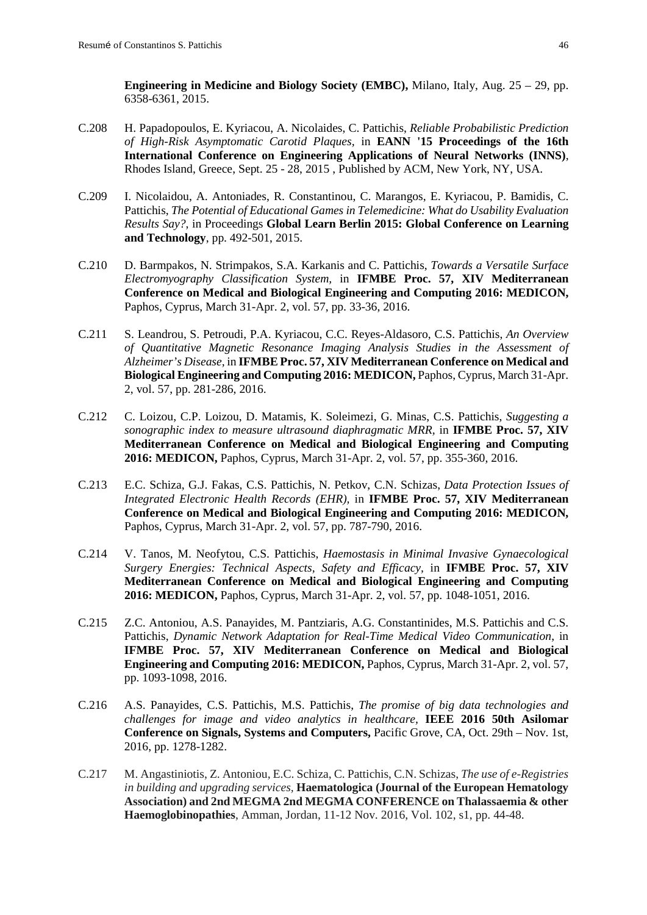**Engineering in Medicine and Biology Society (EMBC),** Milano, Italy, Aug. 25 – 29, pp. 6358-6361, 2015.

- C.208 H. Papadopoulos, E. Kyriacou, A. Nicolaides, C. Pattichis, *Reliable Probabilistic Prediction of High-Risk Asymptomatic Carotid Plaques,* in **EANN '15 Proceedings of the 16th International Conference on Engineering Applications of Neural Networks (INNS)**, Rhodes Island, Greece, Sept. 25 - 28, 2015 , Published by ACM, New York, NY, USA.
- C.209 I. Nicolaidou, A. Antoniades, R. Constantinou, C. Marangos, E. Kyriacou, P. Bamidis, C. Pattichis, *[The Potential of Educational Games in Telemedicine: What do Usability Evaluation](https://scholar.google.com/scholar?oi=bibs&cluster=5992892970106287646&btnI=1&hl=el)  [Results Say?](https://scholar.google.com/scholar?oi=bibs&cluster=5992892970106287646&btnI=1&hl=el)*, in Proceedings **Global Learn Berlin 2015: Global Conference on Learning and Technology**, pp. 492-501, 2015.
- C.210 D. Barmpakos, N. Strimpakos, S.A. Karkanis and C. Pattichis, *Towards a Versatile Surface Electromyography Classification System,* in **IFMBE Proc. 57, XIV Mediterranean Conference on Medical and Biological Engineering and Computing 2016: MEDICON,**  Paphos, Cyprus, March 31-Apr. 2, vol. 57, pp. 33-36, 2016.
- C.211 S. Leandrou, S. Petroudi, P.A. Kyriacou, C.C. Reyes-Aldasoro, C.S. Pattichis, *An Overview of Quantitative Magnetic Resonance Imaging Analysis Studies in the Assessment of Alzheimer's Disease,* in **IFMBE Proc. 57, XIV Mediterranean Conference on Medical and Biological Engineering and Computing 2016: MEDICON,** Paphos, Cyprus, March 31-Apr. 2, vol. 57, pp. 281-286, 2016.
- C.212 C. Loizou, C.P. Loizou, D. Matamis, K. Soleimezi, G. Minas, C.S. Pattichis, *Suggesting a sonographic index to measure ultrasound diaphragmatic MRR,* in **IFMBE Proc. 57, XIV Mediterranean Conference on Medical and Biological Engineering and Computing 2016: MEDICON,** Paphos, Cyprus, March 31-Apr. 2, vol. 57, pp. 355-360, 2016.
- C.213 E.C. Schiza, G.J. Fakas, C.S. Pattichis, N. Petkov, C.N. Schizas, *Data Protection Issues of Integrated Electronic Health Records (EHR),* in **IFMBE Proc. 57, XIV Mediterranean Conference on Medical and Biological Engineering and Computing 2016: MEDICON,**  Paphos, Cyprus, March 31-Apr. 2, vol. 57, pp. 787-790, 2016.
- C.214 V. Tanos, M. Neofytou, C.S. Pattichis, *Haemostasis in Minimal Invasive Gynaecological Surgery Energies: Technical Aspects, Safety and Efficacy,* in **IFMBE Proc. 57, XIV Mediterranean Conference on Medical and Biological Engineering and Computing 2016: MEDICON,** Paphos, Cyprus, March 31-Apr. 2, vol. 57, pp. 1048-1051, 2016.
- C.215 Z.C. Antoniou, A.S. Panayides, M. Pantziaris, A.G. Constantinides, M.S. Pattichis and C.S. Pattichis, *Dynamic Network Adaptation for Real-Time Medical Video Communication*, in **IFMBE Proc. 57, XIV Mediterranean Conference on Medical and Biological Engineering and Computing 2016: MEDICON,** Paphos, Cyprus, March 31-Apr. 2, vol. 57, pp. 1093-1098, 2016.
- C.216 A.S. Panayides, C.S. Pattichis, M.S. Pattichis, *The promise of big data technologies and challenges for image and video analytics in healthcare,* **IEEE 2016 50th Asilomar Conference on Signals, Systems and Computers,** Pacific Grove, CA, Oct. 29th – Nov. 1st, 2016, pp. 1278-1282.
- C.217 M. Angastiniotis, Z. Antoniou, E.C. Schiza, C. Pattichis, C.N. Schizas, *The use of e-Registries in building and upgrading services,* **Haematologica (Journal of the European Hematology Association) and 2nd MEGMA 2nd MEGMA CONFERENCE on Thalassaemia & other Haemoglobinopathies**, Amman, Jordan, 11-12 Nov. 2016, Vol. 102, s1, pp. 44-48.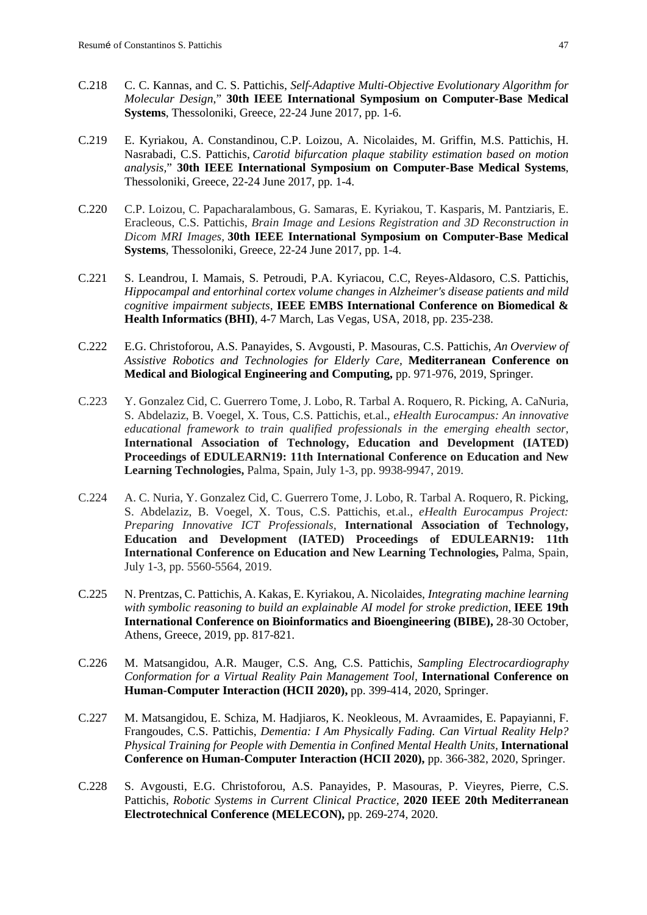- C.218 C. C. Kannas, and C. S. Pattichis, *Self-Adaptive Multi-Objective Evolutionary Algorithm for Molecular Design*," **30th IEEE International Symposium on Computer-Base Medical Systems**, Thessoloniki, Greece, 22-24 June 2017, pp. 1-6.
- C.219 E. Kyriakou, A. Constandinou, C.P. Loizou, A. Nicolaides, M. Griffin, M.S. Pattichis, H. Nasrabadi, C.S. Pattichis, *Carotid bifurcation plaque stability estimation based on motion analysis,*" **30th IEEE International Symposium on Computer-Base Medical Systems**, Thessoloniki, Greece, 22-24 June 2017, pp. 1-4.
- C.220 C.P. Loizou, C. Papacharalambous, G. Samaras, E. Kyriakou, T. Kasparis, M. Pantziaris, E. Eracleous, C.S. Pattichis, *Brain Image and Lesions Registration and 3D Reconstruction in Dicom MRI Images,* **30th IEEE International Symposium on Computer-Base Medical Systems**, Thessoloniki, Greece, 22-24 June 2017, pp. 1-4.
- C.221 S. Leandrou, I. Mamais, S. Petroudi, P.A. Kyriacou, C.C, Reyes-Aldasoro, C.S. Pattichis, *Hippocampal and entorhinal cortex volume changes in Alzheimer's disease patients and mild cognitive impairment subjects*, **IEEE EMBS International Conference on Biomedical & Health Informatics (BHI)**, 4-7 March, Las Vegas, USA, 2018, pp. 235-238.
- C.222 E.G. Christoforou, A.S. Panayides, S. Avgousti, P. Masouras, C.S. Pattichis, *An Overview of Assistive Robotics and Technologies for Elderly Care,* **Mediterranean Conference on Medical and Biological Engineering and Computing,** pp. 971-976, 2019, Springer.
- C.223 Y. Gonzalez Cid, C. Guerrero Tome, J. Lobo, R. Tarbal A. Roquero, R. Picking, A. CaNuria, S. Abdelaziz, B. Voegel, X. Tous, C.S. Pattichis, et.al., *eHealth Eurocampus: An innovative educational framework to train qualified professionals in the emerging ehealth sector,* **International Association of Technology, Education and Development (IATED) Proceedings of EDULEARN19: 11th International Conference on Education and New Learning Technologies,** Palma, Spain, July 1-3, pp. 9938-9947, 2019.
- C.224 A. C. Nuria, Y. Gonzalez Cid, C. Guerrero Tome, J. Lobo, R. Tarbal A. Roquero, R. Picking, S. Abdelaziz, B. Voegel, X. Tous, C.S. Pattichis, et.al., *eHealth Eurocampus Project: Preparing Innovative ICT Professionals,* **International Association of Technology, Education and Development (IATED) Proceedings of EDULEARN19: 11th International Conference on Education and New Learning Technologies,** Palma, Spain, July 1-3, pp. 5560-5564, 2019.
- C.225 N. Prentzas, C. Pattichis, A. Kakas, E. Kyriakou, A. Nicolaides, *Integrating machine learning with symbolic reasoning to build an explainable AI model for stroke prediction*, **IEEE 19th International Conference on Bioinformatics and Bioengineering (BIBE),** 28-30 October, Athens, Greece, 2019, pp. 817-821.
- C.226 M. Matsangidou, A.R. Mauger, C.S. Ang, C.S. Pattichis, *Sampling Electrocardiography Conformation for a Virtual Reality Pain Management Tool,* **International Conference on Human-Computer Interaction (HCII 2020),** pp. 399-414, 2020, Springer.
- C.227 M. Matsangidou, E. Schiza, M. Hadjiaros, K. Neokleous, M. Avraamides, E. Papayianni, F. Frangoudes, C.S. Pattichis, *Dementia: I Am Physically Fading. Can Virtual Reality Help? Physical Training for People with Dementia in Confined Mental Health Units,* **International Conference on Human-Computer Interaction (HCII 2020),** pp. 366-382, 2020, Springer.
- C.228 S. Avgousti, E.G. Christoforou, A.S. Panayides, P. Masouras, P. Vieyres, Pierre, C.S. Pattichis, *Robotic Systems in Current Clinical Practice,* **2020 IEEE 20th Mediterranean Electrotechnical Conference (MELECON),** pp. 269-274, 2020.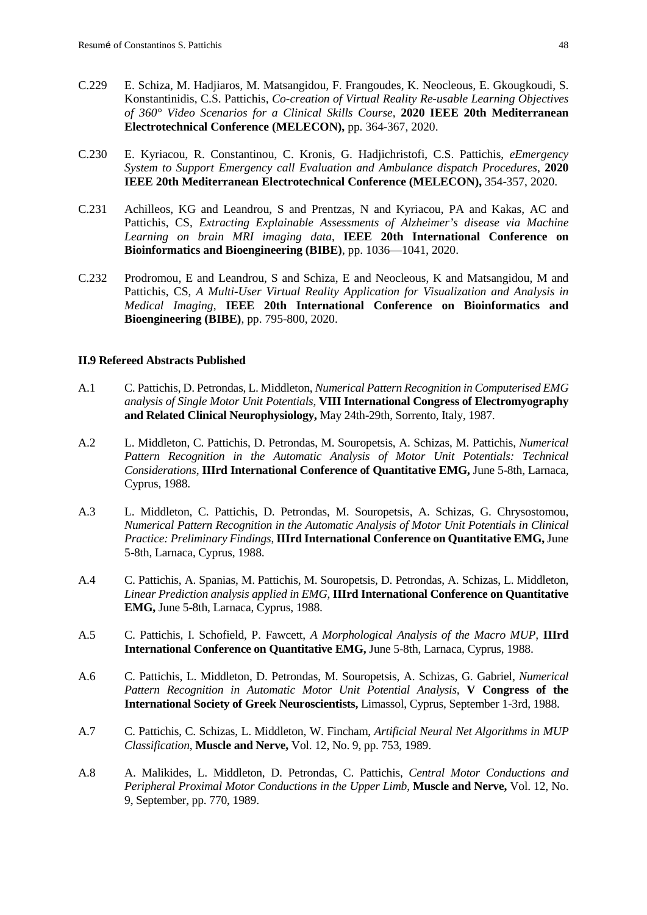- C.229 E. Schiza, M. Hadjiaros, M. Matsangidou, F. Frangoudes, K. Neocleous, E. Gkougkoudi, S. Konstantinidis, C.S. Pattichis, *Co-creation of Virtual Reality Re-usable Learning Objectives of 360° Video Scenarios for a Clinical Skills Course,* **2020 IEEE 20th Mediterranean Electrotechnical Conference (MELECON),** pp. 364-367, 2020.
- C.230 E. Kyriacou, R. Constantinou, C. Kronis, G. Hadjichristofi, C.S. Pattichis, *eEmergency System to Support Emergency call Evaluation and Ambulance dispatch Procedures,* **2020 IEEE 20th Mediterranean Electrotechnical Conference (MELECON),** 354-357, 2020.
- C.231 Achilleos, KG and Leandrou, S and Prentzas, N and Kyriacou, PA and Kakas, AC and Pattichis, CS, *Extracting Explainable Assessments of Alzheimer's disease via Machine Learning on brain MRI imaging data*, **IEEE 20th International Conference on Bioinformatics and Bioengineering (BIBE)**, pp. 1036—1041, 2020.
- C.232 Prodromou, E and Leandrou, S and Schiza, E and Neocleous, K and Matsangidou, M and Pattichis, CS, *A Multi-User Virtual Reality Application for Visualization and Analysis in Medical Imaging*, **IEEE 20th International Conference on Bioinformatics and Bioengineering (BIBE)**, pp. 795-800, 2020.

#### **II.9 Refereed Abstracts Published**

- A.1 C. Pattichis, D. Petrondas, L. Middleton, *Numerical Pattern Recognition in Computerised EMG analysis of Single Motor Unit Potentials*, **VIII International Congress of Electromyography and Related Clinical Neurophysiology,** May 24th-29th, Sorrento, Italy, 1987.
- A.2 L. Middleton, C. Pattichis, D. Petrondas, M. Souropetsis, A. Schizas, M. Pattichis, *Numerical*  Pattern Recognition in the Automatic Analysis of Motor Unit Potentials: Technical *Considerations*, **IIIrd International Conference of Quantitative EMG,** June 5-8th, Larnaca, Cyprus, 1988.
- A.3 L. Middleton, C. Pattichis, D. Petrondas, M. Souropetsis, A. Schizas, G. Chrysostomou, *Numerical Pattern Recognition in the Automatic Analysis of Motor Unit Potentials in Clinical Practice: Preliminary Findings*, **IIIrd International Conference on Quantitative EMG,** June 5-8th, Larnaca, Cyprus, 1988.
- A.4 C. Pattichis, A. Spanias, M. Pattichis, M. Souropetsis, D. Petrondas, A. Schizas, L. Middleton, *Linear Prediction analysis applied in EMG*, **IIIrd International Conference on Quantitative EMG,** June 5-8th, Larnaca, Cyprus, 1988.
- A.5 C. Pattichis, I. Schofield, P. Fawcett, *A Morphological Analysis of the Macro MUP,* **IIIrd International Conference on Quantitative EMG,** June 5-8th, Larnaca, Cyprus, 1988.
- A.6 C. Pattichis, L. Middleton, D. Petrondas, M. Souropetsis, A. Schizas, G. Gabriel, *Numerical Pattern Recognition in Automatic Motor Unit Potential Analysis,* **V Congress of the International Society of Greek Neuroscientists,** Limassol, Cyprus, September 1-3rd, 1988.
- A.7 C. Pattichis, C. Schizas, L. Middleton, W. Fincham, *Artificial Neural Net Algorithms in MUP Classification*, **Muscle and Nerve,** Vol. 12, No. 9, pp. 753, 1989.
- A.8 A. Malikides, L. Middleton, D. Petrondas, C. Pattichis, *Central Motor Conductions and Peripheral Proximal Motor Conductions in the Upper Limb*, **Muscle and Nerve,** Vol. 12, No. 9, September, pp. 770, 1989.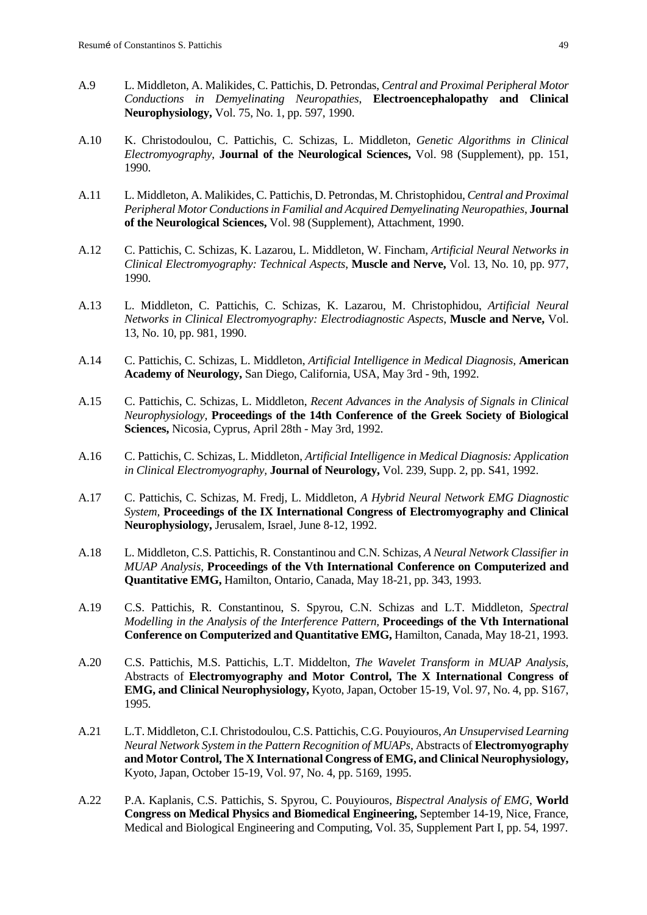- A.9 L. Middleton, A. Malikides, C. Pattichis, D. Petrondas, *Central and Proximal Peripheral Motor Conductions in Demyelinating Neuropathies*, **Electroencephalopathy and Clinical Neurophysiology,** Vol. 75, No. 1, pp. 597, 1990.
- A.10 K. Christodoulou, C. Pattichis, C. Schizas, L. Middleton, *Genetic Algorithms in Clinical Electromyography*, **Journal of the Neurological Sciences,** Vol. 98 (Supplement), pp. 151, 1990.
- A.11 L. Middleton, A. Malikides, C. Pattichis, D. Petrondas, M. Christophidou, *Central and Proximal Peripheral Motor Conductions in Familial and Acquired Demyelinating Neuropathies*, **Journal of the Neurological Sciences,** Vol. 98 (Supplement), Attachment, 1990.
- A.12 C. Pattichis, C. Schizas, K. Lazarou, L. Middleton, W. Fincham, *Artificial Neural Networks in Clinical Electromyography: Technical Aspects*, **Muscle and Nerve,** Vol. 13, No. 10, pp. 977, 1990.
- A.13 L. Middleton, C. Pattichis, C. Schizas, K. Lazarou, M. Christophidou, *Artificial Neural Networks in Clinical Electromyography: Electrodiagnostic Aspects*, **Muscle and Nerve,** Vol. 13, No. 10, pp. 981, 1990.
- A.14 C. Pattichis, C. Schizas, L. Middleton, *Artificial Intelligence in Medical Diagnosis,* **American Academy of Neurology,** San Diego, California, USA, May 3rd - 9th, 1992.
- A.15 C. Pattichis, C. Schizas, L. Middleton, *Recent Advances in the Analysis of Signals in Clinical Neurophysiology,* **Proceedings of the 14th Conference of the Greek Society of Biological Sciences,** Nicosia, Cyprus, April 28th - May 3rd, 1992.
- A.16 C. Pattichis, C. Schizas, L. Middleton, *Artificial Intelligence in Medical Diagnosis: Application in Clinical Electromyography,* **Journal of Neurology,** Vol. 239, Supp. 2, pp. S41, 1992.
- A.17 C. Pattichis, C. Schizas, M. Fredj, L. Middleton, *A Hybrid Neural Network EMG Diagnostic System,* **Proceedings of the IX International Congress of Electromyography and Clinical Neurophysiology,** Jerusalem, Israel, June 8-12, 1992.
- A.18 L. Middleton, C.S. Pattichis, R. Constantinou and C.N. Schizas, *A Neural Network Classifier in MUAP Analysis,* **Proceedings of the Vth International Conference on Computerized and Quantitative EMG,** Hamilton, Ontario, Canada, May 18-21, pp. 343, 1993.
- A.19 C.S. Pattichis, R. Constantinou, S. Spyrou, C.N. Schizas and L.T. Middleton, *Spectral Modelling in the Analysis of the Interference Pattern,* **Proceedings of the Vth International Conference on Computerized and Quantitative EMG,** Hamilton, Canada, May 18-21, 1993.
- A.20 C.S. Pattichis, M.S. Pattichis, L.T. Middelton, *The Wavelet Transform in MUAP Analysis,*  Abstracts of **Electromyography and Motor Control, The X International Congress of EMG, and Clinical Neurophysiology,** Kyoto, Japan, October 15-19, Vol. 97, No. 4, pp. S167, 1995.
- A.21 L.T. Middleton, C.I. Christodoulou, C.S. Pattichis, C.G. Pouyiouros, *An Unsupervised Learning Neural Network System in the Pattern Recognition of MUAPs,* Abstracts of **Electromyography and Motor Control, The X International Congress of EMG, and Clinical Neurophysiology,** Kyoto, Japan, October 15-19, Vol. 97, No. 4, pp. 5169, 1995.
- A.22 P.A. Kaplanis, C.S. Pattichis, S. Spyrou, C. Pouyiouros, *Bispectral Analysis of EMG*, **World Congress on Medical Physics and Biomedical Engineering,** September 14-19, Nice, France, Medical and Biological Engineering and Computing, Vol. 35, Supplement Part I, pp. 54, 1997.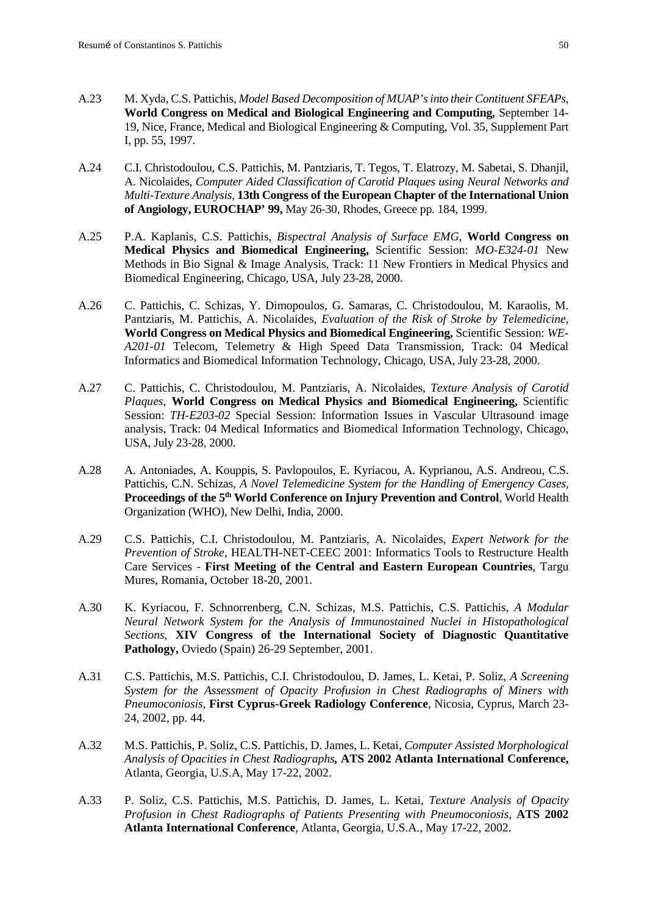- A.23 M. Xyda, C.S. Pattichis, *Model Based Decomposition of MUAP's into their Contituent SFEAPs*, **World Congress on Medical and Biological Engineering and Computing,** September 14- 19, Nice, France, Medical and Biological Engineering & Computing, Vol. 35, Supplement Part I, pp. 55, 1997.
- A.24 C.I. Christodoulou, C.S. Pattichis, M. Pantziaris, T. Tegos, T. Elatrozy, M. Sabetai, S. Dhanjil, A. Nicolaides, *Computer Aided Classification of Carotid Plaques using Neural Networks and Multi-Texture Analysis,* **13th Congress of the European Chapter of the International Union of Angiology, EUROCHAP' 99,** May 26-30, Rhodes, Greece pp. 184, 1999.
- A.25 P.A. Kaplanis, C.S. Pattichis, *Bispectral Analysis of Surface EMG,* **World Congress on Medical Physics and Biomedical Engineering,** Scientific Session: *MO-E324-01* New Methods in Bio Signal & Image Analysis, Track: 11 New Frontiers in Medical Physics and Biomedical Engineering, Chicago, USA, July 23-28, 2000.
- A.26 C. Pattichis, C. Schizas, Y. Dimopoulos, G. Samaras, C. Christodoulou, M. Karaolis, M. Pantziaris, M. Pattichis, A. Nicolaides, *Evaluation of the Risk of Stroke by Telemedicine,*  **World Congress on Medical Physics and Biomedical Engineering,** Scientific Session: *WE-A201-01* Telecom, Telemetry & High Speed Data Transmission, Track: 04 Medical Informatics and Biomedical Information Technology, Chicago, USA, July 23-28, 2000.
- A.27 C. Pattichis, C. Christodoulou, M. Pantziaris, A. Nicolaides, *Texture Analysis of Carotid Plaques,* **World Congress on Medical Physics and Biomedical Engineering,** Scientific Session: *TH-E203-02* Special Session: Information Issues in Vascular Ultrasound image analysis, Track: 04 Medical Informatics and Biomedical Information Technology, Chicago, USA, July 23-28, 2000.
- A.28 A. Antoniades, A. Kouppis, S. Pavlopoulos, E. Kyriacou, A. Kyprianou, A.S. Andreou, C.S. Pattichis, C.N. Schizas, *A Novel Telemedicine System for the Handling of Emergency Cases,* **Proceedings of the 5th World Conference on Injury Prevention and Control**, World Health Organization (WHO), New Delhi, India, 2000.
- A.29 C.S. Pattichis, C.I. Christodoulou, M. Pantziaris, A. Nicolaides, *Expert Network for the Prevention of Stroke*, HEALTH-NET-CEEC 2001: Informatics Tools to Restructure Health Care Services - **First Meeting of the Central and Eastern European Countries**, Targu Mures, Romania, October 18-20, 2001.
- A.30 K. Kyriacou, F. Schnorrenberg, C.N. Schizas, M.S. Pattichis, C.S. Pattichis, *A Modular Neural Network System for the Analysis of Immunostained Nuclei in Histopathological Sections,* **XIV Congress of the International Society of Diagnostic Quantitative Pathology,** Oviedo (Spain) 26-29 September, 2001.
- A.31 C.S. Pattichis, M.S. Pattichis, C.I. Christodoulou, D. James, L. Ketai, P. Soliz, *A Screening System for the Assessment of Opacity Profusion in Chest Radiographs of Miners with Pneumoconiosis,* **First Cyprus-Greek Radiology Conference***,* Nicosia, Cyprus, March 23- 24, 2002, pp. 44.
- A.32 M.S. Pattichis, P. Soliz, C.S. Pattichis, D. James, L. Ketai, *Computer Assisted Morphological Analysis of Opacities in Chest Radiographs,* **ATS 2002 Atlanta International Conference,**  Atlanta, Georgia, U.S.A, May 17-22, 2002.
- A.33 P. Soliz, C.S. Pattichis, M.S. Pattichis, D. James, L. Ketai, *Texture Analysis of Opacity Profusion in Chest Radiographs of Patients Presenting with Pneumoconiosis,* **ATS 2002 Atlanta International Conference**, Atlanta, Georgia, U.S.A., May 17-22, 2002.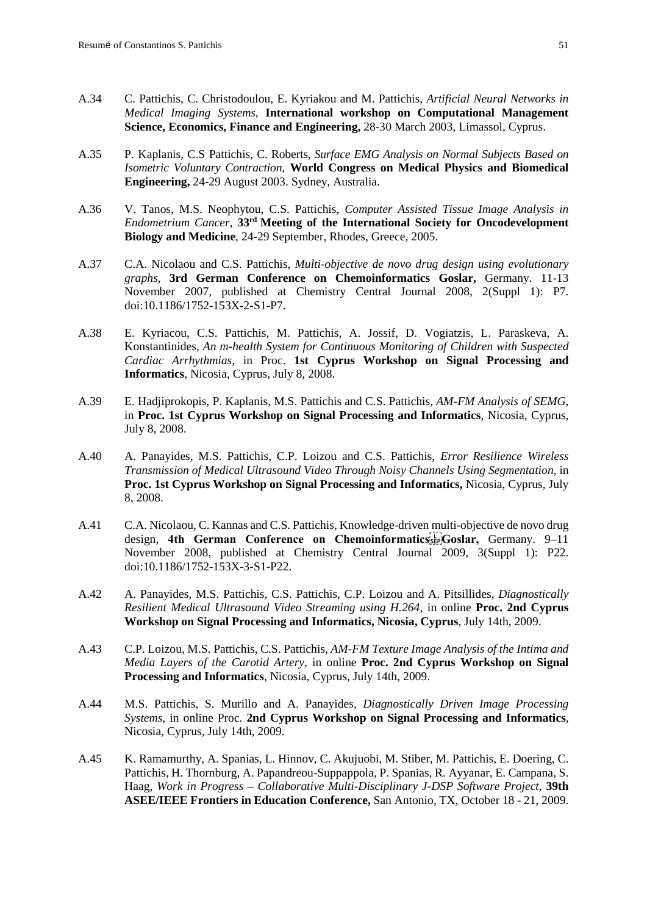- A.34 C. Pattichis, C. Christodoulou, E. Kyriakou and M. Pattichis, *Artificial Neural Networks in Medical Imaging Systems,* **International workshop on Computational Management Science, Economics, Finance and Engineering,** 28-30 March 2003, Limassol, Cyprus.
- A.35 P. Kaplanis, C.S Pattichis, C. Roberts, *Surface EMG Analysis on Normal Subjects Based on Isometric Voluntary Contraction*, **World Congress on Medical Physics and Biomedical Engineering,** 24-29 August 2003. Sydney, Australia.
- A.36 V. Tanos, M.S. Neophytou, C.S. Pattichis, *Computer Assisted Tissue Image Analysis in Endometrium Cancer*, **33rd Meeting of the International Society for Oncodevelopment Biology and Medicine**, 24-29 September, Rhodes, Greece, 2005.
- A.37 C.A. Nicolaou and C.S. Pattichis, *Multi-objective de novo drug design using evolutionary graphs*, **3rd German Conference on Chemoinformatics Goslar,** Germany. 11-13 November 2007, published at Chemistry Central Journal 2008, 2(Suppl 1): P7. doi:10.1186/1752-153X-2-S1-P7.
- A.38 E. Kyriacou, C.S. Pattichis, M. Pattichis, A. Jossif, D. Vogiatzis, L. Paraskeva, A. Konstantinides, *An m-health System for Continuous Monitoring of Children with Suspected Cardiac Arrhythmias,* in Proc. **1st Cyprus Workshop on Signal Processing and Informatics**, Nicosia, Cyprus, July 8, 2008.
- A.39 E. Hadjiprokopis, P. Kaplanis, M.S. Pattichis and C.S. Pattichis, *AM-FM Analysis of SEMG*, in **Proc. 1st Cyprus Workshop on Signal Processing and Informatics**, Nicosia, Cyprus, July 8, 2008.
- A.40 A. Panayides, M.S. Pattichis, C.P. Loizou and C.S. Pattichis, *Error Resilience Wireless Transmission of Medical Ultrasound Video Through Noisy Channels Using Segmentation,* in **Proc. 1st Cyprus Workshop on Signal Processing and Informatics,** Nicosia, Cyprus, July 8, 2008.
- A.41 C.A. Nicolaou, C. Kannas and C.S. Pattichis, Knowledge-driven multi-objective de novo drug design, **4th German Conference on Chemoinformatics
Goslar,** Germany. 9–11 November 2008, published at Chemistry Central Journal 2009, 3(Suppl 1): P22. doi:10.1186/1752-153X-3-S1-P22.
- A.42 A. Panayides, M.S. Pattichis, C.S. Pattichis, C.P. Loizou and A. Pitsillides, *Diagnostically Resilient Medical Ultrasound Video Streaming using H.264,* in online **Proc. 2nd Cyprus Workshop on Signal Processing and Informatics, Nicosia, Cyprus**, July 14th, 2009.
- A.43 C.P. Loizou, M.S. Pattichis, C.S. Pattichis, *AM-FM Texture Image Analysis of the Intima and Media Layers of the Carotid Artery*, in online **Proc. 2nd Cyprus Workshop on Signal Processing and Informatics**, Nicosia, Cyprus, July 14th, 2009.
- A.44 M.S. Pattichis, S. Murillo and A. Panayides, *Diagnostically Driven Image Processing Systems*, in online Proc. **2nd Cyprus Workshop on Signal Processing and Informatics**, Nicosia, Cyprus, July 14th, 2009.
- A.45 K. Ramamurthy, A. Spanias, L. Hinnov, C. Akujuobi, M. Stiber, M. Pattichis, E. Doering, C. Pattichis, H. Thornburg, A. Papandreou-Suppappola, P. Spanias, R. Ayyanar, E. Campana, S. Haag, *Work in Progress – Collaborative Multi-Disciplinary J-DSP Software Project*, **39th ASEE/IEEE Frontiers in Education Conference,** San Antonio, TX, October 18 - 21, 2009.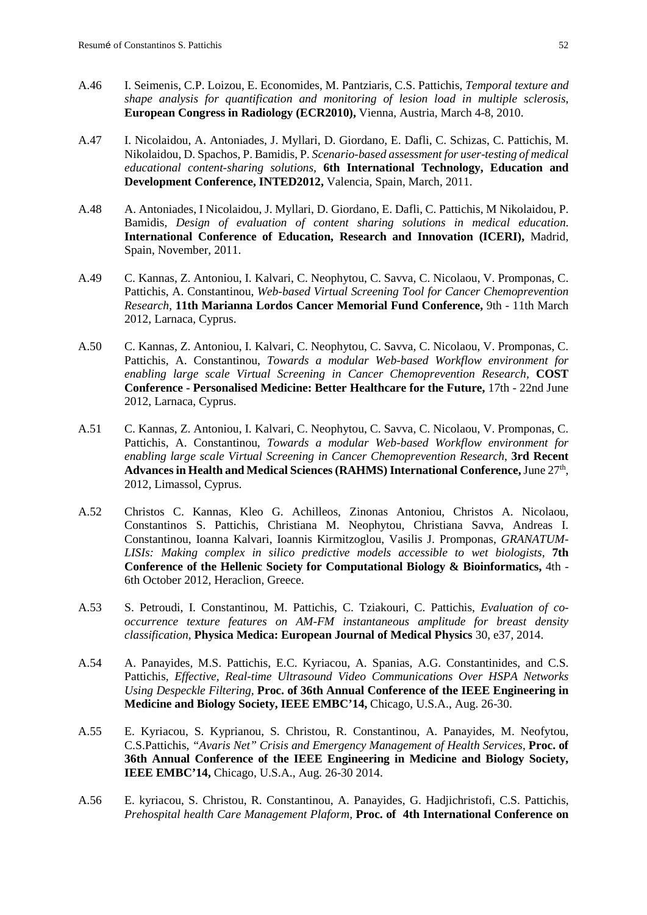- A.46 I. Seimenis, C.P. Loizou, E. Economides, M. Pantziaris, C.S. Pattichis, *Temporal texture and shape analysis for quantification and monitoring of lesion load in multiple sclerosis*, **European Congress in Radiology (ECR2010),** Vienna, Austria, March 4-8, 2010.
- A.47 I. Nicolaidou, A. Antoniades, J. Myllari, D. Giordano, E. Dafli, C. Schizas, C. Pattichis, M. Nikolaidou, D. Spachos, P. Bamidis, P. *Scenario-based assessment for user-testing of medical educational content-sharing solutions,* **6th International Technology, Education and Development Conference, INTED2012,** Valencia, Spain, March, 2011.
- A.48 A. Antoniades, I Nicolaidou, J. Myllari, D. Giordano, E. Dafli, C. Pattichis, M Nikolaidou, P. Bamidis, *Design of evaluation of content sharing solutions in medical education*. **International Conference of Education, Research and Innovation (ICERI),** Madrid, Spain, November, 2011.
- A.49 C. Kannas, Z. Antoniou, I. Kalvari, C. Neophytou, C. Savva, C. Nicolaou, V. Promponas, C. Pattichis, A. Constantinou, *Web-based Virtual Screening Tool for Cancer Chemoprevention Research*, **11th Marianna Lordos Cancer Memorial Fund Conference,** 9th - 11th March 2012, Larnaca, Cyprus.
- A.50 C. Kannas, Z. Antoniou, I. Kalvari, C. Neophytou, C. Savva, C. Nicolaou, V. Promponas, C. Pattichis, A. Constantinou, *Towards a modular Web-based Workflow environment for enabling large scale Virtual Screening in Cancer Chemoprevention Research,* **COST Conference - Personalised Medicine: Better Healthcare for the Future,** 17th - 22nd June 2012, Larnaca, Cyprus.
- A.51 C. Kannas, Z. Antoniou, I. Kalvari, C. Neophytou, C. Savva, C. Nicolaou, V. Promponas, C. Pattichis, A. Constantinou, *Towards a modular Web-based Workflow environment for enabling large scale Virtual Screening in Cancer Chemoprevention Research*, **3rd Recent Advances in Health and Medical Sciences (RAHMS) International Conference,**June 27th, 2012, Limassol, Cyprus.
- A.52 Christos C. Kannas, Kleo G. Achilleos, Zinonas Antoniou, Christos A. Nicolaou, Constantinos S. Pattichis, Christiana M. Neophytou, Christiana Savva, Andreas I. Constantinou, Ioanna Kalvari, Ioannis Kirmitzoglou, Vasilis J. Promponas, *GRANATUM-LISIs: Making complex in silico predictive models accessible to wet biologists,* **7th Conference of the Hellenic Society for Computational Biology & Bioinformatics,** 4th - 6th October 2012, Heraclion, Greece.
- A.53 S. Petroudi, I. Constantinou, M. Pattichis, C. Tziakouri, C. Pattichis, *Evaluation of cooccurrence texture features on AM-FM instantaneous amplitude for breast density classification,* **Physica Medica: European Journal of Medical Physics** 30, e37, 2014.
- A.54 A. Panayides, M.S. Pattichis, E.C. Kyriacou, A. Spanias, A.G. Constantinides, and C.S. Pattichis, *Effective, Real-time Ultrasound Video Communications Over HSPA Networks Using Despeckle Filtering,* **Proc. of 36th Annual Conference of the IEEE Engineering in Medicine and Biology Society, IEEE EMBC'14,** Chicago, U.S.A., Aug. 26-30.
- A.55 E. Kyriacou, S. Kyprianou, S. Christou, R. Constantinou, A. Panayides, M. Neofytou, C.S.Pattichis, *"Avaris Net" Crisis and Emergency Management of Health Services*, **Proc. of 36th Annual Conference of the IEEE Engineering in Medicine and Biology Society, IEEE EMBC'14,** Chicago, U.S.A., Aug. 26-30 2014.
- A.56 E. kyriacou, S. Christou, R. Constantinou, A. Panayides, G. Hadjichristofi, C.S. Pattichis, *Prehospital health Care Management Plaform,* **Proc. of 4th International Conference on**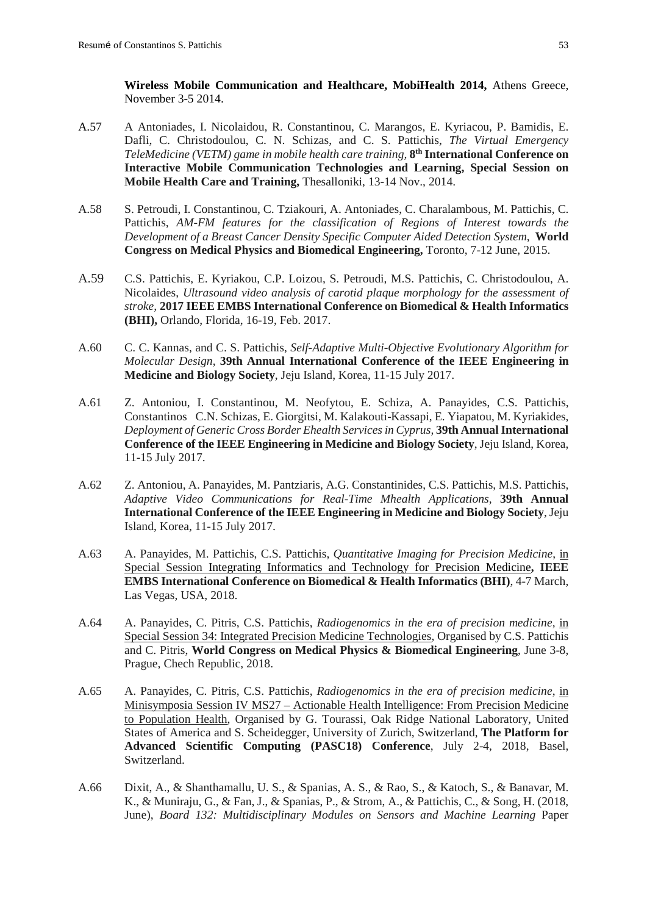**Wireless Mobile Communication and Healthcare, MobiHealth 2014,** Athens Greece, November 3-5 2014.

- A.57 A Antoniades, I. Nicolaidou, R. Constantinou, C. Marangos, E. Kyriacou, P. Bamidis, E. Dafli, C. Christodoulou, C. N. Schizas, and C. S. Pattichis, *The Virtual Emergency TeleMedicine (VETM) game in mobile health care training,* **8th International Conference on Interactive Mobile Communication Technologies and Learning, Special Session on Mobile Health Care and Training,** Thesalloniki, 13-14 Nov., 2014.
- A.58 S. Petroudi, I. Constantinou, C. Tziakouri, A. Antoniades, C. Charalambous, M. Pattichis, C. Pattichis, *AM-FM features for the classification of Regions of Interest towards the Development of a Breast Cancer Density Specific Computer Aided Detection System*, **World Congress on Medical Physics and Biomedical Engineering,** Toronto, 7-12 June, 2015.
- A.59 C.S. Pattichis, E. Kyriakou, C.P. Loizou, S. Petroudi, M.S. Pattichis, C. Christodoulou, A. Nicolaides, *Ultrasound video analysis of carotid plaque morphology for the assessment of stroke,* **2017 IEEE EMBS International Conference on Biomedical & Health Informatics (BHI),** Orlando, Florida, 16-19, Feb. 2017.
- A.60 C. C. Kannas, and C. S. Pattichis, *Self-Adaptive Multi-Objective Evolutionary Algorithm for Molecular Design*, **39th Annual International Conference of the IEEE Engineering in Medicine and Biology Society**, Jeju Island, Korea, 11-15 July 2017.
- A.61 Z. Antoniou, I. Constantinou, M. Neofytou, E. Schiza, A. Panayides, C.S. Pattichis, Constantinos C.N. Schizas, E. Giorgitsi, M. Kalakouti-Kassapi, E. Yiapatou, M. Kyriakides, *Deployment of Generic Cross Border Ehealth Services in Cyprus,* **39th Annual International Conference of the IEEE Engineering in Medicine and Biology Society**, Jeju Island, Korea, 11-15 July 2017.
- A.62 Z. Antoniou, A. Panayides, M. Pantziaris, A.G. Constantinides, C.S. Pattichis, M.S. Pattichis, *Adaptive Video Communications for Real-Time Mhealth Applications,* **39th Annual International Conference of the IEEE Engineering in Medicine and Biology Society**, Jeju Island, Korea, 11-15 July 2017.
- A.63 A. Panayides, M. Pattichis, C.S. Pattichis, *Quantitative Imaging for Precision Medicine*, in Special Session Integrating Informatics and Technology for Precision Medicine**, IEEE EMBS International Conference on Biomedical & Health Informatics (BHI)**, 4-7 March, Las Vegas, USA, 2018.
- A.64 A. Panayides, C. Pitris, C.S. Pattichis, *Radiogenomics in the era of precision medicine,* in Special Session 34: Integrated Precision Medicine Technologies, Organised by C.S. Pattichis and C. Pitris, **World Congress on Medical Physics & Biomedical Engineering**, June 3-8, Prague, Chech Republic, 2018.
- A.65 A. Panayides, C. Pitris, C.S. Pattichis, *Radiogenomics in the era of precision medicine*, in Minisymposia Session IV MS27 – Actionable Health Intelligence: From Precision Medicine to Population Health, Organised by G. Tourassi, Oak Ridge National Laboratory, United States of America and S. Scheidegger, University of Zurich, Switzerland, **The Platform for Advanced Scientific Computing (PASC18) Conference**, July 2-4, 2018, Basel, Switzerland.
- A.66 Dixit, A., & Shanthamallu, U. S., & Spanias, A. S., & Rao, S., & Katoch, S., & Banavar, M. K., & Muniraju, G., & Fan, J., & Spanias, P., & Strom, A., & Pattichis, C., & Song, H. (2018, June), *Board 132: Multidisciplinary Modules on Sensors and Machine Learning* Paper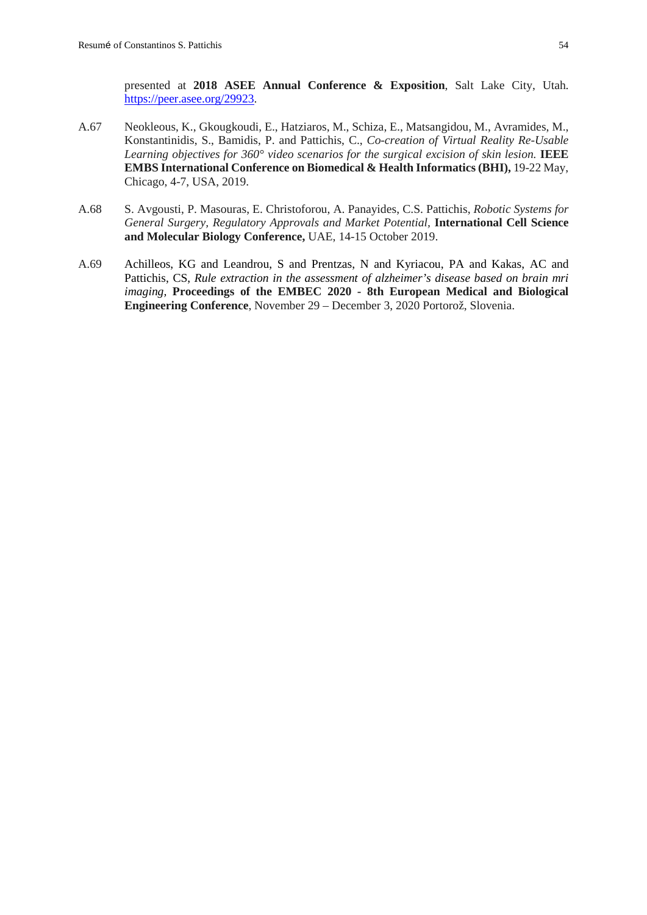presented at **2018 ASEE Annual Conference & Exposition**, Salt Lake City, Utah. [https://peer.asee.org/29923.](https://peer.asee.org/29923)

- A.67 Neokleous, K., Gkougkoudi, E., Hatziaros, M., Schiza, E., Matsangidou, M., Avramides, M., Konstantinidis, S., Bamidis, P. and Pattichis, C., *Co-creation of Virtual Reality Re-Usable Learning objectives for 360° video scenarios for the surgical excision of skin lesion.* **IEEE EMBS International Conference on Biomedical & Health Informatics (BHI),** 19-22 May, Chicago, 4-7, USA, 2019.
- A.68 S. Avgousti, P. Masouras, E. Christoforou, A. Panayides, C.S. Pattichis, *Robotic Systems for General Surgery, Regulatory Approvals and Market Potential,* **International Cell Science and Molecular Biology Conference,** UAE, 14-15 October 2019.
- A.69 Achilleos, KG and Leandrou, S and Prentzas, N and Kyriacou, PA and Kakas, AC and Pattichis, CS, *Rule extraction in the assessment of alzheimer's disease based on brain mri imaging,* **Proceedings of the EMBEC 2020 - 8th European Medical and Biological Engineering Conference**, November 29 – December 3, 2020 Portorož, Slovenia.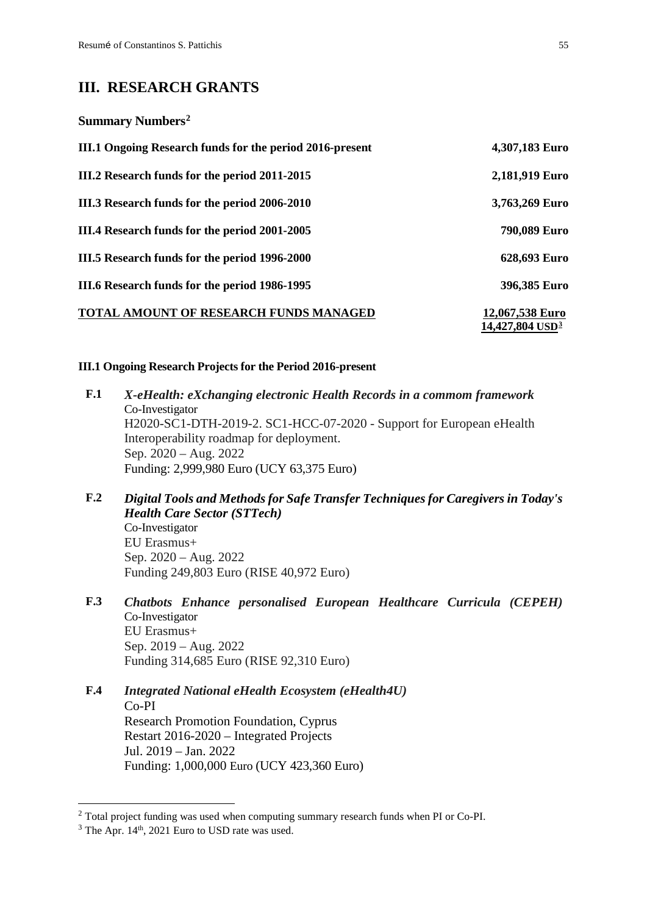**Summary Numbers[2](#page-55-0)**

# **III. RESEARCH GRANTS**

**III.1 Ongoing Research funds for the period 2016-present 4,307,183 Euro III.2 Research funds for the period 2011-2015 2,181,919 Euro III.3 Research funds for the period 2006-2010 3,763,269 Euro III.4 Research funds for the period 2001-2005 790,089 Euro III.5 Research funds for the period 1996-2000 628,693 Euro III.6 Research funds for the period 1986-1995 396,385 Euro TOTAL AMOUNT OF RESEARCH FUNDS MANAGED 12,067,538 Euro 14,427,804 USD[3](#page-55-1)**

### **III.1 Ongoing Research Projects for the Period 2016-present**

- **F.1** *X-eHealth: eXchanging electronic Health Records in a commom framework* Co-Investigator H2020-SC1-DTH-2019-2. SC1-HCC-07-2020 - Support for European eHealth Interoperability roadmap for deployment. Sep. 2020 – Aug. 2022 Funding: 2,999,980 Euro (UCY 63,375 Euro)
- **F.2** *Digital Tools and Methods for Safe Transfer Techniques for Caregivers in Today's Health Care Sector (STTech)* Co-Investigator EU Erasmus+ Sep. 2020 – Aug. 2022 Funding 249,803 Euro (RISE 40,972 Euro)
- **F.3** *Chatbots Enhance personalised European Healthcare Curricula (CEPEH)* Co-Investigator EU Erasmus+ Sep. 2019 – Aug. 2022 Funding 314,685 Euro (RISE 92,310 Euro)
- **F.4** *Integrated National eHealth Ecosystem (eHealth4U)* Co-PI Research Promotion Foundation, Cyprus Restart 2016-2020 – Integrated Projects Jul. 2019 – Jan. 2022 Funding: 1,000,000 Euro (UCY 423,360 Euro)

<span id="page-55-0"></span><sup>&</sup>lt;sup>2</sup> Total project funding was used when computing summary research funds when PI or Co-PI.

<span id="page-55-1"></span> $3$  The Apr. 14<sup>th</sup>, 2021 Euro to USD rate was used.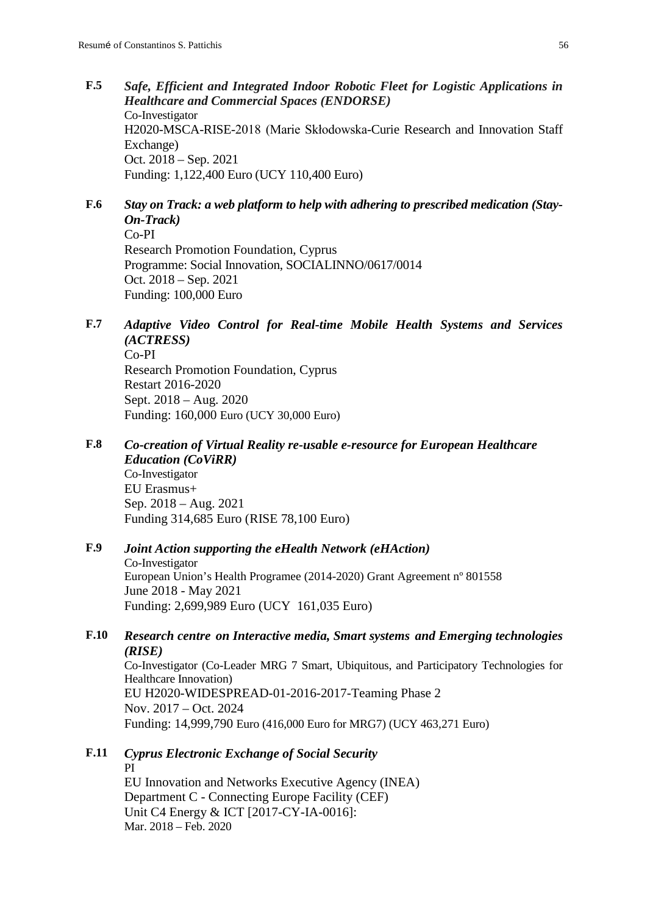- **F.5** *Safe, Efficient and Integrated Indoor Robotic Fleet for Logistic Applications in Healthcare and Commercial Spaces (ENDORSE)* Co-Investigator H2020-MSCA-RISE-2018 (Marie Skłodowska-Curie Research and Innovation Staff Exchange) Oct. 2018 – Sep. 2021 Funding: 1,122,400 Euro (UCY 110,400 Euro)
- **F.6** *Stay on Track: a web platform to help with adhering to prescribed medication (Stay-On-Track)* Co-PI

Research Promotion Foundation, Cyprus Programme: Social Innovation, SOCIALINNO/0617/0014 Oct. 2018 – Sep. 2021 Funding: 100,000 Euro

- **F.7** *Adaptive Video Control for Real-time Mobile Health Systems and Services (ACTRESS)* Co-PI Research Promotion Foundation, Cyprus Restart 2016-2020 Sept. 2018 – Aug. 2020 Funding: 160,000 Euro (UCY 30,000 Euro)
- **F.8** *Co-creation of Virtual Reality re-usable e-resource for European Healthcare Education (CoViRR)* Co-Investigator EU Erasmus+ Sep. 2018 – Aug. 2021 Funding 314,685 Euro (RISE 78,100 Euro)
- **F.9** *Joint Action supporting the eHealth Network (eHAction)* Co-Investigator European Union's Health Programee (2014-2020) Grant Agreement nº 801558 June 2018 - May 2021 Funding: 2,699,989 Euro (UCY 161,035 Euro)
- **F.10** *Research centre on Interactive media, Smart systems and Emerging technologies (RISE)*

Co-Investigator (Co-Leader MRG 7 Smart, Ubiquitous, and Participatory Technologies for Healthcare Innovation) EU H2020-WIDESPREAD-01-2016-2017-Teaming Phase 2 Nov. 2017 – Oct. 2024 Funding: 14,999,790 Euro (416,000 Euro for MRG7) (UCY 463,271 Euro)

**F.11** *[Cyprus Electronic Exchange of Social Security](https://webgate.ec.testa.eu/Ares/ext/documentInfoDetails.do?documentId=080166e5b6160679)* PI EU Innovation and Networks Executive Agency (INEA) Department C - Connecting Europe Facility (CEF) Unit C4 Energy & ICT [2017-CY-IA-0016]: Mar. 2018 – Feb. 2020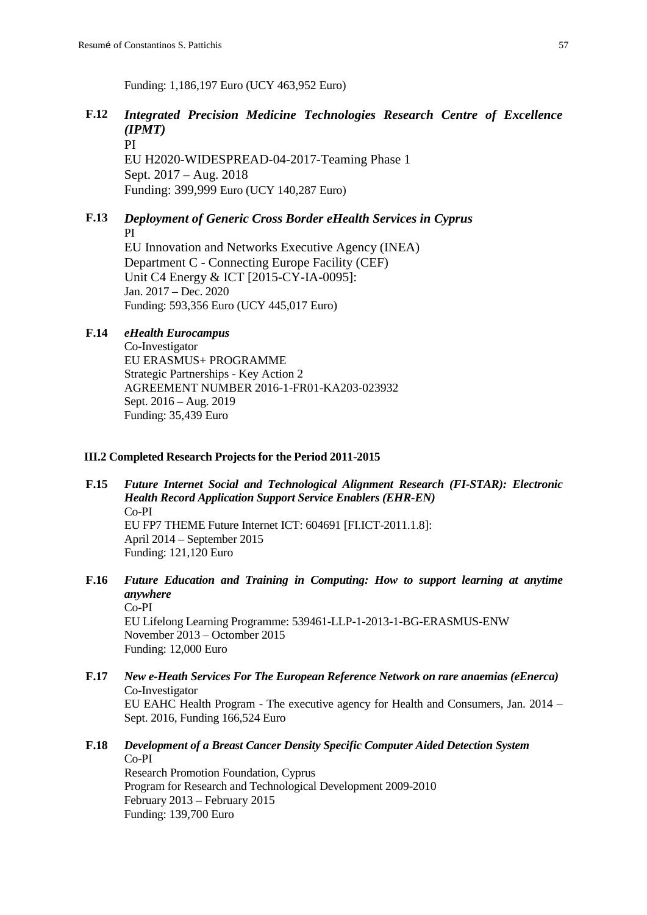Funding: 1,186,197 Euro (UCY 463,952 Euro)

# **F.12** *Integrated Precision Medicine Technologies Research Centre of Excellence (IPMT)*

PI EU H2020-WIDESPREAD-04-2017-Teaming Phase 1 Sept. 2017 – Aug. 2018 Funding: 399,999 Euro (UCY 140,287 Euro)

# **F.13** *Deployment of Generic Cross Border eHealth Services in Cyprus* PI

EU Innovation and Networks Executive Agency (INEA) Department C - Connecting Europe Facility (CEF) Unit C4 Energy & ICT [2015-CY-IA-0095]: Jan. 2017 – Dec. 2020 Funding: 593,356 Euro (UCY 445,017 Euro)

# **F.14** *eHealth Eurocampus*

Co-Investigator EU ERASMUS+ PROGRAMME Strategic Partnerships - Key Action 2 AGREEMENT NUMBER 2016-1-FR01-KA203-023932 Sept. 2016 – Aug. 2019 Funding: 35,439 Euro

### **III.2 Completed Research Projects for the Period 2011-2015**

- **F.15** *Future Internet Social and Technological Alignment Research (FI-STAR): Electronic Health Record Application Support Service Enablers (EHR-EN)* Co-PI EU FP7 THEME Future Internet ICT: 604691 [FI.ICT-2011.1.8]: April 2014 – September 2015 Funding: 121,120 Euro
- **F.16** *Future Education and Training in Computing: How to support learning at anytime anywhere* Co-PI EU Lifelong Learning Programme: 539461-LLP-1-2013-1-BG-ERASMUS-ENW November 2013 – Octomber 2015

Funding: 12,000 Euro **F.17** *New e-Heath Services For The European Reference Network on rare anaemias (eEnerca)* Co-Investigator EU EAHC Health Program - The executive agency for Health and Consumers, Jan. 2014 – Sept. 2016, Funding 166,524 Euro

# **F.18** *Development of a Breast Cancer Density Specific Computer Aided Detection System* Co-PI Research Promotion Foundation, Cyprus

Program for Research and Technological Development 2009-2010 February 2013 – February 2015 Funding: 139,700 Euro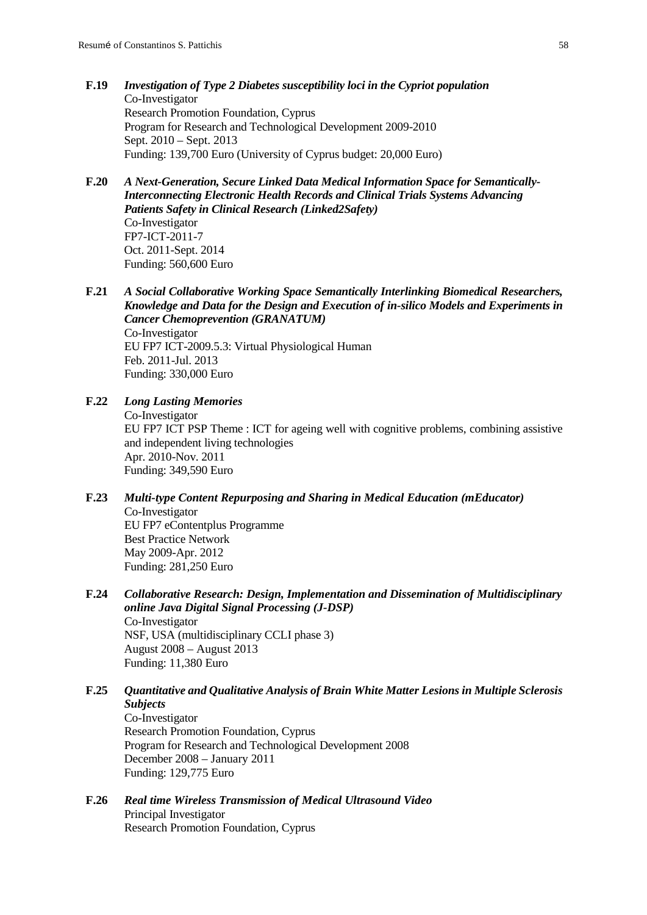- **F.19** *Investigation of Type 2 Diabetes susceptibility loci in the Cypriot population* Co-Investigator Research Promotion Foundation, Cyprus Program for Research and Technological Development 2009-2010 Sept. 2010 – Sept. 2013 Funding: 139,700 Euro (University of Cyprus budget: 20,000 Euro)
- **F.20** *A Next-Generation, Secure Linked Data Medical Information Space for Semantically-Interconnecting Electronic Health Records and Clinical Trials Systems Advancing Patients Safety in Clinical Research (Linked2Safety)* Co-Investigator FP7-ICT-2011-7 Oct. 2011-Sept. 2014 Funding: 560,600 Euro
- **F.21** *A Social Collaborative Working Space Semantically Interlinking Biomedical Researchers, Knowledge and Data for the Design and Execution of in-silico Models and Experiments in Cancer Chemoprevention (GRANATUM)* Co-Investigator EU FP7 ICT-2009.5.3: Virtual Physiological Human Feb. 2011-Jul. 2013 Funding: 330,000 Euro
- **F.22** *Long Lasting Memories*

Co-Investigator EU FP7 ICT PSP Theme : ICT for ageing well with cognitive problems, combining assistive and independent living technologies Apr. 2010-Nov. 2011 Funding: 349,590 Euro

- **F.23** *Multi-type Content Repurposing and Sharing in Medical Education (mEducator)* Co-Investigator EU FP7 eContentplus Programme Best Practice Network May 2009-Apr. 2012 Funding: 281,250 Euro
- **F.24** *Collaborative Research: Design, Implementation and Dissemination of Multidisciplinary online Java Digital Signal Processing (J-DSP)* Co-Investigator NSF, USA (multidisciplinary CCLI phase 3) August 2008 – August 2013 Funding: 11,380 Euro
- **F.25** *Quantitative and Qualitative Analysis of Brain White Matter Lesions in Multiple Sclerosis Subjects* Co-Investigator

Research Promotion Foundation, Cyprus Program for Research and Technological Development 2008 December 2008 – January 2011 Funding: 129,775 Euro

**F.26** *Real time Wireless Transmission of Medical Ultrasound Video* Principal Investigator Research Promotion Foundation, Cyprus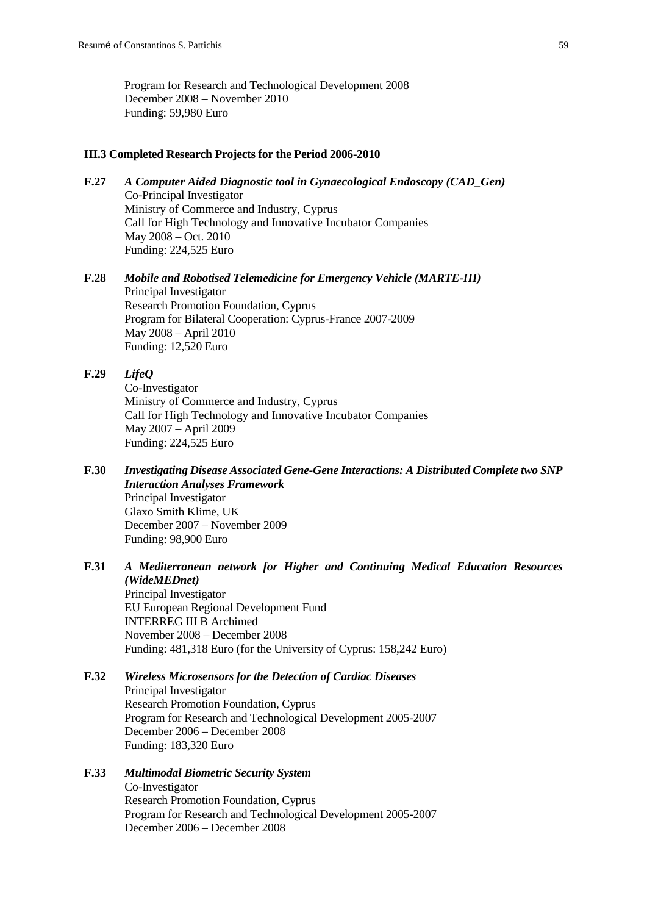Program for Research and Technological Development 2008 December 2008 – November 2010 Funding: 59,980 Euro

#### **III.3 Completed Research Projects for the Period 2006-2010**

- **F.27** *A Computer Aided Diagnostic tool in Gynaecological Endoscopy (CAD\_Gen)* Co-Principal Investigator Ministry of Commerce and Industry, Cyprus Call for High Technology and Innovative Incubator Companies May 2008 – Oct. 2010 Funding: 224,525 Euro
- **F.28** *Mobile and Robotised Telemedicine for Emergency Vehicle (MARTE-III)* Principal Investigator Research Promotion Foundation, Cyprus Program for Bilateral Cooperation: Cyprus-France 2007-2009 May 2008 – April 2010 Funding: 12,520 Euro
- **F.29** *LifeQ* Co-Investigator Ministry of Commerce and Industry, Cyprus Call for High Technology and Innovative Incubator Companies May 2007 – April 2009 Funding: 224,525 Euro
- **F.30** *Investigating Disease Associated Gene-Gene Interactions: A Distributed Complete two SNP Interaction Analyses Framework* Principal Investigator Glaxo Smith Klime, UK December 2007 – November 2009 Funding: 98,900 Euro
- **F.31** *A Mediterranean network for Higher and Continuing Medical Education Resources (WideMEDnet)*

Principal Investigator EU European Regional Development Fund INTERREG III B Archimed November 2008 – December 2008 Funding: 481,318 Euro (for the University of Cyprus: 158,242 Euro)

### **F.32** *Wireless Microsensors for the Detection of Cardiac Diseases* Principal Investigator

Research Promotion Foundation, Cyprus Program for Research and Technological Development 2005-2007 December 2006 – December 2008 Funding: 183,320 Euro

#### **F.33** *Multimodal Biometric Security System*

Co-Investigator Research Promotion Foundation, Cyprus Program for Research and Technological Development 2005-2007 December 2006 – December 2008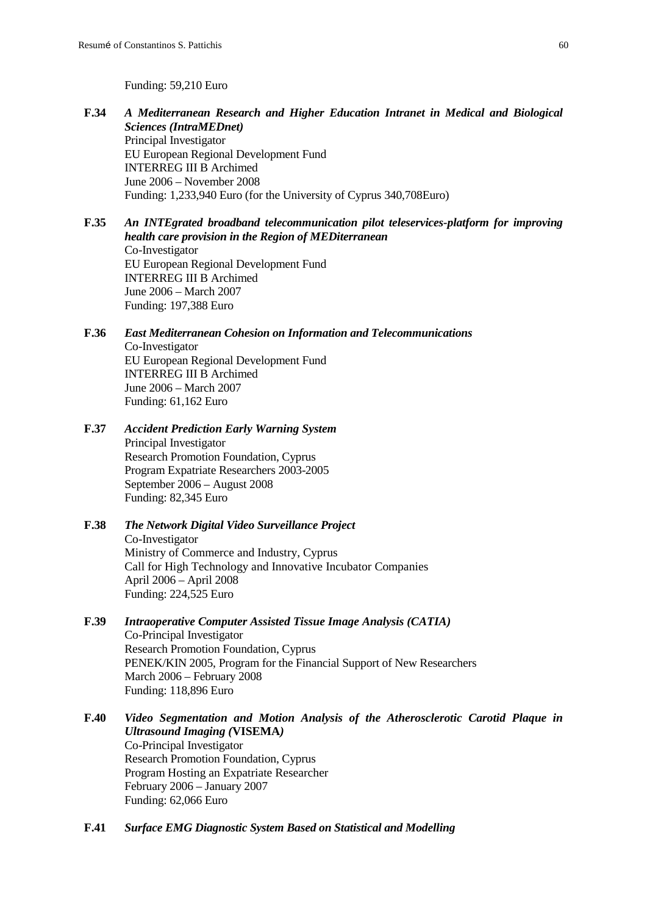Funding: 59,210 Euro

- **F.34** *A Mediterranean Research and Higher Education Intranet in Medical and Biological Sciences (IntraMEDnet)* Principal Investigator EU European Regional Development Fund INTERREG III B Archimed June 2006 – November 2008 Funding: 1,233,940 Euro (for the University of Cyprus 340,708Euro)
- **F.35** *An INTEgrated broadband telecommunication pilot teleservices-platform for improving health care provision in the Region of MEDiterranean* Co-Investigator EU European Regional Development Fund INTERREG III B Archimed June 2006 – March 2007 Funding: 197,388 Euro
- **F.36** *East Mediterranean Cohesion on Information and Telecommunications* Co-Investigator EU European Regional Development Fund INTERREG III B Archimed June 2006 – March 2007 Funding: 61,162 Euro
- **F.37** *Accident Prediction Early Warning System* Principal Investigator Research Promotion Foundation, Cyprus Program Expatriate Researchers 2003-2005 September 2006 – August 2008 Funding: 82,345 Euro
- **F.38** *The Network Digital Video Surveillance Project* Co-Investigator Ministry of Commerce and Industry, Cyprus Call for High Technology and Innovative Incubator Companies April 2006 – April 2008 Funding: 224,525 Euro
- **F.39** *Intraoperative Computer Assisted Tissue Image Analysis (CATIA)* Co-Principal Investigator Research Promotion Foundation, Cyprus PENEK/KIN 2005, Program for the Financial Support of New Researchers March 2006 – February 2008 Funding: 118,896 Euro
- **F.40** *Video Segmentation and Motion Analysis of the Atherosclerotic Carotid Plaque in Ultrasound Imaging (***VISEMA***)* Co-Principal Investigator Research Promotion Foundation, Cyprus Program Hosting an Expatriate Researcher February 2006 – January 2007 Funding: 62,066 Euro
- **F.41** *Surface EMG Diagnostic System Based on Statistical and Modelling*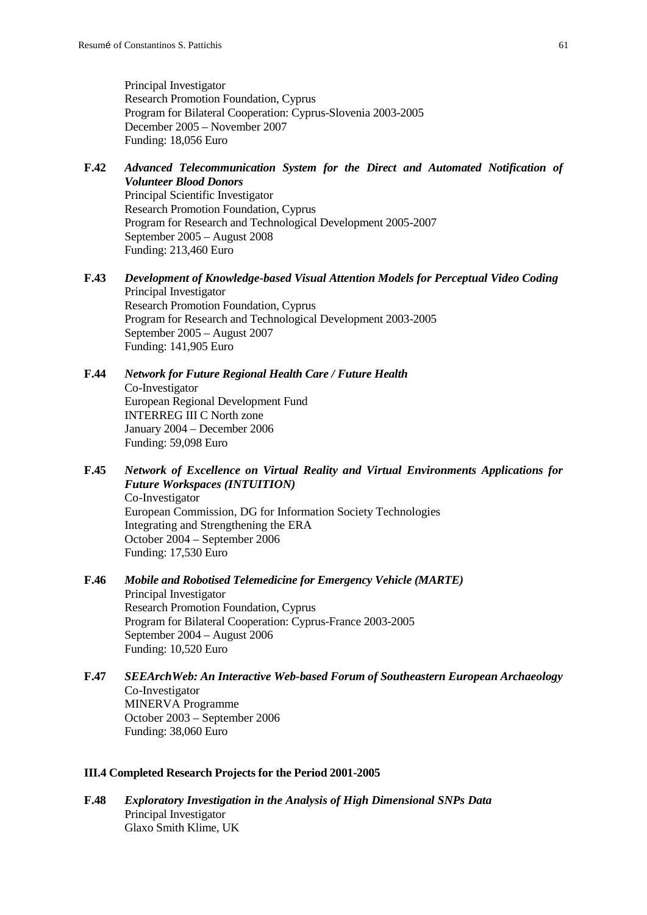Principal Investigator Research Promotion Foundation, Cyprus Program for Bilateral Cooperation: Cyprus-Slovenia 2003-2005 December 2005 – November 2007 Funding: 18,056 Euro

- **F.42** *Advanced Telecommunication System for the Direct and Automated Notification of Volunteer Blood Donors* Principal Scientific Investigator Research Promotion Foundation, Cyprus Program for Research and Technological Development 2005-2007 September 2005 – August 2008 Funding: 213,460 Euro
- **F.43** *Development of Knowledge-based Visual Attention Models for Perceptual Video Coding* Principal Investigator Research Promotion Foundation, Cyprus Program for Research and Technological Development 2003-2005 September 2005 – August 2007 Funding: 141,905 Euro
- **F.44** *Network for Future Regional Health Care / Future Health* Co-Investigator European Regional Development Fund INTERREG III C North zone January 2004 – December 2006 Funding: 59,098 Euro
- **F.45** *Network of Excellence on Virtual Reality and Virtual Environments Applications for Future Workspaces (INTUITION)* Co-Investigator European Commission, DG for Information Society Technologies Integrating and Strengthening the ERA October 2004 – September 2006 Funding: 17,530 Euro
- **F.46** *Mobile and Robotised Telemedicine for Emergency Vehicle (MARTE)* Principal Investigator Research Promotion Foundation, Cyprus Program for Bilateral Cooperation: Cyprus-France 2003-2005 September 2004 – August 2006 Funding: 10,520 Euro
- **F.47** *SEEArchWeb: An Interactive Web-based Forum of Southeastern European Archaeology* Co-Investigator MINERVA Programme October 2003 – September 2006 Funding: 38,060 Euro

#### **III.4 Completed Research Projects for the Period 2001-2005**

**F.48** *Exploratory Investigation in the Analysis of High Dimensional SNPs Data* Principal Investigator Glaxo Smith Klime, UK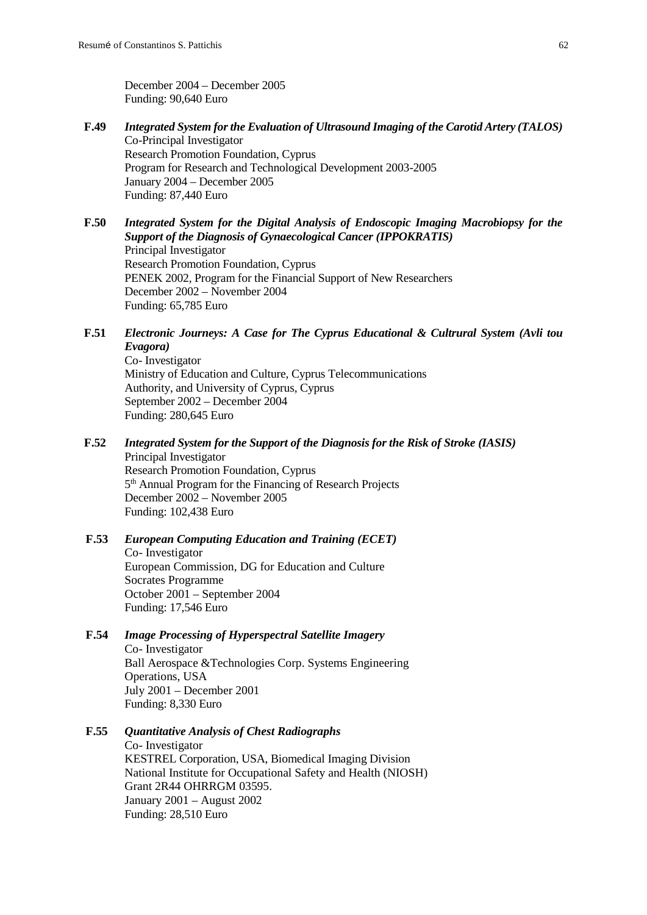December 2004 – December 2005 Funding: 90,640 Euro

- **F.49** *Integrated System for the Evaluation of Ultrasound Imaging of the Carotid Artery (TALOS)* Co-Principal Investigator Research Promotion Foundation, Cyprus Program for Research and Technological Development 2003-2005 January 2004 – December 2005 Funding: 87,440 Euro
- **F.50** *Integrated System for the Digital Analysis of Endoscopic Imaging Macrobiopsy for the Support of the Diagnosis of Gynaecological Cancer (IPPOKRATIS)* Principal Investigator Research Promotion Foundation, Cyprus PENEK 2002, Program for the Financial Support of New Researchers December 2002 – November 2004 Funding: 65,785 Euro
- **F.51** *Electronic Journeys: A Case for The Cyprus Educational & Cultrural System (Avli tou Evagora)*

Co- Investigator Ministry of Education and Culture, Cyprus Telecommunications Authority, and University of Cyprus, Cyprus September 2002 – December 2004 Funding: 280,645 Euro

**F.52** *Integrated System for the Support of the Diagnosis for the Risk of Stroke (IASIS)*

Principal Investigator Research Promotion Foundation, Cyprus 5<sup>th</sup> Annual Program for the Financing of Research Projects December 2002 – November 2005 Funding: 102,438 Euro

### **F.53** *European Computing Education and Training (ECET)* Co- Investigator European Commission, DG for Education and Culture Socrates Programme October 2001 – September 2004

Funding: 17,546 Euro

**F.54** *Image Processing of Hyperspectral Satellite Imagery*

Co- Investigator Ball Aerospace &Technologies Corp. Systems Engineering Operations, USA July 2001 – December 2001 Funding: 8,330 Euro

# **F.55** *Quantitative Analysis of Chest Radiographs*

Co- Investigator KESTREL Corporation, USA, Biomedical Imaging Division National Institute for Occupational Safety and Health (NIOSH) Grant 2R44 OHRRGM 03595. January 2001 – August 2002 Funding: 28,510 Euro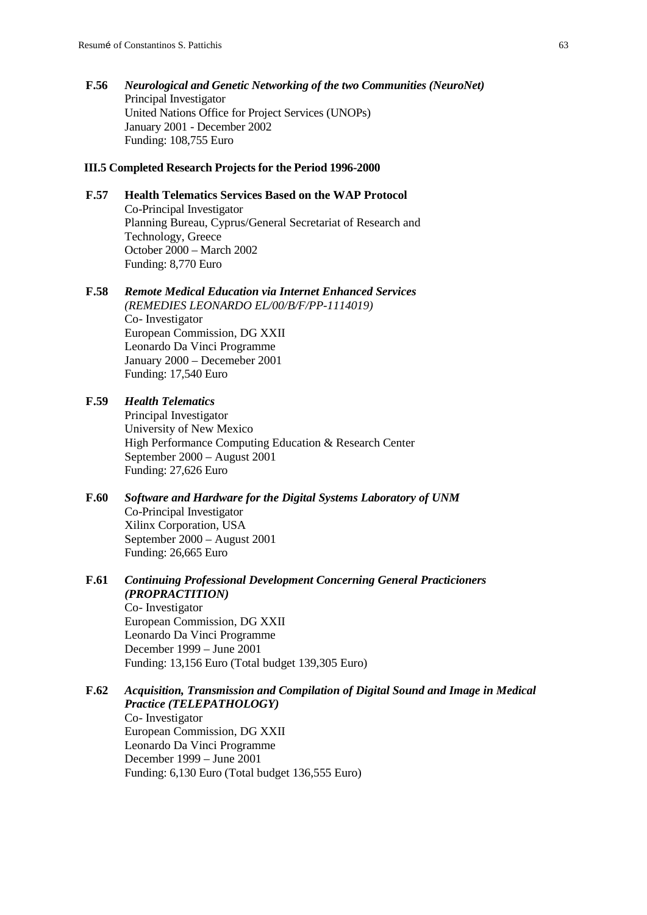**F.56** *Neurological and Genetic Networking of the two Communities (NeuroNet)* Principal Investigator United Nations Office for Project Services (UNOPs) January 2001 - December 2002 Funding: 108,755 Euro

#### **III.5 Completed Research Projects for the Period 1996-2000**

# **F.57 Health Telematics Services Based on the WAP Protocol**  Co-Principal Investigator Planning Bureau, Cyprus/General Secretariat of Research and Technology, Greece October 2000 – March 2002 Funding: 8,770 Euro

**F.58** *Remote Medical Education via Internet Enhanced Services (REMEDIES LEONARDO EL/00/B/F/PP-1114019)* Co- Investigator European Commission, DG XXII Leonardo Da Vinci Programme January 2000 – Decemeber 2001 Funding: 17,540 Euro

## **F.59** *Health Telematics*

Principal Investigator University of New Mexico High Performance Computing Education & Research Center September 2000 – August 2001 Funding: 27,626 Euro

- **F.60** *Software and Hardware for the Digital Systems Laboratory of UNM* Co-Principal Investigator Xilinx Corporation, USA September 2000 – August 2001 Funding: 26,665 Euro
- **F.61** *Continuing Professional Development Concerning General Practicioners (PROPRACTITION)*

Co- Investigator European Commission, DG XXII Leonardo Da Vinci Programme December 1999 – June 2001 Funding: 13,156 Euro (Total budget 139,305 Euro)

### **F.62** *Acquisition, Transmission and Compilation of Digital Sound and Image in Medical Practice (TELEPATHOLOGY)* Co- Investigator

European Commission, DG XXII Leonardo Da Vinci Programme December 1999 – June 2001 Funding: 6,130 Euro (Total budget 136,555 Euro)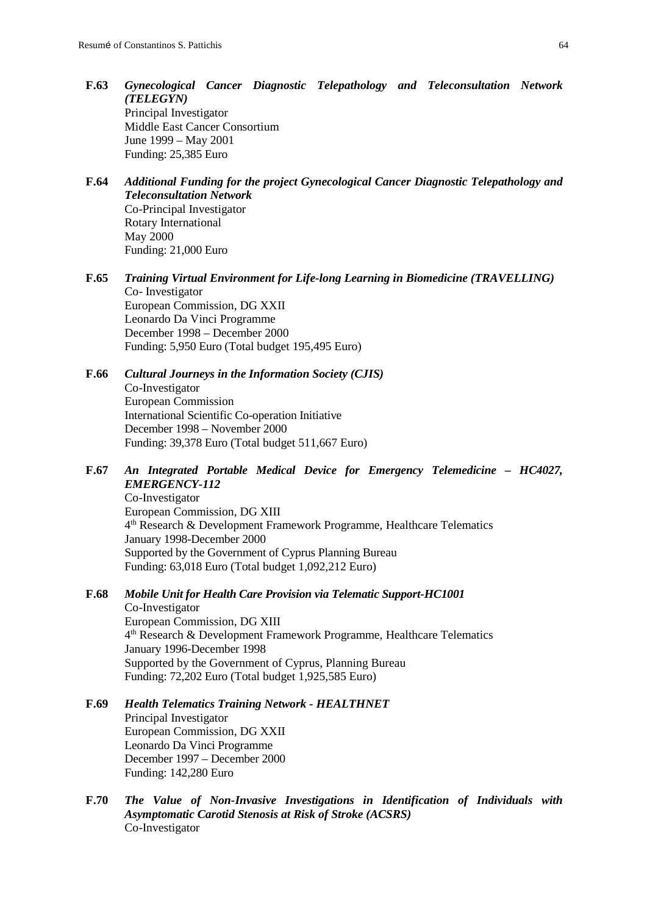- **F.63** *Gynecological Cancer Diagnostic Telepathology and Teleconsultation Network (TELEGYN)* Principal Investigator Middle East Cancer Consortium June 1999 – May 2001 Funding: 25,385 Euro
- **F.64** *Additional Funding for the project Gynecological Cancer Diagnostic Telepathology and Teleconsultation Network* Co-Principal Investigator Rotary International May 2000 Funding: 21,000 Euro
- **F.65** *Training Virtual Environment for Life-long Learning in Biomedicine (TRAVELLING)* Co- Investigator European Commission, DG XXII Leonardo Da Vinci Programme December 1998 – December 2000 Funding: 5,950 Euro (Total budget 195,495 Euro)
- **F.66** *Cultural Journeys in the Information Society (CJIS)* Co-Investigator European Commission International Scientific Co-operation Initiative December 1998 – November 2000 Funding: 39,378 Euro (Total budget 511,667 Euro)
- **F.67** *An Integrated Portable Medical Device for Emergency Telemedicine – HC4027, EMERGENCY-112*

Co-Investigator European Commission, DG XIII 4th Research & Development Framework Programme, Healthcare Telematics January 1998-December 2000 Supported by the Government of Cyprus Planning Bureau Funding: 63,018 Euro (Total budget 1,092,212 Euro)

# **F.68** *Mobile Unit for Health Care Provision via Telematic Support-HC1001*

Co-Investigator European Commission, DG XIII 4th Research & Development Framework Programme, Healthcare Telematics January 1996-December 1998 Supported by the Government of Cyprus, Planning Bureau Funding: 72,202 Euro (Total budget 1,925,585 Euro)

### **F.69** *Health Telematics Training Network - HEALTHNET* Principal Investigator European Commission, DG XXII Leonardo Da Vinci Programme December 1997 – December 2000 Funding: 142,280 Euro

**F.70** *The Value of Non-Invasive Investigations in Identification of Individuals with Asymptomatic Carotid Stenosis at Risk of Stroke (ACSRS)* Co-Investigator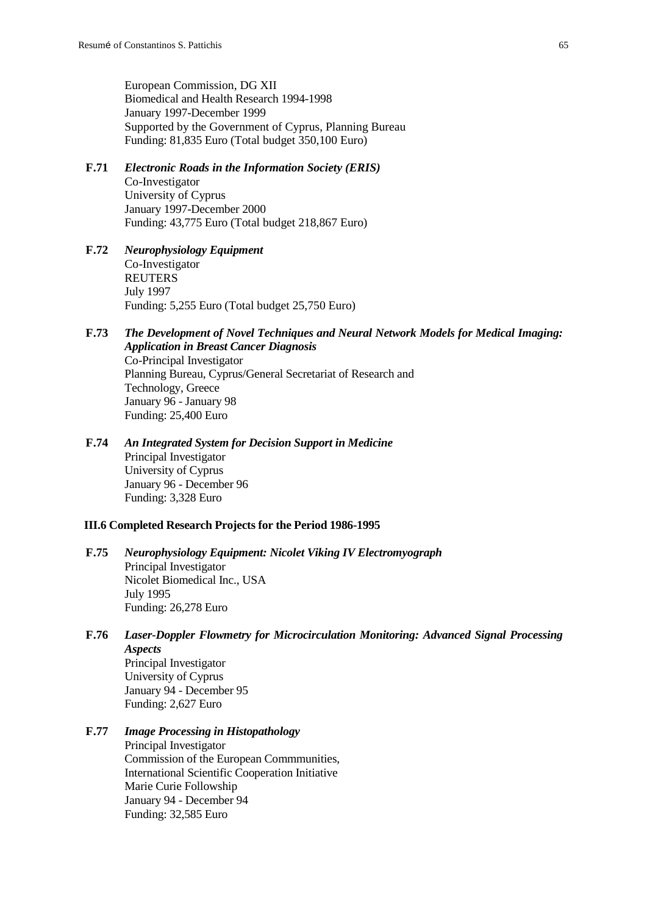European Commission, DG XII Biomedical and Health Research 1994-1998 January 1997-December 1999 Supported by the Government of Cyprus, Planning Bureau Funding: 81,835 Euro (Total budget 350,100 Euro)

- **F.71** *Electronic Roads in the Information Society (ERIS)* Co-Investigator University of Cyprus January 1997-December 2000 Funding: 43,775 Euro (Total budget 218,867 Euro)
- **F.72** *Neurophysiology Equipment* Co-Investigator REUTERS July 1997 Funding: 5,255 Euro (Total budget 25,750 Euro)
- **F.73** *The Development of Novel Techniques and Neural Network Models for Medical Imaging: Application in Breast Cancer Diagnosis* Co-Principal Investigator Planning Bureau, Cyprus/General Secretariat of Research and Technology, Greece January 96 - January 98 Funding: 25,400 Euro
- **F.74** *An Integrated System for Decision Support in Medicine* Principal Investigator University of Cyprus January 96 - December 96 Funding: 3,328 Euro

#### **III.6 Completed Research Projects for the Period 1986-1995**

- **F.75** *Neurophysiology Equipment: Nicolet Viking IV Electromyograph* Principal Investigator Nicolet Biomedical Inc., USA July 1995 Funding: 26,278 Euro
- **F.76** *Laser-Doppler Flowmetry for Microcirculation Monitoring: Advanced Signal Processing Aspects* Principal Investigator University of Cyprus January 94 - December 95 Funding: 2,627 Euro

### **F.77** *Image Processing in Histopathology*

Principal Investigator Commission of the European Commmunities, International Scientific Cooperation Initiative Marie Curie Followship January 94 - December 94 Funding: 32,585 Euro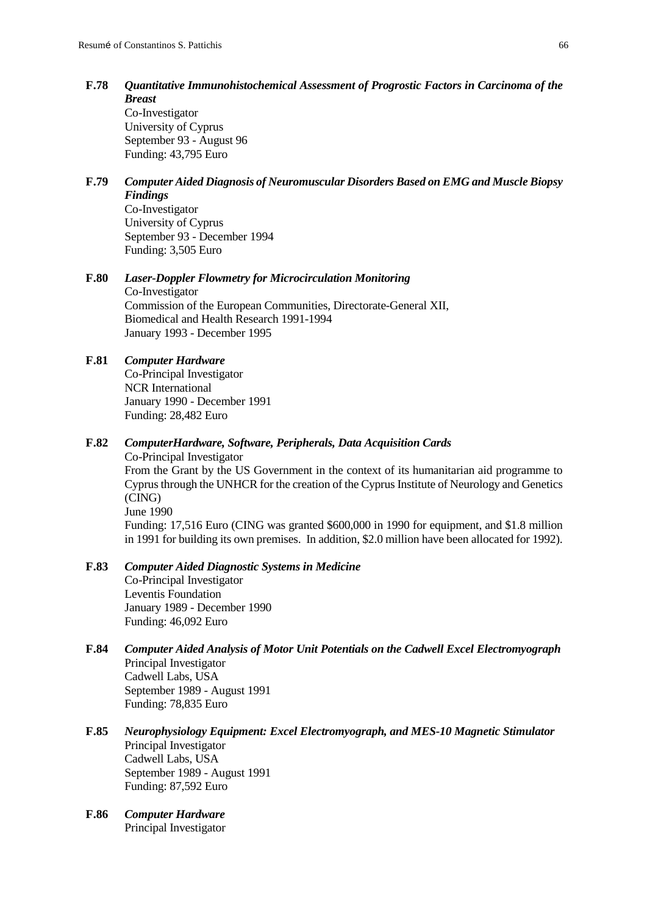**F.78** *Quantitative Immunohistochemical Assessment of Progrostic Factors in Carcinoma of the Breast*

Co-Investigator University of Cyprus September 93 - August 96 Funding: 43,795 Euro

**F.79** *Computer Aided Diagnosis of Neuromuscular Disorders Based on EMG and Muscle Biopsy Findings*

Co-Investigator University of Cyprus September 93 - December 1994 Funding: 3,505 Euro

### **F.80** *Laser-Doppler Flowmetry for Microcirculation Monitoring*

Co-Investigator Commission of the European Communities, Directorate-General XII, Biomedical and Health Research 1991-1994 January 1993 - December 1995

# **F.81** *Computer Hardware*

Co-Principal Investigator NCR International January 1990 - December 1991 Funding: 28,482 Euro

### **F.82** *ComputerHardware, Software, Peripherals, Data Acquisition Cards*

Co-Principal Investigator From the Grant by the US Government in the context of its humanitarian aid programme to Cyprus through the UNHCR for the creation of the Cyprus Institute of Neurology and Genetics (CING) June 1990 Funding: 17,516 Euro (CING was granted \$600,000 in 1990 for equipment, and \$1.8 million in 1991 for building its own premises. In addition, \$2.0 million have been allocated for 1992).

### **F.83** *Computer Aided Diagnostic Systems in Medicine*

Co-Principal Investigator Leventis Foundation January 1989 - December 1990 Funding: 46,092 Euro

- **F.84** *Computer Aided Analysis of Motor Unit Potentials on the Cadwell Excel Electromyograph* Principal Investigator Cadwell Labs, USA September 1989 - August 1991 Funding: 78,835 Euro
- **F.85** *Neurophysiology Equipment: Excel Electromyograph, and MES-10 Magnetic Stimulator* Principal Investigator Cadwell Labs, USA September 1989 - August 1991 Funding: 87,592 Euro
- **F.86** *Computer Hardware* Principal Investigator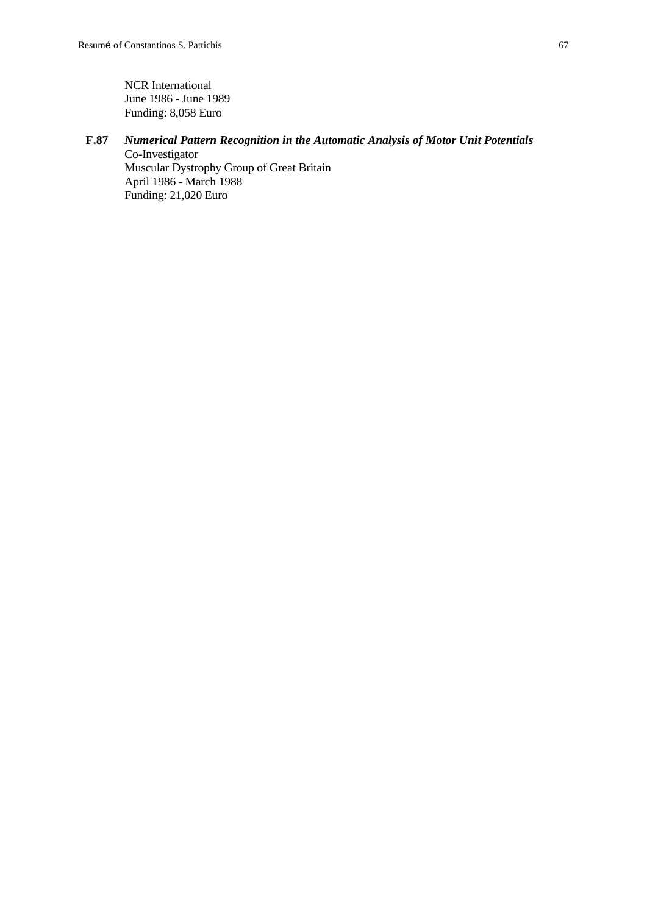NCR International June 1986 - June 1989 Funding: 8,058 Euro

# **F.87** *Numerical Pattern Recognition in the Automatic Analysis of Motor Unit Potentials*

Co-Investigator Muscular Dystrophy Group of Great Britain April 1986 - March 1988 Funding: 21,020 Euro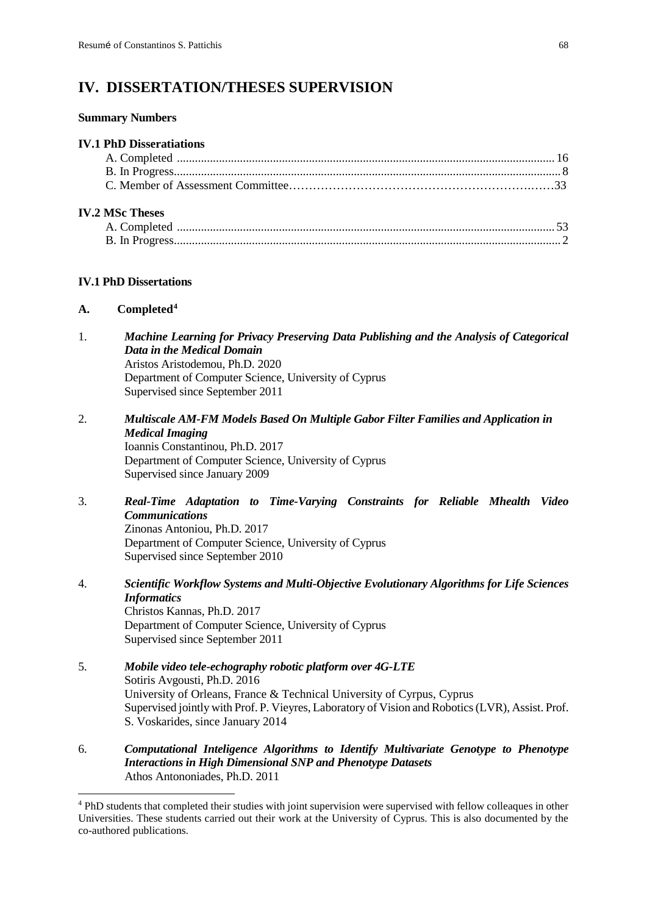# **IV. DISSERTATION/THESES SUPERVISION**

#### **Summary Numbers**

#### **IV.1 PhD Disseratiations**

### **IV.2 MSc Theses**

### **IV.1 PhD Dissertations**

### **A. Completed[4](#page-68-0)**

- 1. *Machine Learning for Privacy Preserving Data Publishing and the Analysis of Categorical Data in the Medical Domain* Aristos Aristodemou, Ph.D. 2020 Department of Computer Science, University of Cyprus Supervised since September 2011
- 2. *Multiscale AM-FM Models Based On Multiple Gabor Filter Families and Application in Medical Imaging* Ioannis Constantinou, Ph.D. 2017 Department of Computer Science, University of Cyprus Supervised since January 2009
- 3. *Real-Time Adaptation to Time-Varying Constraints for Reliable Mhealth Video Communications* Zinonas Antoniou, Ph.D. 2017

Department of Computer Science, University of Cyprus Supervised since September 2010

- 4. *Scientific Workflow Systems and Multi-Objective Evolutionary Algorithms for Life Sciences Informatics* Christos Kannas, Ph.D. 2017 Department of Computer Science, University of Cyprus Supervised since September 2011
- 5. *Mobile video tele-echography robotic platform over 4G-LTE* Sotiris Avgousti, Ph.D. 2016 University of Orleans, France & Technical University of Cyrpus, Cyprus Supervised jointly with Prof. P. Vieyres, Laboratory of Vision and Robotics (LVR), Assist. Prof. S. Voskarides, since January 2014
- 6. *Computational Inteligence Algorithms to Identify Multivariate Genotype to Phenotype Interactions in High Dimensional SNP and Phenotype Datasets* Athos Antononiades, Ph.D. 2011

<span id="page-68-0"></span> <sup>4</sup> PhD students that completed their studies with joint supervision were supervised with fellow colleaques in other Universities. These students carried out their work at the University of Cyprus. This is also documented by the co-authored publications.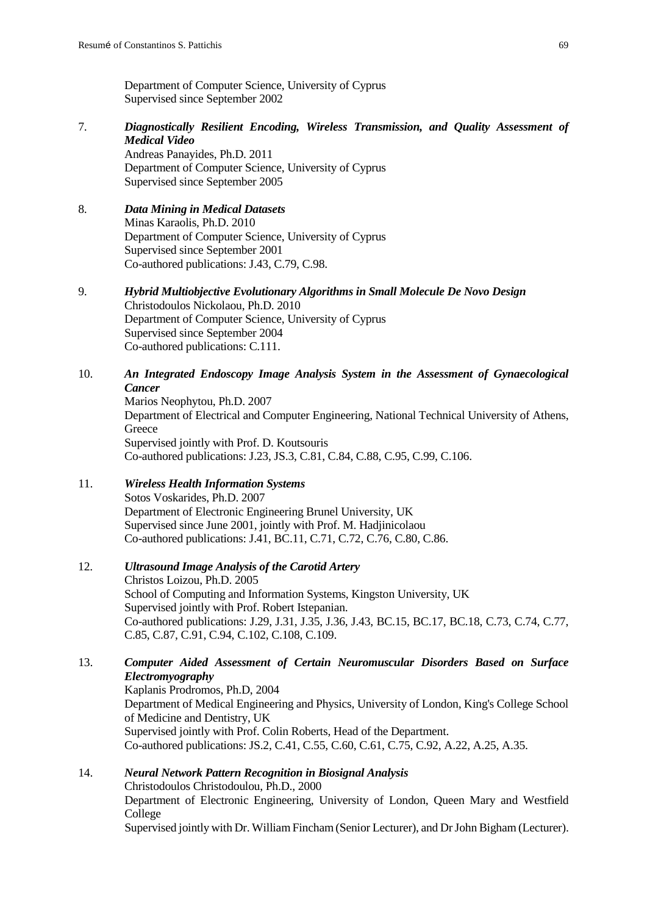Department of Computer Science, University of Cyprus Supervised since September 2002

- 7. *Diagnostically Resilient Encoding, Wireless Transmission, and Quality Assessment of Medical Video* Andreas Panayides, Ph.D. 2011 Department of Computer Science, University of Cyprus Supervised since September 2005
- 8. *Data Mining in Medical Datasets*  Minas Karaolis, Ph.D. 2010 Department of Computer Science, University of Cyprus Supervised since September 2001 Co-authored publications: J.43, C.79, C.98.
- 9. *Hybrid Multiobjective Evolutionary Algorithms in Small Molecule De Novo Design* Christodoulos Nickolaou, Ph.D. 2010 Department of Computer Science, University of Cyprus Supervised since September 2004 Co-authored publications: C.111.
- 10. *An Integrated Endoscopy Image Analysis System in the Assessment of Gynaecological Cancer*

Marios Neophytou, Ph.D. 2007 Department of Electrical and Computer Engineering, National Technical University of Athens, **Greece** Supervised jointly with Prof. D. Koutsouris Co-authored publications: J.23, JS.3, C.81, C.84, C.88, C.95, C.99, C.106.

11. *Wireless Health Information Systems* Sotos Voskarides, Ph.D. 2007 Department of Electronic Engineering Brunel University, UK Supervised since June 2001, jointly with Prof. M. Hadjinicolaou Co-authored publications: J.41, BC.11, C.71, C.72, C.76, C.80, C.86.

# 12. *Ultrasound Image Analysis of the Carotid Artery*

Christos Loizou, Ph.D. 2005 School of Computing and Information Systems, Kingston University, UK Supervised jointly with Prof. Robert Istepanian. Co-authored publications: J.29, J.31, J.35, J.36, J.43, BC.15, BC.17, BC.18, C.73, C.74, C.77, C.85, C.87, C.91, C.94, C.102, C.108, C.109.

# 13. *Computer Aided Assessment of Certain Neuromuscular Disorders Based on Surface Electromyography*

Kaplanis Prodromos, Ph.D, 2004 Department of Medical Engineering and Physics, University of London, King's College School of Medicine and Dentistry, UK Supervised jointly with Prof. Colin Roberts, Head of the Department. Co-authored publications: JS.2, C.41, C.55, C.60, C.61, C.75, C.92, A.22, A.25, A.35.

14. *Neural Network Pattern Recognition in Biosignal Analysis* Christodoulos Christodoulou, Ph.D., 2000 Department of Electronic Engineering, University of London, Queen Mary and Westfield College

Supervised jointly with Dr. William Fincham (Senior Lecturer), and Dr John Bigham (Lecturer).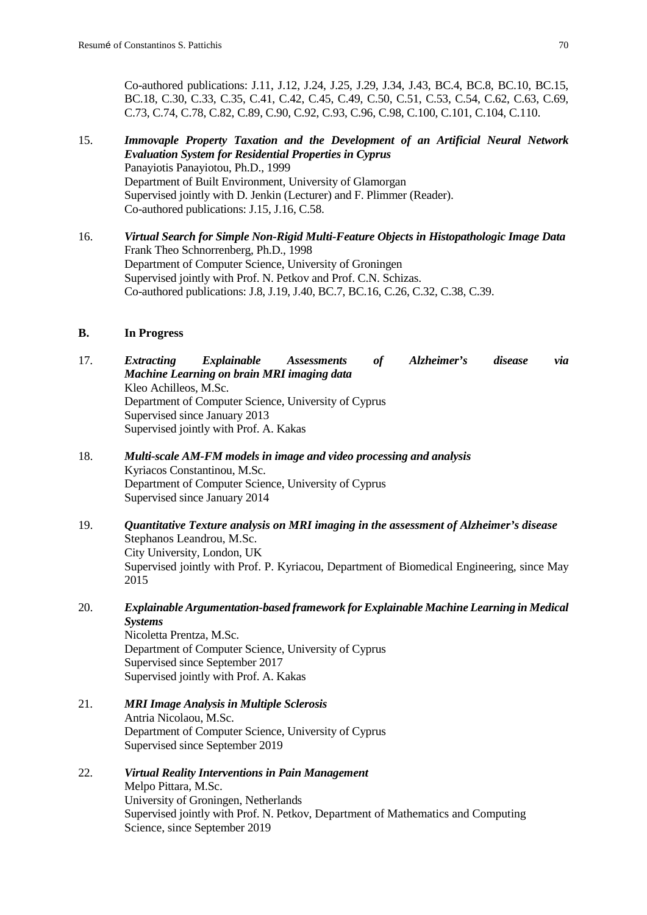Co-authored publications: J.11, J.12, J.24, J.25, J.29, J.34, J.43, BC.4, BC.8, BC.10, BC.15, BC.18, C.30, C.33, C.35, C.41, C.42, C.45, C.49, C.50, C.51, C.53, C.54, C.62, C.63, C.69, C.73, C.74, C.78, C.82, C.89, C.90, C.92, C.93, C.96, C.98, C.100, C.101, C.104, C.110.

- 15. *Immovaple Property Taxation and the Development of an Artificial Neural Network Evaluation System for Residential Properties in Cyprus* Panayiotis Panayiotou, Ph.D., 1999 Department of Built Environment, University of Glamorgan Supervised jointly with D. Jenkin (Lecturer) and F. Plimmer (Reader). Co-authored publications: J.15, J.16, C.58.
- 16. *Virtual Search for Simple Non-Rigid Multi-Feature Objects in Histopathologic Image Data* Frank Theo Schnorrenberg, Ph.D., 1998 Department of Computer Science, University of Groningen Supervised jointly with Prof. N. Petkov and Prof. C.N. Schizas. Co-authored publications: J.8, J.19, J.40, BC.7, BC.16, C.26, C.32, C.38, C.39.

### **B. In Progress**

17. *Extracting Explainable Assessments of Alzheimer's disease via Machine Learning on brain MRI imaging data* Kleo Achilleos, M.Sc. Department of Computer Science, University of Cyprus Supervised since January 2013 Supervised jointly with Prof. A. Kakas

- 18. *Multi-scale AM-FM models in image and video processing and analysis* Kyriacos Constantinou, M.Sc. Department of Computer Science, University of Cyprus Supervised since January 2014
- 19. *Quantitative Texture analysis on MRI imaging in the assessment of Alzheimer's disease* Stephanos Leandrou, M.Sc. City University, London, UK Supervised jointly with Prof. P. Kyriacou, Department of Biomedical Engineering, since May 2015
- 20. *Explainable Argumentation-based framework for Explainable Machine Learning in Medical Systems* Nicoletta Prentza, M.Sc. Department of Computer Science, University of Cyprus Supervised since September 2017 Supervised jointly with Prof. A. Kakas
- 21. *MRI Image Analysis in Multiple Sclerosis* Antria Nicolaou, M.Sc. Department of Computer Science, University of Cyprus Supervised since September 2019
- 22. *Virtual Reality Interventions in Pain Management* Melpo Pittara, M.Sc. University of Groningen, Netherlands Supervised jointly with Prof. N. Petkov, Department of Mathematics and Computing Science, since September 2019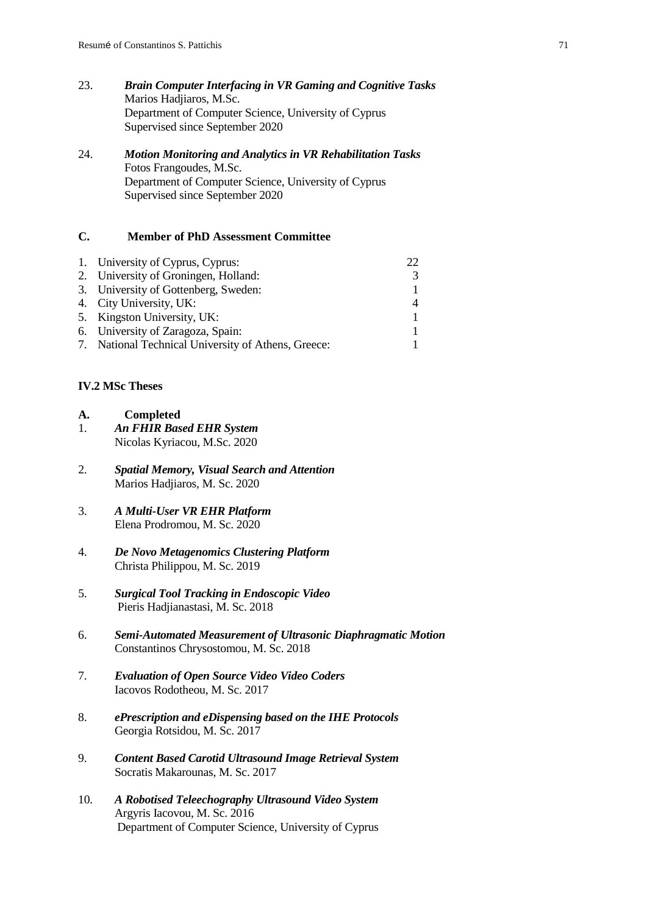- 23. *Brain Computer Interfacing in VR Gaming and Cognitive Tasks* Marios Hadjiaros, M.Sc. Department of Computer Science, University of Cyprus Supervised since September 2020
- 24. *Motion Monitoring and Analytics in VR Rehabilitation Tasks* Fotos Frangoudes, M.Sc. Department of Computer Science, University of Cyprus Supervised since September 2020

# **C. Member of PhD Assessment Committee**

| 1. University of Cyprus, Cyprus:                    |  |
|-----------------------------------------------------|--|
| 2. University of Groningen, Holland:                |  |
| 3. University of Gottenberg, Sweden:                |  |
| 4. City University, UK:                             |  |
| 5. Kingston University, UK:                         |  |
| 6. University of Zaragoza, Spain:                   |  |
| 7. National Technical University of Athens, Greece: |  |

# **IV.2 MSc Theses**

- **A. Completed** 1. *An FHIR Based EHR System* Nicolas Kyriacou, M.Sc. 2020
- 2. *Spatial Memory, Visual Search and Attention* Marios Hadjiaros, M. Sc. 2020
- 3. *A Multi-User VR EHR Platform* Elena Prodromou, M. Sc. 2020
- 4. *De Novo Metagenomics Clustering Platform* Christa Philippou, M. Sc. 2019
- 5. *Surgical Tool Tracking in Endoscopic Video* Pieris Hadjianastasi, M. Sc. 2018
- 6. *Semi-Automated Measurement of Ultrasonic Diaphragmatic Motion* Constantinos Chrysostomou, M. Sc. 2018
- 7. *Evaluation of Open Source Video Video Coders* Iacovos Rodotheou, M. Sc. 2017
- 8. *ePrescription and eDispensing based on the IHE Protocols*  Georgia Rotsidou, M. Sc. 2017
- 9. *Content Based Carotid Ultrasound Image Retrieval System* Socratis Makarounas, M. Sc. 2017
- 10. *A Robotised Teleechography Ultrasound Video System* Argyris Iacovou, M. Sc. 2016 Department of Computer Science, University of Cyprus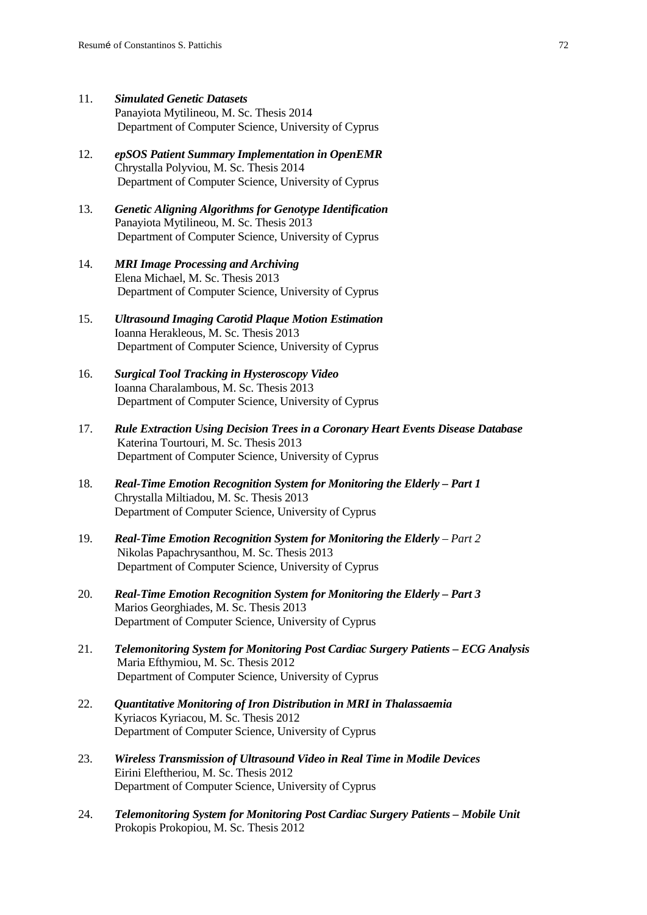- 11. *Simulated Genetic Datasets* Panayiota Mytilineou, M. Sc. Thesis 2014 Department of Computer Science, University of Cyprus
- 12. *epSOS Patient Summary Implementation in OpenEMR* Chrystalla Polyviou, M. Sc. Thesis 2014 Department of Computer Science, University of Cyprus
- 13. *Genetic Aligning Algorithms for Genotype Identification* Panayiota Mytilineou, M. Sc. Thesis 2013 Department of Computer Science, University of Cyprus
- 14. *MRI Image Processing and Archiving* Elena Michael, M. Sc. Thesis 2013 Department of Computer Science, University of Cyprus
- 15. *Ultrasound Imaging Carotid Plaque Motion Estimation*  Ioanna Herakleous, M. Sc. Thesis 2013 Department of Computer Science, University of Cyprus
- 16. *Surgical Tool Tracking in Hysteroscopy Video* Ioanna Charalambous, M. Sc. Thesis 2013 Department of Computer Science, University of Cyprus
- 17. *Rule Extraction Using Decision Trees in a Coronary Heart Events Disease Database* Katerina Tourtouri, M. Sc. Thesis 2013 Department of Computer Science, University of Cyprus
- 18. *Real-Time Emotion Recognition System for Monitoring the Elderly – Part 1* Chrystalla Miltiadou, M. Sc. Thesis 2013 Department of Computer Science, University of Cyprus
- 19. *Real-Time Emotion Recognition System for Monitoring the Elderly – Part 2* Nikolas Papachrysanthou, M. Sc. Thesis 2013 Department of Computer Science, University of Cyprus
- 20. *Real-Time Emotion Recognition System for Monitoring the Elderly – Part 3* Marios Georghiades, M. Sc. Thesis 2013 Department of Computer Science, University of Cyprus
- 21. *Telemonitoring System for Monitoring Post Cardiac Surgery Patients – ECG Analysis* Maria Efthymiou, M. Sc. Thesis 2012 Department of Computer Science, University of Cyprus
- 22. *Quantitative Monitoring of Iron Distribution in MRI in Thalassaemia* Kyriacos Kyriacou, M. Sc. Thesis 2012 Department of Computer Science, University of Cyprus
- 23. *Wireless Transmission of Ultrasound Video in Real Time in Modile Devices* Eirini Eleftheriou, M. Sc. Thesis 2012 Department of Computer Science, University of Cyprus
- 24. *Telemonitoring System for Monitoring Post Cardiac Surgery Patients – Mobile Unit* Prokopis Prokopiou, M. Sc. Thesis 2012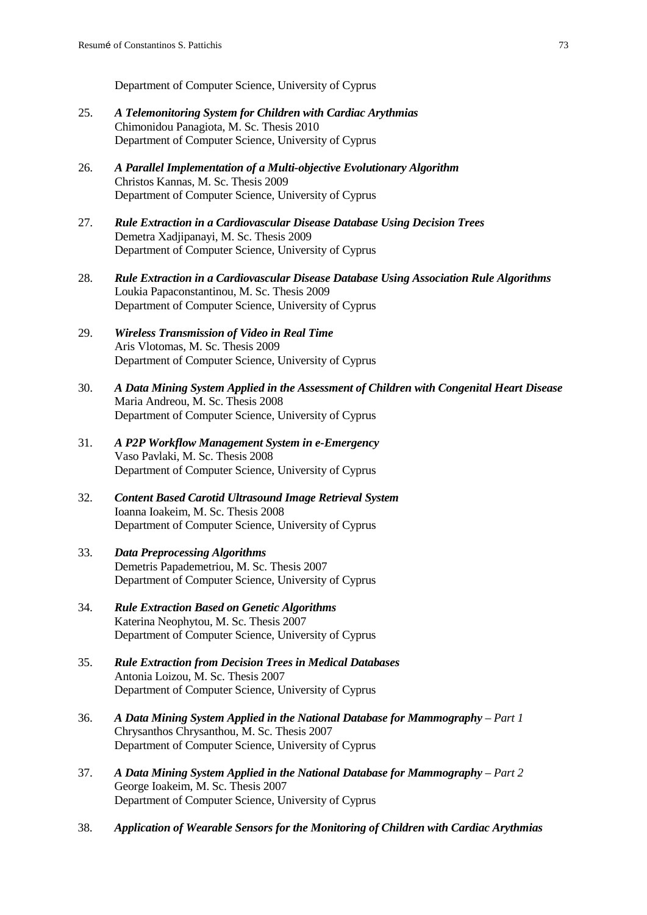Department of Computer Science, University of Cyprus

- 25. *A Telemonitoring System for Children with Cardiac Arythmias* Chimonidou Panagiota, M. Sc. Thesis 2010 Department of Computer Science, University of Cyprus
- 26. *A Parallel Implementation of a Multi-objective Evolutionary Algorithm* Christos Kannas, M. Sc. Thesis 2009 Department of Computer Science, University of Cyprus
- 27. *Rule Extraction in a Cardiovascular Disease Database Using Decision Trees* Demetra Xadjipanayi, M. Sc. Thesis 2009 Department of Computer Science, University of Cyprus
- 28. *Rule Extraction in a Cardiovascular Disease Database Using Association Rule Algorithms* Loukia Papaconstantinou, M. Sc. Thesis 2009 Department of Computer Science, University of Cyprus
- 29. *Wireless Transmission of Video in Real Time* Aris Vlotomas, M. Sc. Thesis 2009 Department of Computer Science, University of Cyprus
- 30. *A Data Mining System Applied in the Assessment of Children with Congenital Heart Disease* Maria Andreou, M. Sc. Thesis 2008 Department of Computer Science, University of Cyprus
- 31. *A P2P Workflow Management System in e-Emergency* Vaso Pavlaki, M. Sc. Thesis 2008 Department of Computer Science, University of Cyprus
- 32. *Content Based Carotid Ultrasound Image Retrieval System* Ioanna Ioakeim, M. Sc. Thesis 2008 Department of Computer Science, University of Cyprus
- 33. *Data Preprocessing Algorithms* Demetris Papademetriou, M. Sc. Thesis 2007 Department of Computer Science, University of Cyprus
- 34. *Rule Extraction Based on Genetic Algorithms* Katerina Neophytou, M. Sc. Thesis 2007 Department of Computer Science, University of Cyprus
- 35. *Rule Extraction from Decision Trees in Medical Databases* Antonia Loizou, M. Sc. Thesis 2007 Department of Computer Science, University of Cyprus
- 36. *A Data Mining System Applied in the National Database for Mammography – Part 1* Chrysanthos Chrysanthou, M. Sc. Thesis 2007 Department of Computer Science, University of Cyprus
- 37. *A Data Mining System Applied in the National Database for Mammography – Part 2* George Ioakeim, M. Sc. Thesis 2007 Department of Computer Science, University of Cyprus
- 38. *Application of Wearable Sensors for the Monitoring of Children with Cardiac Arythmias*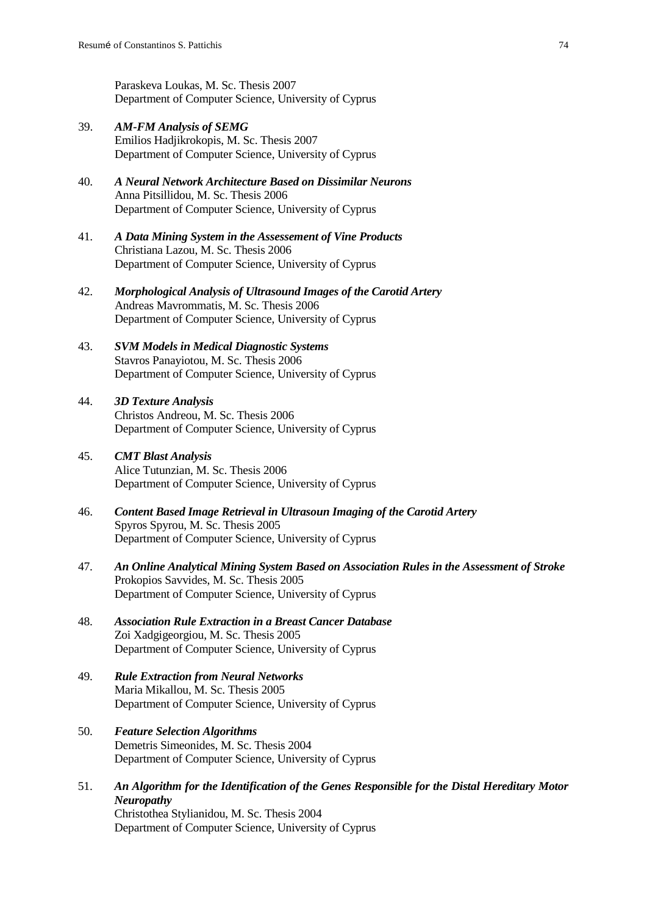Paraskeva Loukas, M. Sc. Thesis 2007 Department of Computer Science, University of Cyprus

- 39. *AM-FM Analysis of SEMG* Emilios Hadjikrokopis, M. Sc. Thesis 2007 Department of Computer Science, University of Cyprus
- 40. *A Neural Network Architecture Based on Dissimilar Neurons* Anna Pitsillidou, M. Sc. Thesis 2006 Department of Computer Science, University of Cyprus
- 41. *A Data Mining System in the Assessement of Vine Products* Christiana Lazou, M. Sc. Thesis 2006 Department of Computer Science, University of Cyprus
- 42. *Morphological Analysis of Ultrasound Images of the Carotid Artery* Andreas Mavrommatis, M. Sc. Thesis 2006 Department of Computer Science, University of Cyprus
- 43. *SVM Models in Medical Diagnostic Systems* Stavros Panayiotou, M. Sc. Thesis 2006 Department of Computer Science, University of Cyprus
- 44. *3D Texture Analysis* Christos Andreou, M. Sc. Thesis 2006 Department of Computer Science, University of Cyprus
- 45. *CMT Blast Analysis* Alice Tutunzian, M. Sc. Thesis 2006 Department of Computer Science, University of Cyprus
- 46. *Content Based Image Retrieval in Ultrasoun Imaging of the Carotid Artery* Spyros Spyrou, M. Sc. Thesis 2005 Department of Computer Science, University of Cyprus
- 47. *An Online Analytical Mining System Based on Association Rules in the Assessment of Stroke* Prokopios Savvides, M. Sc. Thesis 2005 Department of Computer Science, University of Cyprus
- 48. *Association Rule Extraction in a Breast Cancer Database* Zoi Xadgigeorgiou, M. Sc. Thesis 2005 Department of Computer Science, University of Cyprus
- 49. *Rule Extraction from Neural Networks* Maria Mikallou, M. Sc. Thesis 2005 Department of Computer Science, University of Cyprus
- 50. *Feature Selection Algorithms* Demetris Simeonides, M. Sc. Thesis 2004 Department of Computer Science, University of Cyprus
- 51. *An Algorithm for the Identification of the Genes Responsible for the Distal Hereditary Motor Neuropathy* Christothea Stylianidou, M. Sc. Thesis 2004 Department of Computer Science, University of Cyprus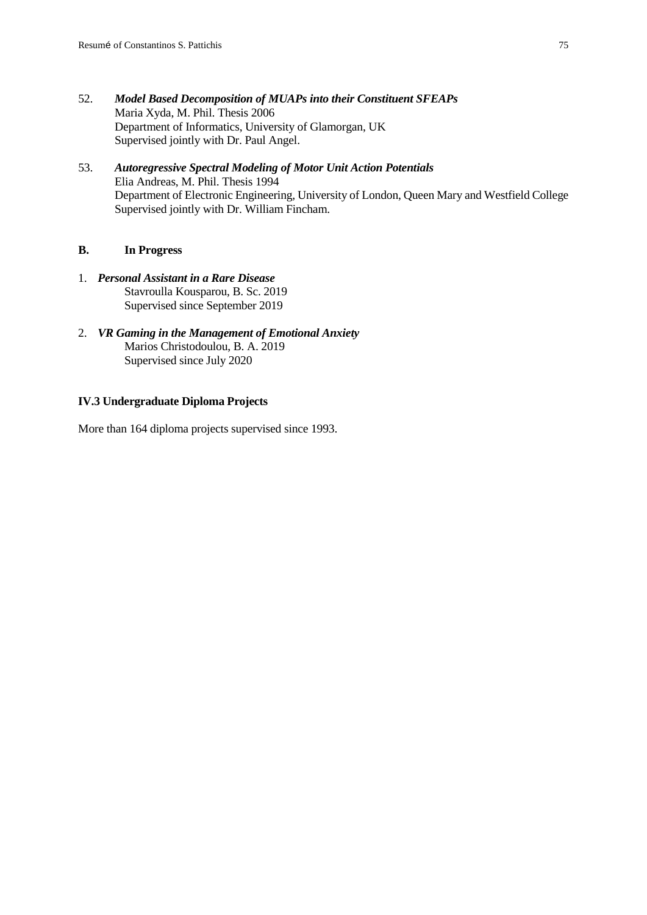- 52. *Model Based Decomposition of MUAPs into their Constituent SFEAPs* Maria Xyda, M. Phil. Thesis 2006 Department of Informatics, University of Glamorgan, UK Supervised jointly with Dr. Paul Angel.
- 53. *Autoregressive Spectral Modeling of Motor Unit Action Potentials* Elia Andreas, M. Phil. Thesis 1994 Department of Electronic Engineering, University of London, Queen Mary and Westfield College Supervised jointly with Dr. William Fincham.

## **B. In Progress**

- 1. *Personal Assistant in a Rare Disease* Stavroulla Kousparou, B. Sc. 2019 Supervised since September 2019
- 2. *VR Gaming in the Management of Emotional Anxiety* Marios Christodoulou, B. A. 2019 Supervised since July 2020

## **IV.3 Undergraduate Diploma Projects**

More than 164 diploma projects supervised since 1993.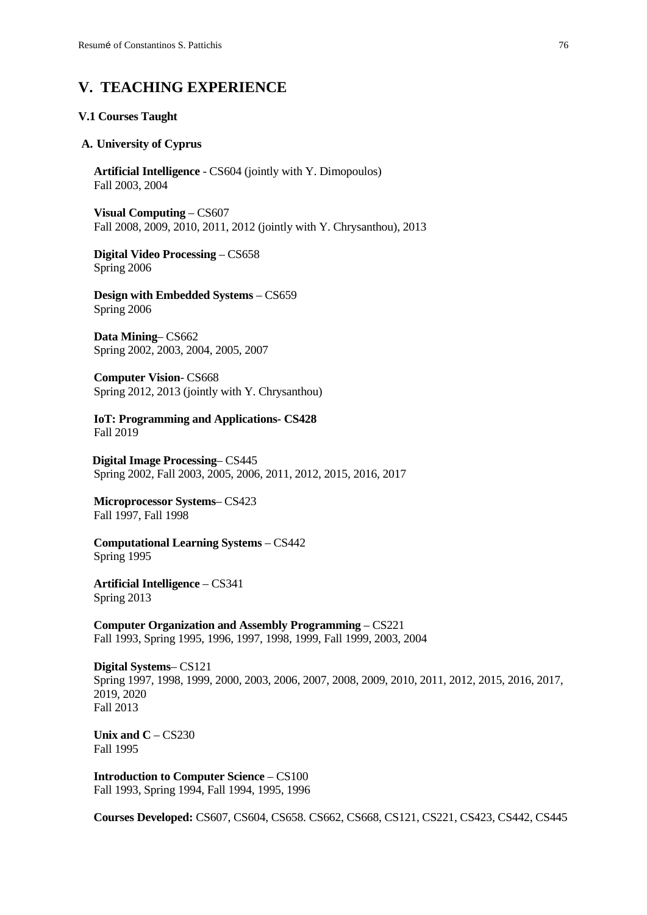# **V. TEACHING EXPERIENCE**

#### **V.1 Courses Taught**

#### **A. University of Cyprus**

**Artificial Intelligence** - CS604 (jointly with Y. Dimopoulos) Fall 2003, 2004

**Visual Computing** – CS607 Fall 2008, 2009, 2010, 2011, 2012 (jointly with Y. Chrysanthou), 2013

**Digital Video Processing** – CS658 Spring 2006

**Design with Embedded Systems** – CS659 Spring 2006

**Data Mining**– CS662 Spring 2002, 2003, 2004, 2005, 2007

**Computer Vision**- CS668 Spring 2012, 2013 (jointly with Y. Chrysanthou)

**IoT: Programming and Applications- CS428** Fall 2019

 **Digital Image Processing**– CS445 Spring 2002, Fall 2003, 2005, 2006, 2011, 2012, 2015, 2016, 2017

**Microprocessor Systems**– CS423 Fall 1997, Fall 1998

**Computational Learning Systems** – CS442 Spring 1995

**Artificial Intelligence** – CS341 Spring 2013

**Computer Organization and Assembly Programming** – CS221 Fall 1993, Spring 1995, 1996, 1997, 1998, 1999, Fall 1999, 2003, 2004

**Digital Systems**– CS121 Spring 1997, 1998, 1999, 2000, 2003, 2006, 2007, 2008, 2009, 2010, 2011, 2012, 2015, 2016, 2017, 2019, 2020 Fall 2013

**Unix and**  $C - CS230$ Fall 1995

**Introduction to Computer Science** – CS100 Fall 1993, Spring 1994, Fall 1994, 1995, 1996

**Courses Developed:** CS607, CS604, CS658. CS662, CS668, CS121, CS221, CS423, CS442, CS445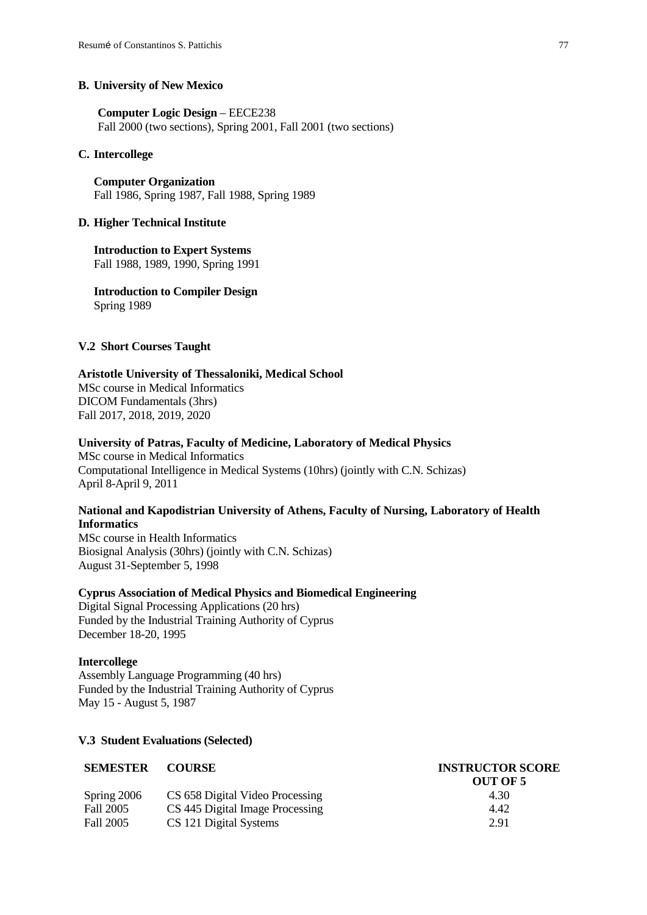#### **B. University of New Mexico**

**Computer Logic Design** – EECE238 Fall 2000 (two sections), Spring 2001, Fall 2001 (two sections)

### **C. Intercollege**

**Computer Organization** Fall 1986, Spring 1987, Fall 1988, Spring 1989

#### **D. Higher Technical Institute**

**Introduction to Expert Systems** Fall 1988, 1989, 1990, Spring 1991

**Introduction to Compiler Design** Spring 1989

#### **V.2 Short Courses Taught**

## **Aristotle University of Thessaloniki, Medical School**

MSc course in Medical Informatics DICOM Fundamentals (3hrs) Fall 2017, 2018, 2019, 2020

#### **University of Patras, Faculty of Medicine, Laboratory of Medical Physics**

MSc course in Medical Informatics Computational Intelligence in Medical Systems (10hrs) (jointly with C.N. Schizas) April 8-April 9, 2011

## **National and Kapodistrian University of Athens, Faculty of Nursing, Laboratory of Health Informatics**

MSc course in Health Informatics Biosignal Analysis (30hrs) (jointly with C.N. Schizas) August 31-September 5, 1998

### **Cyprus Association of Medical Physics and Biomedical Engineering**

Digital Signal Processing Applications (20 hrs) Funded by the Industrial Training Authority of Cyprus December 18-20, 1995

#### **Intercollege**

Assembly Language Programming (40 hrs) Funded by the Industrial Training Authority of Cyprus May 15 - August 5, 1987

#### **V.3 Student Evaluations (Selected)**

| <b>SEMESTER</b> | <b>COURSE</b>                   | <b>INSTRUCTOR SCORE</b> |  |
|-----------------|---------------------------------|-------------------------|--|
|                 |                                 | OUT OF 5                |  |
| Spring 2006     | CS 658 Digital Video Processing | 4.30                    |  |
| Fall 2005       | CS 445 Digital Image Processing | 4.42                    |  |
| Fall 2005       | CS 121 Digital Systems          | 2.91                    |  |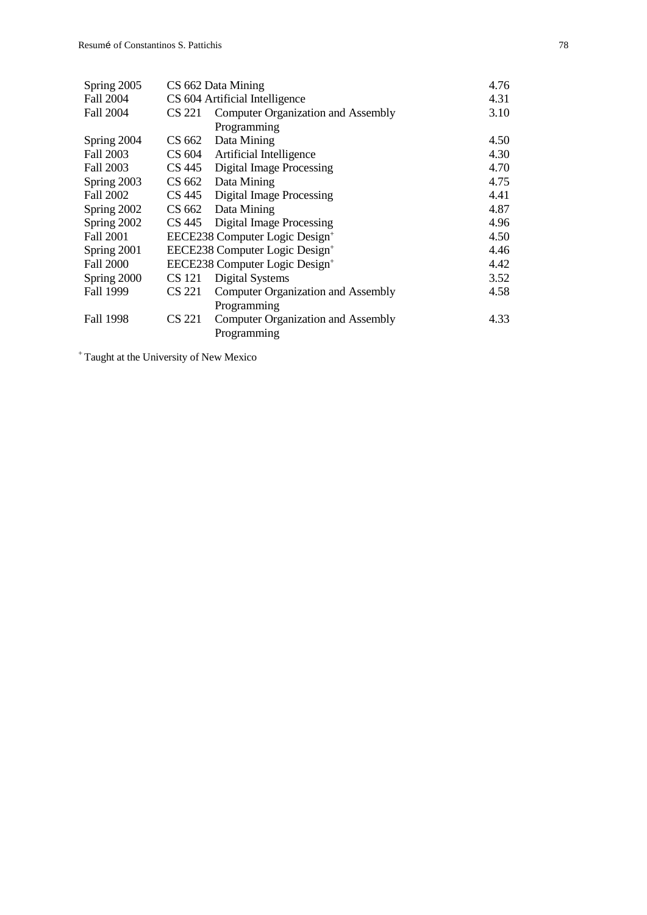| Spring 2005      | CS 662 Data Mining |                                            | 4.76 |
|------------------|--------------------|--------------------------------------------|------|
| Fall 2004        |                    | CS 604 Artificial Intelligence             | 4.31 |
| <b>Fall 2004</b> | CS 221             | <b>Computer Organization and Assembly</b>  | 3.10 |
|                  |                    | Programming                                |      |
| Spring 2004      | CS 662             | Data Mining                                | 4.50 |
| Fall 2003        | CS 604             | Artificial Intelligence                    | 4.30 |
| Fall 2003        | CS 445             | Digital Image Processing                   | 4.70 |
| Spring 2003      | CS 662             | Data Mining                                | 4.75 |
| Fall 2002        | CS 445             | Digital Image Processing                   | 4.41 |
| Spring 2002      |                    | CS 662 Data Mining                         | 4.87 |
| Spring 2002      |                    | CS 445 Digital Image Processing            | 4.96 |
| <b>Fall 2001</b> |                    | EECE238 Computer Logic Design <sup>+</sup> | 4.50 |
| Spring 2001      |                    | EECE238 Computer Logic Design <sup>+</sup> | 4.46 |
| <b>Fall 2000</b> |                    | EECE238 Computer Logic Design <sup>+</sup> | 4.42 |
| Spring 2000      | CS 121             | <b>Digital Systems</b>                     | 3.52 |
| Fall 1999        | CS 221             | <b>Computer Organization and Assembly</b>  | 4.58 |
|                  |                    | Programming                                |      |
| Fall 1998        | CS 221             | <b>Computer Organization and Assembly</b>  | 4.33 |
|                  |                    | Programming                                |      |

<sup>+</sup> Taught at the University of New Mexico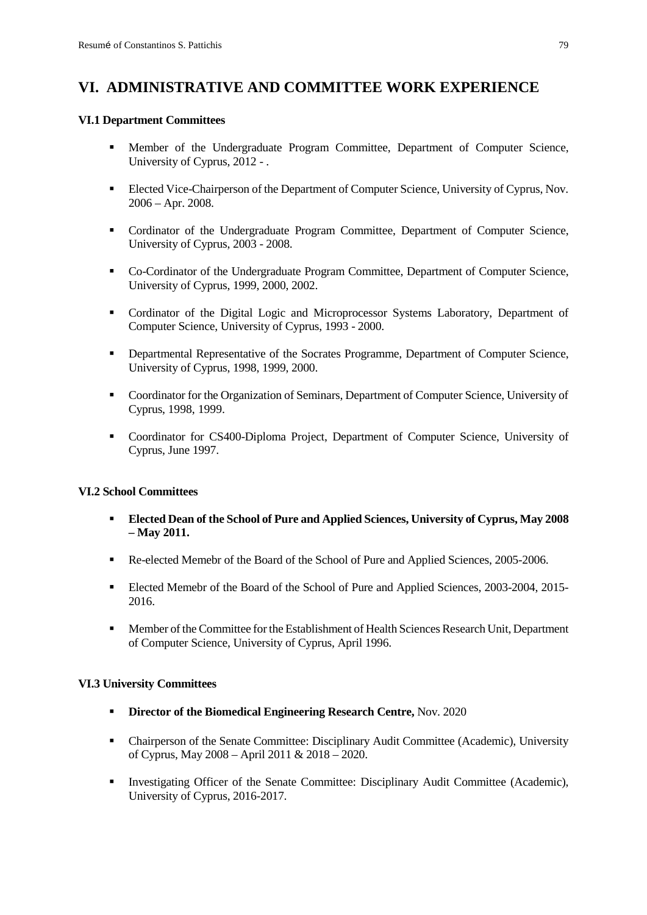# **VI. ADMINISTRATIVE AND COMMITTEE WORK EXPERIENCE**

## **VI.1 Department Committees**

- Member of the Undergraduate Program Committee, Department of Computer Science, University of Cyprus, 2012 - .
- Elected Vice-Chairperson of the Department of Computer Science, University of Cyprus, Nov. 2006 – Apr. 2008.
- Cordinator of the Undergraduate Program Committee, Department of Computer Science, University of Cyprus, 2003 - 2008.
- Co-Cordinator of the Undergraduate Program Committee, Department of Computer Science, University of Cyprus, 1999, 2000, 2002.
- Cordinator of the Digital Logic and Microprocessor Systems Laboratory, Department of Computer Science, University of Cyprus, 1993 - 2000.
- Departmental Representative of the Socrates Programme, Department of Computer Science, University of Cyprus, 1998, 1999, 2000.
- Coordinator for the Organization of Seminars, Department of Computer Science, University of Cyprus, 1998, 1999.
- Coordinator for CS400-Diploma Project, Department of Computer Science, University of Cyprus, June 1997.

## **VI.2 School Committees**

- **Elected Dean of the School of Pure and Applied Sciences, University of Cyprus, May 2008 – May 2011.**
- Re-elected Memebr of the Board of the School of Pure and Applied Sciences, 2005-2006.
- Elected Memebr of the Board of the School of Pure and Applied Sciences, 2003-2004, 2015-2016.
- Member of the Committee for the Establishment of Health Sciences Research Unit, Department of Computer Science, University of Cyprus, April 1996.

## **VI.3 University Committees**

- **Director of the Biomedical Engineering Research Centre,** Nov. 2020
- Chairperson of the Senate Committee: Disciplinary Audit Committee (Academic), University of Cyprus, May 2008 – April 2011 & 2018 – 2020.
- Investigating Officer of the Senate Committee: Disciplinary Audit Committee (Academic), University of Cyprus, 2016-2017.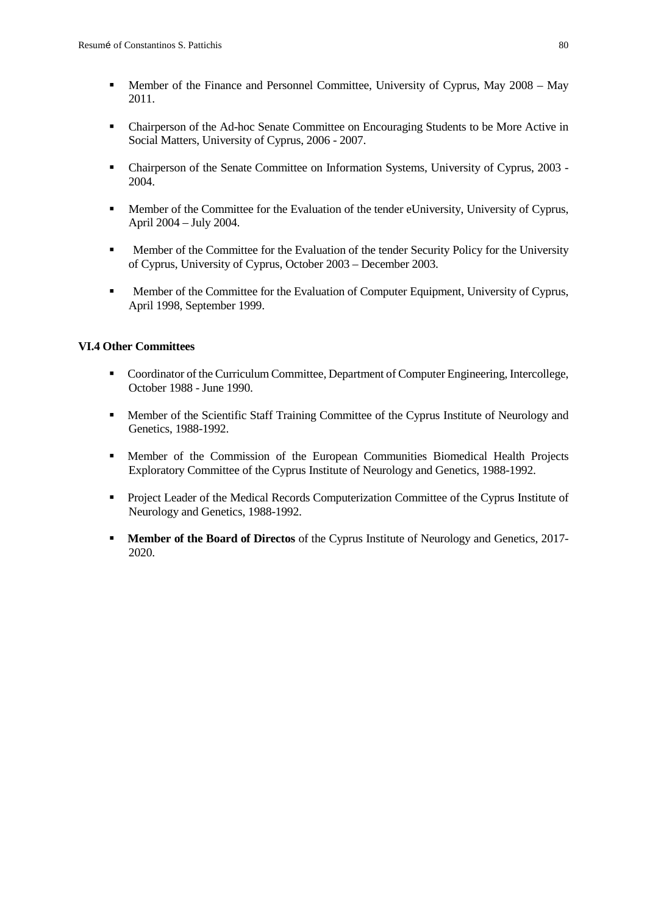- Member of the Finance and Personnel Committee, University of Cyprus, May 2008 May 2011.
- Chairperson of the Ad-hoc Senate Committee on Encouraging Students to be More Active in Social Matters, University of Cyprus, 2006 - 2007.
- Chairperson of the Senate Committee on Information Systems, University of Cyprus, 2003 2004.
- Member of the Committee for the Evaluation of the tender eUniversity, University of Cyprus, April 2004 – July 2004.
- **Member of the Committee for the Evaluation of the tender Security Policy for the University** of Cyprus, University of Cyprus, October 2003 – December 2003.
- **Member of the Committee for the Evaluation of Computer Equipment, University of Cyprus,** April 1998, September 1999.

### **VI.4 Other Committees**

- Coordinator of the Curriculum Committee, Department of Computer Engineering, Intercollege, October 1988 - June 1990.
- Member of the Scientific Staff Training Committee of the Cyprus Institute of Neurology and Genetics, 1988-1992.
- Member of the Commission of the European Communities Biomedical Health Projects Exploratory Committee of the Cyprus Institute of Neurology and Genetics, 1988-1992.
- **Project Leader of the Medical Records Computerization Committee of the Cyprus Institute of** Neurology and Genetics, 1988-1992.
- **Member of the Board of Directos** of the Cyprus Institute of Neurology and Genetics, 2017-2020.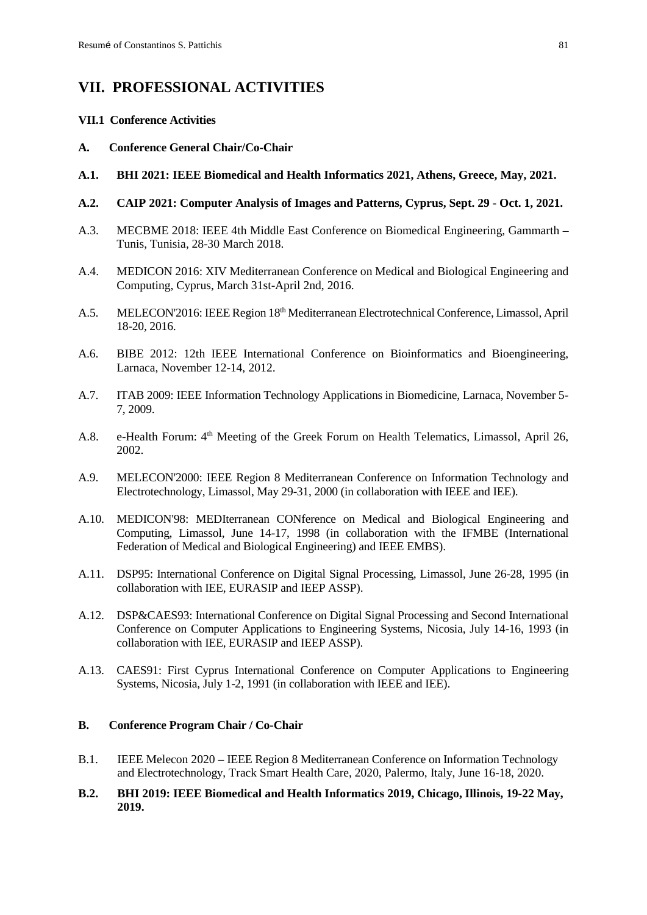# **VII. PROFESSIONAL ACTIVITIES**

## **VII.1 Conference Activities**

- **A. Conference General Chair/Co-Chair**
- **A.1. BHI 2021: IEEE Biomedical and Health Informatics 2021, Athens, Greece, May, 2021.**
- **A.2. CAIP 2021: Computer Analysis of Images and Patterns, Cyprus, Sept. 29 - Oct. 1, 2021.**
- A.3. MECBME 2018: IEEE 4th Middle East Conference on Biomedical Engineering, Gammarth Tunis, Tunisia, 28-30 March 2018.
- A.4. MEDICON 2016: XIV Mediterranean Conference on Medical and Biological Engineering and Computing, Cyprus, March 31st-April 2nd, 2016.
- A.5. MELECON'2016: IEEE Region 18th Mediterranean Electrotechnical Conference, Limassol, April 18-20, 2016.
- A.6. BIBE 2012: 12th IEEE International Conference on Bioinformatics and Bioengineering, Larnaca, November 12-14, 2012.
- A.7. ITAB 2009: IEEE Information Technology Applications in Biomedicine, Larnaca, November 5- 7, 2009.
- A.8. e-Health Forum:  $4<sup>th</sup>$  Meeting of the Greek Forum on Health Telematics, Limassol, April 26, 2002.
- A.9. MELECON'2000: IEEE Region 8 Mediterranean Conference on Information Technology and Electrotechnology, Limassol, May 29-31, 2000 (in collaboration with IEEE and IEE).
- A.10. MEDICON'98: MEDIterranean CONference on Medical and Biological Engineering and Computing, Limassol, June 14-17, 1998 (in collaboration with the IFMBE (International Federation of Medical and Biological Engineering) and IEEE EMBS).
- A.11. DSP95: International Conference on Digital Signal Processing, Limassol, June 26-28, 1995 (in collaboration with IEE, EURASIP and IEEP ASSP).
- A.12. DSP&CAES93: International Conference on Digital Signal Processing and Second International Conference on Computer Applications to Engineering Systems, Nicosia, July 14-16, 1993 (in collaboration with IEE, EURASIP and IEEP ASSP).
- A.13. CAES91: First Cyprus International Conference on Computer Applications to Engineering Systems, Nicosia, July 1-2, 1991 (in collaboration with IEEE and IEE).

## **B. Conference Program Chair / Co-Chair**

- B.1. IEEE Melecon 2020 IEEE Region 8 Mediterranean Conference on Information Technology and Electrotechnology, Track Smart Health Care, 2020, Palermo, Italy, June 16-18, 2020.
- **B.2. BHI 2019: IEEE Biomedical and Health Informatics 2019, Chicago, Illinois, 19-22 May, 2019.**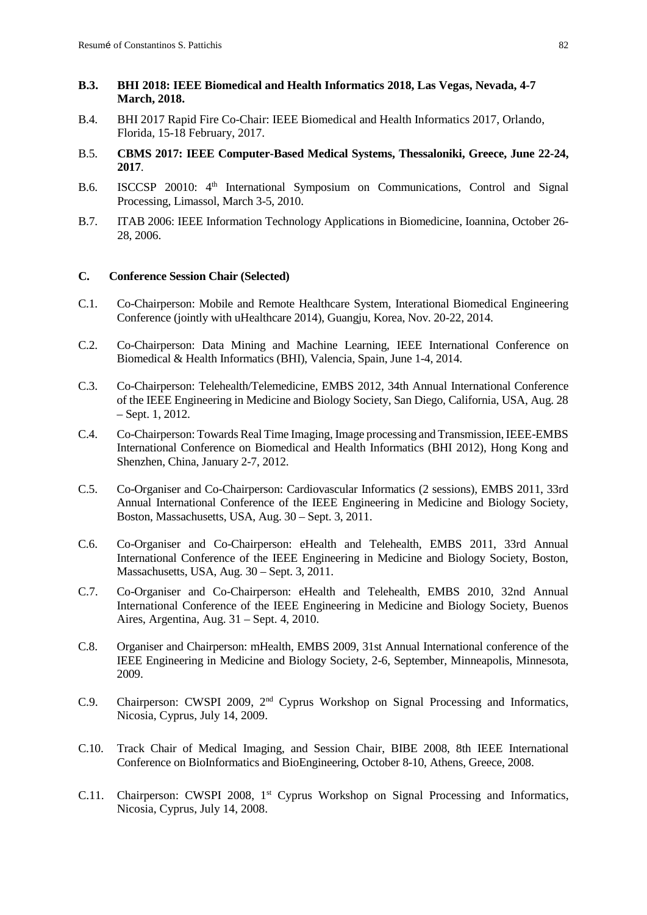## **B.3. BHI 2018: IEEE Biomedical and Health Informatics 2018, Las Vegas, Nevada, 4-7 March, 2018.**

- B.4. BHI 2017 Rapid Fire Co-Chair: IEEE Biomedical and Health Informatics 2017, Orlando, Florida, 15-18 February, 2017.
- B.5. **CBMS 2017: IEEE Computer-Based Medical Systems, Thessaloniki, Greece, June 22-24, 2017**.
- B.6. ISCCSP 20010: 4<sup>th</sup> International Symposium on Communications, Control and Signal Processing, Limassol, March 3-5, 2010.
- B.7. ITAB 2006: IEEE Information Technology Applications in Biomedicine, Ioannina, October 26- 28, 2006.

## **C. Conference Session Chair (Selected)**

- C.1. Co-Chairperson: Mobile and Remote Healthcare System, Interational Biomedical Engineering Conference (jointly with uHealthcare 2014), Guangju, Korea, Nov. 20-22, 2014.
- C.2. Co-Chairperson: Data Mining and Machine Learning, IEEE International Conference on Biomedical & Health Informatics (BHI), Valencia, Spain, June 1-4, 2014.
- C.3. Co-Chairperson: Telehealth/Telemedicine, EMBS 2012, 34th Annual International Conference of the IEEE Engineering in Medicine and Biology Society, San Diego, California, USA, Aug. 28 – Sept. 1, 2012.
- C.4. Co-Chairperson: Towards Real Time Imaging, Image processing and Transmission, IEEE-EMBS International Conference on Biomedical and Health Informatics (BHI 2012), Hong Kong and Shenzhen, China, January 2-7, 2012.
- C.5. Co-Organiser and Co-Chairperson: Cardiovascular Informatics (2 sessions), EMBS 2011, 33rd Annual International Conference of the IEEE Engineering in Medicine and Biology Society, Boston, Massachusetts, USA, Aug. 30 – Sept. 3, 2011.
- C.6. Co-Organiser and Co-Chairperson: eHealth and Telehealth, EMBS 2011, 33rd Annual International Conference of the IEEE Engineering in Medicine and Biology Society, Boston, Massachusetts, USA, Aug. 30 – Sept. 3, 2011.
- C.7. Co-Organiser and Co-Chairperson: eHealth and Telehealth, EMBS 2010, 32nd Annual International Conference of the IEEE Engineering in Medicine and Biology Society, Buenos Aires, Argentina, Aug. 31 – Sept. 4, 2010.
- C.8. Organiser and Chairperson: mHealth, EMBS 2009, 31st Annual International conference of the IEEE Engineering in Medicine and Biology Society, 2-6, September, Minneapolis, Minnesota, 2009.
- C.9. Chairperson: CWSPI 2009, 2<sup>nd</sup> Cyprus Workshop on Signal Processing and Informatics, Nicosia, Cyprus, July 14, 2009.
- C.10. Track Chair of Medical Imaging, and Session Chair, BIBE 2008, 8th IEEE International Conference on BioInformatics and BioEngineering, October 8-10, Athens, Greece, 2008.
- C.11. Chairperson: CWSPI 2008, 1<sup>st</sup> Cyprus Workshop on Signal Processing and Informatics, Nicosia, Cyprus, July 14, 2008.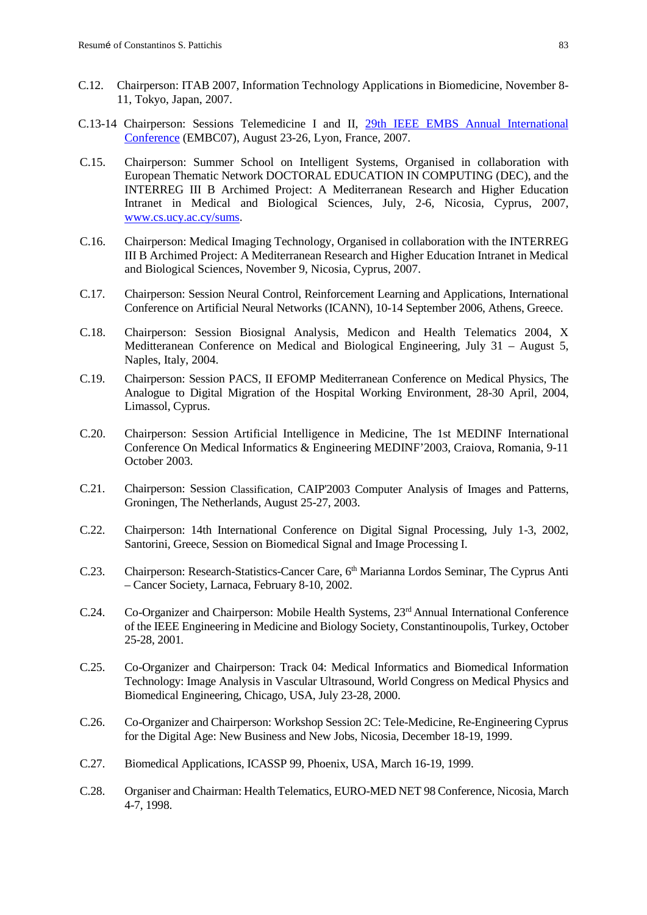- C.12. Chairperson: ITAB 2007, Information Technology Applications in Biomedicine, November 8- 11, Tokyo, Japan, 2007.
- C.13-14 Chairperson: Sessions Telemedicine I and II, [29th IEEE EMBS Annual International](http://www.embc07.ulster.ac.uk/)  [Conference](http://www.embc07.ulster.ac.uk/) (EMBC07), August 23-26, Lyon, France, 2007.
- C.15. Chairperson: Summer School on Intelligent Systems, Organised in collaboration with European Thematic Network DOCTORAL EDUCATION IN COMPUTING (DEC), and the INTERREG III B Archimed Project: A Mediterranean Research and Higher Education Intranet in Medical and Biological Sciences, July, 2-6, Nicosia, Cyprus, 2007, [www.cs.ucy.ac.cy/sums.](http://www.cs.ucy.ac.cy/sums)
- C.16. Chairperson: Medical Imaging Technology, Organised in collaboration with the INTERREG III B Archimed Project: A Mediterranean Research and Higher Education Intranet in Medical and Biological Sciences, November 9, Nicosia, Cyprus, 2007.
- C.17. Chairperson: Session Neural Control, Reinforcement Learning and Applications, International Conference on Artificial Neural Networks (ICANN), 10-14 September 2006, Athens, Greece.
- C.18. Chairperson: Session Biosignal Analysis, Medicon and Health Telematics 2004, X Meditteranean Conference on Medical and Biological Engineering, July 31 – August 5, Naples, Italy, 2004.
- C.19. Chairperson: Session PACS, II EFOMP Mediterranean Conference on Medical Physics, The Analogue to Digital Migration of the Hospital Working Environment, 28-30 April, 2004, Limassol, Cyprus.
- C.20. Chairperson: Session Artificial Intelligence in Medicine, The 1st MEDINF International Conference On Medical Informatics & Engineering MEDINF'2003, Craiova, Romania, 9-11 October 2003.
- C.21. Chairperson: Session Classification, CAIP'2003 Computer Analysis of Images and Patterns, Groningen, The Netherlands, August 25-27, 2003.
- C.22. Chairperson: 14th International Conference on Digital Signal Processing, July 1-3, 2002, Santorini, Greece, Session on Biomedical Signal and Image Processing I.
- C.23. Chairperson: Research-Statistics-Cancer Care, 6<sup>th</sup> Marianna Lordos Seminar, The Cyprus Anti – Cancer Society, Larnaca, February 8-10, 2002.
- C.24. Co-Organizer and Chairperson: Mobile Health Systems, 23<sup>rd</sup> Annual International Conference of the IEEE Engineering in Medicine and Biology Society, Constantinoupolis, Turkey, October 25-28, 2001*.*
- C.25. Co-Organizer and Chairperson: Track 04: Medical Informatics and Biomedical Information Technology: Image Analysis in Vascular Ultrasound, World Congress on Medical Physics and Biomedical Engineering, Chicago, USA, July 23-28, 2000.
- C.26. Co-Organizer and Chairperson: Workshop Session 2C: Tele-Medicine, Re-Engineering Cyprus for the Digital Age: New Business and New Jobs, Nicosia, December 18-19, 1999.
- C.27. Biomedical Applications, ICASSP 99, Phoenix, USA, March 16-19, 1999.
- C.28. Organiser and Chairman: Health Telematics, EURO-MED NET 98 Conference, Nicosia, March 4-7, 1998.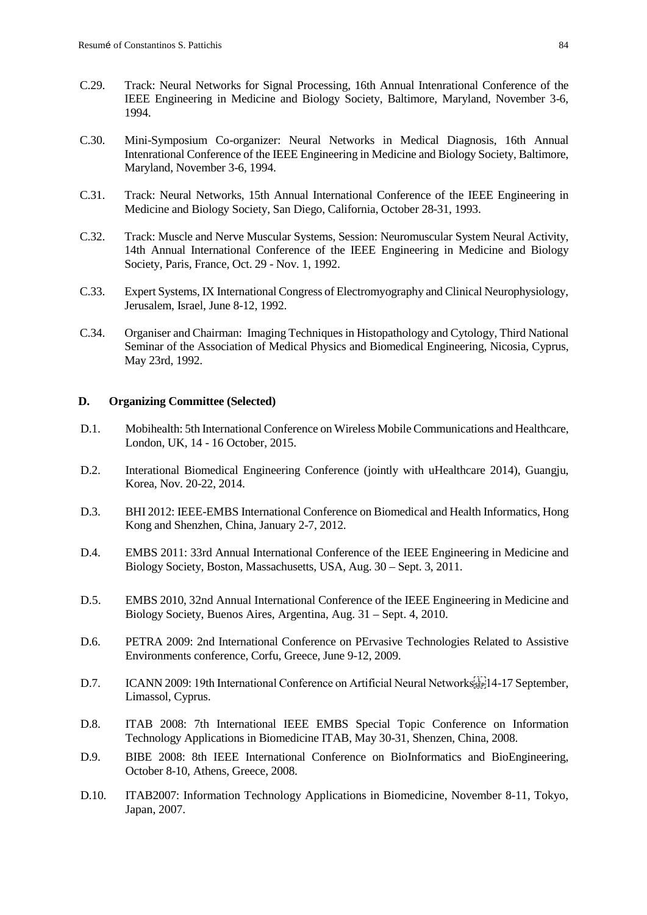- C.29. Track: Neural Networks for Signal Processing, 16th Annual Intenrational Conference of the IEEE Engineering in Medicine and Biology Society, Baltimore, Maryland, November 3-6, 1994.
- C.30. Mini-Symposium Co-organizer: Neural Networks in Medical Diagnosis, 16th Annual Intenrational Conference of the IEEE Engineering in Medicine and Biology Society, Baltimore, Maryland, November 3-6, 1994.
- C.31. Track: Neural Networks, 15th Annual International Conference of the IEEE Engineering in Medicine and Biology Society, San Diego, California, October 28-31, 1993.
- C.32. Track: Muscle and Nerve Muscular Systems, Session: Neuromuscular System Neural Activity, 14th Annual International Conference of the IEEE Engineering in Medicine and Biology Society, Paris, France, Oct. 29 - Nov. 1, 1992.
- C.33. Expert Systems, IX International Congress of Electromyography and Clinical Neurophysiology, Jerusalem, Israel, June 8-12, 1992.
- C.34. Organiser and Chairman: Imaging Techniques in Histopathology and Cytology, Third National Seminar of the Association of Medical Physics and Biomedical Engineering, Nicosia, Cyprus, May 23rd, 1992.

### **D. Organizing Committee (Selected)**

- D.1. Mobihealth: 5th International Conference on Wireless Mobile Communications and Healthcare, London, UK, 14 - 16 October, 2015.
- D.2. Interational Biomedical Engineering Conference (jointly with uHealthcare 2014), Guangju, Korea, Nov. 20-22, 2014.
- D.3. BHI 2012: IEEE-EMBS International Conference on Biomedical and Health Informatics, Hong Kong and Shenzhen, China, January 2-7, 2012.
- D.4. EMBS 2011: 33rd Annual International Conference of the IEEE Engineering in Medicine and Biology Society, Boston, Massachusetts, USA, Aug. 30 – Sept. 3, 2011.
- D.5. EMBS 2010, 32nd Annual International Conference of the IEEE Engineering in Medicine and Biology Society, Buenos Aires, Argentina, Aug. 31 – Sept. 4, 2010.
- D.6. PETRA 2009: 2nd International Conference on PErvasive Technologies Related to Assistive Environments conference, Corfu, Greece, June 9-12, 2009.
- D.7. ICANN 2009: 19th International Conference on Artificial Neural Networks  $\frac{1}{2}$ [14-17 September, Limassol, Cyprus.
- D.8. ITAB 2008: 7th International IEEE EMBS Special Topic Conference on Information Technology Applications in Biomedicine ITAB, May 30-31, Shenzen, China, 2008.
- D.9. BIBE 2008: 8th IEEE International Conference on BioInformatics and BioEngineering, October 8-10, Athens, Greece, 2008.
- D.10. ITAB2007: Information Technology Applications in Biomedicine, November 8-11, Tokyo, Japan, 2007.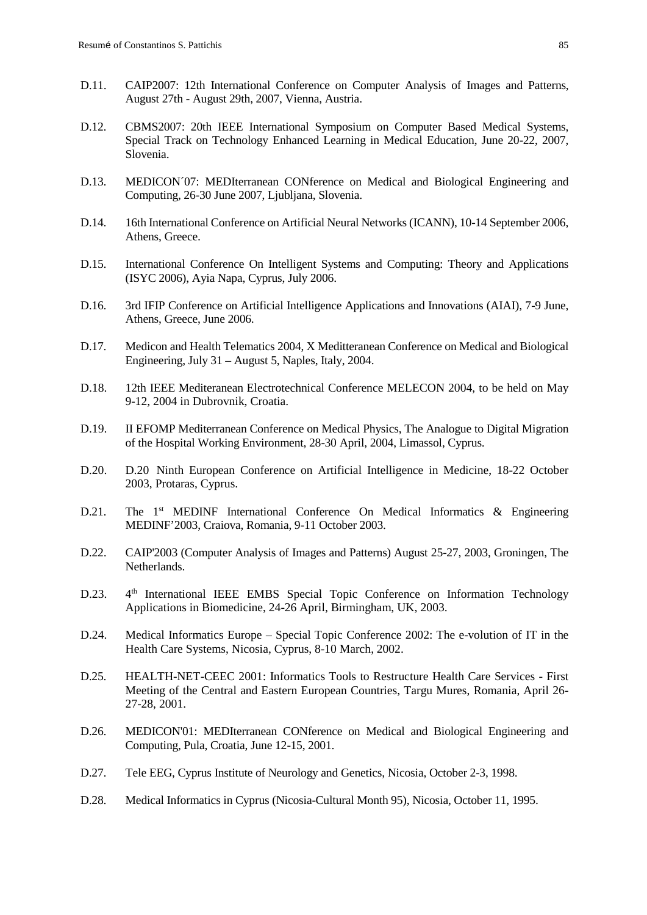- D.11. CAIP2007: 12th International Conference on Computer Analysis of Images and Patterns, August 27th - August 29th, 2007, Vienna, Austria.
- D.12. CBMS2007: 20th IEEE International Symposium on Computer Based Medical Systems, Special Track on Technology Enhanced Learning in Medical Education, June 20-22, 2007, Slovenia.
- D.13. MEDICON´07: MEDIterranean CONference on Medical and Biological Engineering and Computing, 26-30 June 2007, Ljubljana, Slovenia.
- D.14. 16th International Conference on Artificial Neural Networks (ICANN), 10-14 September 2006, Athens, Greece.
- D.15. International Conference On Intelligent Systems and Computing: Theory and Applications (ISYC 2006), Ayia Napa, Cyprus, July 2006.
- D.16. 3rd IFIP Conference on Artificial Intelligence Applications and Innovations (AIAI), 7-9 June, Athens, Greece, June 2006.
- D.17. Medicon and Health Telematics 2004, X Meditteranean Conference on Medical and Biological Engineering, July 31 – August 5, Naples, Italy, 2004.
- D.18. 12th IEEE Mediteranean Electrotechnical Conference MELECON 2004, to be held on May 9-12, 2004 in Dubrovnik, Croatia.
- D.19. II EFOMP Mediterranean Conference on Medical Physics, The Analogue to Digital Migration of the Hospital Working Environment, 28-30 April, 2004, Limassol, Cyprus.
- D.20. D.20 Ninth European Conference on Artificial Intelligence in Medicine, 18-22 October 2003, Protaras, Cyprus.
- D.21. The  $1<sup>st</sup>$  MEDINF International Conference On Medical Informatics & Engineering MEDINF'2003, Craiova, Romania, 9-11 October 2003.
- D.22. CAIP'2003 (Computer Analysis of Images and Patterns) August 25-27, 2003, Groningen, The Netherlands.
- D.23. 4th International IEEE EMBS Special Topic Conference on Information Technology Applications in Biomedicine, 24-26 April, Birmingham, UK, 2003.
- D.24. Medical Informatics Europe Special Topic Conference 2002: The e-volution of IT in the Health Care Systems, Nicosia, Cyprus, 8-10 March, 2002.
- D.25. HEALTH-NET-CEEC 2001: Informatics Tools to Restructure Health Care Services First Meeting of the Central and Eastern European Countries, Targu Mures, Romania, April 26- 27-28, 2001.
- D.26. MEDICON'01: MEDIterranean CONference on Medical and Biological Engineering and Computing, Pula, Croatia, June 12-15, 2001.
- D.27. Tele EEG, Cyprus Institute of Neurology and Genetics, Nicosia, October 2-3, 1998.
- D.28. Medical Informatics in Cyprus (Nicosia-Cultural Month 95), Nicosia, October 11, 1995.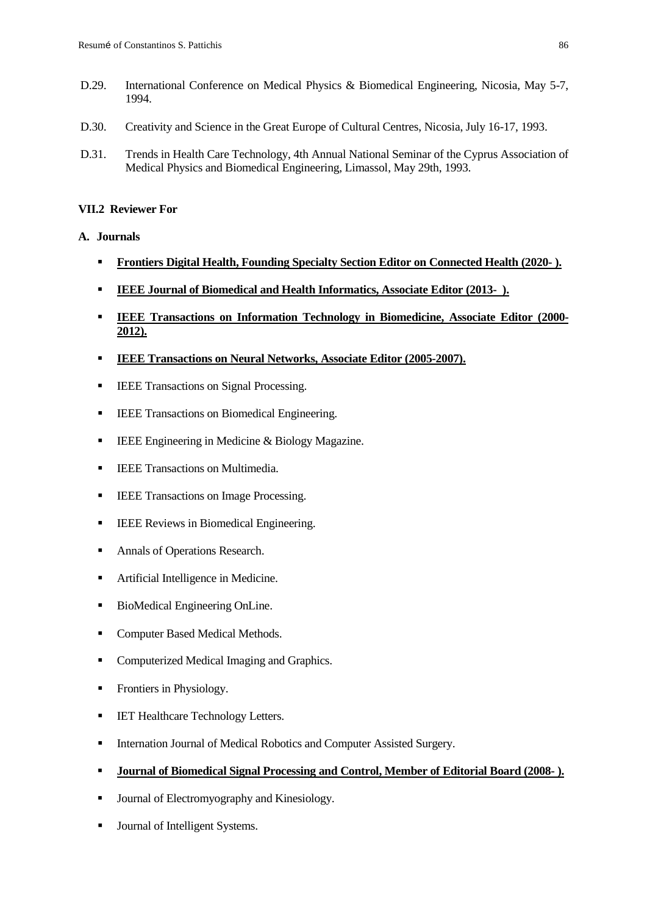- D.29. International Conference on Medical Physics & Biomedical Engineering, Nicosia, May 5-7, 1994.
- D.30. Creativity and Science in the Great Europe of Cultural Centres, Nicosia, July 16-17, 1993.
- D.31. Trends in Health Care Technology, 4th Annual National Seminar of the Cyprus Association of Medical Physics and Biomedical Engineering, Limassol, May 29th, 1993.

## **VII.2 Reviewer For**

## **A. Journals**

- **Frontiers Digital Health, Founding Specialty Section Editor on Connected Health (2020- ).**
- **IEEE Journal of Biomedical and Health Informatics, Associate Editor (2013- ).**
- **IEEE Transactions on Information Technology in Biomedicine, Associate Editor (2000- 2012).**
- **IEEE Transactions on Neural Networks, Associate Editor (2005-2007).**
- **IEEE** Transactions on Signal Processing.
- **IEEE Transactions on Biomedical Engineering.**
- **IEEE** Engineering in Medicine & Biology Magazine.
- **IEEE Transactions on Multimedia.**
- **IEEE** Transactions on Image Processing.
- **IEEE** Reviews in Biomedical Engineering.
- Annals of Operations Research.
- Artificial Intelligence in Medicine.
- BioMedical Engineering OnLine.
- **Computer Based Medical Methods.**
- Computerized Medical Imaging and Graphics.
- Frontiers in Physiology.
- **IET Healthcare Technology Letters.**
- Internation Journal of Medical Robotics and Computer Assisted Surgery.
- **Journal of Biomedical Signal Processing and Control, Member of Editorial Board (2008- ).**
- **Journal of Electromyography and Kinesiology.**
- Journal of Intelligent Systems.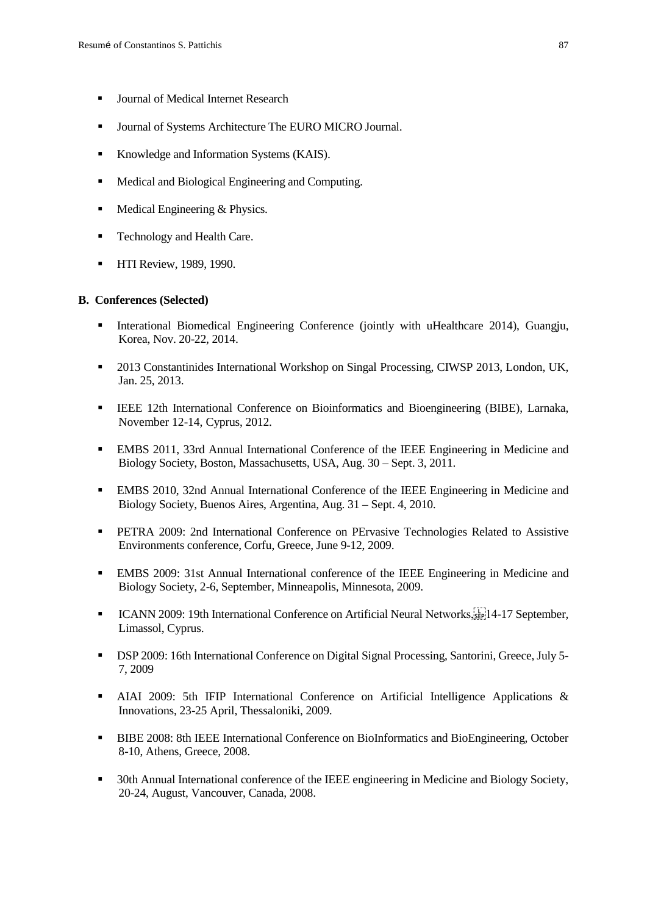- **Journal of Medical Internet Research**
- **Journal of Systems Architecture The EURO MICRO Journal.**
- Knowledge and Information Systems (KAIS).
- Medical and Biological Engineering and Computing.
- $\blacksquare$  Medical Engineering & Physics.
- Technology and Health Care.
- **HTI Review, 1989, 1990.**

#### **B. Conferences (Selected)**

- Interational Biomedical Engineering Conference (jointly with uHealthcare 2014), Guangju, Korea, Nov. 20-22, 2014.
- <sup>2013</sup> Constantinides International Workshop on Singal Processing, CIWSP 2013, London, UK, Jan. 25, 2013.
- IEEE 12th International Conference on Bioinformatics and Bioengineering (BIBE), Larnaka, November 12-14, Cyprus, 2012.
- EMBS 2011, 33rd Annual International Conference of the IEEE Engineering in Medicine and Biology Society, Boston, Massachusetts, USA, Aug. 30 – Sept. 3, 2011.
- EMBS 2010, 32nd Annual International Conference of the IEEE Engineering in Medicine and Biology Society, Buenos Aires, Argentina, Aug. 31 – Sept. 4, 2010.
- PETRA 2009: 2nd International Conference on PErvasive Technologies Related to Assistive Environments conference, Corfu, Greece, June 9-12, 2009.
- EMBS 2009: 31st Annual International conference of the IEEE Engineering in Medicine and Biology Society, 2-6, September, Minneapolis, Minnesota, 2009.
- **ICANN 2009: 19th International Conference on Artificial Neural Networks,**  $\sum_{i=1}^{n}$  **17 September,** Limassol, Cyprus.
- DSP 2009: 16th International Conference on Digital Signal Processing, Santorini, Greece, July 5- 7, 2009
- AIAI 2009: 5th IFIP International Conference on Artificial Intelligence Applications & Innovations, 23-25 April, Thessaloniki, 2009.
- BIBE 2008: 8th IEEE International Conference on BioInformatics and BioEngineering, October 8-10, Athens, Greece, 2008.
- 30th Annual International conference of the IEEE engineering in Medicine and Biology Society, 20-24, August, Vancouver, Canada, 2008.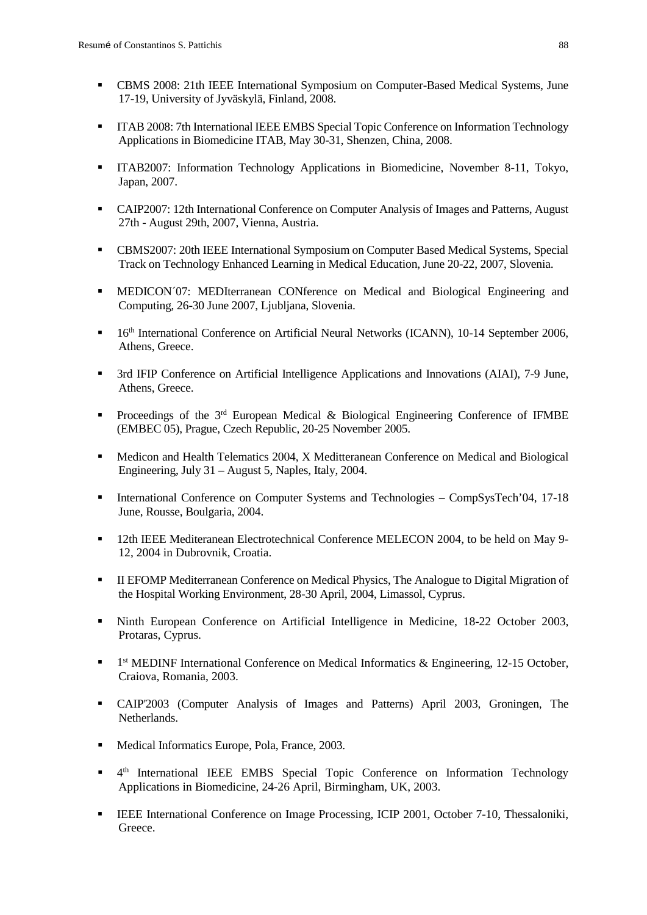- CBMS 2008: 21th IEEE International Symposium on Computer-Based Medical Systems, June 17-19, University of Jyväskylä, Finland, 2008.
- ITAB 2008: 7th International IEEE EMBS Special Topic Conference on Information Technology Applications in Biomedicine ITAB, May 30-31, Shenzen, China, 2008.
- ITAB2007: Information Technology Applications in Biomedicine, November 8-11, Tokyo, Japan, 2007.
- CAIP2007: 12th International Conference on Computer Analysis of Images and Patterns, August 27th - August 29th, 2007, Vienna, Austria.
- CBMS2007: 20th IEEE International Symposium on Computer Based Medical Systems, Special Track on Technology Enhanced Learning in Medical Education, June 20-22, 2007, Slovenia.
- MEDICON´07: MEDIterranean CONference on Medical and Biological Engineering and Computing, 26-30 June 2007, Ljubljana, Slovenia.
- <sup>•</sup> 16<sup>th</sup> International Conference on Artificial Neural Networks (ICANN), 10-14 September 2006, Athens, Greece.
- <sup>•</sup> 3rd IFIP Conference on Artificial Intelligence Applications and Innovations (AIAI), 7-9 June, Athens, Greece.
- **Proceedings of the 3<sup>rd</sup> European Medical & Biological Engineering Conference of IFMBE** (EMBEC 05), Prague, Czech Republic, 20-25 November 2005.
- **Medicon and Health Telematics 2004, X Meditteranean Conference on Medical and Biological** Engineering, July 31 – August 5, Naples, Italy, 2004.
- International Conference on Computer Systems and Technologies CompSysTech'04, 17-18 June, Rousse, Boulgaria, 2004.
- 12th IEEE Mediteranean Electrotechnical Conference MELECON 2004, to be held on May 9- 12, 2004 in Dubrovnik, Croatia.
- II EFOMP Mediterranean Conference on Medical Physics, The Analogue to Digital Migration of the Hospital Working Environment, 28-30 April, 2004, Limassol, Cyprus.
- Ninth European Conference on Artificial Intelligence in Medicine, 18-22 October 2003, Protaras, Cyprus.
- $\blacksquare$  1<sup>st</sup> MEDINF International Conference on Medical Informatics & Engineering, 12-15 October, Craiova, Romania, 2003.
- CAIP'2003 (Computer Analysis of Images and Patterns) April 2003, Groningen, The Netherlands.
- Medical Informatics Europe, Pola, France, 2003.
- <sup>4th</sup> International IEEE EMBS Special Topic Conference on Information Technology Applications in Biomedicine, 24-26 April, Birmingham, UK, 2003.
- **IEEE International Conference on Image Processing, ICIP 2001, October 7-10, Thessaloniki,** Greece.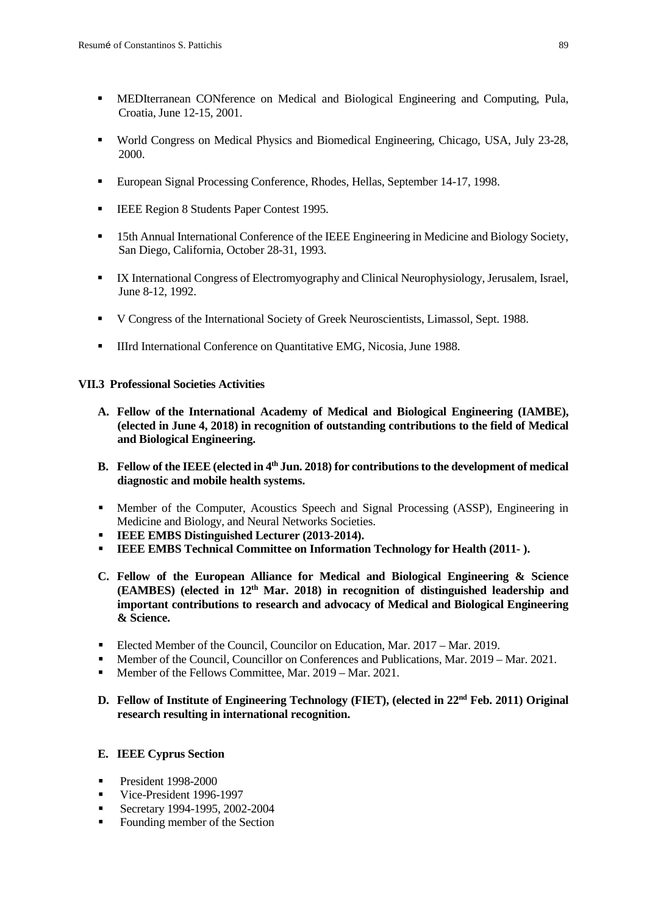- MEDIterranean CONference on Medical and Biological Engineering and Computing, Pula, Croatia, June 12-15, 2001.
- World Congress on Medical Physics and Biomedical Engineering, Chicago, USA, July 23-28, 2000.
- European Signal Processing Conference, Rhodes, Hellas, September 14-17, 1998.
- **IEEE Region 8 Students Paper Contest 1995.**
- 15th Annual International Conference of the IEEE Engineering in Medicine and Biology Society, San Diego, California, October 28-31, 1993.
- IX International Congress of Electromyography and Clinical Neurophysiology, Jerusalem, Israel, June 8-12, 1992.
- V Congress of the International Society of Greek Neuroscientists, Limassol, Sept. 1988.
- **IIIIrd International Conference on Quantitative EMG, Nicosia, June 1988.**

## **VII.3 Professional Societies Activities**

- **A. Fellow of the International Academy of Medical and Biological Engineering (IAMBE), (elected in June 4, 2018) in recognition of outstanding contributions to the field of Medical and Biological Engineering.**
- **B. Fellow of the IEEE (elected in 4th Jun. 2018) for contributions to the development of medical diagnostic and mobile health systems.**
- Member of the Computer, Acoustics Speech and Signal Processing (ASSP), Engineering in Medicine and Biology, and Neural Networks Societies.
- **IEEE EMBS Distinguished Lecturer (2013-2014).**
- **IEEE EMBS Technical Committee on Information Technology for Health (2011- ).**
- **C. Fellow of the European Alliance for Medical and Biological Engineering & Science (EAMBES) (elected in 12th Mar. 2018) in recognition of distinguished leadership and important contributions to research and advocacy of Medical and Biological Engineering & Science.**
- Elected Member of the Council, Councilor on Education, Mar. 2017 Mar. 2019.
- Member of the Council, Councillor on Conferences and Publications, Mar. 2019 Mar. 2021.
- Member of the Fellows Committee, Mar. 2019 Mar. 2021.
- **D. Fellow of Institute of Engineering Technology (FIET), (elected in 22nd Feb. 2011) Original research resulting in international recognition.**

## **E. IEEE Cyprus Section**

- President 1998-2000
- Vice-President 1996-1997
- Secretary 1994-1995, 2002-2004
- Founding member of the Section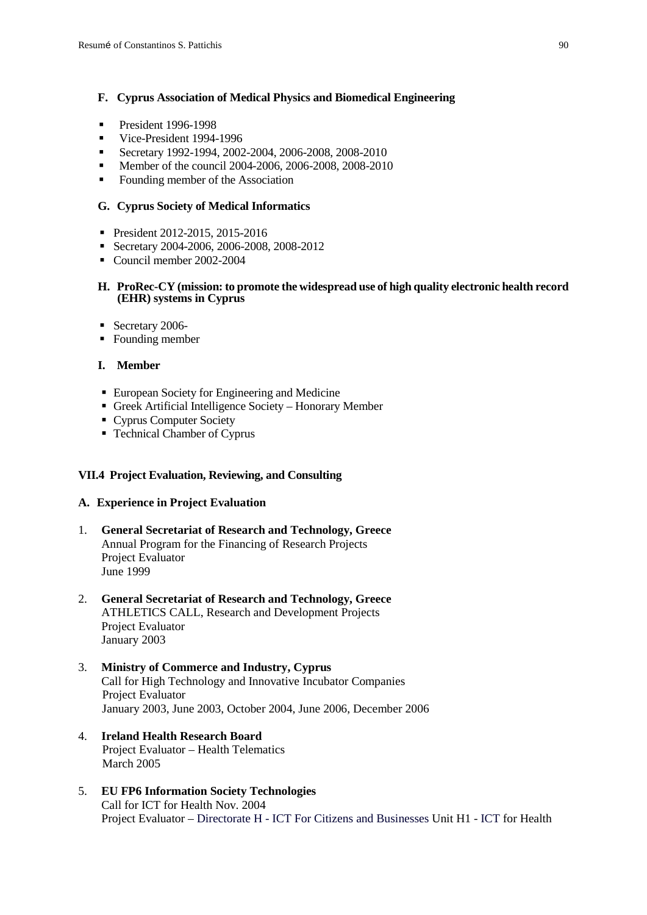## **F. Cyprus Association of Medical Physics and Biomedical Engineering**

- **President 1996-1998**
- Vice-President 1994-1996
- Secretary 1992-1994, 2002-2004, 2006-2008, 2008-2010
- Member of the council 2004-2006, 2006-2008, 2008-2010
- Founding member of the Association

#### **G. Cyprus Society of Medical Informatics**

- President 2012-2015, 2015-2016
- Secretary 2004-2006, 2006-2008, 2008-2012
- Council member 2002-2004

#### **H. ProRec-CY (mission: to promote the widespread use of high quality electronic health record (EHR) systems in Cyprus**

- Secretary 2006-
- Founding member

## **I. Member**

- European Society for Engineering and Medicine
- Greek Artificial Intelligence Society Honorary Member
- Cyprus Computer Society
- Technical Chamber of Cyprus

#### **VII.4 Project Evaluation, Reviewing, and Consulting**

#### **A. Experience in Project Evaluation**

- 1. **General Secretariat of Research and Technology, Greece** Annual Program for the Financing of Research Projects Project Evaluator June 1999
- 2. **General Secretariat of Research and Technology, Greece** ATHLETICS CALL, Research and Development Projects Project Evaluator January 2003
- 3. **Ministry of Commerce and Industry, Cyprus** Call for High Technology and Innovative Incubator Companies Project Evaluator January 2003, June 2003, October 2004, June 2006, December 2006
- 4. **Ireland Health Research Board** Project Evaluator – Health Telematics March 2005
- 5. **EU FP6 Information Society Technologies** Call for ICT for Health Nov. 2004 Project Evaluator – Directorate H - ICT For Citizens and Businesses Unit H1 - ICT for Health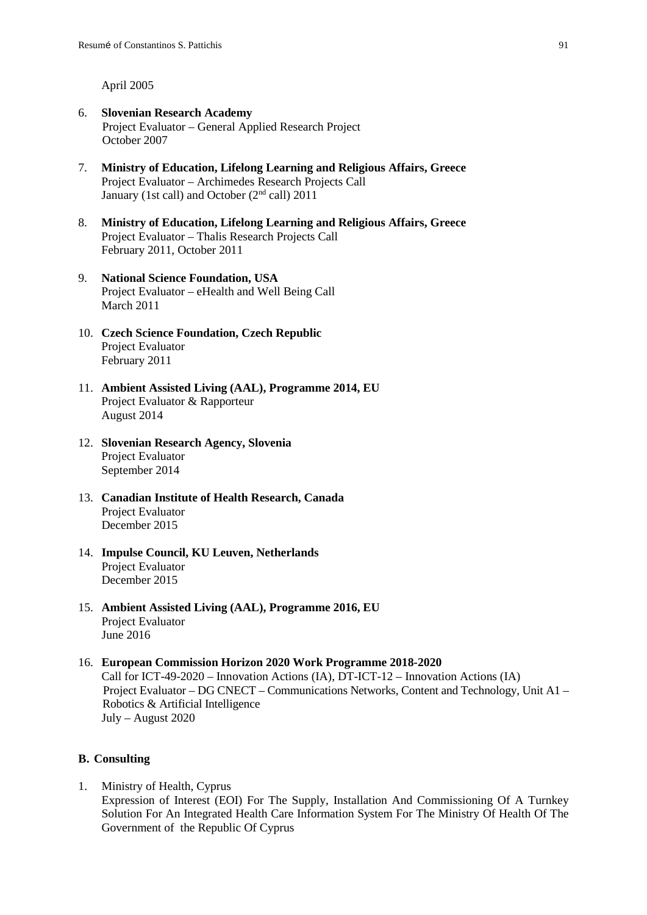April 2005

- 6. **Slovenian Research Academy** Project Evaluator – General Applied Research Project October 2007
- 7. **Ministry of Education, Lifelong Learning and Religious Affairs, Greece** Project Evaluator – Archimedes Research Projects Call January (1st call) and October (2nd call) 2011
- 8. **Ministry of Education, Lifelong Learning and Religious Affairs, Greece** Project Evaluator – Thalis Research Projects Call February 2011, October 2011
- 9. **National Science Foundation, USA** Project Evaluator – eHealth and Well Being Call March 2011
- 10. **Czech Science Foundation, Czech Republic** Project Evaluator February 2011
- 11. **Ambient Assisted Living (AAL), Programme 2014, EU** Project Evaluator & Rapporteur August 2014
- 12. **Slovenian Research Agency, Slovenia** Project Evaluator September 2014
- 13. **Canadian Institute of Health Research, Canada** Project Evaluator December 2015
- 14. **Impulse Council, KU Leuven, Netherlands** Project Evaluator December 2015
- 15. **Ambient Assisted Living (AAL), Programme 2016, EU** Project Evaluator June 2016

## 16. **European Commission Horizon 2020 Work Programme 2018-2020** Call for ICT-49-2020 – Innovation Actions (IA), DT-ICT-12 – Innovation Actions (IA) Project Evaluator – DG CNECT – Communications Networks, Content and Technology, Unit A1 – Robotics & Artificial Intelligence July – August 2020

#### **B. Consulting**

1. Ministry of Health, Cyprus Expression of Interest (EOI) For The Supply, Installation And Commissioning Of A Turnkey Solution For An Integrated Health Care Information System For The Ministry Of Health Of The Government of the Republic Of Cyprus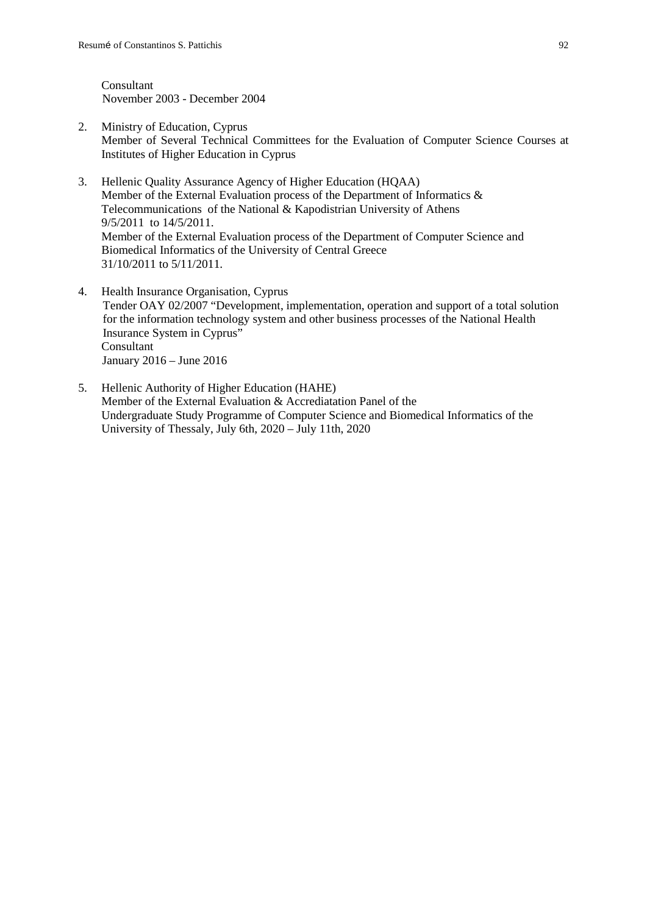Consultant November 2003 - December 2004

- 2. Ministry of Education, Cyprus Member of Several Technical Committees for the Evaluation of Computer Science Courses at Institutes of Higher Education in Cyprus
- 3. Hellenic Quality Assurance Agency of Higher Education (HQAA) Member of the External Evaluation process of the Department of Informatics & Telecommunications of the National & Kapodistrian University of Athens 9/5/2011 to 14/5/2011. Member of the External Evaluation process of the Department of Computer Science and Biomedical Informatics of the University of Central Greece 31/10/2011 to 5/11/2011.
- 4. Health Insurance Organisation, Cyprus Tender OAY 02/2007 "Development, implementation, operation and support of a total solution for the information technology system and other business processes of the National Health Insurance System in Cyprus" Consultant January 2016 – June 2016
- 5. Hellenic Authority of Higher Education (HAHE) Member of the External Evaluation & Accrediatation Panel of the Undergraduate Study Programme of Computer Science and Biomedical Informatics of the University of Thessaly, July 6th, 2020 – July 11th, 2020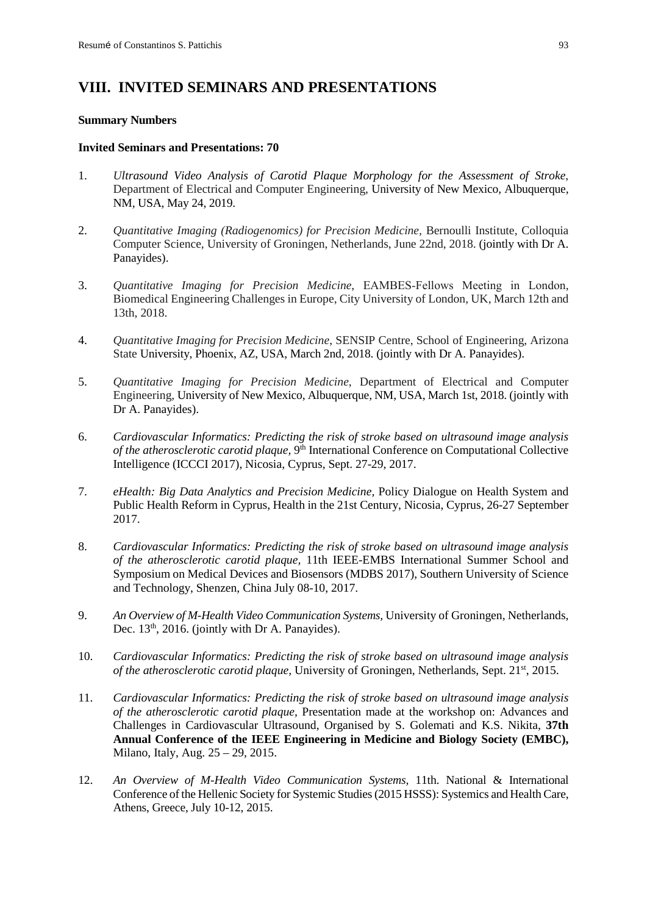# **VIII. INVITED SEMINARS AND PRESENTATIONS**

#### **Summary Numbers**

#### **Invited Seminars and Presentations: 70**

- 1. *Ultrasound Video Analysis of Carotid Plaque Morphology for the Assessment of Stroke*, Department of Electrical and Computer Engineering, University of New Mexico, Albuquerque, NM, USA, May 24, 2019.
- 2. *Quantitative Imaging (Radiogenomics) for Precision Medicine,* Bernoulli Institute, Colloquia Computer Science, University of Groningen, Netherlands, June 22nd, 2018. (jointly with Dr A. Panayides).
- 3. *Quantitative Imaging for Precision Medicine*, EAMBES‐Fellows Meeting in London, Biomedical Engineering Challenges in Europe, City University of London, UK, March 12th and 13th, 2018.
- 4. *Quantitative Imaging for Precision Medicine*, SENSIP Centre, School of Engineering, Arizona State University, Phoenix, AZ, USA, March 2nd, 2018. (jointly with Dr A. Panayides).
- 5. *Quantitative Imaging for Precision Medicine*, Department of Electrical and Computer Engineering, University of New Mexico, Albuquerque, NM, USA, March 1st, 2018. (jointly with Dr A. Panayides).
- 6. *Cardiovascular Informatics: Predicting the risk of stroke based on ultrasound image analysis of the atherosclerotic carotid plaque,* 9<sup>th</sup> International Conference on Computational Collective Intelligence (ICCCI 2017), Nicosia, Cyprus, Sept. 27-29, 2017.
- 7. *eHealth: Big Data Analytics and Precision Medicine,* Policy Dialogue on Health System and Public Health Reform in Cyprus, Health in the 21st Century, Nicosia, Cyprus, 26-27 September 2017.
- 8. *Cardiovascular Informatics: Predicting the risk of stroke based on ultrasound image analysis of the atherosclerotic carotid plaque,* 11th IEEE-EMBS International Summer School and Symposium on Medical Devices and Biosensors (MDBS 2017), Southern University of Science and Technology, Shenzen, China July 08-10, 2017.
- 9. *An Overview of M-Health Video Communication Systems,* University of Groningen, Netherlands, Dec. 13<sup>th</sup>, 2016. (jointly with Dr A. Panayides).
- 10. *Cardiovascular Informatics: Predicting the risk of stroke based on ultrasound image analysis of the atherosclerotic carotid plaque, University of Groningen, Netherlands, Sept.* 21<sup>st</sup>, 2015.
- 11. *Cardiovascular Informatics: Predicting the risk of stroke based on ultrasound image analysis of the atherosclerotic carotid plaque,* Presentation made at the workshop on: Advances and Challenges in Cardiovascular Ultrasound, Organised by S. Golemati and K.S. Nikita, **37th Annual Conference of the IEEE Engineering in Medicine and Biology Society (EMBC),** Milano, Italy, Aug. 25 – 29, 2015.
- 12. *An Overview of M-Health Video Communication Systems,* 11th. National & International Conference of the Hellenic Society for Systemic Studies (2015 HSSS): Systemics and Health Care, Athens, Greece, July 10-12, 2015.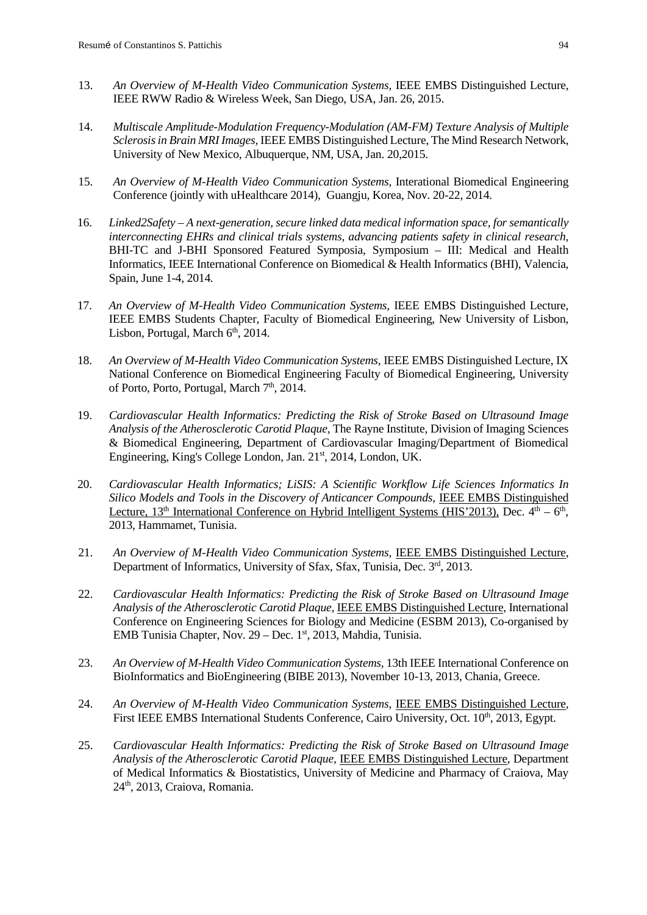- 13. *An Overview of M-Health Video Communication Systems,* IEEE EMBS Distinguished Lecture, IEEE RWW Radio & Wireless Week, San Diego, USA, Jan. 26, 2015.
- 14. *Multiscale Amplitude-Modulation Frequency-Modulation (AM-FM) Texture Analysis of Multiple Sclerosis in Brain MRI Images,* IEEE EMBS Distinguished Lecture, The Mind Research Network, University of New Mexico, Albuquerque, NM, USA, Jan. 20,2015.
- 15. *An Overview of M-Health Video Communication Systems,* Interational Biomedical Engineering Conference (jointly with uHealthcare 2014), Guangju, Korea, Nov. 20-22, 2014.
- 16. *Linked2Safety – A next-generation, secure linked data medical information space, for semantically interconnecting EHRs and clinical trials systems, advancing patients safety in clinical research,*  BHI-TC and J-BHI Sponsored Featured Symposia, Symposium – III: Medical and Health Informatics, IEEE International Conference on Biomedical & Health Informatics (BHI), Valencia, Spain, June 1-4, 2014*.*
- 17. An Overview of M-Health Video Communication Systems, IEEE EMBS Distinguished Lecture, IEEE EMBS Students Chapter, Faculty of Biomedical Engineering, New University of Lisbon, Lisbon, Portugal, March  $6<sup>th</sup>$ , 2014.
- 18. An Overview of M-Health Video Communication Systems, IEEE EMBS Distinguished Lecture, IX National Conference on Biomedical Engineering Faculty of Biomedical Engineering, University of Porto, Porto, Portugal, March 7<sup>th</sup>, 2014.
- 19. *Cardiovascular Health Informatics: Predicting the Risk of Stroke Based on Ultrasound Image Analysis of the Atherosclerotic Carotid Plaque,* The Rayne Institute, Division of Imaging Sciences & Biomedical Engineering, Department of Cardiovascular Imaging/Department of Biomedical Engineering, King's College London, Jan. 21<sup>st</sup>, 2014, London, UK.
- 20. *Cardiovascular Health Informatics; LiSIS: A Scientific Workflow Life Sciences Informatics In*  Silico Models and Tools in the Discovery of Anticancer Compounds, **IEEE EMBS Distinguished** Lecture,  $13<sup>th</sup>$  International Conference on Hybrid Intelligent Systems (HIS'2013), Dec.  $4<sup>th</sup> - 6<sup>th</sup>$ , 2013, Hammamet, Tunisia.
- 21. *An Overview of M-Health Video Communication Systems,* IEEE EMBS Distinguished Lecture, Department of Informatics, University of Sfax, Sfax, Tunisia, Dec. 3rd, 2013.
- 22. *Cardiovascular Health Informatics: Predicting the Risk of Stroke Based on Ultrasound Image Analysis of the Atherosclerotic Carotid Plaque,* IEEE EMBS Distinguished Lecture, International Conference on Engineering Sciences for Biology and Medicine (ESBM 2013), Co-organised by EMB Tunisia Chapter, Nov. 29 – Dec. 1st, 2013, Mahdia, Tunisia.
- 23. *An Overview of M-Health Video Communication Systems,* 13th IEEE International Conference on BioInformatics and BioEngineering (BIBE 2013), November 10-13, 2013, Chania, Greece.
- 24. *An Overview of M-Health Video Communication Systems,* IEEE EMBS Distinguished Lecture*,*  First IEEE EMBS International Students Conference, Cairo University, Oct. 10<sup>th</sup>, 2013, Egypt.
- 25. *Cardiovascular Health Informatics: Predicting the Risk of Stroke Based on Ultrasound Image Analysis of the Atherosclerotic Carotid Plaque,* IEEE EMBS Distinguished Lecture, Department of Medical Informatics & Biostatistics, University of Medicine and Pharmacy of Craiova, May 24th, 2013, Craiova, Romania.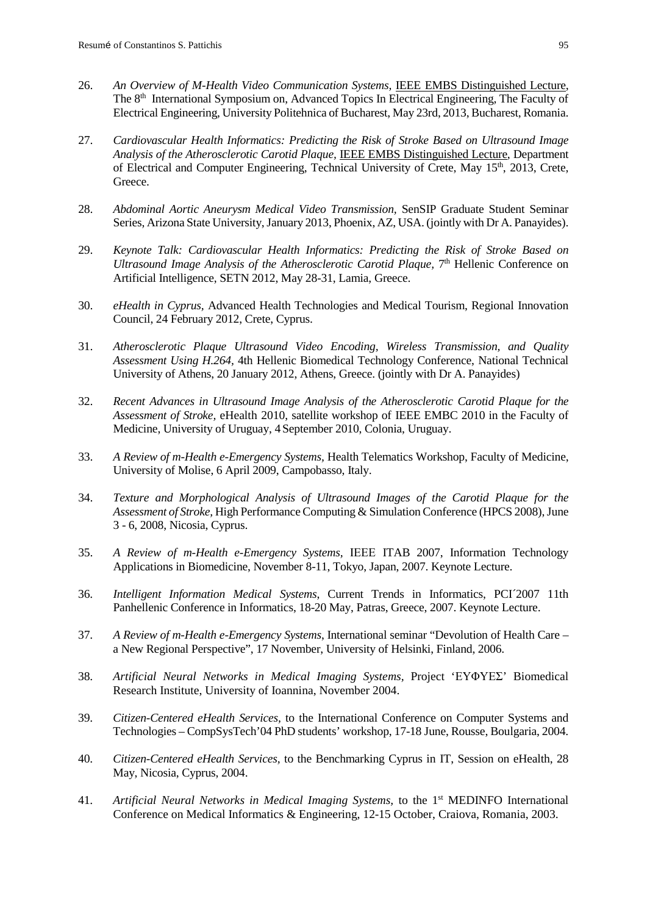- 26. *An Overview of M-Health Video Communication Systems,* IEEE EMBS Distinguished Lecture, The 8<sup>th</sup> International Symposium on, Advanced Topics In Electrical Engineering, The Faculty of [Electrical Engineering,](http://www.electro.pub.ro/) [University Politehnica of Bucharest,](http://www.pub.ro/) May 23rd, 2013, Bucharest, Romania.
- 27. *Cardiovascular Health Informatics: Predicting the Risk of Stroke Based on Ultrasound Image Analysis of the Atherosclerotic Carotid Plaque,* IEEE EMBS Distinguished Lecture, Department of Electrical and Computer Engineering, Technical University of Crete, May 15<sup>th</sup>, 2013, Crete, Greece.
- 28. *Abdominal Aortic Aneurysm Medical Video Transmission,* SenSIP Graduate Student Seminar Series, Arizona State University, January 2013, Phoenix, AZ, USA. (jointly with Dr A. Panayides).
- 29. *Keynote Talk: Cardiovascular Health Informatics: Predicting the Risk of Stroke Based on Ultrasound Image Analysis of the Atherosclerotic Carotid Plaque,* 7<sup>th</sup> Hellenic Conference on Artificial Intelligence, SETN 2012, May 28-31, Lamia, Greece.
- 30. *eHealth in Cyprus,* Advanced Health Technologies and Medical Tourism, Regional Innovation Council, 24 February 2012, Crete, Cyprus.
- 31. *[Atherosclerotic Plaque Ultrasound Video Encoding, Wireless Transmission, and Quality](http://ieeexplore.ieee.org/xpls/abs_all.jsp?arnumber=5686939)  [Assessment Using H.264,](http://ieeexplore.ieee.org/xpls/abs_all.jsp?arnumber=5686939)* 4th Hellenic Biomedical Technology Conference, National Technical University of Athens, 20 January 2012, Athens, Greece. (jointly with Dr A. Panayides)
- 32. *Recent Advances in Ultrasound Image Analysis of the Atherosclerotic Carotid Plaque for the Assessment of Stroke,* eHealth 2010, satellite workshop of IEEE EMBC 2010 in the Faculty of Medicine, University of Uruguay, 4 September 2010, Colonia, Uruguay.
- 33. *A Review of m-Health e-Emergency Systems,* Health Telematics Workshop, Faculty of Medicine, University of Molise, 6 April 2009, Campobasso, Italy.
- 34. *Texture and Morphological Analysis of Ultrasound Images of the Carotid Plaque for the Assessment of Stroke,* High Performance Computing & Simulation Conference (HPCS 2008), June 3 - 6, 2008, Nicosia, Cyprus.
- 35. *A Review of m-Health e-Emergency Systems,* ΙΕΕΕ ITAB 2007, Information Technology Applications in Biomedicine, November 8-11, Tokyo, Japan, 2007. Keynote Lecture.
- 36. *Intelligent Information Medical Systems*, Current Trends in Informatics, PCI´2007 11th Panhellenic Conference in Informatics, 18-20 May, Patras, Greece, 2007. Keynote Lecture.
- 37. *A Review of m-Health e-Emergency Systems*, International seminar "Devolution of Health Care a New Regional Perspective", 17 November, University of Helsinki, Finland, 2006.
- 38. *Artificial Neural Networks in Medical Imaging Systems,* Project 'ΕΥΦΥΕΣ' Biomedical Research Institute, University of Ioannina, November 2004.
- 39. *Citizen-Centered eHealth Services,* to the International Conference on Computer Systems and Technologies – CompSysTech'04 PhD students' workshop, 17-18 June, Rousse, Boulgaria, 2004.
- 40. *Citizen-Centered eHealth Services,* to the Benchmarking Cyprus in IT, Session on eHealth, 28 May, Nicosia, Cyprus, 2004.
- 41. *Artificial Neural Networks in Medical Imaging Systems,* to the 1st MEDINFO International Conference on Medical Informatics & Engineering, 12-15 October, Craiova, Romania, 2003.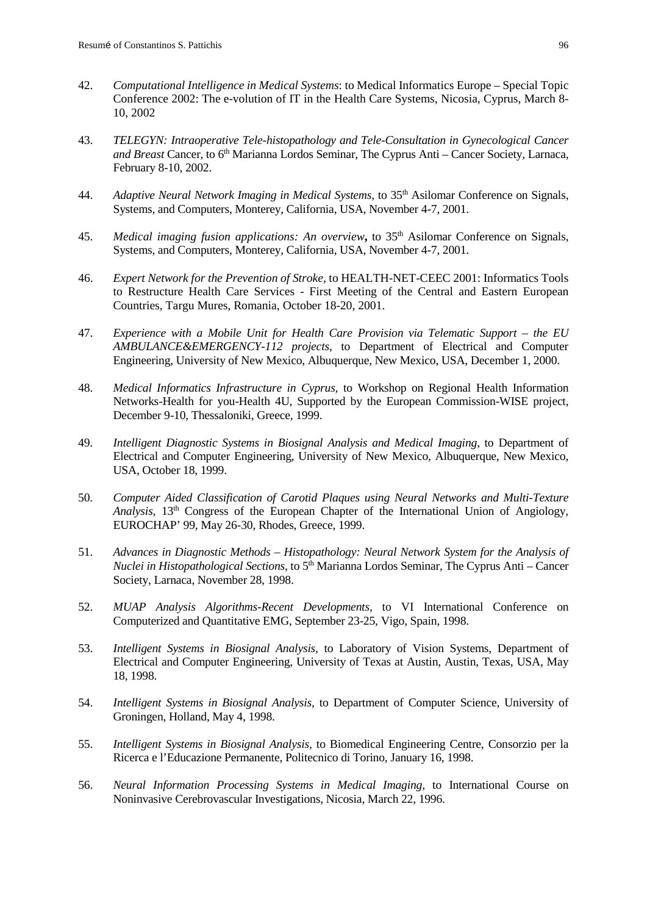- 42. *Computational Intelligence in Medical Systems*: to Medical Informatics Europe Special Topic Conference 2002: The e-volution of IT in the Health Care Systems, Nicosia, Cyprus, March 8- 10, 2002
- 43. *TELEGYN: Intraoperative Tele-histopathology and Tele-Consultation in Gynecological Cancer and Breast* Cancer, to 6<sup>th</sup> Marianna Lordos Seminar, The Cyprus Anti – Cancer Society, Larnaca, February 8-10, 2002.
- 44. *Adaptive Neural Network Imaging in Medical Systems*, to 35<sup>th</sup> Asilomar Conference on Signals, Systems, and Computers, Monterey, California, USA, November 4-7, 2001.
- 45. *Medical imaging fusion applications: An overview***,** to 35th Asilomar Conference on Signals, Systems, and Computers, Monterey, California, USA, November 4-7, 2001.
- 46. *Expert Network for the Prevention of Stroke*, to HEALTH-NET-CEEC 2001: Informatics Tools to Restructure Health Care Services - First Meeting of the Central and Eastern European Countries, Targu Mures, Romania, October 18-20, 2001.
- 47. *Experience with a Mobile Unit for Health Care Provision via Telematic Support – the EU AMBULANCE&EMERGENCY-112 projects*, to Department of Electrical and Computer Engineering, University of New Mexico, Albuquerque, New Mexico, USA, December 1, 2000.
- 48. *Medical Informatics Infrastructure in Cyprus,* to Workshop on Regional Health Information Networks-Health for you-Health 4U, Supported by the European Commission-WISE project, December 9-10, Thessaloniki, Greece, 1999.
- 49. *Intelligent Diagnostic Systems in Biosignal Analysis and Medical Imaging*, to Department of Electrical and Computer Engineering, University of New Mexico, Albuquerque, New Mexico, USA, October 18, 1999.
- 50. *Computer Aided Classification of Carotid Plaques using Neural Networks and Multi-Texture Analysis,* 13th Congress of the European Chapter of the International Union of Angiology, EUROCHAP' 99, May 26-30, Rhodes, Greece, 1999.
- 51. *Advances in Diagnostic Methods – Histopathology: Neural Network System for the Analysis of Nuclei in Histopathological Sections,* to 5<sup>th</sup> Marianna Lordos Seminar, The Cyprus Anti – Cancer Society, Larnaca, November 28, 1998.
- 52. *MUAP Analysis Algorithms-Recent Developments,* to VI International Conference on Computerized and Quantitative EMG, September 23-25, Vigo, Spain, 1998.
- 53. *Intelligent Systems in Biosignal Analysis,* to Laboratory of Vision Systems, Department of Electrical and Computer Engineering, University of Texas at Austin, Austin, Texas, USA, May 18, 1998.
- 54. *Intelligent Systems in Biosignal Analysis,* to Department of Computer Science, University of Groningen, Holland, May 4, 1998.
- 55. *Intelligent Systems in Biosignal Analysis,* to Biomedical Engineering Centre, Consorzio per la Ricerca e l'Educazione Permanente, Politecnico di Torino, January 16, 1998.
- 56. *Neural Information Processing Systems in Medical Imaging*, to International Course on Noninvasive Cerebrovascular Investigations, Nicosia, March 22, 1996.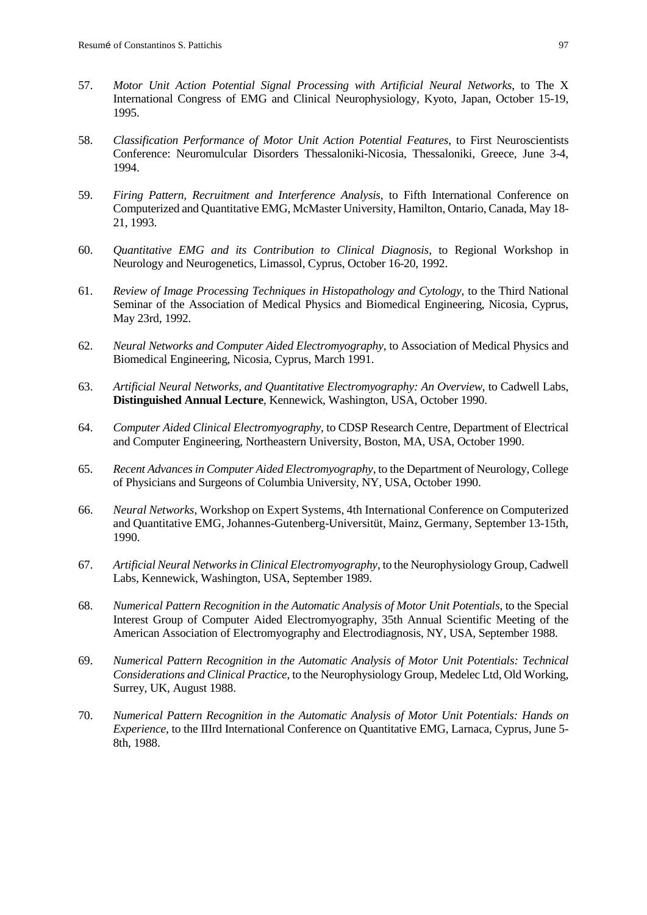- 57. *Motor Unit Action Potential Signal Processing with Artificial Neural Networks*, to The X International Congress of EMG and Clinical Neurophysiology, Kyoto, Japan, October 15-19, 1995.
- 58. *Classification Performance of Motor Unit Action Potential Features*, to First Neuroscientists Conference: Neuromulcular Disorders Thessaloniki-Nicosia, Thessaloniki, Greece, June 3-4, 1994.
- 59. *Firing Pattern, Recruitment and Interference Analysis*, to Fifth International Conference on Computerized and Quantitative EMG, McMaster University, Hamilton, Ontario, Canada, May 18- 21, 1993.
- 60. *Quantitative EMG and its Contribution to Clinical Diagnosis*, to Regional Workshop in Neurology and Neurogenetics, Limassol, Cyprus, October 16-20, 1992.
- 61. *Review of Image Processing Techniques in Histopathology and Cytology*, to the Third National Seminar of the Association of Medical Physics and Biomedical Engineering, Nicosia, Cyprus, May 23rd, 1992.
- 62. *Neural Networks and Computer Aided Electromyography*, to Association of Medical Physics and Biomedical Engineering, Nicosia, Cyprus, March 1991.
- 63. *Artificial Neural Networks, and Quantitative Electromyography: An Overview*, to Cadwell Labs, **Distinguished Annual Lecture**, Kennewick, Washington, USA, October 1990.
- 64. *Computer Aided Clinical Electromyography*, to CDSP Research Centre, Department of Electrical and Computer Engineering, Northeastern University, Boston, MA, USA, October 1990.
- 65. *Recent Advances in Computer Aided Electromyography*, to the Department of Neurology, College of Physicians and Surgeons of Columbia University, NY, USA, October 1990.
- 66. *Neural Networks*, Workshop on Expert Systems, 4th International Conference on Computerized and Quantitative EMG, Johannes-Gutenberg-Universitüt, Mainz, Germany, September 13-15th, 1990.
- 67. *Artificial Neural Networks in Clinical Electromyography*, to the Neurophysiology Group, Cadwell Labs, Kennewick, Washington, USA, September 1989.
- 68. *Numerical Pattern Recognition in the Automatic Analysis of Motor Unit Potentials*, to the Special Interest Group of Computer Aided Electromyography, 35th Annual Scientific Meeting of the American Association of Electromyography and Electrodiagnosis, NY, USA, September 1988.
- 69. *Numerical Pattern Recognition in the Automatic Analysis of Motor Unit Potentials: Technical Considerations and Clinical Practice*, to the Neurophysiology Group, Medelec Ltd, Old Working, Surrey, UK, August 1988.
- 70. *Numerical Pattern Recognition in the Automatic Analysis of Motor Unit Potentials: Hands on Experience*, to the IIIrd International Conference on Quantitative EMG, Larnaca, Cyprus, June 5- 8th, 1988.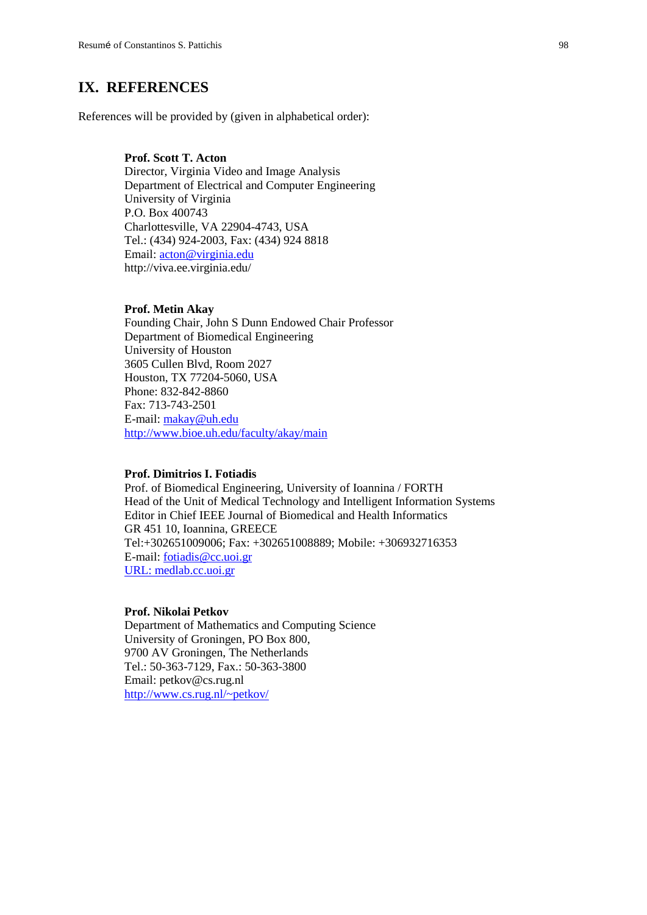## **IX. REFERENCES**

References will be provided by (given in alphabetical order):

## **Prof. Scott T. Acton**

Director, Virginia Video and Image Analysis Department of Electrical and Computer Engineering University of Virginia P.O. Box 400743 Charlottesville, VA 22904-4743, USA Tel.: (434) 924-2003, Fax: (434) 924 8818 Email: [acton@virginia.edu](mailto:acton@virginia.edu) <http://viva.ee.virginia.edu/>

#### **Prof. Metin Akay**

Founding Chair, John S Dunn Endowed Chair Professor Department of Biomedical Engineering University of Houston 3605 Cullen Blvd, Room 2027 Houston, TX 77204-5060, USA Phone: 832-842-8860 Fax: 713-743-2501 E-mail: [makay@uh.edu](mailto:makay@uh.edu) <http://www.bioe.uh.edu/faculty/akay/main>

## **Prof. Dimitrios I. Fotiadis**

Prof. of Biomedical Engineering, University of Ioannina / FORTH Head of the Unit of Medical Technology and Intelligent Information Systems Editor in Chief IEEE Journal of Biomedical and Health Informatics GR 451 10, Ioannina, GREECE Tel:+302651009006; Fax: +302651008889; Mobile: +306932716353 E-mail: fotiadis@cc.uoi.gr URL: [medlab.cc.uoi.gr](http://medlab.cc.uoi.gr/)

#### **Prof. Nikolai Petkov**

Department of Mathematics and Computing Science University of Groningen, PO Box 800, 9700 AV Groningen, The Netherlands Tel.: 50-363-7129, Fax.: 50-363-3800 Email: petkov@cs.rug.nl [http://www.cs.rug.nl/~petkov/](http://www.cs.rug.nl/%7Epetkov/)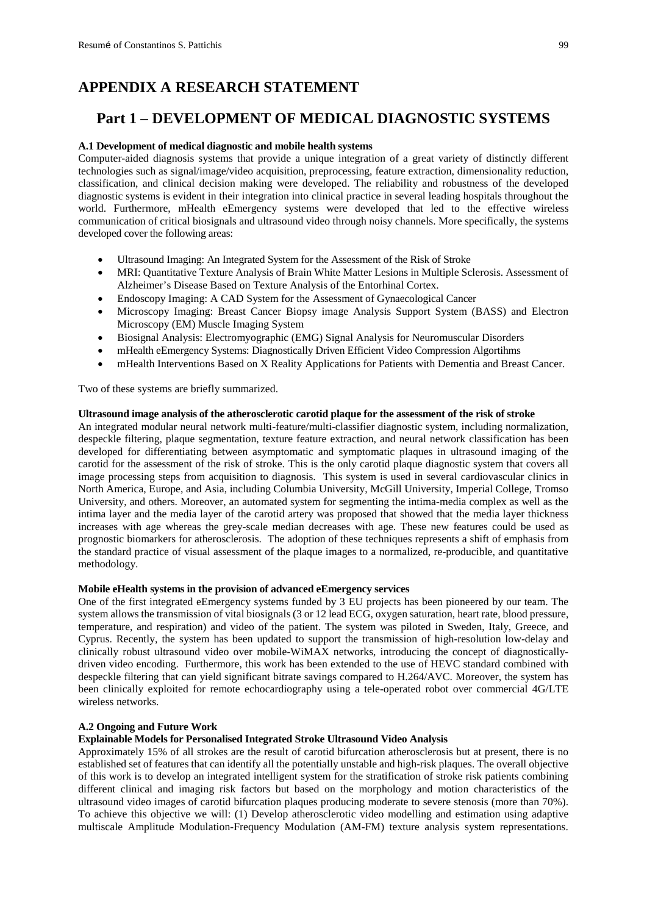# **APPENDIX A RESEARCH STATEMENT**

# **Part 1 – DEVELOPMENT OF MEDICAL DIAGNOSTIC SYSTEMS**

#### **A.1 Development of medical diagnostic and mobile health systems**

Computer-aided diagnosis systems that provide a unique integration of a great variety of distinctly different technologies such as signal/image/video acquisition, preprocessing, feature extraction, dimensionality reduction, classification, and clinical decision making were developed. The reliability and robustness of the developed diagnostic systems is evident in their integration into clinical practice in several leading hospitals throughout the world. Furthermore, mHealth eEmergency systems were developed that led to the effective wireless communication of critical biosignals and ultrasound video through noisy channels. More specifically, the systems developed cover the following areas:

- Ultrasound Imaging: An Integrated System for the Assessment of the Risk of Stroke
- MRI: Quantitative Texture Analysis of Brain White Matter Lesions in Multiple Sclerosis. Assessment of Alzheimer's Disease Based on Texture Analysis of the Entorhinal Cortex.
- Endoscopy Imaging: A CAD System for the Assessment of Gynaecological Cancer
- Microscopy Imaging: Breast Cancer Biopsy image Analysis Support System (BASS) and Electron Microscopy (EM) Muscle Imaging System
- Biosignal Analysis: Electromyographic (EMG) Signal Analysis for Neuromuscular Disorders
- mHealth eEmergency Systems: Diagnostically Driven Efficient Video Compression Algortihms
- mHealth Interventions Based on X Reality Applications for Patients with Dementia and Breast Cancer.

Two of these systems are briefly summarized.

#### **Ultrasound image analysis of the atherosclerotic carotid plaque for the assessment of the risk of stroke**

An integrated modular neural network multi-feature/multi-classifier diagnostic system, including normalization, despeckle filtering, plaque segmentation, texture feature extraction, and neural network classification has been developed for differentiating between asymptomatic and symptomatic plaques in ultrasound imaging of the carotid for the assessment of the risk of stroke. This is the only carotid plaque diagnostic system that covers all image processing steps from acquisition to diagnosis. This system is used in several cardiovascular clinics in North America, Europe, and Asia, including Columbia University, McGill University, Imperial College, Tromso University, and others. Moreover, an automated system for segmenting the intima-media complex as well as the intima layer and the media layer of the carotid artery was proposed that showed that the media layer thickness increases with age whereas the grey-scale median decreases with age. These new features could be used as prognostic biomarkers for atherosclerosis. The adoption of these techniques represents a shift of emphasis from the standard practice of visual assessment of the plaque images to a normalized, re-producible, and quantitative methodology.

#### **Mobile eHealth systems in the provision of advanced eEmergency services**

One of the first integrated eEmergency systems funded by 3 EU projects has been pioneered by our team. The system allows the transmission of vital biosignals (3 or 12 lead ECG, oxygen saturation, heart rate, blood pressure, temperature, and respiration) and video of the patient. The system was piloted in Sweden, Italy, Greece, and Cyprus. Recently, the system has been updated to support the transmission of high-resolution low-delay and clinically robust ultrasound video over mobile-WiMAX networks, introducing the concept of diagnosticallydriven video encoding. Furthermore, this work has been extended to the use of HEVC standard combined with despeckle filtering that can yield significant bitrate savings compared to H.264/AVC. Moreover, the system has been clinically exploited for remote echocardiography using a tele-operated robot over commercial 4G/LTE wireless networks.

#### **A.2 Ongoing and Future Work**

#### **Explainable Models for Personalised Integrated Stroke Ultrasound Video Analysis**

Approximately 15% of all strokes are the result of carotid bifurcation atherosclerosis but at present, there is no established set of features that can identify all the potentially unstable and high-risk plaques. The overall objective of this work is to develop an integrated intelligent system for the stratification of stroke risk patients combining different clinical and imaging risk factors but based on the morphology and motion characteristics of the ultrasound video images of carotid bifurcation plaques producing moderate to severe stenosis (more than 70%). To achieve this objective we will: (1) Develop atherosclerotic video modelling and estimation using adaptive multiscale Amplitude Modulation-Frequency Modulation (AM-FM) texture analysis system representations.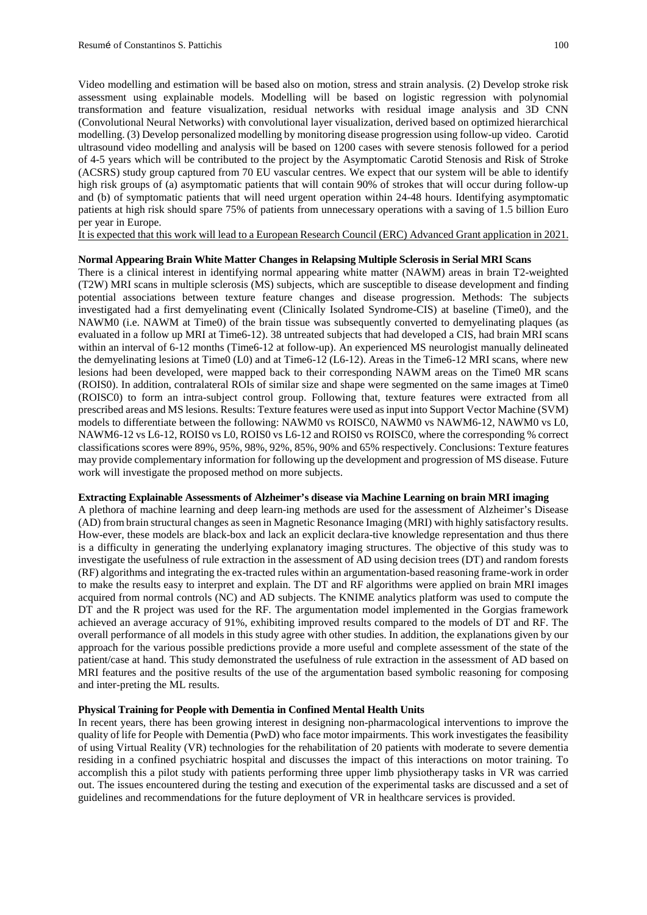Video modelling and estimation will be based also on motion, stress and strain analysis. (2) Develop stroke risk assessment using explainable models. Modelling will be based on logistic regression with polynomial transformation and feature visualization, residual networks with residual image analysis and 3D CNN (Convolutional Neural Networks) with convolutional layer visualization, derived based on optimized hierarchical modelling. (3) Develop personalized modelling by monitoring disease progression using follow-up video. Carotid ultrasound video modelling and analysis will be based on 1200 cases with severe stenosis followed for a period of 4-5 years which will be contributed to the project by the Asymptomatic Carotid Stenosis and Risk of Stroke (ACSRS) study group captured from 70 EU vascular centres. We expect that our system will be able to identify high risk groups of (a) asymptomatic patients that will contain 90% of strokes that will occur during follow-up and (b) of symptomatic patients that will need urgent operation within 24-48 hours. Identifying asymptomatic patients at high risk should spare 75% of patients from unnecessary operations with a saving of 1.5 billion Euro per year in Europe.

It is expected that this work will lead to a European Research Council (ERC) Advanced Grant application in 2021.

#### **Normal Appearing Brain White Matter Changes in Relapsing Multiple Sclerosis in Serial MRI Scans**

There is a clinical interest in identifying normal appearing white matter (NAWM) areas in brain T2-weighted (T2W) MRI scans in multiple sclerosis (MS) subjects, which are susceptible to disease development and finding potential associations between texture feature changes and disease progression. Methods: The subjects investigated had a first demyelinating event (Clinically Isolated Syndrome-CIS) at baseline (Time0), and the NAWM0 (i.e. NAWM at Time0) of the brain tissue was subsequently converted to demyelinating plaques (as evaluated in a follow up MRI at Time6-12). 38 untreated subjects that had developed a CIS, had brain MRI scans within an interval of 6-12 months (Time6-12 at follow-up). An experienced MS neurologist manually delineated the demyelinating lesions at Time0 (L0) and at Time6-12 (L6-12). Areas in the Time6-12 MRI scans, where new lesions had been developed, were mapped back to their corresponding NAWM areas on the Time0 MR scans (ROIS0). In addition, contralateral ROIs of similar size and shape were segmented on the same images at Time0 (ROISC0) to form an intra-subject control group. Following that, texture features were extracted from all prescribed areas and MS lesions. Results: Texture features were used as input into Support Vector Machine (SVM) models to differentiate between the following: NAWM0 vs ROISC0, NAWM0 vs NAWM6-12, NAWM0 vs L0, NAWM6-12 vs L6-12, ROIS0 vs L0, ROIS0 vs L6-12 and ROIS0 vs ROISC0, where the corresponding % correct classifications scores were 89%, 95%, 98%, 92%, 85%, 90% and 65% respectively. Conclusions: Texture features may provide complementary information for following up the development and progression of MS disease. Future work will investigate the proposed method on more subjects.

#### **Extracting Explainable Assessments of Alzheimer's disease via Machine Learning on brain MRI imaging**

A plethora of machine learning and deep learn-ing methods are used for the assessment of Alzheimer's Disease (AD) from brain structural changes as seen in Magnetic Resonance Imaging (MRI) with highly satisfactory results. How-ever, these models are black-box and lack an explicit declara-tive knowledge representation and thus there is a difficulty in generating the underlying explanatory imaging structures. The objective of this study was to investigate the usefulness of rule extraction in the assessment of AD using decision trees (DT) and random forests (RF) algorithms and integrating the ex-tracted rules within an argumentation-based reasoning frame-work in order to make the results easy to interpret and explain. The DT and RF algorithms were applied on brain MRI images acquired from normal controls (NC) and AD subjects. The KNIME analytics platform was used to compute the DT and the R project was used for the RF. The argumentation model implemented in the Gorgias framework achieved an average accuracy of 91%, exhibiting improved results compared to the models of DT and RF. The overall performance of all models in this study agree with other studies. In addition, the explanations given by our approach for the various possible predictions provide a more useful and complete assessment of the state of the patient/case at hand. This study demonstrated the usefulness of rule extraction in the assessment of AD based on MRI features and the positive results of the use of the argumentation based symbolic reasoning for composing and inter-preting the ML results.

#### **Physical Training for People with Dementia in Confined Mental Health Units**

In recent years, there has been growing interest in designing non-pharmacological interventions to improve the quality of life for People with Dementia (PwD) who face motor impairments. This work investigates the feasibility of using Virtual Reality (VR) technologies for the rehabilitation of 20 patients with moderate to severe dementia residing in a confined psychiatric hospital and discusses the impact of this interactions on motor training. To accomplish this a pilot study with patients performing three upper limb physiotherapy tasks in VR was carried out. The issues encountered during the testing and execution of the experimental tasks are discussed and a set of guidelines and recommendations for the future deployment of VR in healthcare services is provided.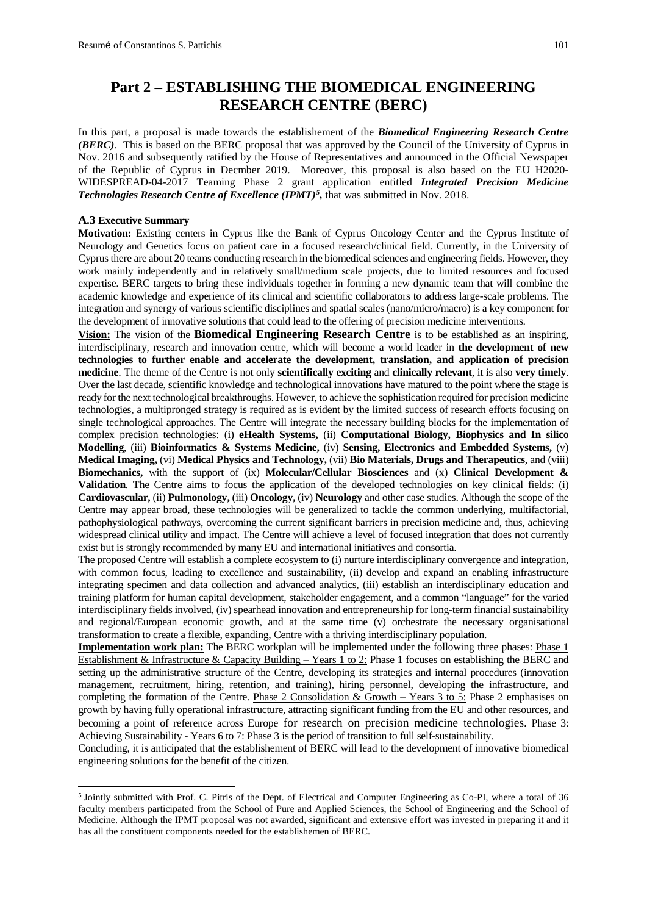# **Part 2 – ESTABLISHING THE BIOMEDICAL ENGINEERING RESEARCH CENTRE (BERC)**

In this part, a proposal is made towards the establishement of the *Biomedical Engineering Research Centre (BERC)*. This is based on the BERC proposal that was approved by the Council of the University of Cyprus in Nov. 2016 and subsequently ratified by the House of Representatives and announced in the Official Newspaper of the Republic of Cyprus in Decmber 2019. Moreover, this proposal is also based on the EU H2020- WIDESPREAD-04-2017 Teaming Phase 2 grant application entitled *Integrated Precision Medicine Technologies Research Centre of Excellence (IPMT)[5](#page-101-0) ,* that was submitted in Nov. 2018.

#### **A.3 Executive Summary**

**Motivation:** Existing centers in Cyprus like the Bank of Cyprus Oncology Center and the Cyprus Institute of Neurology and Genetics focus on patient care in a focused research/clinical field. Currently, in the University of Cyprus there are about 20 teams conducting research in the biomedical sciences and engineering fields. However, they work mainly independently and in relatively small/medium scale projects, due to limited resources and focused expertise. BERC targets to bring these individuals together in forming a new dynamic team that will combine the academic knowledge and experience of its clinical and scientific collaborators to address large-scale problems. The integration and synergy of various scientific disciplines and spatial scales (nano/micro/macro) is a key component for the development of innovative solutions that could lead to the offering of precision medicine interventions.

**Vision:** The vision of the **Biomedical Engineering Research Centre** is to be established as an inspiring, interdisciplinary, research and innovation centre, which will become a world leader in **the development of new technologies to further enable and accelerate the development, translation, and application of precision medicine**. The theme of the Centre is not only **scientifically exciting** and **clinically relevant**, it is also **very timely**. Over the last decade, scientific knowledge and technological innovations have matured to the point where the stage is ready for the next technological breakthroughs. However, to achieve the sophistication required for precision medicine technologies, a multipronged strategy is required as is evident by the limited success of research efforts focusing on single technological approaches. The Centre will integrate the necessary building blocks for the implementation of complex precision technologies: (i) **eHealth Systems,** (ii) **Computational Biology, Biophysics and In silico Modelling**, (iii) **Bioinformatics & Systems Medicine,** (iv) **Sensing, Electronics and Embedded Systems,** (v) **Medical Imaging,** (vi) **Medical Physics and Technology,** (vii) **Bio Materials, Drugs and Therapeutics**, and (viii) **Biomechanics,** with the support of (ix) **Molecular/Cellular Biosciences** and (x) **Clinical Development & Validation**. The Centre aims to focus the application of the developed technologies on key clinical fields: (i) **Cardiovascular,** (ii) **Pulmonology,** (iii) **Oncology,** (iv) **Neurology** and other case studies. Although the scope of the Centre may appear broad, these technologies will be generalized to tackle the common underlying, multifactorial, pathophysiological pathways, overcoming the current significant barriers in precision medicine and, thus, achieving widespread clinical utility and impact. The Centre will achieve a level of focused integration that does not currently exist but is strongly recommended by many EU and international initiatives and consortia.

The proposed Centre will establish a complete ecosystem to (i) nurture interdisciplinary convergence and integration, with common focus, leading to excellence and sustainability, (ii) develop and expand an enabling infrastructure integrating specimen and data collection and advanced analytics, (iii) establish an interdisciplinary education and training platform for human capital development, stakeholder engagement, and a common "language" for the varied interdisciplinary fields involved, (iv) spearhead innovation and entrepreneurship for long-term financial sustainability and regional/European economic growth, and at the same time (v) orchestrate the necessary organisational transformation to create a flexible, expanding, Centre with a thriving interdisciplinary population.

**Implementation work plan:** The BERC workplan will be implemented under the following three phases: Phase 1 Establishment & Infrastructure & Capacity Building – Years 1 to 2: Phase 1 focuses on establishing the BERC and setting up the administrative structure of the Centre, developing its strategies and internal procedures (innovation management, recruitment, hiring, retention, and training), hiring personnel, developing the infrastructure, and completing the formation of the Centre. Phase 2 Consolidation & Growth – Years 3 to 5: Phase 2 emphasises on growth by having fully operational infrastructure, attracting significant funding from the EU and other resources, and becoming a point of reference across Europe for research on precision medicine technologies. Phase 3: Achieving Sustainability - Years 6 to 7: Phase 3 is the period of transition to full self-sustainability.

Concluding, it is anticipated that the establishement of BERC will lead to the development of innovative biomedical engineering solutions for the benefit of the citizen.

<span id="page-101-0"></span> <sup>5</sup> Jointly submitted with Prof. C. Pitris of the Dept. of Electrical and Computer Engineering as Co-PI, where a total of 36 faculty members participated from the School of Pure and Applied Sciences, the School of Engineering and the School of Medicine. Although the IPMT proposal was not awarded, significant and extensive effort was invested in preparing it and it has all the constituent components needed for the establishemen of BERC.